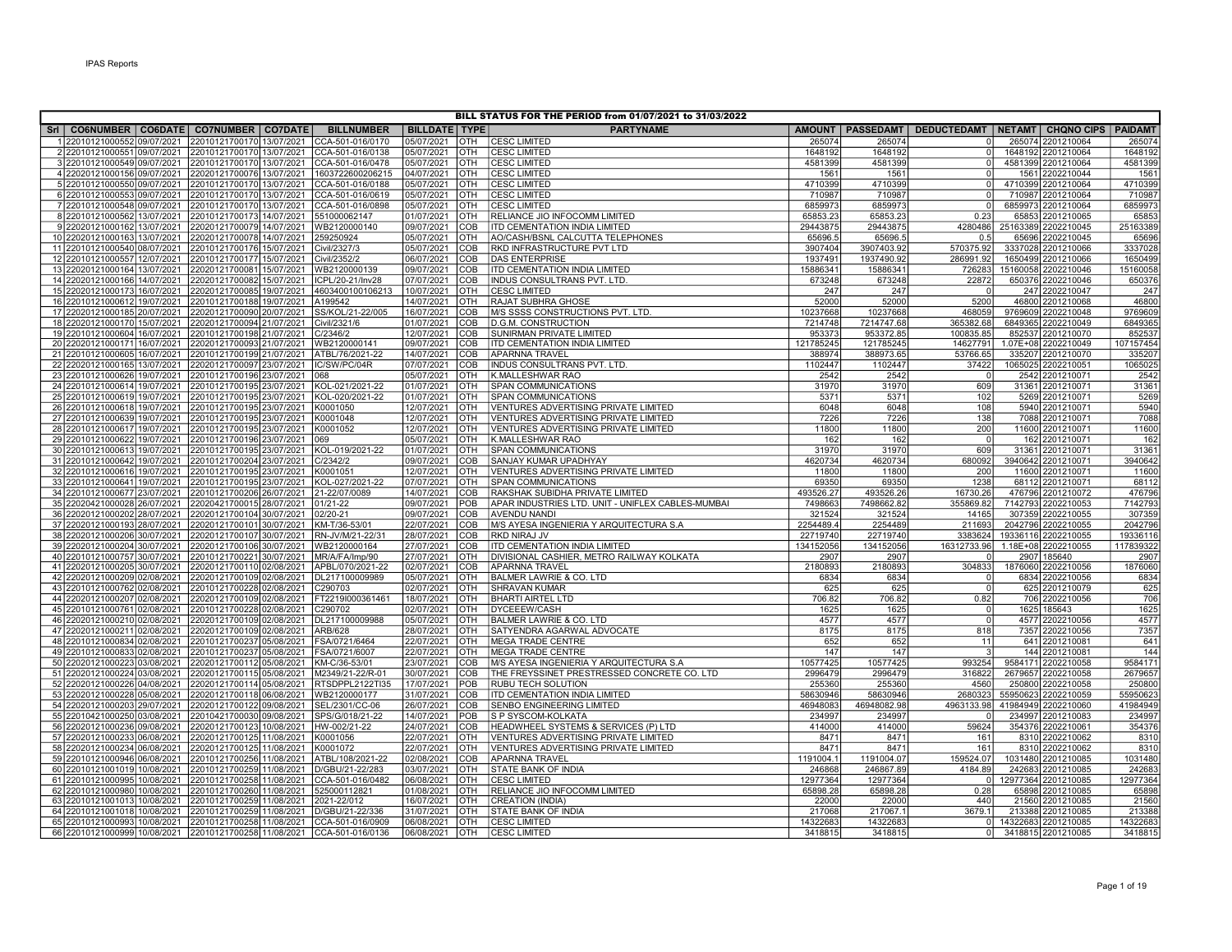|                                                                                                     |                                                        |                                    |                          |                   | BILL STATUS FOR THE PERIOD from 01/07/2021 to 31/03/2022                     |                     |                        |                                                         |                                           |                     |
|-----------------------------------------------------------------------------------------------------|--------------------------------------------------------|------------------------------------|--------------------------|-------------------|------------------------------------------------------------------------------|---------------------|------------------------|---------------------------------------------------------|-------------------------------------------|---------------------|
| Sri   CO6NUMBER   CO6DATE   CO7NUMBER   CO7DATE                                                     |                                                        | <b>BILLNUMBER</b>                  | <b>BILLDATE TYPE</b>     |                   | <b>PARTYNAME</b>                                                             | <b>AMOUNT</b>       |                        | PASSEDAMT   DEDUCTEDAMT   NETAMT   CHQNO CIPS   PAIDAMT |                                           |                     |
| 12201012100055209/07/2021                                                                           | 22010121700170 13/07/2021                              | CCA-501-016/0170                   | 05/07/2021               | OTH               | <b>CESC LIMITED</b>                                                          | 26507               | 265074                 |                                                         | 265074 2201210064                         | 265074              |
| 2201012100055109/07/2021 22010121700170 13/07/2021                                                  |                                                        | CCA-501-016/0138                   | 05/07/2021               | OTH               | <b>CESC LIMITED</b>                                                          | 1648192             | 1648192                | $\Omega$                                                | 1648192 2201210064                        | 1648192             |
| 3 22010121000549 09/07/2021 22010121700170 13/07/2021 CCA-501-016/0478                              |                                                        |                                    | 05/07/2021               | OTH               | <b>CESC LIMITED</b>                                                          | 4581399             | 4581399                | $\Omega$                                                | 4581399 2201210064                        | 4581399             |
| 4 22020121000156 09/07/2021  22020121700076 13/07/2021  1603722600206215                            |                                                        |                                    | 04/07/2021               | OTH               | <b>CESC LIMITED</b>                                                          | 1561                | 1561                   | $\Omega$                                                | 1561 2202210044                           | 156'                |
| 5 22010121000550 09/07/2021                                                                         | 22010121700170 13/07/2021                              | CCA-501-016/0188                   | 05/07/2021               | <b>OTH</b>        | <b>CESC LIMITED</b>                                                          | 4710399             | 4710399                | $\Omega$                                                | 4710399 2201210064                        | 4710399             |
| 6 22010121000553 09/07/2021                                                                         | 22010121700170 13/07/2021                              | CCA-501-016/0619                   | 05/07/2021               | <b>OTH</b>        | <b>CESC LIMITED</b>                                                          | 710987              | 710987                 |                                                         | 710987 2201210064                         | 710987              |
| 7 22010121000548 09/07/2021 22010121700170 13/07/2021                                               |                                                        | CCA-501-016/0898                   | 05/07/2021               | <b>OTH</b>        | <b>CESC LIMITED</b>                                                          | 6859973             | 6859973                | $\Omega$                                                | 6859973 2201210064                        | 6859973             |
| 8 22010121000562 13/07/2021                                                                         | 22010121700173 14/07/2021                              | 551000062147                       | 01/07/2021               | OTH               | RELIANCE JIO INFOCOMM LIMITED                                                | 65853.23            | 65853.23               | 0.23                                                    | 65853 2201210065                          | 6585                |
| 9 22020121000162 13/07/2021                                                                         | 22020121700079 14/07/2021                              | WB2120000140                       | 09/07/2021               | COB               | <b>ITD CEMENTATION INDIA LIMITED</b>                                         | 29443875            | 29443875               | 4280486                                                 | 25163389 2202210045                       | 25163389            |
| 10 22020121000163 13/07/2021 22020121700078 14/07/2021                                              |                                                        | 259250924                          | 05/07/2021               | <b>OTH</b>        | AO/CASH/BSNL CALCUTTA TELEPHONES                                             | 65696.              | 65696.5                | 0.5                                                     | 65696 2202210045                          | 65696               |
| 11 22010121000540 08/07/2021 22010121700176 15/07/2021                                              |                                                        | Civil/2327/3                       | 05/07/2021               | COB               | RKD INFRASTRUCTURE PVT LTD                                                   | 3907404             | 3907403.92             | 570375.92                                               | 3337028 2201210066                        | 3337028             |
| 12 22010121000557 12/07/2021<br>13 22020121000164 13/07/2021 22020121700081 15/07/2021 WB2120000139 | 22010121700177 15/07/2021                              | Civil/2352/2                       | 06/07/2021<br>09/07/2021 | COB<br>COB        | <b>DAS ENTERPRISE</b><br><b>ITD CEMENTATION INDIA LIMITED</b>                | 1937491<br>15886341 | 1937490.92<br>15886341 | 286991.92<br>726283                                     | 1650499 2201210066<br>15160058 2202210046 | 1650499<br>15160058 |
| 14 22020121000166 14/07/2021 22020121700082 15/07/2021                                              |                                                        | ICPL/20-21/Inv28                   | 07/07/2021               | COB               | INDUS CONSULTRANS PVT. LTD.                                                  | 673248              | 673248                 | 22872                                                   | 650376 2202210046                         | 650376              |
| 15 22020121000173 16/07/2021 22020121700085 19/07/2021 4603400100106213                             |                                                        |                                    | 10/07/2021               | OTH               | <b>CESC LIMITED</b>                                                          | 247                 | 247                    |                                                         | 247 2202210047                            | 247                 |
| 16 22010121000612 19/07/2021                                                                        | 22010121700188 19/07/2021                              | A199542                            | 14/07/2021               | OTH               | RAJAT SUBHRA GHOSE                                                           | 52000               | 52000                  | 5200                                                    | 46800 2201210068                          | 46800               |
| 17 22020121000185 20/07/2021                                                                        | 22020121700090 20/07/2021                              | SS/KOL/21-22/005                   | 16/07/2021               | COB               | M/S SSSS CONSTRUCTIONS PVT. LTD.                                             | 10237668            | 10237668               | 468059                                                  | 9769609 2202210048                        | 9769609             |
| 18 22020121000170 15/07/2021                                                                        | 22020121700094 21/07/2021                              | Civil/2321/6                       | 01/07/2021               | COB               | <b>D.G.M. CONSTRUCTION</b>                                                   | 7214748             | 7214747.68             | 365382.68                                               | 6849365 2202210049                        | 6849365             |
| 19 22010121000604 16/07/2021                                                                        | 22010121700198 21/07/2021                              | C/2346/2                           | 12/07/2021               | <b>COB</b>        | <b>SUNIRMAN PRIVATE LIMITED</b>                                              | 953373              | 953372.85              | 100835.85                                               | 852537 2201210070                         | 852537              |
| 20 22020121000171 16/07/2021                                                                        | 22020121700093 21/07/2021                              | WB2120000141                       | 09/07/2021               | COB               | ITD CEMENTATION INDIA LIMITED                                                | 121785245           | 121785245              | 14627791                                                | 1.07E+08 2202210049                       | 107157454           |
| 21 22010121000605 16/07/2021                                                                        | 22010121700199 21/07/2021                              | ATBL/76/2021-22                    | 14/07/2021               | COB               | <b>APARNNA TRAVEL</b>                                                        | 388974              | 388973.65              | 53766.65                                                | 335207 2201210070                         | 33520               |
| 22 22020121000165 13/07/2021                                                                        | 22020121700097 23/07/2021 IC/SW/PC/04R                 |                                    | 07/07/2021               | <b>COB</b>        | INDUS CONSULTRANS PVT. LTD.                                                  | 1102447             | 1102447                | 37422                                                   | 1065025 2202210051                        | 1065025             |
| 23 22010121000626 19/07/2021 22010121700196 23/07/2021                                              |                                                        | 068                                | 05/07/2021               | OTH               | K.MALLESHWAR RAO                                                             | 2542                | 2542                   |                                                         | 2542 2201210071                           | 2542                |
| 24 22010121000614 19/07/2021                                                                        | 22010121700195 23/07/2021                              | KOL-021/2021-22                    | 01/07/2021               | OTH               | <b>SPAN COMMUNICATIONS</b>                                                   | 31970               | 31970                  | 609                                                     | 31361 2201210071                          | 31361               |
| 25 22010121000619 19/07/2021 22010121700195 23/07/2021 KOL-020/2021-22                              |                                                        |                                    | 01/07/2021               | Іотн              | SPAN COMMUNICATIONS                                                          | 5371                | 5371                   | 102                                                     | 5269 2201210071                           | 5269                |
| 26 22010121000618 19/07/2021 22010121700195 23/07/2021 K0001050                                     |                                                        |                                    | 12/07/2021               | OTH               | VENTURES ADVERTISING PRIVATE LIMITED                                         | 6048                | 6048                   | 108                                                     | 5940 2201210071                           | 5940                |
| 27 22010121000639 19/07/2021<br>28 22010121000617 19/07/2021                                        | 22010121700195 23/07/2021<br>22010121700195 23/07/2021 | K0001048<br>K0001052               | 12/07/2021<br>12/07/2021 | <b>OTH</b><br>OTH | VENTURES ADVERTISING PRIVATE LIMITED<br>VENTURES ADVERTISING PRIVATE LIMITED | 7226<br>11800       | 7226<br>11800          | 138<br>200                                              | 7088 2201210071<br>11600 2201210071       | 7088<br>11600       |
| 29 22010121000622 19/07/2021 22010121700196 23/07/2021                                              |                                                        | 069                                | 05/07/2021               | <b>OTH</b>        | K.MALLESHWAR RAO                                                             | 162                 | 162                    | $\Omega$                                                | 162 2201210071                            | 162                 |
| 30 22010121000613 19/07/2021 22010121700195 23/07/2021                                              |                                                        | KOL-019/2021-22                    | 01/07/2021               | <b>OTH</b>        | <b>SPAN COMMUNICATIONS</b>                                                   | 31970               | 31970                  | 609                                                     | 31361 2201210071                          | 31361               |
| 31 22010121000642 19/07/2021                                                                        | 22010121700204 23/07/2021                              | C/2342/2                           | 09/07/2021               | COB               | SANJAY KUMAR UPADHYAY                                                        | 4620734             | 4620734                | 680092                                                  | 3940642 2201210071                        | 3940642             |
| 32 22010121000616 19/07/2021                                                                        | 22010121700195 23/07/2021                              | K0001051                           | 12/07/2021               | OTH               | VENTURES ADVERTISING PRIVATE LIMITED                                         | 11800               | 11800                  | 200                                                     | 11600 2201210071                          | 11600               |
| 33 22010121000641 19/07/2021                                                                        | 22010121700195 23/07/2021                              | KOL-027/2021-22                    | 07/07/2021               | <b>OTH</b>        | SPAN COMMUNICATIONS                                                          | 69350               | 69350                  | 1238                                                    | 68112 2201210071                          | 68112               |
| 34 22010121000677 23/07/2021                                                                        | 22010121700206 26/07/2021                              | 21-22/07/0089                      | 14/07/2021               | COB               | RAKSHAK SUBIDHA PRIVATE LIMITED                                              | 493526.27           | 493526.26              | 16730.26                                                | 476796 2201210072                         | 476796              |
| 35 22020421000028 26/07/2021 22020421700015 28/07/2021 01/21-22                                     |                                                        |                                    | 09/07/2021               | POB               | APAR INDUSTRIES LTD. UNIT - UNIFLEX CABLES-MUMBAI                            | 7498663             | 7498662.82             | 355869.82                                               | 7142793 2202210053                        | 7142793             |
| 36 22020121000202 28/07/2021 22020121700104 30/07/2021                                              |                                                        | 02/20-21                           | 09/07/2021               | <b>COB</b>        | <b>AVENDU NANDI</b>                                                          | 321524              | 321524                 | 14165                                                   | 307359 2202210055                         | 307359              |
| 37 22020121000193 28/07/2021 22020121700101 30/07/2021 KM-T/36-53/01                                |                                                        |                                    | 22/07/2021               | COB               | M/S AYESA INGENIERIA Y ARQUITECTURA S.A                                      | 2254489.4           | 2254489                | 211693                                                  | 2042796 2202210055                        | 2042796             |
| 38 22020121000206 30/07/2021                                                                        | 22020121700107 30/07/2021                              | RN-JV/M/21-22/31                   | 28/07/2021               | COB               | <b>RKD NIRAJ JV</b>                                                          | 22719740            | 22719740               | 3383624                                                 | 19336116 2202210055                       | 19336116            |
| 39 22020121000204 30/07/2021                                                                        | 22020121700106 30/07/2021                              | WB2120000164                       | 27/07/2021               | COB               | <b>ITD CEMENTATION INDIA LIMITED</b>                                         | 134152056           | 134152056              | 16312733.96                                             | 1.18E+08 2202210055                       | 117839322           |
| 40 22010121000757 30/07/2021                                                                        | 22010121700221 30/07/2021                              | MR/A/FA/Imp/90<br>APBL/070/2021-22 | 27/07/2021<br>02/07/2021 | <b>OTH</b>        | DIVISIONAL CASHIER, METRO RAILWAY KOLKATA<br><b>APARNNA TRAVEL</b>           | 2907                | 2907<br>2180893        |                                                         | 2907 185640                               | 2907                |
| 41 22020121000205 30/07/2021<br>42 22020121000209 02/08/2021                                        | 22020121700110 02/08/2021<br>22020121700109 02/08/2021 | DL217100009989                     | 05/07/2021               | COB<br>OTH        | BALMER LAWRIE & CO. LTD                                                      | 2180893<br>6834     | 6834                   | 304833                                                  | 1876060 2202210056<br>6834 2202210056     | 1876060<br>6834     |
| 43 22010121000762 02/08/2021                                                                        | 22010121700228 02/08/2021                              | C290703                            | 02/07/2021               | OTH               | <b>SHRAVAN KUMAR</b>                                                         | 625                 | 625                    | $\Omega$                                                | 625 2201210079                            | 625                 |
| 44 22020121000207 02/08/2021                                                                        | 22020121700109 02/08/2021                              | FT2219l000361461                   | 18/07/2021               | <b>OTH</b>        | <b>BHARTI AIRTEL LTD</b>                                                     | 706.82              | 706.82                 | 0.82                                                    | 706 2202210056                            | 706                 |
| 45 22010121000761 02/08/2021                                                                        | 22010121700228 02/08/2021                              | C290702                            | 02/07/2021               | OTH               | DYCEEEW/CASH                                                                 | 1625                | 1625                   | $\Omega$                                                | 1625 185643                               | 1625                |
| 46 22020121000210 02/08/2021                                                                        | 22020121700109 02/08/2021                              | DL217100009988                     | 05/07/2021               | OTH               | BALMER LAWRIE & CO. LTD                                                      | 4577                | 4577                   | $\overline{0}$                                          | 4577 2202210056                           | 4577                |
| 47 22020121000211 02/08/2021 22020121700109 02/08/2021                                              |                                                        | ARB/628                            | 28/07/2021               | OTH               | SATYENDRA AGARWAL ADVOCATE                                                   | 8175                | 8175                   | 818                                                     | 7357 2202210056                           | 7357                |
| 48 22010121000834 02/08/2021 22010121700237 05/08/2021                                              |                                                        | FSA/0721/6464                      | 22/07/2021               | OTH               | <b>MEGA TRADE CENTRE</b>                                                     | 652                 | 652                    | 11                                                      | 641 2201210081                            | 64 <sup>1</sup>     |
| 49 22010121000833 02/08/2021                                                                        | 22010121700237 05/08/2021                              | FSA/0721/6007                      | 22/07/2021               | <b>OTH</b>        | <b>MEGA TRADE CENTRE</b>                                                     | 147                 | 147                    |                                                         | 144 2201210081                            | 144                 |
| 50 22020121000223 03/08/2021                                                                        | 22020121700112 05/08/2021                              | KM-C/36-53/01                      | 23/07/2021               | COB               | M/S AYESA INGENIERIA Y ARQUITECTURA S.A                                      | 10577425            | 10577425               | 993254                                                  | 9584171 2202210058                        | 9584171             |
| 51 22020121000224 03/08/2021                                                                        | 22020121700115 05/08/2021                              | M2349/21-22/R-01                   | 30/07/2021               | COB               | THE FREYSSINET PRESTRESSED CONCRETE CO. LTD                                  | 2996479             | 2996479                | 316822                                                  | 2679657 2202210058                        | 2679657             |
| 52 22020121000226 04/08/2021                                                                        | 22020121700114 05/08/2021                              | RTSDPPL2122TI35                    | 17/07/2021               | <b>POB</b>        | <b>RUBU TECH SOLUTION</b>                                                    | 255360              | 255360                 | 4560                                                    | 250800 2202210058                         | 250800              |
| 53 22020121000228 05/08/2021                                                                        | 22020121700118 06/08/2021                              | WB2120000177                       | 31/07/2021               | COB               | ITD CEMENTATION INDIA LIMITED                                                | 58630946            | 58630946               | 2680323                                                 | 55950623 2202210059                       | 5595062             |
| 54 22020121000203 29/07/2021                                                                        | 22020121700122 09/08/2021                              | SEL/2301/CC-06                     | 26/07/2021               | COB               | SENBO ENGINEERING LIMITED                                                    | 46948083            | 46948082.98            | 4963133.98                                              | 41984949 2202210060                       | 41984949            |
| 55 22010421000250 03/08/2021<br>56 22020121000236 09/08/2021                                        | 22010421700030 09/08/2021<br>22020121700123 10/08/2021 | SPS/G/018/21-22<br>HW-002/21-22    | 14/07/2021<br>24/07/2021 | POB<br>COB        | S P SYSCOM-KOLKATA<br>HEADWHEEL SYSTEMS & SERVICES (P) LTD                   | 234997<br>414000    | 234997<br>414000       | 59624                                                   | 234997 2201210083<br>354376 2202210061    | 234997<br>354376    |
| 57 22020121000233 06/08/2021                                                                        | 22020121700125 11/08/2021                              | K0001056                           | 22/07/2021               | <b>OTH</b>        | VENTURES ADVERTISING PRIVATE LIMITED                                         | 8471                | 8471                   | 161                                                     | 8310 2202210062                           | 8310                |
| 58 22020121000234 06/08/2021                                                                        | 22020121700125 11/08/2021                              | K0001072                           | 22/07/2021               | <b>OTH</b>        | VENTURES ADVERTISING PRIVATE LIMITED                                         | 8471                | 8471                   | 161                                                     | 8310 2202210062                           | 8310                |
| 59 22010121000946 06/08/2021 22010121700256 11/08/2021                                              |                                                        | ATBL/108/2021-22                   | 02/08/2021               | COB               | <b>APARNNA TRAVEL</b>                                                        | 1191004.1           | 1191004.07             | 159524.07                                               | 1031480 2201210085                        | 1031480             |
| 60 22010121001019 10/08/2021                                                                        | 22010121700259 11/08/2021                              | D/GBU/21-22/283                    | 03/07/2021               | <b>OTH</b>        | <b>STATE BANK OF INDIA</b>                                                   | 246868              | 246867.89              | 4184.89                                                 | 242683 2201210085                         | 242683              |
| 61 22010121000995 10/08/2021                                                                        | 22010121700258 11/08/2021                              | CCA-501-016/0482                   | 06/08/2021               | <b>OTH</b>        | <b>CESC LIMITED</b>                                                          | 12977364            | 12977364               |                                                         | 12977364 2201210085                       | 12977364            |
| 62 22010121000980 10/08/2021                                                                        | 22010121700260 11/08/2021                              | 525000112821                       | 01/08/2021               | <b>OTH</b>        | RELIANCE JIO INFOCOMM LIMITED                                                | 65898.28            | 65898.28               | 0.28                                                    | 65898 2201210085                          | 65898               |
| 63 22010121001013 10/08/2021                                                                        | 22010121700259 11/08/2021                              | 2021-22/012                        | 16/07/2021               | OTH               | <b>CREATION (INDIA)</b>                                                      | 22000               | 22000                  | 440                                                     | 21560 2201210085                          | 21560               |
| 64 22010121001018 10/08/2021 22010121700259 11/08/2021 D/GBU/21-22/336                              |                                                        |                                    | 31/07/2021               | OTH               | STATE BANK OF INDIA                                                          | 217068              | 217067.1               | 3679.1                                                  | 213388 2201210085                         | 213388              |
| 65 22010121000993 10/08/2021                                                                        | 22010121700258 11/08/2021 CCA-501-016/0909             |                                    | 06/08/2021               | <b>OTH</b>        | <b>CESC LIMITED</b>                                                          | 14322683            | 14322683               | $\Omega$                                                | 14322683 2201210085                       | 14322683            |
| 66 22010121000999 10/08/2021 22010121700258 11/08/2021 CCA-501-016/0136                             |                                                        |                                    | 06/08/2021               | OTH               | <b>CESC LIMITED</b>                                                          | 3418815             | 3418815                | $\Omega$                                                | 3418815 2201210085                        | 3418815             |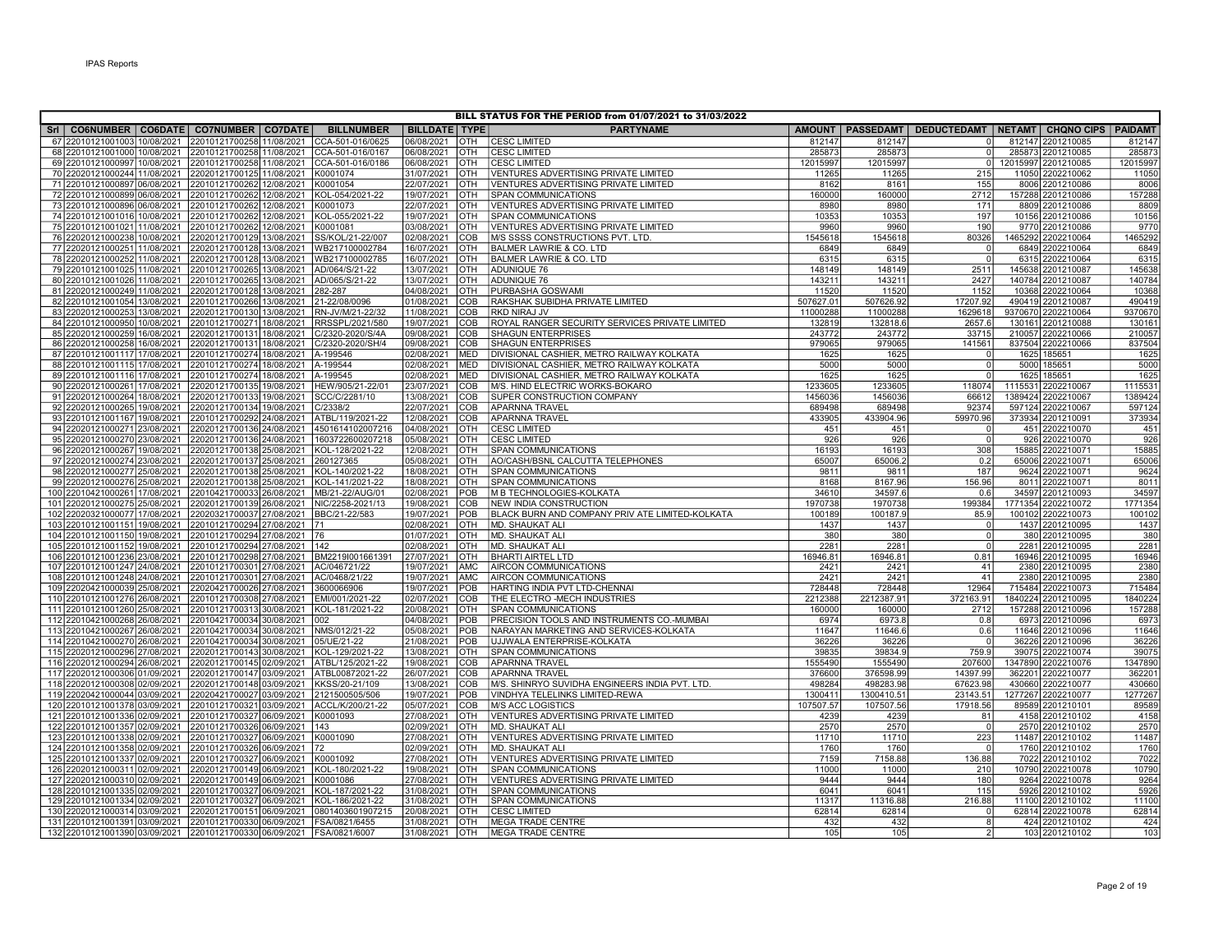| BILL STATUS FOR THE PERIOD from 01/07/2021 to 31/03/2022                                                           |  |  |                             |                          |                   |                                                                    |               |               |                      |                                                         |               |
|--------------------------------------------------------------------------------------------------------------------|--|--|-----------------------------|--------------------------|-------------------|--------------------------------------------------------------------|---------------|---------------|----------------------|---------------------------------------------------------|---------------|
| SrI   CO6NUMBER   CO6DATE   CO7NUMBER   CO7DATE                                                                    |  |  | <b>BILLNUMBER</b>           | <b>BILLDATE TYPE</b>     |                   | <b>PARTYNAME</b>                                                   | <b>AMOUNT</b> |               |                      | PASSEDAMT   DEDUCTEDAMT   NETAMT   CHQNO CIPS   PAIDAMT |               |
| 67 22010121001003 10/08/2021 22010121700258 11/08/2021                                                             |  |  | CCA-501-016/0625            | 06/08/2021               | OTH               | <b>CESC LIMITED</b>                                                | 812147        | 812147        | $\Omega$             | 812147 2201210085                                       | 812147        |
| 68 22010121001000 10/08/2021 22010121700258 11/08/2021                                                             |  |  | CCA-501-016/0167            | 06/08/2021               | OTH               | <b>CESC LIMITED</b>                                                | 285873        | 285873        | $\overline{0}$       | 285873 2201210085                                       | 285873        |
| 69 22010121000997 10/08/2021 22010121700258 11/08/2021                                                             |  |  | CCA-501-016/0186            | 06/08/2021               | <b>OTH</b>        | <b>CESC LIMITED</b>                                                | 12015997      | 12015997      | $\overline{0}$       | 12015997 2201210085                                     | 12015997      |
| 70 22020121000244 11/08/2021 22020121700125 11/08/2021                                                             |  |  | K0001074                    | 31/07/2021               | OTH               | VENTURES ADVERTISING PRIVATE LIMITED                               | 11265         | 11265         | 215                  | 11050 2202210062                                        | 1105          |
| 71 22010121000897 06/08/2021 22010121700262 12/08/2021                                                             |  |  | K0001054                    | 22/07/2021               | OTH               | VENTURES ADVERTISING PRIVATE LIMITED                               | 8162          | 8161          | 155                  | 8006 2201210086                                         | 8006          |
| 72 22010121000899 06/08/2021 22010121700262 12/08/2021                                                             |  |  | KOL-054/2021-22             | 19/07/2021               | <b>OTH</b>        | <b>SPAN COMMUNICATIONS</b>                                         | 160000        | 160000        | 2712                 | 157288 2201210086                                       | 157288        |
| 73 22010121000896 06/08/2021 22010121700262 12/08/2021                                                             |  |  | K0001073                    | 22/07/2021               | <b>OTH</b>        | VENTURES ADVERTISING PRIVATE LIMITED                               | 8980          | 8980          | 171                  | 8809 2201210086                                         | 8809          |
| 74 22010121001016 10/08/2021 22010121700262 12/08/2021                                                             |  |  | KOL-055/2021-22             | 19/07/2021               | OTH               | SPAN COMMUNICATIONS                                                | 10353         | 10353         | 197                  | 10156 2201210086                                        | 10156         |
| 75 22010121001021 11/08/2021 22010121700262 12/08/2021                                                             |  |  | K0001081                    | 03/08/2021               | OTH               | VENTURES ADVERTISING PRIVATE LIMITED                               | 9960          | 9960          | 190                  | 9770 2201210086                                         | 9770          |
| 76 22020121000238 10/08/2021 22020121700129 13/08/2021                                                             |  |  | SS/KOL/21-22/007            | 02/08/2021               | COB               | M/S SSSS CONSTRUCTIONS PVT. LTD.                                   | 1545618       | 1545618       | 80326                | 1465292 2202210064                                      | 1465292       |
| 77 22020121000251 11/08/2021 22020121700128 13/08/2021                                                             |  |  | WB217100002784              | 16/07/2021               | OTH               | BALMER LAWRIE & CO. LTD                                            | 6849          | 6849          | $\overline{0}$       | 6849 2202210064                                         | 6849          |
| 78 22020121000252 11/08/2021 22020121700128 13/08/2021                                                             |  |  | WB217100002785              | 16/07/2021               | OTH               | <b>BALMER LAWRIE &amp; CO. LTD</b>                                 | 6315          | 6315          | $\Omega$             | 6315 2202210064                                         | 631           |
| 79 22010121001025 11/08/2021 22010121700265 13/08/2021                                                             |  |  | AD/064/S/21-22              | 13/07/2021               | OTH               | <b>ADUNIQUE 76</b>                                                 | 148149        | 148149        | 2511                 | 145638 2201210087                                       | 145638        |
| 80 22010121001026 11/08/2021 22010121700265 13/08/2021                                                             |  |  | AD/065/S/21-22              | 13/07/2021               | <b>OTH</b>        | ADUNIQUE 76                                                        | 143211        | 143211        | 2427                 | 140784 2201210087                                       | 140784        |
| 81 22020121000249 11/08/2021 22020121700128 13/08/2021                                                             |  |  | 282-287                     | 04/08/2021               | OTH               | PURBASHA GOSWAMI                                                   | 11520         | 11520         | 1152                 | 10368 2202210064                                        | 10368         |
| 82 22010121001054 13/08/2021 22010121700266 13/08/2021                                                             |  |  | 21-22/08/0096               | 01/08/2021               | COB               | RAKSHAK SUBIDHA PRIVATE LIMITED                                    | 507627.01     | 507626.92     | 17207.92             | 490419 2201210087                                       | 490419        |
| 83 22020121000253 13/08/2021 22020121700130 13/08/2021                                                             |  |  | RN-JV/M/21-22/32            | 11/08/2021               | <b>COB</b>        | <b>RKD NIRAJ JV</b>                                                | 11000288      | 11000288      | 1629618              | 9370670 2202210064                                      | 9370670       |
| 84 22010121000950 10/08/2021 22010121700271 18/08/2021                                                             |  |  | RRSSPL/2021/580             | 19/07/2021               | COB               | ROYAL RANGER SECURITY SERVICES PRIVATE LIMITED                     | 132819        | 132818.6      | 2657.6               | 130161 2201210088                                       | 13016         |
| 85 22020121000259 16/08/2021 22020121700131 18/08/2021                                                             |  |  | C/2320-2020/S/4A            | 09/08/2021               | COB               | <b>SHAGUN ENTERPRISES</b>                                          | 243772        | 243772        | 33715                | 210057 2202210066                                       | 210057        |
| 86 22020121000258 16/08/2021 22020121700131 18/08/2021                                                             |  |  | C/2320-2020/SH/4            | 09/08/2021               | COB               | <b>SHAGUN ENTERPRISES</b>                                          | 979065        | 979065        | 141561               | 837504 2202210066                                       | 837504        |
| 87 22010121001117 17/08/2021 22010121700274 18/08/2021                                                             |  |  | A-199546                    | 02/08/2021               | MED               | DIVISIONAL CASHIER, METRO RAILWAY KOLKATA                          | 1625          | 1625          | <sup>0</sup>         | 1625 185651                                             | 162           |
| 88 22010121001115 17/08/2021 22010121700274 18/08/2021                                                             |  |  | A-199544                    | 02/08/2021               | <b>MED</b>        | DIVISIONAL CASHIER, METRO RAILWAY KOLKATA                          | 5000          | 5000          | $\Omega$             | 5000 185651                                             | 5000          |
| 89 22010121001116 17/08/2021 22010121700274 18/08/2021                                                             |  |  | A-199545                    | 02/08/2021               | MED               | DIVISIONAL CASHIER. METRO RAILWAY KOLKATA                          | 1625          | 1625          | ΩI                   | 1625 185651                                             | 1625          |
| 90 22020121000261 17/08/2021 22020121700135 19/08/2021                                                             |  |  | HEW/905/21-22/01            | 23/07/2021               | COB               | M/S. HIND ELECTRIC WORKS-BOKARO                                    | 1233605       | 1233605       | 118074               | 1115531 2202210067                                      | 111553        |
| 91 22020121000264 18/08/2021 22020121700133 19/08/2021                                                             |  |  | SCC/C/2281/10               | 13/08/2021               | COB               | SUPER CONSTRUCTION COMPANY                                         | 1456036       | 1456036       | 66612                | 1389424 2202210067                                      | 1389424       |
| 92 22020121000265 19/08/2021 22020121700134 19/08/2021                                                             |  |  | C/2338/2                    | 22/07/2021               | COB               | <b>APARNNA TRAVEL</b>                                              | 689498        | 689498        | 92374                | 597124 2202210067                                       | 597124        |
| 93 22010121001167 19/08/2021 22010121700292 24/08/2021                                                             |  |  | ATBL/119/2021-22            | 12/08/2021               | COB               | <b>APARNNA TRAVEL</b>                                              | 433905        | 433904.96     | 59970.96             | 373934 2201210091                                       | 373934        |
| 94 22020121000271 23/08/2021 22020121700136 24/08/2021                                                             |  |  | 4501614102007216            | 04/08/2021               | <b>OTH</b>        | <b>CESC LIMITED</b>                                                | 451           | 451           | $\Omega$             | 451 2202210070                                          | 451           |
| 95 22020121000270 23/08/2021 22020121700136 24/08/2021                                                             |  |  | 1603722600207218            | 05/08/2021               | OTH               | <b>CESC LIMITED</b>                                                | 926           | 926           | $\Omega$             | 926 2202210070                                          | 926           |
| 96 22020121000267 19/08/2021 22020121700138 25/08/2021                                                             |  |  | KOL-128/2021-22             | 12/08/2021               | <b>OTH</b>        | <b>SPAN COMMUNICATIONS</b>                                         | 16193         | 16193         | 308                  | 15885 2202210071                                        | 15885         |
| 97 22020121000274 23/08/2021 22020121700137 25/08/2021                                                             |  |  | 260127365                   | 05/08/2021               | <b>OTH</b>        | AO/CASH/BSNL CALCUTTA TELEPHONES                                   | 65007         | 65006.2       | 0.2                  | 65006 2202210071                                        | 65006         |
| 98 22020121000277 25/08/2021 22020121700138 25/08/2021                                                             |  |  | KOL-140/2021-22             | 18/08/2021               | <b>OTH</b>        | <b>SPAN COMMUNICATIONS</b>                                         | 9811          | 9811          | 187                  | 9624 2202210071                                         | 9624          |
| 99 22020121000276 25/08/2021 22020121700138 25/08/2021                                                             |  |  | KOL-141/2021-22             | 18/08/2021               | <b>OTH</b>        | <b>SPAN COMMUNICATIONS</b>                                         | 8168          | 8167.96       | 156.96               | 8011 2202210071                                         | 801           |
| 100 22010421000261 17/08/2021 22010421700033 26/08/2021                                                            |  |  | MB/21-22/AUG/01             | 02/08/2021               | POB               | M B TECHNOLOGIES-KOLKATA                                           | 34610         | 34597.6       | 0.6                  | 34597 2201210093                                        | 34597         |
| 101 22020121000275 25/08/2021 22020121700139 26/08/2021                                                            |  |  | NIC/2258-2021/13            | 19/08/2021               | COB               | <b>NEW INDIA CONSTRUCTION</b>                                      | 1970738       | 1970738       | 199384               | 1771354 2202210072                                      | 1771354       |
| 102 22020321000077 17/08/2021 22020321700037 27/08/2021                                                            |  |  | BBC/21-22/583               | 19/07/2021               | POB               | BLACK BURN AND COMPANY PRIV ATE LIMITED-KOLKATA                    | 100189        | 100187.9      | 85.9                 | 100102 2202210073                                       | 100102        |
| 103 22010121001151 19/08/2021 22010121700294 27/08/2021 71                                                         |  |  |                             | 02/08/2021               | OTH               | MD. SHAUKAT ALI                                                    | 1437          | 1437          | $\Omega$             | 1437 2201210095                                         | 1437          |
| 104 22010121001150 19/08/2021 22010121700294 27/08/2021 76                                                         |  |  |                             | 01/07/2021               | OTH               | MD. SHAUKAT ALI                                                    | 380           | 380           | $\overline{0}$       | 380 2201210095                                          | 380           |
| 105 22010121001152 19/08/2021 22010121700294 27/08/2021 142                                                        |  |  |                             | 02/08/2021               | OTH               | MD. SHAUKAT ALI                                                    | 2281          | 2281          | $\overline{0}$       | 2281 2201210095                                         | 2281          |
| 106 22010121001236 23/08/2021 22010121700298 27/08/2021                                                            |  |  | BM2219I001661391            | 27/07/2021               | OTH               | <b>BHARTI AIRTEL LTD</b>                                           | 16946.81      | 16946.81      | 0.81                 | 16946 2201210095                                        | 16946         |
| 107 22010121001247 24/08/2021 22010121700301 27/08/2021                                                            |  |  | AC/046721/22                | 19/07/2021               | AMC               | <b>AIRCON COMMUNICATIONS</b>                                       | 2421          | 2421          | 41                   | 2380 2201210095                                         | 2380          |
| 108 22010121001248 24/08/2021 22010121700301 27/08/2021                                                            |  |  | AC/0468/21/22               | 19/07/2021               | <b>AMC</b>        | AIRCON COMMUNICATIONS                                              | 2421          | 2421          | 41                   | 2380 2201210095                                         | 2380          |
| 109 22020421000039 25/08/2021 22020421700026 27/08/2021                                                            |  |  | 3600066906                  | 19/07/2021               | <b>POB</b>        | HARTING INDIA PVT LTD-CHENNAI                                      | 728448        | 728448        | 12964                | 715484 2202210073                                       | 715484        |
| 110 22010121001276 26/08/2021 22010121700308 27/08/2021                                                            |  |  | EMI/001/2021-22             | 02/07/2021               | COB               | THE ELECTRO -MECH INDUSTRIES                                       | 2212388       | 2212387.91    | 372163.91            | 1840224 2201210095                                      | 1840224       |
| 111 22010121001260 25/08/2021 22010121700313 30/08/2021                                                            |  |  | KOL-181/2021-22             | 20/08/2021               | OTH               | <b>SPAN COMMUNICATIONS</b>                                         | 160000        | 160000        | 2712                 | 157288 2201210096                                       | 157288        |
| 112 22010421000268 26/08/2021 22010421700034 30/08/2021                                                            |  |  | 002                         | 04/08/2021               | POB               | PRECISION TOOLS AND INSTRUMENTS CO.-MUMBAI                         | 6974          | 6973.8        | 0.8                  | 6973 2201210096                                         | 697           |
| 113 22010421000267 26/08/2021 22010421700034 30/08/2021                                                            |  |  | NMS/012/21-22               | 05/08/2021               | POB               | NARAYAN MARKETING AND SERVICES-KOLKATA                             | 11647         | 11646.6       | 0.6                  | 11646 2201210096                                        | 11646         |
| 114 22010421000270 26/08/2021 22010421700034 30/08/2021                                                            |  |  | 05/UE/21-22                 | 21/08/2021               | POB               | UJJWALA ENTERPRISE-KOLKATA                                         | 36226         | 36226         | $\Omega$             | 36226 2201210096                                        | 36226         |
| 115 22020121000296 27/08/2021 22020121700143 30/08/2021                                                            |  |  | KOL-129/2021-22             | 13/08/2021               | OTH               | <b>SPAN COMMUNICATIONS</b>                                         | 3983          | 39834.9       | 759.9                | 39075 2202210074                                        | 3907          |
| 116 22020121000294 26/08/2021 22020121700145 02/09/2021                                                            |  |  | ATBL/125/2021-22            | 19/08/2021               | COB               | <b>APARNNA TRAVEL</b>                                              | 1555490       | 1555490       | 207600               | 1347890 2202210076                                      | 1347890       |
| 117 22020121000306 01/09/2021 22020121700147 03/09/2021                                                            |  |  | ATBL00872021-22             | 26/07/2021               | COB               | <b>APARNNA TRAVEL</b>                                              | 376600        | 376598.99     | 14397.99             | 362201 2202210077                                       | 36220         |
| 118 22020121000308 02/09/2021 22020121700148 03/09/2021                                                            |  |  | KKSS/20-21/109              | 13/08/2021               | COB               | M/S. SHINRYO SUVIDHA ENGINEERS INDIA PVT. LTD.                     | 498284        | 498283.98     | 67623.98             | 430660 2202210077                                       | 430660        |
| 119 22020421000044 03/09/2021 22020421700027 03/09/2021                                                            |  |  | 2121500505/506              | 19/07/2021               | POB               | VINDHYA TELELINKS LIMITED-REWA                                     | 1300411       | 1300410.51    | 23143.51             | 1277267 2202210077                                      | 1277267       |
|                                                                                                                    |  |  |                             | 05/07/2021               | COB               | <b>M/S ACC LOGISTICS</b>                                           | 107507.57     |               |                      |                                                         |               |
| 120 22010121001378 03/09/2021 22010121700321 03/09/2021<br>121 22010121001336 02/09/2021 22010121700327 06/09/2021 |  |  | ACCL/K/200/21-22            | 27/08/2021               |                   |                                                                    | 4239          | 107507.56     | 17918.56             | 89589 2201210101                                        | 89589<br>4158 |
| 122 22010121001357 02/09/2021 22010121700326 06/09/2021                                                            |  |  | K0001093<br>143             | 02/09/2021               | <b>OTH</b><br>OTH | VENTURES ADVERTISING PRIVATE LIMITED<br>MD. SHAUKAT ALI            | 2570          | 4239<br>2570  | 81<br>$\overline{0}$ | 4158 2201210102<br>2570 2201210102                      | 2570          |
|                                                                                                                    |  |  | K0001090                    | 27/08/2021               | OTH               | VENTURES ADVERTISING PRIVATE LIMITED                               | 11710         | 11710         | 223                  |                                                         | 11487         |
| 123 22010121001338 02/09/2021 22010121700327 06/09/2021                                                            |  |  |                             |                          |                   |                                                                    | 1760          |               | $\overline{0}$       | 11487 2201210102                                        |               |
| 124 22010121001358 02/09/2021 22010121700326 06/09/2021                                                            |  |  | 72                          | 02/09/2021               | <b>OTH</b>        | MD. SHAUKAT ALI                                                    | 7159          | 1760          | 136.88               | 1760 2201210102<br>7022 2201210102                      | 1760<br>7022  |
| 125 22010121001337 02/09/2021 22010121700327 06/09/2021                                                            |  |  | K0001092                    | 27/08/2021               | loth              | VENTURES ADVERTISING PRIVATE LIMITED                               |               | 7158.88       |                      |                                                         |               |
| 126 22020121000311 02/09/2021 22020121700149 06/09/2021<br>127 22020121000310 02/09/2021 22020121700149 06/09/2021 |  |  | KOL-180/2021-22<br>K0001086 | 19/08/2021<br>27/08/2021 | OTH<br>OTH        | <b>SPAN COMMUNICATIONS</b><br>VENTURES ADVERTISING PRIVATE LIMITED | 11000<br>9444 | 11000<br>9444 | 210<br>180           | 10790 2202210078<br>9264 2202210078                     | 10790<br>9264 |
|                                                                                                                    |  |  |                             |                          |                   |                                                                    |               |               |                      |                                                         |               |
| 128 22010121001335 02/09/2021 22010121700327 06/09/2021                                                            |  |  | KOL-187/2021-22             | 31/08/2021               | OTH               | <b>SPAN COMMUNICATIONS</b>                                         | 6041          | 6041          | 115                  | 5926 2201210102                                         | 5926          |
| 129 22010121001334 02/09/2021 22010121700327 06/09/2021                                                            |  |  | KOL-186/2021-22             | 31/08/2021               | OTH               | <b>SPAN COMMUNICATIONS</b>                                         | 11317         | 11316.88      | 216.88               | 11100 2201210102                                        | 11100         |
| 130 22020121000314 03/09/2021 22020121700151 06/09/2021                                                            |  |  | 0801403601907215            | 20/08/2021               | <b>OTH</b>        | <b>CESC LIMITED</b>                                                | 62814         | 62814         | $\Omega$             | 62814 2202210078                                        | 62814         |
| 131 22010121001391 03/09/2021 22010121700330 06/09/2021                                                            |  |  | FSA/0821/6455               | 31/08/2021               | OTH               | <b>IMEGA TRADE CENTRE</b>                                          | 432           | 432           | 8                    | 424 2201210102                                          | 424           |
| 132 22010121001390 03/09/2021 22010121700330 06/09/2021 FSA/0821/6007                                              |  |  |                             | 31/08/2021               |                   | OTH   MEGA TRADE CENTRE                                            | 105           | 105           | $\overline{2}$       | 103 2201210102                                          | 103           |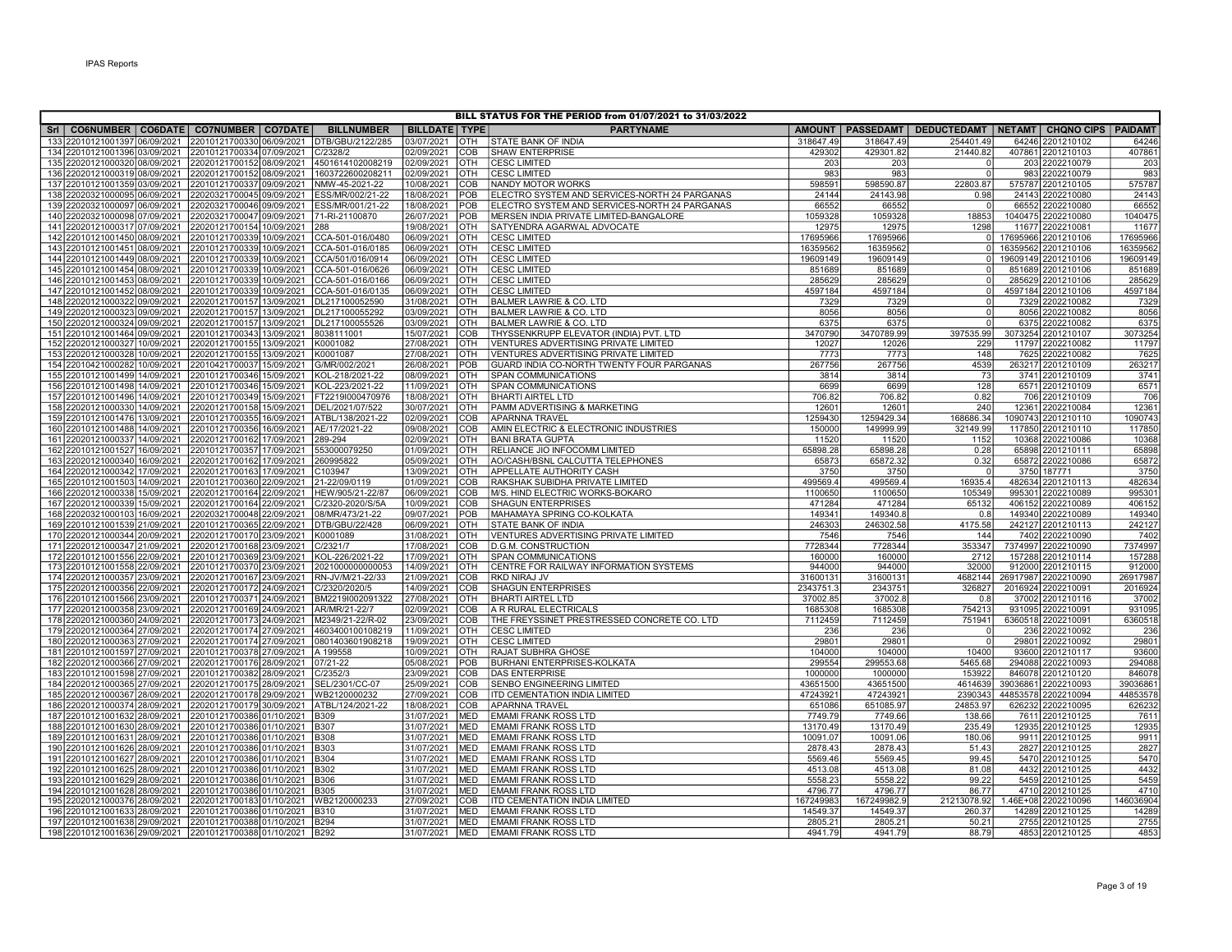|                                                                        |                                                        |                                     |                          |                          | BILL STATUS FOR THE PERIOD from 01/07/2021 to 31/03/2022  |                     |                     |                                                                  |                                          |                   |                   |
|------------------------------------------------------------------------|--------------------------------------------------------|-------------------------------------|--------------------------|--------------------------|-----------------------------------------------------------|---------------------|---------------------|------------------------------------------------------------------|------------------------------------------|-------------------|-------------------|
| Sri   CO6NUMBER   CO6DATE   CO7NUMBER   CO7DATE                        |                                                        | <b>BILLNUMBER</b>                   | <b>BILLDATE TYPE</b>     |                          | <b>PARTYNAME</b>                                          |                     |                     | AMOUNT   PASSEDAMT   DEDUCTEDAMT   NETAMT   CHQNO CIPS   PAIDAMT |                                          |                   |                   |
| 133 22010121001397 06/09/2021                                          | 22010121700330 06/09/2021                              | DTB/GBU/2122/285                    | 03/07/2021               | OTH                      | STATE BANK OF INDIA                                       | 318647.49           | 318647.49           | 254401.49                                                        |                                          | 64246 2201210102  | 64246             |
| 134 22010121001396 03/09/2021 22010121700334 07/09/2021                |                                                        | C/2328/2                            | 02/09/2021               | COB                      | <b>SHAW ENTERPRISE</b>                                    | 429302              | 429301.82           | 21440.82                                                         | 407861 2201210103                        |                   | 40786             |
| 135 22020121000320 08/09/2021                                          | 22020121700152 08/09/2021                              | 4501614102008219                    | 02/09/2021               | OTH                      | <b>CESC LIMITED</b>                                       | 203                 | 203                 |                                                                  |                                          | 203 2202210079    | 203               |
| 136 22020121000319 08/09/2021                                          | 2202012170015208/09/2021                               | 1603722600208211                    | 02/09/2021               | Іотн                     | <b>CESC LIMITED</b>                                       | 983                 | 983                 |                                                                  |                                          | 983 2202210079    | 983               |
| 137 22010121001359 03/09/2021                                          | 22010121700337 09/09/2021                              | NMW-45-2021-22                      | 10/08/2021               | <b>COB</b>               | NANDY MOTOR WORKS                                         | 598591              | 598590.87           | 22803.87                                                         | 575787 2201210105                        |                   | 575787            |
| 138 22020321000095<br>06/09/2021                                       | 22020321700045 09/09/2021                              | ESS/MR/002/21-22                    | 18/08/2021               | POB                      | ELECTRO SYSTEM AND SERVICES-NORTH 24 PARGANAS             | 24144               | 24143.98            | 0.98                                                             |                                          | 24143 2202210080  | 24143             |
| 139 22020321000097 06/09/2021                                          | 22020321700046 09/09/2021                              | ESS/MR/001/21-22                    | 18/08/2021               | POB                      | ELECTRO SYSTEM AND SERVICES-NORTH 24 PARGANAS             | 66552               | 66552               |                                                                  |                                          | 66552 2202210080  | 66552             |
| 140 22020321000098 07/09/2021                                          | 22020321700047 09/09/2021                              | 71-RI-21100870                      | 26/07/2021               | POB                      | MERSEN INDIA PRIVATE LIMITED-BANGALORE                    | 1059328             | 1059328             | 18853                                                            | 1040475 2202210080                       |                   | 104047            |
| 141 22020121000317 07/09/2021                                          | 22020121700154 10/09/2021                              | 288                                 | 19/08/2021               | OTH                      | SATYENDRA AGARWAL ADVOCATE                                | 12975               | 12975               | 1298                                                             |                                          | 11677 2202210081  | 11677             |
| 142 22010121001450 08/09/2021 22010121700339 10/09/2021                |                                                        | CCA-501-016/0480                    | 06/09/2021               | <b>OTH</b>               | <b>CESC LIMITED</b>                                       | 17695966            | 17695966            | $\Omega$                                                         | 17695966 2201210106                      |                   | 17695966          |
| 143 22010121001451 08/09/2021                                          | 22010121700339 10/09/2021                              | CCA-501-016/0185                    | 06/09/2021               | OTH                      | <b>CESC LIMITED</b>                                       | 16359562            | 16359562            | $\Omega$                                                         | 16359562 2201210106                      |                   | 1635956           |
| 144 22010121001449 08/09/2021                                          | 22010121700339 10/09/2021                              | CCA/501/016/0914                    | 06/09/2021               | <b>OTH</b>               | <b>CESC LIMITED</b>                                       | 19609149            | 19609149            | $\Omega$                                                         | 19609149 2201210106                      |                   | 1960914           |
| 145 22010121001454 08/09/2021                                          | 22010121700339 10/09/2021                              | CCA-501-016/0626                    | 06/09/2021               | <b>OTH</b>               | <b>CESC LIMITED</b>                                       | 851689              | 851689              | $\overline{0}$<br>$\Omega$                                       | 851689 2201210106                        |                   | 851689            |
| 146 22010121001453 08/09/2021<br>147 22010121001452 08/09/2021         | 22010121700339 10/09/2021                              | CCA-501-016/0166                    | 06/09/2021<br>06/09/2021 | <b>OTH</b><br><b>OTH</b> | <b>CESC LIMITED</b><br><b>CESC LIMITED</b>                | 285629<br>4597184   | 285629<br>4597184   | $\Omega$                                                         | 285629 2201210106<br>4597184 2201210106  |                   | 285629<br>4597184 |
| 148 22020121000322 09/09/2021                                          | 22010121700339 10/09/2021<br>22020121700157 13/09/2021 | CCA-501-016/0135<br>DL217100052590  | 31/08/2021               | <b>OTH</b>               | <b>BALMER LAWRIE &amp; CO. LTD</b>                        | 7329                | 7329                | $\overline{0}$                                                   |                                          | 7329 2202210082   |                   |
| 149 22020121000323<br>09/09/2021                                       | 22020121700157 13/09/2021                              | DL217100055292                      | 03/09/2021               | OTH                      | <b>BALMER LAWRIE &amp; CO. LTD</b>                        | 8056                | 8056                | $\Omega$                                                         |                                          | 8056 2202210082   | 7329<br>8056      |
| 150 22020121000324 09/09/2021                                          | 22020121700157 13/09/2021                              | DL217100055526                      | 03/09/2021               | <b>OTH</b>               | <b>BALMER LAWRIE &amp; CO. LTD</b>                        | 6375                | 6375                | $\Omega$                                                         |                                          | 6375 2202210082   | 637               |
| 151 22010121001464 09/09/2021                                          | 22010121700343 13/09/2021                              | 8038111001                          | 15/07/2021               | <b>COB</b>               | THYSSENKRUPP ELEVATOR (INDIA) PVT. LTD                    | 3470790             | 3470789.99          | 397535.99                                                        | 3073254 2201210107                       |                   | 307325            |
| 152 22020121000327 10/09/2021                                          | 22020121700155 13/09/2021                              | K0001082                            | 27/08/2021               | Іотн                     | VENTURES ADVERTISING PRIVATE LIMITED                      | 12027               | 12026               | 229                                                              |                                          | 11797 2202210082  | 11797             |
| 153 22020121000328 10/09/2021                                          | 22020121700155 13/09/2021                              | K0001087                            | 27/08/2021               | <b>OTH</b>               | VENTURES ADVERTISING PRIVATE LIMITED                      | 7773                | 7773                | 148                                                              |                                          | 7625 2202210082   | 762               |
| 154 22010421000282 10/09/2021                                          | 22010421700037 15/09/2021                              | G/MR/002/2021                       | 26/08/2021               | <b>POB</b>               | GUARD INDIA CO-NORTH TWENTY FOUR PARGANAS                 | 267756              | 267756              | 4539                                                             |                                          | 263217 2201210109 | 26321             |
| 155 22010121001499 14/09/2021                                          | 22010121700346 15/09/2021                              | KOL-218/2021-22                     | 08/09/2021               | <b>OTH</b>               | SPAN COMMUNICATIONS                                       | 3814                | 3814                | 73                                                               |                                          | 3741 2201210109   | 3741              |
| 156 22010121001498 14/09/2021                                          | 22010121700346 15/09/2021                              | KOL-223/2021-22                     | 11/09/2021               | <b>OTH</b>               | <b>SPAN COMMUNICATIONS</b>                                | 6699                | 6699                | 128                                                              |                                          | 6571 2201210109   | 657               |
| 157 22010121001496 14/09/2021                                          | 22010121700349 15/09/2021                              | FT2219l000470976                    | 18/08/2021               | <b>OTH</b>               | <b>BHARTI AIRTEL LTD</b>                                  | 706.82              | 706.82              | 0.82                                                             |                                          | 706 2201210109    | 706               |
| 158 22020121000330 14/09/2021                                          | 22020121700158 15/09/2021                              | DEL/2021/07/522                     | 30/07/2021               | <b>OTH</b>               | PAMM ADVERTISING & MARKETING                              | 12601               | 12601               | 240                                                              |                                          | 12361 2202210084  | 1236              |
| 159 22010121001476 13/09/2021                                          | 22010121700355 16/09/2021                              | ATBL/138/2021-22                    | 02/09/2021               | <b>COB</b>               | APARNNA TRAVEL                                            | 1259430             | 1259429.34          | 168686.34                                                        | 1090743 2201210110                       |                   | 1090743           |
| 160 22010121001488 14/09/2021                                          | 22010121700356 16/09/2021                              | AE/17/2021-22                       | 09/08/2021               | <b>COB</b>               | AMIN ELECTRIC & ELECTRONIC INDUSTRIES                     | 150000              | 149999.99           | 32149.99                                                         | 117850 2201210110                        |                   | 11785             |
| 161 22020121000337 14/09/2021                                          | 22020121700162 17/09/2021                              | 289-294                             | 02/09/2021               | <b>OTH</b>               | <b>BANI BRATA GUPTA</b>                                   | 11520               | 11520               | 1152                                                             |                                          | 10368 2202210086  | 10368             |
| 162 22010121001527 16/09/2021                                          | 22010121700357 17/09/2021                              | 553000079250                        | 01/09/2021               | <b>OTH</b>               | RELIANCE JIO INFOCOMM LIMITED                             | 65898.28            | 65898.28            | 0.28                                                             |                                          | 65898 2201210111  | 65898             |
| 163 22020121000340 16/09/2021                                          | 22020121700162 17/09/2021                              | 260995822                           | 05/09/2021               | OTH                      | AO/CASH/BSNL CALCUTTA TELEPHONES                          | 65873               | 65872.32            | 0.32                                                             |                                          | 65872 2202210086  | 65872             |
| 164 22020121000342 17/09/2021                                          | 22020121700163 17/09/2021                              | C103947                             | 13/09/2021               | OTH                      | <b>APPELLATE AUTHORITY CASH</b>                           | 3750                | 3750                |                                                                  | 3750 187771                              |                   | 3750              |
| 165 22010121001503 14/09/2021                                          | 22010121700360 22/09/2021                              | 21-22/09/0119                       | 01/09/2021               | COB                      | RAKSHAK SUBIDHA PRIVATE LIMITED                           | 499569.4            | 499569.4            | 16935.4                                                          | 482634 2201210113                        |                   | 482634            |
| 166 22020121000338 15/09/2021                                          | 22020121700164 22/09/2021                              | HEW/905/21-22/87                    | 06/09/2021               | COB                      | M/S. HIND ELECTRIC WORKS-BOKARO                           | 1100650             | 1100650             | 105349                                                           |                                          | 995301 2202210089 | 995301            |
| 167 22020121000339 15/09/2021<br>168 22020321000103 16/09/2021         | 22020121700164 22/09/2021<br>22020321700048 22/09/2021 | C/2320-2020/S/5A<br>08/MR/473/21-22 | 10/09/2021<br>09/07/2021 | <b>COB</b><br><b>POB</b> | <b>SHAGUN ENTERPRISES</b><br>MAHAMAYA SPRING CO-KOLKATA   | 471284<br>149341    | 471284<br>149340.8  | 65132<br>0.8                                                     | 406152 2202210089                        | 149340 2202210089 | 406152<br>14934   |
| 169 22010121001539 21/09/2021 22010121700365 22/09/2021 DTB/GBU/22/428 |                                                        |                                     | 06/09/2021               | Іотн                     | <b>STATE BANK OF INDIA</b>                                | 246303              | 246302.58           | 4175.58                                                          | 242127 2201210113                        |                   | 242127            |
| 170 22020121000344 20/09/2021                                          | 22020121700170 23/09/2021                              | K0001089                            | 31/08/2021               | OTH                      | VENTURES ADVERTISING PRIVATE LIMITED                      | 7546                | 7546                | 144                                                              |                                          | 7402 2202210090   | 7402              |
| 171 22020121000347 21/09/2021                                          | 22020121700168 23/09/2021                              | C/2321/7                            | 17/08/2021               | COB                      | <b>D.G.M. CONSTRUCTION</b>                                | 7728344             | 7728344             | 353347                                                           | 7374997 2202210090                       |                   | 7374997           |
| 172 22010121001556 22/09/2021                                          | 22010121700369 23/09/2021                              | KOL-226/2021-22                     | 17/09/2021               | <b>OTH</b>               | <b>SPAN COMMUNICATIONS</b>                                | 160000              | 160000              | 2712                                                             | 157288 2201210114                        |                   | 157288            |
| 173 22010121001558 22/09/2021                                          | 22010121700370 23/09/2021                              | 2021000000000053                    | 14/09/2021               | OTH                      | CENTRE FOR RAILWAY INFORMATION SYSTEMS                    | 944000              | 944000              | 32000                                                            | 912000 2201210115                        |                   | 912000            |
| 174 22020121000357 23/09/2021                                          | 22020121700167 23/09/2021                              | RN-JV/M/21-22/33                    | 21/09/2021               | COB                      | RKD NIRAJ JV                                              | 31600131            | 31600131            | 4682144                                                          | 26917987 2202210090                      |                   | 26917987          |
| 175 22020121000356 22/09/2021                                          | 22020121700172 24/09/2021                              | C/2320/2020/5                       | 14/09/2021               | COB                      | <b>SHAGUN ENTERPRISES</b>                                 | 2343751.3           | 2343751             | 326827                                                           | 2016924 2202210091                       |                   | 2016924           |
| 176 22010121001566 23/09/2021                                          | 22010121700371 24/09/2021                              | BM2219I002091322                    | 27/08/2021               | <b>OTH</b>               | <b>BHARTI AIRTEL LTD</b>                                  | 37002.85            | 37002.8             | 0.8                                                              |                                          | 37002 2201210116  | 37002             |
| 177 22020121000358 23/09/2021                                          | 22020121700169 24/09/2021                              | AR/MR/21-22/7                       | 02/09/2021               | COB                      | A R RURAL ELECTRICALS                                     | 1685308             | 1685308             | 754213                                                           | 931095 2202210091                        |                   | 93109             |
| 178 22020121000360 24/09/2021                                          | 22020121700173 24/09/2021                              | M2349/21-22/R-02                    | 23/09/2021               | COB                      | THE FREYSSINET PRESTRESSED CONCRETE CO. LTD               | 7112459             | 7112459             | 751941                                                           | 6360518 2202210091                       |                   | 6360518           |
| 179 22020121000364 27/09/2021                                          | 22020121700174 27/09/2021                              | 4603400100108219                    | 11/09/2021               | <b>OTH</b>               | <b>CESC LIMITED</b>                                       | 236                 | 236                 |                                                                  |                                          | 236 2202210092    | 236               |
| 180 22020121000363 27/09/2021                                          | 22020121700174 27/09/2021                              | 0801403601908218                    | 19/09/2021               | <b>OTH</b>               | <b>CESC LIMITED</b>                                       | 29801               | 29801               | $\cap$                                                           |                                          | 29801 2202210092  | 29801             |
| 181 22010121001597 27/09/2021                                          | 22010121700378 27/09/2021                              | A 199558                            | 10/09/2021               | OTH                      | RAJAT SUBHRA GHOSE                                        | 104000              | 104000              | 10400                                                            |                                          | 93600 2201210117  | 93600             |
| 182 22020121000366<br>27/09/2021                                       | 22020121700176 28/09/2021                              | 07/21-22                            | 05/08/2021               | POB                      | BURHANI ENTERPRISES-KOLKATA                               | 299554              | 299553.68           | 5465.68                                                          | 294088 2202210093                        |                   | 294088            |
| 183 22010121001598 27/09/2021<br>184 22020121000365 27/09/2021         | 22010121700382 28/09/2021                              | C/2352/3<br>SEL/2301/CC-07          | 23/09/2021<br>25/09/2021 | COB<br><b>COB</b>        | <b>DAS ENTERPRISE</b><br><b>SENBO ENGINEERING LIMITED</b> | 1000000<br>43651500 | 1000000<br>43651500 | 153922<br>4614639                                                | 846078 2201210120<br>39036861 2202210093 |                   | 846078<br>3903686 |
| 185 22020121000367 28/09/2021                                          | 22020121700175 28/09/2021<br>22020121700178 29/09/2021 | WB2120000232                        | 27/09/2021               | <b>COB</b>               | ITD CEMENTATION INDIA LIMITED                             | 47243921            | 47243921            | 2390343                                                          | 44853578 2202210094                      |                   | 4485357           |
| 186 22020121000374 28/09/2021                                          | 22020121700179 30/09/2021                              | ATBL/124/2021-22                    | 18/08/2021               | COB                      | <b>APARNNA TRAVEL</b>                                     | 651086              | 651085.97           | 24853.97                                                         | 626232 2202210095                        |                   | 62623             |
| 187 22010121001632 28/09/2021                                          | 22010121700386 01/10/2021                              | <b>B</b> 309                        | 31/07/2021               | MED                      | <b>EMAMI FRANK ROSS LTD</b>                               | 7749.79             | 7749.66             | 138.66                                                           |                                          | 7611 2201210125   | 761               |
| 188 22010121001630 28/09/2021                                          | 22010121700386 01/10/2021                              | <b>B307</b>                         | 31/07/2021               | <b>MED</b>               | <b>EMAMI FRANK ROSS LTD</b>                               | 13170.49            | 13170.49            | 235.49                                                           |                                          | 12935 2201210125  | 12935             |
| 189 22010121001631 28/09/2021                                          | 22010121700386 01/10/2021                              | <b>B308</b>                         | 31/07/2021               | MED                      | <b>EMAMI FRANK ROSS LTD</b>                               | 10091.07            | 10091.06            | 180.06                                                           |                                          | 9911 2201210125   | 9911              |
| 190 22010121001626 28/09/2021                                          | 22010121700386 01/10/2021                              | <b>B303</b>                         | 31/07/2021               | <b>MED</b>               | <b>EMAMI FRANK ROSS LTD</b>                               | 2878.43             | 2878.43             | 51.43                                                            |                                          | 2827 2201210125   | 2827              |
| 191 22010121001627 28/09/2021                                          | 22010121700386 01/10/2021                              | <b>B</b> 304                        | 31/07/2021               | MED                      | <b>EMAMI FRANK ROSS LTD</b>                               | 5569.46             | 5569.45             | 99.45                                                            |                                          | 5470 2201210125   | 5470              |
| 192 22010121001625 28/09/2021                                          | 22010121700386 01/10/2021                              | <b>B302</b>                         | 31/07/2021               | MED                      | <b>EMAMI FRANK ROSS LTD</b>                               | 4513.08             | 4513.08             | 81.08                                                            |                                          | 4432 2201210125   | 4432              |
| 193 22010121001629 28/09/2021                                          | 22010121700386 01/10/2021                              | <b>B306</b>                         | 31/07/2021               | MED                      | <b>EMAMI FRANK ROSS LTD</b>                               | 5558.23             | 5558.22             | 99.22                                                            |                                          | 5459 2201210125   | 5459              |
| 194 22010121001628 28/09/2021                                          | 22010121700386 01/10/2021                              | <b>B305</b>                         | 31/07/2021               | MED                      | <b>EMAMI FRANK ROSS LTD</b>                               | 4796.77             | 4796.77             | 86.77                                                            |                                          | 4710 2201210125   | 4710              |
| 195 22020121000376 28/09/2021                                          | 2202012170018301/10/2021                               | WB2120000233                        | 27/09/2021               | COB                      | <b>ITD CEMENTATION INDIA LIMITED</b>                      | 167249983           | 167249982.9         | 21213078.92                                                      | 1.46E+08 2202210096                      |                   | 146036904         |
| 196 22010121001633 28/09/2021  22010121700386 01/10/2021               |                                                        | <b>B310</b>                         | 31/07/2021               | MED                      | <b>EMAMI FRANK ROSS LTD</b>                               | 14549.37            | 14549.37            | 260.37                                                           |                                          | 14289 2201210125  | 14289             |
| 197 22010121001638 29/09/2021 22010121700388 01/10/2021                |                                                        | <b>B294</b>                         | 31/07/2021               | MED                      | <b>EMAMI FRANK ROSS LTD</b>                               | 2805.21             | 2805.21             | 50.21                                                            |                                          | 2755 2201210125   | 2755              |
| 198 22010121001636 29/09/2021 22010121700388 01/10/2021                |                                                        | <b>B292</b>                         | 31/07/2021               | <b>MED</b>               | <b>EMAMI FRANK ROSS LTD</b>                               | 4941.79             | 4941.79             | 88.79                                                            |                                          | 4853 2201210125   | 4853              |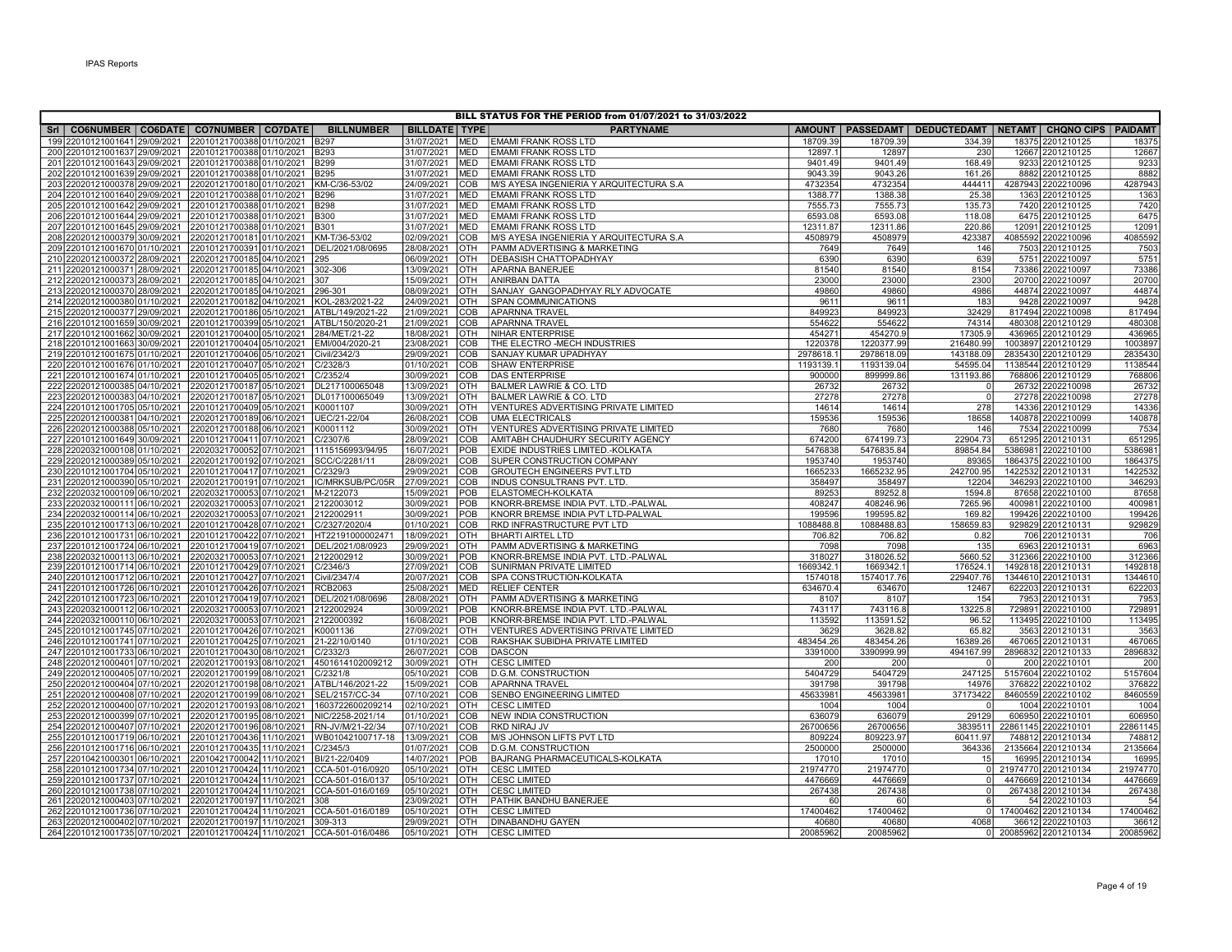| BILL STATUS FOR THE PERIOD from 01/07/2021 to 31/03/2022                 |                                                                                       |                   |                          |                          |                                                                |                     |                         |                     |                                                                  |                   |  |  |
|--------------------------------------------------------------------------|---------------------------------------------------------------------------------------|-------------------|--------------------------|--------------------------|----------------------------------------------------------------|---------------------|-------------------------|---------------------|------------------------------------------------------------------|-------------------|--|--|
| Sri   CO6NUMBER   CO6DATE   CO7NUMBER   CO7DATE                          |                                                                                       | <b>BILLNUMBER</b> | <b>BILLDATE   TYPE  </b> |                          | <b>PARTYNAME</b>                                               |                     |                         |                     | AMOUNT   PASSEDAMT   DEDUCTEDAMT   NETAMT   CHQNO CIPS   PAIDAMT |                   |  |  |
| 199 22010121001641 29/09/2021                                            | 2201012170038801/10/2021 B297                                                         |                   | 31/07/2021               | <b>MED</b>               | <b>EMAMI FRANK ROSS LTD</b>                                    | 18709.39            | 18709.39                | 334.39              | 18375 2201210125                                                 | 18375             |  |  |
| 200 22010121001637 29/09/2021                                            | 22010121700388 01/10/2021 B293                                                        |                   | 31/07/2021               | <b>MED</b>               | <b>EMAMI FRANK ROSS LTD</b>                                    | 12897.1             | 12897                   | 230                 | 12667 2201210125                                                 | 12667             |  |  |
| 201 22010121001643 29/09/2021                                            | 22010121700388 01/10/2021 B299                                                        |                   | 31/07/2021               | <b>MED</b>               | <b>EMAMI FRANK ROSS LTD</b>                                    | 9401.49             | 9401.49                 | 168.49              | 9233 2201210125                                                  | 9233              |  |  |
| 202 22010121001639 29/09/2021                                            | 22010121700388 01/10/2021 B295                                                        |                   | 31/07/2021               | <b>MED</b>               | <b>EMAMI FRANK ROSS LTD</b>                                    | 9043.39             | 9043.26                 | 161.26              | 8882 2201210125                                                  | 8882              |  |  |
| 203 22020121000378 29/09/2021                                            | 22020121700180 01/10/2021 KM-C/36-53/02                                               |                   | 24/09/2021               | <b>COB</b>               | M/S AYESA INGENIERIA Y ARQUITECTURA S.A                        | 4732354             | 4732354                 | 444411              | 4287943 2202210096                                               | 4287943           |  |  |
| 204 22010121001640 29/09/2021                                            | 22010121700388 01/10/2021                                                             | <b>B296</b>       | 31/07/2021               | <b>MED</b>               | <b>EMAMI FRANK ROSS LTD</b>                                    | 1388.77             | 1388.38                 | 25.38               | 1363 2201210125                                                  | 1363              |  |  |
| 205 22010121001642 29/09/2021                                            | 22010121700388 01/10/2021 B298                                                        |                   | 31/07/2021               | MED                      | <b>EMAMI FRANK ROSS LTD</b>                                    | 7555.73             | 7555.73                 | 135.73              | 7420 2201210125                                                  | 7420              |  |  |
| 206 22010121001644 29/09/2021                                            | 22010121700388 01/10/2021 B300                                                        |                   | 31/07/2021               | <b>MED</b>               | <b>EMAMI FRANK ROSS LTD</b>                                    | 6593.08             | 6593.08                 | 118.08              | 6475 2201210125                                                  | 6475              |  |  |
| 207 22010121001645 29/09/2021                                            | 22010121700388 01/10/2021 B301                                                        |                   | 31/07/2021               | <b>MED</b>               | <b>EMAMI FRANK ROSS LTD</b>                                    | 12311.87            | 12311.86                | 220.86              | 12091 2201210125                                                 | 12091             |  |  |
| 208 22020121000379 30/09/2021                                            | 2202012170018101/10/2021 KM-T/36-53/02                                                |                   | 02/09/2021               | COB                      | M/S AYESA INGENIERIA Y ARQUITECTURA S.A                        | 4508979             | 4508979                 | 423387              | 4085592 2202210096                                               | 4085592           |  |  |
| 209 22010121001670 01/10/2021                                            | 22010121700391 01/10/2021 DEL/2021/08/0695                                            |                   | 28/08/2021               | <b>OTH</b>               | PAMM ADVERTISING & MARKETING                                   | 7649                | 7649                    | 146                 | 7503 2201210125                                                  | 7503              |  |  |
| 210 22020121000372 28/09/2021                                            | 22020121700185 04/10/2021 295                                                         |                   | 06/09/2021               | OTH                      | <b>DEBASISH CHATTOPADHYAY</b>                                  | 6390                | 6390                    | 639                 | 5751 2202210097                                                  | 5751              |  |  |
| 211 22020121000371 28/09/2021                                            | 22020121700185 04/10/2021 302-306                                                     |                   | 13/09/2021               | <b>OTH</b><br><b>OTH</b> | <b>APARNA BANERJEE</b>                                         | 81540<br>23000      | 81540<br>23000          | 8154                | 73386 2202210097                                                 | 73386             |  |  |
| 212 22020121000373 28/09/2021<br>213 22020121000370 28/09/2021           | 22020121700185 04/10/2021 307<br>22020121700185 04/10/2021 296-301                    |                   | 15/09/2021<br>08/09/2021 | <b>OTH</b>               | ANIRBAN DATTA<br>SANJAY GANGOPADHYAY RLY ADVOCATE              | 49860               | 49860                   | 2300<br>4986        | 20700 2202210097<br>44874 2202210097                             | 20700<br>44874    |  |  |
| 214 22020121000380 01/10/2021                                            | 22020121700182 04/10/2021 KOL-283/2021-22                                             |                   | 24/09/2021               | OTH                      | <b>SPAN COMMUNICATIONS</b>                                     | 9611                | 9611                    | 183                 | 9428 2202210097                                                  | 9428              |  |  |
| 215 22020121000377 29/09/2021                                            | 22020121700186 05/10/2021 ATBL/149/2021-22                                            |                   | 21/09/2021               | COB                      | <b>APARNNA TRAVEL</b>                                          | 849923              | 849923                  | 32429               | 817494 2202210098                                                | 817494            |  |  |
| 216 22010121001659 30/09/2021                                            | 22010121700399 05/10/2021 ATBL/150/2020-21                                            |                   | 21/09/2021               | COB                      | <b>APARNNA TRAVEL</b>                                          | 554622              | 554622                  | 74314               | 480308 2201210129                                                | 480308            |  |  |
| 217 22010121001662 30/09/2021                                            | 22010121700400 05/10/2021 284/MET/21-22                                               |                   | 18/08/2021               | OTH                      | NIHAR ENTERPRISE                                               | 454271              | 454270.9                | 17305.9             | 436965 2201210129                                                | 436965            |  |  |
| 218 22010121001663 30/09/2021                                            | 22010121700404 05/10/2021 EMI/004/2020-21                                             |                   | 23/08/2021               | COB                      | THE ELECTRO -MECH INDUSTRIES                                   | 1220378             | 1220377.99              | 216480.99           | 1003897 2201210129                                               | 100389            |  |  |
| 219 22010121001675 01/10/2021                                            | 22010121700406 05/10/2021                                                             | Civil/2342/3      | 29/09/2021               | COB                      | <b>SANJAY KUMAR UPADHYAY</b>                                   | 2978618.            | 2978618.09              | 143188.09           | 2835430 2201210129                                               | 2835430           |  |  |
| 220 22010121001676 01/10/2021                                            | 22010121700407 05/10/2021                                                             | C/2328/3          | 01/10/2021               | COB                      | <b>SHAW ENTERPRISE</b>                                         | 1193139.1           | 1193139.04              | 54595.04            | 1138544 2201210129                                               | 1138544           |  |  |
| 221 22010121001674 01/10/2021                                            | 22010121700405 05/10/2021 C/2352/4                                                    |                   | 30/09/2021               | COB                      | <b>DAS ENTERPRISE</b>                                          | 900000              | 899999.86               | 131193.86           | 768806 2201210129                                                | 768806            |  |  |
| 222 22020121000385 04/10/2021                                            | 22020121700187 05/10/2021 DL217100065048                                              |                   | 13/09/2021               | IOTH                     | <b>BALMER LAWRIE &amp; CO. LTD</b>                             | 26732               | 26732                   | $\overline{0}$      | 26732 2202210098                                                 | 26732             |  |  |
| 223 22020121000383 04/10/2021                                            | 22020121700187 05/10/2021 DL017100065049                                              |                   | 13/09/2021               | <b>OTH</b>               | <b>BALMER LAWRIE &amp; CO. LTD</b>                             | 27278               | 27278                   | $\mathbf{0}$        | 27278 2202210098                                                 | 27278             |  |  |
| 224 22010121001705 05/10/2021                                            | 22010121700409 05/10/2021 K0001107                                                    |                   | 30/09/2021               | OTH                      | VENTURES ADVERTISING PRIVATE LIMITED                           | 14614               | 14614                   | 278                 | 14336 2201210129                                                 | 14336             |  |  |
| 225 22020121000381 04/10/2021                                            | 22020121700189 06/10/2021 UEC/21-22/04                                                |                   | 26/08/2021               | COB                      | UMA ELECTRICALS                                                | 159536              | 159536                  | 18658               | 140878 2202210099                                                | 140878            |  |  |
| 226 22020121000388 05/10/2021                                            | 22020121700188 06/10/2021                                                             | K0001112          | 30/09/2021               | <b>OTH</b>               | VENTURES ADVERTISING PRIVATE LIMITED                           | 7680                | 7680                    | 146                 | 7534 2202210099                                                  | 7534              |  |  |
| 227 22010121001649 30/09/2021                                            | 22010121700411 07/10/2021 C/2307/6                                                    |                   | 28/09/2021               | COB                      | AMITABH CHAUDHURY SECURITY AGENCY                              | 674200              | 674199.73               | 22904.73            | 651295 2201210131                                                | 651295            |  |  |
| 228 22020321000108 01/10/2021                                            | 22020321700052 07/10/2021 1115156993/94/95                                            |                   | 16/07/2021               | POB                      | EXIDE INDUSTRIES LIMITED.-KOLKATA                              | 5476838             | 5476835.84              | 89854.84            | 5386981 2202210100                                               | 5386981           |  |  |
| 229 22020121000389 05/10/2021                                            | 22020121700192 07/10/2021                                                             | SCC/C/2281/11     | 28/09/2021               | COB                      | SUPER CONSTRUCTION COMPANY                                     | 1953740             | 1953740                 | 89365               | 1864375 2202210100                                               | 1864375           |  |  |
| 230 22010121001704 05/10/2021                                            | 22010121700417 07/10/2021                                                             | C/2329/3          | 29/09/2021               | COB                      | <b>GROUTECH ENGINEERS PVT.LTD</b>                              | 1665233             | 1665232.95              | 242700.95           | 1422532 2201210131                                               | 142253            |  |  |
| 231 22020121000390 05/10/2021                                            | 22020121700191 07/10/2021                                                             | IC/MRKSUB/PC/05R  | 27/09/2021               | COB                      | INDUS CONSULTRANS PVT. LTD.                                    | 358497              | 358497                  | 12204               | 346293 2202210100                                                | 346293            |  |  |
| 232 22020321000109 06/10/2021                                            | 22020321700053 07/10/2021 M-2122073                                                   |                   | 15/09/2021               | POB                      | ELASTOMECH-KOLKATA                                             | 89253               | 89252.8                 | 1594.8              | 87658 2202210100                                                 | 87658             |  |  |
| 233 22020321000111 06/10/2021                                            | 22020321700053 07/10/2021 2122003012                                                  |                   | 30/09/2021               | POB                      | KNORR-BREMSE INDIA PVT. LTD.-PALWAL                            | 408247              | 408246.96               | 7265.96             | 400981 2202210100                                                | 400981            |  |  |
| 234 22020321000114 06/10/2021<br>235 22010121001713 06/10/2021           | 22020321700053 07/10/2021                                                             | 2122002911        | 30/09/2021               | POB<br>COB               | KNORR BREMSE INDIA PVT LTD-PALWAL                              | 199596<br>1088488.8 | 199595.82<br>1088488.83 | 169.82<br>158659.83 | 199426 2202210100                                                | 199426<br>929829  |  |  |
| 236 22010121001731 06/10/2021                                            | 22010121700428 07/10/2021 C/2327/2020/4<br>22010121700422 07/10/2021 HT22191000002471 |                   | 01/10/2021<br>18/09/2021 | <b>OTH</b>               | RKD INFRASTRUCTURE PVT LTD<br><b>BHARTI AIRTEL LTD</b>         | 706.82              | 706.82                  | 0.82                | 929829 2201210131<br>706 2201210131                              | 706               |  |  |
| 237 22010121001724 06/10/2021                                            | 22010121700419 07/10/2021                                                             | DEL/2021/08/0923  | 29/09/2021               | OTH                      | PAMM ADVERTISING & MARKETING                                   | 7098                | 7098                    | 135                 | 6963 2201210131                                                  | 6963              |  |  |
| 238 22020321000113 06/10/2021                                            | 22020321700053 07/10/2021 2122002912                                                  |                   | 30/09/2021               | POB                      | KNORR-BREMSE INDIA PVT. LTD.-PALWAL                            | 318027              | 318026.52               | 5660.52             | 312366 2202210100                                                | 312366            |  |  |
| 239 22010121001714 06/10/2021                                            | 22010121700429 07/10/2021 C/2346/3                                                    |                   | 27/09/2021               | COB                      | SUNIRMAN PRIVATE LIMITED                                       | 1669342.1           | 1669342.1               | 176524.1            | 1492818 2201210131                                               | 1492818           |  |  |
| 240 22010121001712 06/10/2021                                            | 22010121700427 07/10/2021 Civil/2347/4                                                |                   | 20/07/2021               | COB                      | SPA CONSTRUCTION-KOLKATA                                       | 1574018             | 1574017.76              | 229407.76           | 1344610 2201210131                                               | 134461            |  |  |
| 241 22010121001726 06/10/2021                                            | 22010121700426 07/10/2021 RCB2063                                                     |                   | 25/08/2021               | <b>MED</b>               | <b>RELIEF CENTER</b>                                           | 634670.4            | 634670                  | 12467               | 622203 2201210131                                                | 622203            |  |  |
| 242 22010121001723 06/10/2021                                            | 22010121700419 07/10/2021 DEL/2021/08/0696                                            |                   | 28/08/2021               | <b>OTH</b>               | PAMM ADVERTISING & MARKETING                                   | 8107                | 8107                    | 154                 | 7953 2201210131                                                  | 7953              |  |  |
| 243 22020321000112 06/10/2021                                            | 22020321700053 07/10/2021 2122002924                                                  |                   | 30/09/2021               | POB                      | KNORR-BREMSE INDIA PVT. LTD.-PALWAL                            | 743117              | 743116.8                | 13225.8             | 729891 2202210100                                                | 729891            |  |  |
| 244 22020321000110 06/10/2021                                            | 22020321700053 07/10/2021 2122000392                                                  |                   | 16/08/2021               | POB                      | KNORR-BREMSE INDIA PVT. LTD.-PALWAL                            | 113592              | 113591.52               | 96.52               | 113495 2202210100                                                | 113495            |  |  |
| 245 22010121001745 07/10/2021                                            | 22010121700426 07/10/2021 K0001136                                                    |                   | 27/09/2021               | <b>OTH</b>               | VENTURES ADVERTISING PRIVATE LIMITED                           | 3629                | 3628.82                 | 65.82               | 3563 2201210131                                                  | 3563              |  |  |
| 246 22010121001741 07/10/2021                                            | 22010121700425 07/10/2021 21-22/10/0140                                               |                   | 01/10/2021               | COB                      | RAKSHAK SUBIDHA PRIVATE LIMITED                                | 483454.26           | 483454.26               | 16389.26            | 467065 2201210131                                                | 467065            |  |  |
| 247 22010121001733 06/10/2021                                            | 22010121700430 08/10/2021 C/2332/3                                                    |                   | 26/07/2021               | <b>COB</b>               | DASCON                                                         | 3391000             | 3390999.99              | 494167.99           | 2896832 2201210133                                               | 2896832           |  |  |
| 248 22020121000401 07/10/2021                                            | 22020121700193 08/10/2021                                                             | 4501614102009212  | 30/09/2021               | OTH                      | <b>CESC LIMITED</b>                                            | 200                 | 200                     |                     | 200 2202210101                                                   | 200               |  |  |
| 249 22020121000405 07/10/2021                                            | 22020121700199 08/10/2021                                                             | C/2321/8          | 05/10/2021               | COB                      | <b>D.G.M. CONSTRUCTION</b>                                     | 5404729             | 5404729                 | 247125              | 5157604 2202210102                                               | 5157604           |  |  |
| 250 22020121000404 07/10/2021                                            | 22020121700198 08/10/2021 ATBL/146/2021-22                                            |                   | 15/09/2021               | <b>COB</b>               | <b>APARNNA TRAVEL</b>                                          | 391798              | 391798                  | 14976               | 376822 2202210102                                                | 376822            |  |  |
| 251 22020121000408 07/10/2021                                            | 22020121700199 08/10/2021                                                             | SEL/2157/CC-34    | 07/10/2021               | COB                      | <b>SENBO ENGINEERING LIMITED</b>                               | 45633981            | 45633981                | 37173422            | 8460559 2202210102                                               | 8460559           |  |  |
| 252 22020121000400 07/10/2021                                            | 22020121700193 08/10/2021                                                             | 1603722600209214  | 02/10/2021               | <b>OTH</b>               | <b>CESC LIMITED</b>                                            | 1004                | 1004                    |                     | 1004 2202210101                                                  | 1004              |  |  |
| 253 22020121000399 07/10/2021                                            | 22020121700195 08/10/2021 NIC/2258-2021/14                                            |                   | 01/10/2021               | COB                      | NEW INDIA CONSTRUCTION                                         | 636079              | 636079                  | 29129               | 606950 2202210101                                                | 606950            |  |  |
| 254 22020121000407 07/10/2021                                            | 22020121700196 08/10/2021 RN-JV/M/21-22/34                                            |                   | 07/10/2021<br>13/09/2021 | COB<br>COB               | RKD NIRAJ JV                                                   | 26700656<br>809224  | 26700656                | 3839511<br>60411.97 | 22861145 2202210101<br>748812 2201210134                         | 22861145<br>74881 |  |  |
| 255 22010121001719 06/10/2021<br>256 22010121001716 06/10/2021           | 22010121700436 11/10/2021 WB01042100717-18<br>22010121700435 11/10/2021 C/2345/3      |                   | 01/07/2021               | COB                      | <b>M/S JOHNSON LIFTS PVT LTD</b><br><b>D.G.M. CONSTRUCTION</b> | 2500000             | 809223.97<br>2500000    | 364336              | 2135664 2201210134                                               | 2135664           |  |  |
| 257 22010421000301 06/10/2021                                            | 22010421700042 11/10/2021 BI/21-22/0409                                               |                   | 14/07/2021               | POB                      | BAJRANG PHARMACEUTICALS-KOLKATA                                | 17010               | 17010                   | 15                  | 16995 2201210134                                                 | 16995             |  |  |
| 258 22010121001734 07/10/2021                                            | 22010121700424 11/10/2021 CCA-501-016/0920                                            |                   | 05/10/2021               | OTH                      | <b>CESC LIMITED</b>                                            | 21974770            | 21974770                | $\Omega$            | 21974770 2201210134                                              | 21974770          |  |  |
| 259 22010121001737 07/10/2021                                            | 22010121700424 11/10/2021                                                             | CCA-501-016/0137  | 05/10/2021               | <b>OTH</b>               | <b>CESC LIMITED</b>                                            | 4476669             | 4476669                 | $\Omega$            | 4476669 2201210134                                               | 4476669           |  |  |
| 260 22010121001738 07/10/2021                                            | 22010121700424 11/10/2021                                                             | CCA-501-016/0169  | 05/10/2021               | <b>OTH</b>               | <b>CESC LIMITED</b>                                            | 267438              | 267438                  | $\Omega$            | 267438 2201210134                                                | 267438            |  |  |
| 261 22020121000403 07/10/2021                                            | 22020121700197111/10/2021                                                             | 308               | 23/09/2021               | <b>OTH</b>               | PATHIK BANDHU BANERJEE                                         | 60                  | 60                      | 6                   | 54 2202210103                                                    | 54                |  |  |
| 262 22010121001736 07/10/2021 22010121700424 11/10/2021 CCA-501-016/0189 |                                                                                       |                   | 05/10/2021               | OTH                      | <b>CESC LIMITED</b>                                            | 17400462            | 17400462                | $\circ$             | 17400462 2201210134                                              | 17400462          |  |  |
| 263 22020121000402 07/10/2021 22020121700197 11/10/2021 309-313          |                                                                                       |                   | 29/09/2021               | <b>OTH</b>               | <b>DINABANDHU GAYEN</b>                                        | 40680               | 40680                   | 4068                | 36612 2202210103                                                 | 3661              |  |  |
| 264 22010121001735 07/10/2021 22010121700424 11/10/2021 CCA-501-016/0486 |                                                                                       |                   | 05/10/2021               | <b>OTH</b>               | <b>CESC LIMITED</b>                                            | 20085962            | 20085962                |                     | 0 20085962 2201210134                                            | 20085962          |  |  |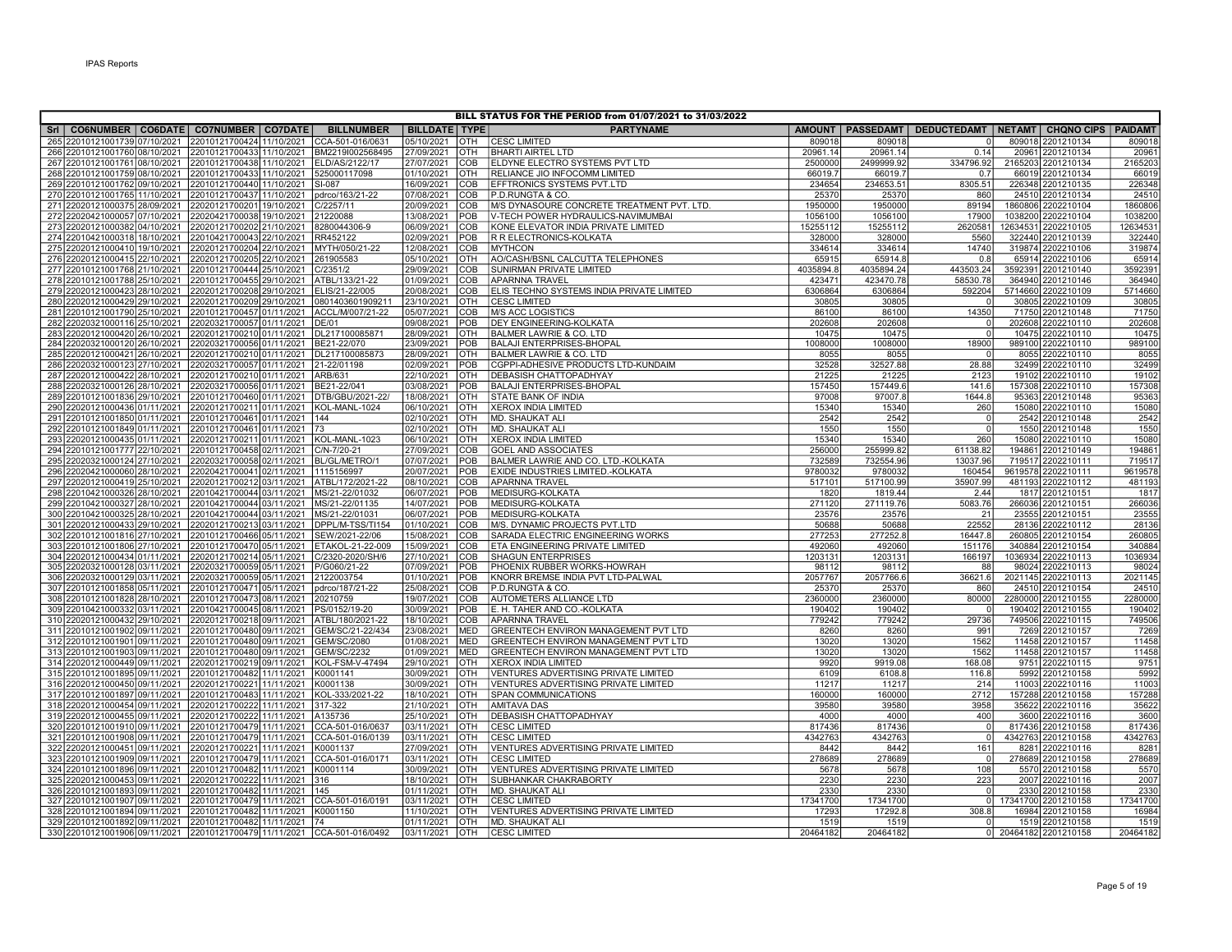|     |                                                                                                                    |                           |                                    |                          |                          | BILL STATUS FOR THE PERIOD from 01/07/2021 to 31/03/2022           |                   |                  |                    |                                                                  |                   |
|-----|--------------------------------------------------------------------------------------------------------------------|---------------------------|------------------------------------|--------------------------|--------------------------|--------------------------------------------------------------------|-------------------|------------------|--------------------|------------------------------------------------------------------|-------------------|
| Srl | CO6NUMBER   CO6DATE   CO7NUMBER   CO7DATE                                                                          |                           | <b>BILLNUMBER</b>                  | <b>BILLDATE TYPE</b>     |                          | <b>PARTYNAME</b>                                                   |                   |                  |                    | AMOUNT   PASSEDAMT   DEDUCTEDAMT   NETAMT   CHQNO CIPS   PAIDAMT |                   |
|     | 265 22010121001739 07/10/2021                                                                                      | 22010121700424 11/10/2021 | CCA-501-016/0631                   | 05/10/2021               | <b>OTH</b>               | <b>CESC LIMITED</b>                                                | 80901             | 809018           |                    | 809018 2201210134                                                | 80901             |
|     | 266 22010121001760 08/10/2021 22010121700433 11/10/2021                                                            |                           | BM2219l002568495                   | 27/09/2021               | <b>OTH</b>               | <b>BHARTI AIRTEL LTD</b>                                           | 20961.14          | 20961.14         | 0.14               | 20961 2201210134                                                 | 2096              |
|     | 267 22010121001761 08/10/2021 22010121700438 11/10/2021                                                            |                           | ELD/AS/2122/17                     | 27/07/2021               | <b>COB</b>               | ELDYNE ELECTRO SYSTEMS PVT LTD                                     | 2500000           | 2499999.92       | 334796.92          | 2165203 2201210134                                               | 2165203           |
|     | 268 22010121001759 08/10/2021 22010121700433 11/10/2021                                                            |                           | 525000117098                       | 01/10/2021               | <b>IOTH</b>              | RELIANCE JIO INFOCOMM LIMITED                                      | 66019.7           | 66019.7          | 0.7                | 66019 2201210134                                                 | 66019             |
|     | 269 22010121001762 09/10/2021 22010121700440 11/10/2021                                                            |                           | SI-087                             | 16/09/2021               | COB                      | EFFTRONICS SYSTEMS PVT.LTD                                         | 234654            | 234653.51        | 8305.51            | 226348 2201210135                                                | 226348            |
|     | 270 22010121001765 11/10/2021 22010121700437 11/10/2021                                                            |                           | pdrco/163/21-22                    | 07/08/2021               | COB                      | P.D.RUNGTA & CO.                                                   | 25370             | 25370            | 860                | 24510 2201210134                                                 | 2451              |
|     | 271 22020121000375 28/09/2021                                                                                      | 22020121700201 19/10/2021 | C/2257/11                          | 20/09/2021               | COB                      | M/S DYNASOURE CONCRETE TREATMENT PVT. LTD.                         | 1950000           | 1950000          | 89194              | 1860806 2202210104                                               | 186080            |
|     | 272 22020421000057 07/10/2021 22020421700038 19/10/2021                                                            |                           | 21220088                           | 13/08/2021               | <b>POB</b>               | V-TECH POWER HYDRAULICS-NAVIMUMBAI                                 | 1056100           | 1056100          | 17900              | 1038200 2202210104                                               | 1038200           |
|     | 273 22020121000382 04/10/2021 22020121700202 21/10/2021                                                            |                           | 8280044306-9                       | 06/09/2021               | COB                      | KONE ELEVATOR INDIA PRIVATE LIMITED                                | 15255112          | 15255112         | 2620581            | 12634531 2202210105                                              | 1263453           |
|     | 274 22010421000318 18/10/2021 22010421700043 22/10/2021                                                            |                           | RR452122                           | 02/09/2021               | POB                      | R R ELECTRONICS-KOLKATA                                            | 328000            | 328000           | 5560               | 322440 2201210139                                                | 322440            |
|     | 275 22020121000410 19/10/2021                                                                                      | 22020121700204 22/10/2021 | MYTH/050/21-22                     | 12/08/2021               | <b>COB</b>               | <b>MYTHCON</b>                                                     | 334614            | 334614           | 14740              | 319874 2202210106                                                | 319874            |
|     | 276 22020121000415 22/10/2021                                                                                      | 22020121700205 22/10/2021 | 261905583                          | 05/10/2021               | <b>OTH</b>               | AO/CASH/BSNL CALCUTTA TELEPHONES                                   | 65915             | 65914.8          | 0.8                | 65914 2202210106                                                 | 65914             |
|     | 277 22010121001768 21/10/2021 22010121700444 25/10/2021                                                            |                           | C/2351/2                           | 29/09/2021               | <b>COB</b>               | SUNIRMAN PRIVATE LIMITED                                           | 4035894.8         | 4035894.24       | 443503.24          | 3592391 2201210140                                               | 359239            |
|     | 278 22010121001788 25/10/2021 22010121700455 29/10/2021                                                            |                           | ATBL/133/21-22                     | 01/09/2021<br>20/08/2021 | <b>COB</b>               | <b>APARNNA TRAVEL</b><br>ELIS TECHNO SYSTEMS INDIA PRIVATE LIMITED | 423471<br>6306864 | 423470.78        | 58530.78<br>592204 | 364940 2201210146<br>5714660 2202210109                          | 364940<br>5714660 |
|     | 279 22020121000423 28/10/2021 22020121700208 29/10/2021<br>280 22020121000429 29/10/2021 22020121700209 29/10/2021 |                           | ELIS/21-22/005<br>0801403601909211 | 23/10/2021               | <b>COB</b><br>Іотн       | <b>CESC LIMITED</b>                                                |                   | 6306864<br>30805 |                    | 30805 2202210109                                                 |                   |
|     | 281 22010121001790 25/10/2021                                                                                      | 22010121700457 01/11/2021 | ACCL/M/007/21-22                   | 05/07/2021               | <b>COB</b>               | <b>M/S ACC LOGISTICS</b>                                           | 30805<br>86100    | 86100            | 14350              | 71750 2201210148                                                 | 3080<br>71750     |
|     | 282 22020321000116 25/10/2021 22020321700057 01/11/2021                                                            |                           | DE/01                              | 09/08/2021               | POB                      | <b>DEY ENGINEERING-KOLKATA</b>                                     | 202608            | 202608           | $\Omega$           | 202608 2202210110                                                | 202608            |
|     | 283 22020121000420 26/10/2021 22020121700210 01/11/2021                                                            |                           | DL217100085871                     | 28/09/2021               | <b>IOTH</b>              | <b>BALMER LAWRIE &amp; CO. LTD</b>                                 | 10475             | 10475            | $\Omega$           | 10475 2202210110                                                 | 10475             |
|     | 284 22020321000120 26/10/2021 22020321700056 01/11/2021                                                            |                           | BE21-22/070                        | 23/09/2021               | POB                      | <b>BALAJI ENTERPRISES-BHOPAL</b>                                   | 1008000           | 1008000          | 18900              | 989100 2202210110                                                | 989100            |
|     | 285 22020121000421 26/10/2021                                                                                      | 22020121700210 01/11/2021 | DL217100085873                     | 28/09/2021               | Іотн                     | <b>BALMER LAWRIE &amp; CO. LTD</b>                                 | 8055              | 8055             |                    | 8055 2202210110                                                  | 8055              |
|     | 286 22020321000123 27/10/2021                                                                                      | 22020321700057 01/11/2021 | 21-22/01198                        | 02/09/2021               | POB                      | CGPPI-ADHESIVE PRODUCTS LTD-KUNDAIM                                | 32528             | 32527.88         | 28.88              | 32499 2202210110                                                 | 32499             |
|     | 287 22020121000422 28/10/2021                                                                                      | 22020121700210 01/11/2021 | ARB/631                            | 22/10/2021               | OTH                      | <b>DEBASISH CHATTOPADHYAY</b>                                      | 21225             | 21225            | 2123               | 19102 2202210110                                                 | 19102             |
|     | 288 22020321000126 28/10/2021 22020321700056 01/11/2021                                                            |                           | BE21-22/041                        | 03/08/2021               | <b>POB</b>               | BALAJI ENTERPRISES-BHOPAL                                          | 157450            | 157449.6         | 141.6              | 157308 2202210110                                                | 157308            |
|     | 289 22010121001836 29/10/2021 22010121700460 01/11/2021                                                            |                           | DTB/GBU/2021-22/                   | 18/08/2021               | <b>OTH</b>               | STATE BANK OF INDIA                                                | 97008             | 97007.8          | 1644.8             | 95363 2201210148                                                 | 95363             |
|     | 290 22020121000436 01/11/2021 22020121700211 01/11/2021                                                            |                           | KOL-MANL-1024                      | 06/10/2021               | <b>OTH</b>               | <b>XEROX INDIA LIMITED</b>                                         | 15340             | 15340            | 260                | 15080 2202210110                                                 | 15080             |
|     | 291 22010121001850 01/11/2021 22010121700461 01/11/2021                                                            |                           | 144                                | 02/10/2021               | <b>IOTH</b>              | <b>IMD. SHAUKAT ALI</b>                                            | 2542              | 2542             | $\Omega$           | 2542 2201210148                                                  | 2542              |
|     | 292 22010121001849 01/11/2021                                                                                      | 22010121700461 01/11/2021 | 173                                | 02/10/2021               | <b>OTH</b>               | MD. SHAUKAT AL                                                     | 1550              | 1550             | $\Omega$           | 1550 2201210148                                                  | 1550              |
|     | 293 22020121000435 01/11/2021 22020121700211 01/11/2021                                                            |                           | KOL-MANL-1023                      | 06/10/2021               | <b>OTH</b>               | <b>XEROX INDIA LIMITED</b>                                         | 15340             | 15340            | 260                | 15080 2202210110                                                 | 15080             |
|     | 294 22010121001777 22/10/2021 22010121700458 02/11/2021                                                            |                           | C/N-7/20-21                        | 27/09/2021               | <b>COB</b>               | <b>GOEL AND ASSOCIATES</b>                                         | 256000            | 255999.82        | 61138.82           | 194861 2201210149                                                | 19486             |
|     | 295 22020321000124 27/10/2021 22020321700058 02/11/2021                                                            |                           | BL/GL/METRO/1                      | 07/07/2021               | POB                      | BALMER LAWRIE AND CO. LTD.-KOLKATA                                 | 732589            | 732554.96        | 13037.96           | 719517 2202210111                                                | 719511            |
|     | 296 22020421000060 28/10/2021 22020421700041 02/11/2021                                                            |                           | 1115156997                         | 20/07/2021               | <b>POB</b>               | <b>EXIDE INDUSTRIES LIMITED.-KOLKATA</b>                           | 9780032           | 9780032          | 160454             | 9619578 2202210111                                               | 9619578           |
|     | 297 22020121000419 25/10/2021                                                                                      | 22020121700212 03/11/2021 | ATBL/172/2021-22                   | 08/10/2021               | COB                      | <b>APARNNA TRAVEL</b>                                              | 517101            | 517100.99        | 35907.99           | 481193 2202210112                                                | 481193            |
|     | 298 22010421000326 28/10/2021 22010421700044 03/11/2021                                                            |                           | MS/21-22/01032                     | 06/07/2021               | POB                      | MEDISURG-KOLKATA                                                   | 1820              | 1819.44          | 2.44               | 1817 2201210151                                                  | 1817              |
|     | 299 22010421000327 28/10/2021 22010421700044 03/11/2021                                                            |                           | MS/21-22/01135                     | 14/07/2021               | <b>POB</b>               | MEDISURG-KOLKATA                                                   | 271120            | 271119.76        | 5083.76            | 266036 2201210151                                                | 266036            |
|     | 300 22010421000325 28/10/2021 22010421700044 03/11/2021<br>301 22020121000433 29/10/2021                           | 22020121700213 03/11/2021 | MS/21-22/01031<br>DPPL/M-TSS/TI154 | 06/07/2021<br>01/10/2021 | <b>POB</b><br>COB        | MEDISURG-KOLKATA<br>M/S. DYNAMIC PROJECTS PVT.LTD                  | 23576<br>50688    | 23576<br>50688   | 21<br>22552        | 23555 2201210151<br>28136 2202210112                             | 23555<br>28136    |
|     | 302 22010121001816 27/10/2021                                                                                      | 22010121700466 05/11/2021 | SEW/2021-22/06                     | 15/08/2021               | <b>COB</b>               | SARADA ELECTRIC ENGINEERING WORKS                                  | 277253            | 277252.8         | 16447.8            | 260805 2201210154                                                | 26080             |
|     | 303 22010121001806 27/10/2021                                                                                      | 22010121700470 05/11/2021 | ETAKOL-21-22-009                   | 15/09/2021               | <b>COB</b>               | <b>ETA ENGINEERING PRIVATE LIMITED</b>                             | 492060            | 492060           | 151176             | 340884 2201210154                                                | 340884            |
|     | 304 22020121000434 01/11/2021 22020121700214 05/11/2021                                                            |                           | C/2320-2020/SH/6                   | 27/10/2021               | <b>COB</b>               | <b>SHAGUN ENTERPRISES</b>                                          | 1203131           | 1203131          | 166197             | 1036934 2202210113                                               | 1036934           |
|     | 305 22020321000128 03/11/2021                                                                                      | 22020321700059 05/11/2021 | P/G060/21-22                       | 07/09/2021               | POB                      | PHOENIX RUBBER WORKS-HOWRAH                                        | 98112             | 98112            | 88                 | 98024 2202210113                                                 | 98024             |
|     | 306 22020321000129 03/11/2021                                                                                      | 22020321700059 05/11/2021 | 2122003754                         | 01/10/2021               | POB                      | KNORR BREMSE INDIA PVT LTD-PALWAL                                  | 2057767           | 2057766.6        | 36621.6            | 2021145 2202210113                                               | 202114            |
|     | 307 22010121001858 05/11/2021 22010121700471 05/11/2021                                                            |                           | pdrco/187/21-22                    | 25/08/2021               | <b>COB</b>               | <b>P.D.RUNGTA &amp; CO.</b>                                        | 25370             | 25370            | 860                | 24510 2201210154                                                 | 24510             |
|     | 308 22010121001828 28/10/2021 22010121700473 08/11/2021                                                            |                           | 20210759                           | 19/07/2021               | COB                      | <b>AUTOMETERS ALLIANCE LTD</b>                                     | 2360000           | 2360000          | 80000              | 2280000 2201210155                                               | 2280000           |
|     | 309 22010421000332 03/11/2021 22010421700045 08/11/2021                                                            |                           | PS/0152/19-20                      | 30/09/2021               | POB                      | E. H. TAHER AND CO.-KOLKATA                                        | 190402            | 190402           |                    | 190402 2201210155                                                | 190402            |
|     | 310 22020121000432 29/10/2021 22020121700218 09/11/2021                                                            |                           | ATBL/180/2021-22                   | 18/10/2021               | <b>ICOB</b>              | <b>APARNNA TRAVEL</b>                                              | 779242            | 779242           | 29736              | 749506 2202210115                                                | 749506            |
|     | 311 22010121001902 09/11/2021 22010121700480 09/11/2021                                                            |                           | GEM/SC/21-22/434                   | 23/08/2021               | <b>MED</b>               | GREENTECH ENVIRON MANAGEMENT PVT LTD                               | 8260              | 8260             | 991                | 7269 2201210157                                                  | 7269              |
|     | 312 22010121001901 09/11/2021 22010121700480 09/11/2021                                                            |                           | <b>GEM/SC/2080</b>                 | 01/08/2021               | <b>MED</b>               | GREENTECH ENVIRON MANAGEMENT PVT LTD                               | 13020             | 13020            | 1562               | 11458 2201210157                                                 | 11458             |
|     | 313 22010121001903 09/11/2021                                                                                      | 22010121700480 09/11/2021 | <b>GEM/SC/2232</b>                 | 01/09/2021               | <b>MED</b>               | GREENTECH ENVIRON MANAGEMENT PVT LTD                               | 13020             | 13020            | 1562               | 11458 2201210157                                                 | 11458             |
|     | 314 22020121000449 09/11/2021                                                                                      | 22020121700219 09/11/2021 | KOL-FSM-V-47494                    | 29/10/2021               | Іотн                     | <b>XEROX INDIA LIMITED</b>                                         | 9920              | 9919.08          | 168.08             | 9751 2202210115                                                  | 975               |
|     | 315 22010121001895 09/11/2021 22010121700482 11/11/2021                                                            |                           | K0001141                           | 30/09/2021               | <b>IOTH</b>              | VENTURES ADVERTISING PRIVATE LIMITED                               | 6109              | 6108.8           | 116.8              | 5992 2201210158                                                  | 5992              |
|     | 316 22020121000450 09/11/2021 22020121700221 11/11/2021                                                            |                           | K0001138                           | 30/09/2021               | <b>OTH</b>               | VENTURES ADVERTISING PRIVATE LIMITED                               | 11217             | 11217            | 214                | 11003 2202210116                                                 | 11003             |
|     | 317 22010121001897 09/11/2021 22010121700483 11/11/2021                                                            |                           | KOL-333/2021-22                    | 18/10/2021               | <b>OTH</b>               | SPAN COMMUNICATIONS                                                | 160000            | 160000           | 2712               | 157288 2201210158                                                | 157288            |
|     | 318 22020121000454 09/11/2021                                                                                      | 22020121700222 11/11/2021 | 317-322                            | 21/10/2021               | Іотн                     | <b>AMITAVA DAS</b>                                                 | 39580             | 39580            | 3958               | 35622 2202210116                                                 | 35622             |
|     | 319 22020121000455 09/11/2021                                                                                      | 22020121700222 11/11/2021 | A135736<br>CCA-501-016/0637        | 25/10/2021<br>03/11/2021 | <b>OTH</b>               | <b>DEBASISH CHATTOPADHYAY</b><br><b>CESC LIMITED</b>               | 4000<br>817436    | 4000<br>817436   | 400<br>$\circ$     | 3600 2202210116<br>817436 2201210158                             | 3600<br>817436    |
|     | 320 22010121001910 09/11/2021 22010121700479 11/11/2021<br>321 22010121001908 09/11/2021 22010121700479 11/11/2021 |                           | CCA-501-016/0139                   | 03/11/2021               | <b>OTH</b><br><b>OTH</b> | <b>CESC LIMITED</b>                                                | 4342763           | 4342763          | $\overline{0}$     | 4342763 2201210158                                               | 4342763           |
|     | 322 22020121000451 09/11/2021                                                                                      | 22020121700221 11/11/2021 | K0001137                           | 27/09/2021               | <b>IOTH</b>              | VENTURES ADVERTISING PRIVATE LIMITED                               | 8442              | 8442             | 161                | 8281 2202210116                                                  | 828               |
|     | 323 22010121001909 09/11/2021                                                                                      | 22010121700479 11/11/2021 | CCA-501-016/0171                   | 03/11/2021               | <b>IOTH</b>              | <b>CESC LIMITED</b>                                                | 278689            | 278689           | $\Omega$           | 278689 2201210158                                                | 278689            |
|     | 324 22010121001896 09/11/2021                                                                                      | 22010121700482 11/11/2021 | K0001114                           | 30/09/2021               | OTH                      | VENTURES ADVERTISING PRIVATE LIMITED                               | 5678              | 5678             | 108                | 5570 2201210158                                                  | 5570              |
|     | 325 22020121000453 09/11/2021 22020121700222 11/11/2021                                                            |                           | 316                                | 18/10/2021               | <b>OTH</b>               | <b>SUBHANKAR CHAKRABORTY</b>                                       | 2230              | 2230             | 223                | 2007 2202210116                                                  | 2007              |
|     | 326 22010121001893 09/11/2021 22010121700482 11/11/2021                                                            |                           | 145                                | 01/11/2021               | Іотн                     | MD. SHAUKAT ALI                                                    | 2330              | 2330             | $\mathsf{C}$       | 2330 2201210158                                                  | 2330              |
|     | 327 22010121001907 09/11/2021 22010121700479 11/11/2021                                                            |                           | CCA-501-016/0191                   | 03/11/2021               | <b>OTH</b>               | <b>CESC LIMITED</b>                                                | 17341700          | 17341700         | - 0 I              | 17341700 2201210158                                              | 17341700          |
|     | 328 22010121001894 09/11/2021 22010121700482 11/11/2021                                                            |                           | K0001150                           | 11/10/2021               | <b>OTH</b>               | VENTURES ADVERTISING PRIVATE LIMITED                               | 17293             | 17292.8          | 308.8              | 16984 2201210158                                                 | 16984             |
|     | 329 22010121001892 09/11/2021 22010121700482 11/11/2021 74                                                         |                           |                                    | 01/11/2021               | <b>OTH</b>               | MD. SHAUKAT ALI                                                    | 1519              | 1519             | $\Omega$           | 1519 2201210158                                                  | 1519              |
|     | 330 22010121001906 09/11/2021 22010121700479 11/11/2021 CCA-501-016/0492                                           |                           |                                    | 03/11/2021 OTH           |                          | <b>CESC LIMITED</b>                                                | 20464182          | 20464182         |                    | 0 20464182 2201210158                                            | 20464182          |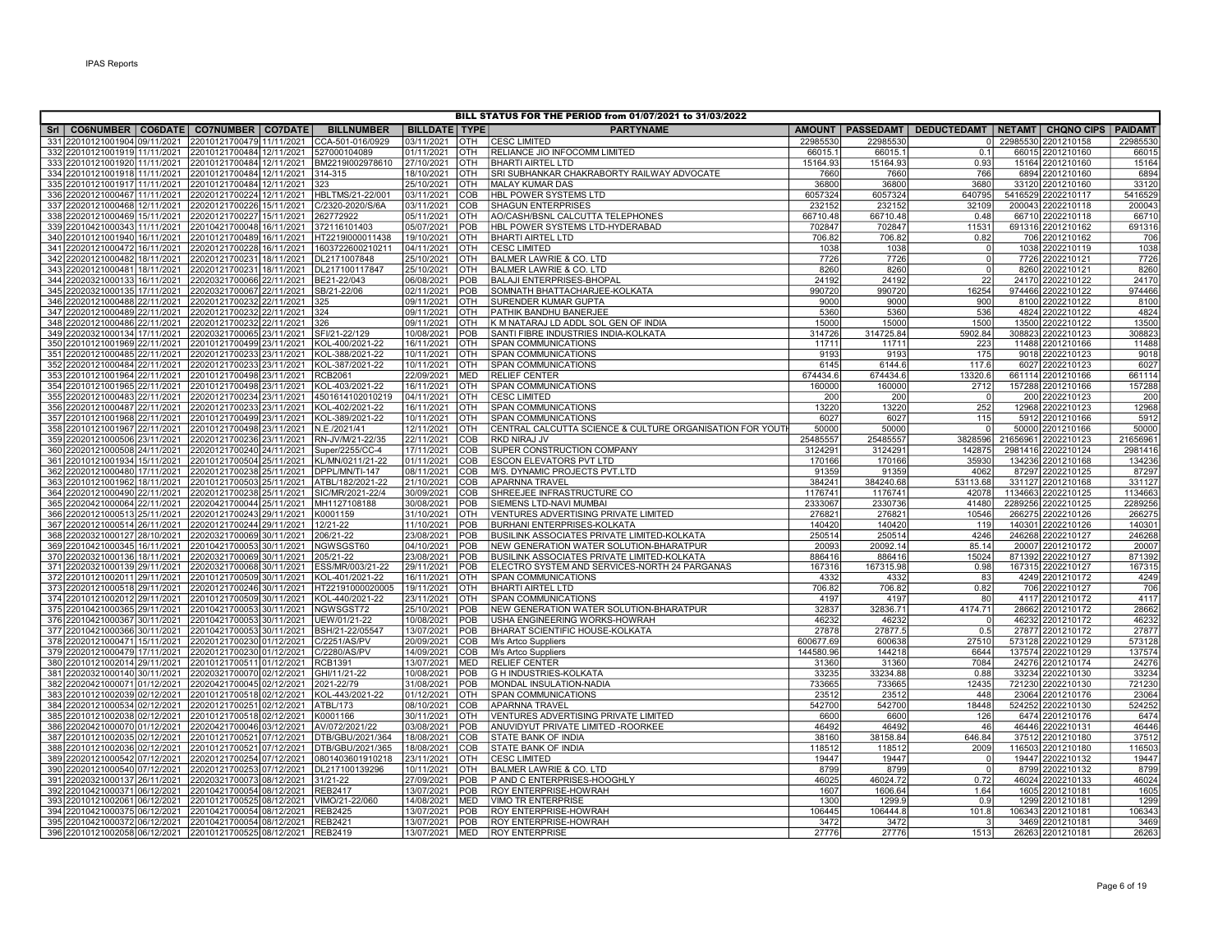| BILL STATUS FOR THE PERIOD from 01/07/2021 to 31/03/2022 |                               |  |                                                                                                                    |  |                                    |                          |            |                                                                    |                    |                   |                                                                  |        |                                       |                 |
|----------------------------------------------------------|-------------------------------|--|--------------------------------------------------------------------------------------------------------------------|--|------------------------------------|--------------------------|------------|--------------------------------------------------------------------|--------------------|-------------------|------------------------------------------------------------------|--------|---------------------------------------|-----------------|
|                                                          |                               |  | Sri   CO6NUMBER   CO6DATE   CO7NUMBER   CO7DATE                                                                    |  | <b>BILLNUMBER</b>                  | <b>BILLDATE TYPE</b>     |            | <b>PARTYNAME</b>                                                   |                    |                   | AMOUNT   PASSEDAMT   DEDUCTEDAMT   NETAMT   CHQNO CIPS   PAIDAMT |        |                                       |                 |
|                                                          |                               |  | 331 22010121001904 09/11/2021 22010121700479 11/11/2021                                                            |  | CCA-501-016/0929                   | 03/11/2021               | <b>OTH</b> | <b>CESC LIMITED</b>                                                | 22985530           | 22985530          |                                                                  |        | 0 22985530 2201210158                 | 22985530        |
|                                                          |                               |  | 332 22010121001919 11/11/2021 22010121700484 12/11/2021                                                            |  | 527000104089                       | 01/11/2021               | OTH        | RELIANCE JIO INFOCOMM LIMITED                                      | 66015.1            | 66015.1           | 0.1                                                              |        | 66015 2201210160                      | 6601            |
|                                                          |                               |  | 333 22010121001920 11/11/2021 22010121700484 12/11/2021                                                            |  | BM2219l002978610                   | 27/10/2021               | OTH        | <b>BHARTI AIRTEL LTD</b>                                           | 15164.93           | 15164.93          | 0.93                                                             |        | 15164 2201210160                      | 15164           |
|                                                          |                               |  | 334 22010121001918 11/11/2021 22010121700484 12/11/2021                                                            |  | 314-315                            | 18/10/2021               | OTH        | SRI SUBHANKAR CHAKRABORTY RAILWAY ADVOCATE                         | 7660               | 7660              | 766                                                              |        | 6894 2201210160                       | 6894            |
|                                                          |                               |  | 335 22010121001917 11/11/2021 22010121700484 12/11/2021                                                            |  | 323                                | 25/10/2021               | OTH        | <b>MALAY KUMAR DAS</b>                                             | 36800              | 36800             | 3680                                                             |        | 33120 2201210160                      | 33120           |
|                                                          |                               |  | 336 22020121000467 11/11/2021 22020121700224 12/11/2021                                                            |  | HBLTMS/21-22/001                   | 03/11/2021               | COB        | HBL POWER SYSTEMS LTD                                              | 6057324            | 6057324           | 640795                                                           |        | 5416529 2202210117                    | 5416529         |
|                                                          |                               |  | 337 22020121000468 12/11/2021 22020121700226 15/11/2021                                                            |  | C/2320-2020/S/6A                   | 03/11/2021               | COB        | SHAGUN ENTERPRISES                                                 | 232152             | 232152            | 32109                                                            |        | 200043 2202210118                     | 200043          |
|                                                          |                               |  | 338 22020121000469 15/11/2021 22020121700227 15/11/2021                                                            |  | 262772922                          | 05/11/2021               | OTH        | AO/CASH/BSNL CALCUTTA TELEPHONES                                   | 66710.48           | 66710.48          | 0.48                                                             |        | 66710 2202210118                      | 66710           |
|                                                          |                               |  | 339 22010421000343 11/11/2021 22010421700048 16/11/2021                                                            |  | 372116101403                       | 05/07/2021               | POB        | HBL POWER SYSTEMS LTD-HYDERABAD                                    | 702847             | 702847            | 11531                                                            |        | 691316 2201210162                     | 691316          |
|                                                          |                               |  | 340 22010121001940 16/11/2021 22010121700489 16/11/2021                                                            |  | HT2219l000011438                   | 19/10/2021               | OTH        | <b>BHARTI AIRTEL LTD</b>                                           | 706.82             | 706.82            | 0.82                                                             |        | 706 2201210162                        | 706             |
|                                                          |                               |  | 341 22020121000472 16/11/2021 22020121700228 16/11/2021                                                            |  | 1603722600210211                   | 04/11/2021               | OTH        | <b>CESC LIMITED</b>                                                | 1038               | 1038              | $\overline{0}$                                                   |        | 1038 2202210119                       | 1038            |
|                                                          |                               |  | 342 22020121000482 18/11/2021 22020121700231 18/11/2021                                                            |  | DL2171007848                       | 25/10/2021               | OTH        | BALMER LAWRIE & CO. LTD                                            | 7726               | 7726              | $\circ$                                                          |        | 7726 2202210121                       | 7726            |
|                                                          |                               |  | 343 22020121000481 18/11/2021 22020121700231 18/11/2021                                                            |  | DL217100117847                     | 25/10/2021               | OTH        | BALMER LAWRIE & CO. LTD                                            | 8260               | 8260              | 0                                                                |        | 8260 2202210121                       | 8260            |
|                                                          |                               |  | 344 22020321000133 16/11/2021 22020321700066 22/11/2021 BE21-22/043                                                |  |                                    | 06/08/2021               | POB        | <b>BALAJI ENTERPRISES-BHOPAL</b>                                   | 24192              | 24192             | 22                                                               |        | 24170 2202210122                      | 24170           |
|                                                          |                               |  | 345 22020321000135 17/11/2021 22020321700067 22/11/2021                                                            |  | SB/21-22/06                        | 02/11/2021               | POB        | SOMNATH BHATTACHARJEE-KOLKATA                                      | 990720             | 990720            | 16254                                                            |        | 974466 2202210122                     | 974466          |
|                                                          |                               |  | 346 22020121000488 22/11/2021 22020121700232 22/11/2021                                                            |  | 325                                | 09/11/2021               | OTH        | SURENDER KUMAR GUPTA                                               | 9000               | 9000              | 900                                                              |        | 8100 2202210122                       | 8100            |
|                                                          |                               |  | 347 22020121000489 22/11/2021 22020121700232 22/11/2021                                                            |  | 324                                | 09/11/2021               | OTH        | PATHIK BANDHU BANERJEE                                             | 5360               | 5360              | 536                                                              |        | 4824 2202210122                       | 4824            |
|                                                          | 348 22020121000486 22/11/2021 |  | 22020121700232 22/11/2021                                                                                          |  | 326                                | 09/11/2021               | OTH        | K M NATARAJ LD ADDL SOL GEN OF INDIA                               | 15000              | 15000             | 1500                                                             |        | 13500 2202210122                      | 13500<br>308823 |
|                                                          |                               |  | 349 22020321000134 17/11/2021 22020321700065 23/11/2021                                                            |  | SFI/21-22/129<br>KOL-400/2021-22   | 10/08/2021<br>16/11/2021 | POB<br>OTH | SANTI FIBRE INDUSTRIES INDIA-KOLKATA<br><b>SPAN COMMUNICATIONS</b> | 314726<br>11711    | 314725.84         | 5902.84<br>223                                                   |        | 308823 2202210123<br>11488 2201210166 |                 |
|                                                          |                               |  | 350 22010121001969 22/11/2021 22010121700499 23/11/2021                                                            |  |                                    |                          | OTH        |                                                                    | 9193               | 11711             | 175                                                              |        | 9018 2202210123                       | 11488           |
|                                                          |                               |  | 351 22020121000485 22/11/2021 22020121700233 23/11/2021<br>352 22020121000484 22/11/2021 22020121700233 23/11/2021 |  | KOL-388/2021-22<br>KOL-387/2021-22 | 10/11/2021<br>10/11/2021 | OTH        | SPAN COMMUNICATIONS<br><b>SPAN COMMUNICATIONS</b>                  | 6145               | 9193<br>6144.6    | 117.6                                                            |        | 6027 2202210123                       | 9018<br>6027    |
|                                                          |                               |  | 353 22010121001964 22/11/2021 22010121700498 23/11/2021                                                            |  | RCB2061                            | 22/09/2021               | <b>MED</b> | <b>RELIEF CENTER</b>                                               | 674434.6           | 674434.6          | 13320.6                                                          |        | 661114 2201210166                     | 661114          |
|                                                          |                               |  | 354 22010121001965 22/11/2021 22010121700498 23/11/2021                                                            |  | KOL-403/2021-22                    | 16/11/2021               | OTH        | SPAN COMMUNICATIONS                                                | 160000             | 160000            | 2712                                                             |        | 157288 2201210166                     | 157288          |
|                                                          |                               |  | 355 22020121000483 22/11/2021 22020121700234 23/11/2021                                                            |  | 4501614102010219                   | 04/11/2021               | OTH        | <b>CESC LIMITED</b>                                                | 200                | 200               | $\overline{0}$                                                   |        | 200 2202210123                        | 200             |
|                                                          |                               |  | 356 22020121000487 22/11/2021 22020121700233 23/11/2021                                                            |  | KOL-402/2021-22                    | 16/11/2021               | OTH        | SPAN COMMUNICATIONS                                                | 13220              | 13220             | 252                                                              |        | 12968 2202210123                      | 12968           |
|                                                          |                               |  | 357 22010121001968 22/11/2021 22010121700499 23/11/2021                                                            |  | KOL-389/2021-22                    | 10/11/2021               | <b>OTH</b> | SPAN COMMUNICATIONS                                                | 6027               | 6027              | 115                                                              |        | 5912 2201210166                       | 5912            |
|                                                          |                               |  | 358 22010121001967 22/11/2021 22010121700498 23/11/2021                                                            |  | N.E./2021/41                       | 12/11/2021               | OTH        | CENTRAL CALCUTTA SCIENCE & CULTURE ORGANISATION FOR YOUTH          | 50000              | 50000             | $\overline{0}$                                                   |        | 50000 2201210166                      | 50000           |
|                                                          | 359 22020121000506 23/11/2021 |  | 22020121700236 23/11/2021                                                                                          |  | RN-JV/M/21-22/35                   | 22/11/2021               | COB        | RKD NIRAJ JV                                                       | 25485557           | 25485557          |                                                                  |        | 3828596 21656961 2202210123           | 2165696         |
|                                                          |                               |  | 360 22020121000508 24/11/2021 22020121700240 24/11/2021                                                            |  | Super/2255/CC-4                    | 17/11/2021               | <b>COB</b> | SUPER CONSTRUCTION COMPANY                                         | 3124291            | 3124291           | 142875                                                           |        | 2981416 2202210124                    | 2981416         |
|                                                          |                               |  | 361 22010121001934 15/11/2021 22010121700504 25/11/2021                                                            |  | KL/MN/0211/21-22                   | 01/11/2021               | COB        | <b>ESCON ELEVATORS PVT LTD</b>                                     | 170166             | 170166            | 35930                                                            | 134236 | 2201210168                            | 134236          |
|                                                          |                               |  | 362 22020121000480 17/11/2021 22020121700238 25/11/2021                                                            |  | DPPL/MN/TI-147                     | 08/11/2021               | COB        | M/S. DYNAMIC PROJECTS PVT.LTD                                      | 91359              | 91359             | 4062                                                             |        | 87297 2202210125                      | 87297           |
|                                                          |                               |  | 363 22010121001962 18/11/2021 22010121700503 25/11/2021                                                            |  | ATBL/182/2021-22                   | 21/10/2021               | COB        | <b>APARNNA TRAVEL</b>                                              | 384241             | 384240.68         | 53113.68                                                         |        | 331127 2201210168                     | 331127          |
|                                                          |                               |  | 364 22020121000490 22/11/2021 22020121700238 25/11/2021                                                            |  | SIC/MR/2021-22/4                   | 30/09/2021               | COB        | SHREEJEE INFRASTRUCTURE CO                                         | 1176741            | 1176741           | 42078                                                            |        | 1134663 2202210125                    | 1134663         |
|                                                          |                               |  | 365 22020421000064 22/11/2021 22020421700044 25/11/2021                                                            |  | MH1127108188                       | 30/08/2021               | POB        | SIEMENS LTD-NAVI MUMBAI                                            | 2333067            | 2330736           | 41480                                                            |        | 2289256 2202210125                    | 2289256         |
|                                                          |                               |  | 366 22020121000513 25/11/2021 22020121700243 29/11/2021                                                            |  | K0001159                           | 31/10/2021               | OTH        | VENTURES ADVERTISING PRIVATE LIMITED                               | 276821             | 276821            | 10546                                                            |        | 266275 2202210126                     | 26627           |
|                                                          |                               |  | 367 22020121000514 26/11/2021 22020121700244 29/11/2021                                                            |  | 12/21-22                           | 11/10/2021               | POB        | BURHANI ENTERPRISES-KOLKATA                                        | 140420             | 140420            | 119                                                              |        | 140301 2202210126                     | 14030           |
|                                                          |                               |  | 368 22020321000127 28/10/2021 22020321700069 30/11/2021                                                            |  | 206/21-22                          | 23/08/2021               | POB        | BUSILINK ASSOCIATES PRIVATE LIMITED-KOLKATA                        | 250514             | 250514            | 4246                                                             |        | 246268 2202210127                     | 246268          |
|                                                          |                               |  | 369 22010421000345 16/11/2021 22010421700053 30/11/2021                                                            |  | NGWSGST60                          | 04/10/2021               | POB        | NEW GENERATION WATER SOLUTION-BHARATPUR                            | 20093              | 20092.14          | 85.14                                                            |        | 20007 2201210172                      | 20007           |
|                                                          |                               |  | 370 22020321000136 18/11/2021 22020321700069 30/11/2021                                                            |  | 205/21-22                          | 23/08/2021               | POB        | BUSILINK ASSOCIATES PRIVATE LIMITED-KOLKATA                        | 886416             | 886416            | 15024                                                            |        | 871392 2202210127                     | 871392          |
|                                                          |                               |  | 371 22020321000139 29/11/2021 22020321700068 30/11/2021                                                            |  | ESS/MR/003/21-22                   | 29/11/2021               | POB        | ELECTRO SYSTEM AND SERVICES-NORTH 24 PARGANAS                      | 167316             | 167315.98         | 0.98                                                             |        | 167315 2202210127                     | 167315          |
|                                                          |                               |  | 372 22010121002011 29/11/2021 22010121700509 30/11/2021                                                            |  | KOL-401/2021-22                    | 16/11/2021               | OTH        | <b>SPAN COMMUNICATIONS</b>                                         | 4332               | 4332              | 83                                                               |        | 4249 2201210172                       | 4249            |
|                                                          |                               |  | 373 22020121000518 29/11/2021 22020121700246 30/11/2021                                                            |  | HT22191000020005                   | 19/11/2021               | OTH        | <b>BHARTI AIRTEL LTD</b>                                           | 706.82             | 706.82            | 0.82                                                             |        | 706 2202210127                        | 706             |
|                                                          |                               |  | 374 22010121002012 29/11/2021 22010121700509 30/11/2021                                                            |  | KOL-440/2021-22                    | 23/11/2021               | OTH        | SPAN COMMUNICATIONS                                                | 4197               | 4197              | 80                                                               |        | 4117 2201210172                       | 4117            |
|                                                          |                               |  | 375 22010421000365 29/11/2021 22010421700053 30/11/2021                                                            |  | NGWSGST72                          | 25/10/2021               | POB        | NEW GENERATION WATER SOLUTION-BHARATPUR                            | 32837              | 32836.71          | 4174.71                                                          |        | 28662 2201210172                      | 28662           |
|                                                          |                               |  | 376 22010421000367 30/11/2021 22010421700053 30/11/2021                                                            |  | UEW/01/21-22                       | 10/08/2021               | POB        | USHA ENGINEERING WORKS-HOWRAH                                      | 46232              | 46232             | $\overline{0}$                                                   |        | 46232 2201210172                      | 46232           |
|                                                          |                               |  | 377 22010421000366 30/11/2021 22010421700053 30/11/2021                                                            |  | BSH/21-22/05547<br>C/2251/AS/PV    | 13/07/2021<br>20/09/2021 | POB<br>COB | BHARAT SCIENTIFIC HOUSE-KOLKATA                                    | 27878<br>600677.69 | 27877.5<br>600638 | 0.5<br>27510                                                     |        | 27877 2201210172<br>573128 2202210129 | 27877<br>573128 |
|                                                          |                               |  | 378 22020121000471 15/11/2021 22020121700230 01/12/2021<br>379 22020121000479 17/11/2021 22020121700230 01/12/2021 |  | C/2280/AS/PV                       | 14/09/2021               | COB        | M/s Artco Suppliers                                                | 144580.96          | 144218            | 6644                                                             |        | 137574 2202210129                     | 137574          |
|                                                          |                               |  | 380 22010121002014 29/11/2021 22010121700511 01/12/2021                                                            |  | RCB1391                            | 13/07/2021               | <b>MED</b> | M/s Artco Suppliers<br><b>RELIEF CENTER</b>                        | 31360              | 31360             | 7084                                                             |        | 24276 2201210174                      | 24276           |
|                                                          |                               |  | 381 22020321000140 30/11/2021 22020321700070 02/12/2021                                                            |  | GHI/11/21-22                       | 10/08/2021               | POB        | <b>G H INDUSTRIES-KOLKATA</b>                                      | 33235              | 33234.88          | 0.88                                                             |        | 33234 2202210130                      | 33234           |
|                                                          |                               |  | 382 22020421000071 01/12/2021 22020421700045 02/12/2021                                                            |  | 2021-22/79                         | 31/08/2021               | POB        | MONDAL INSULATION-NADIA                                            | 733665             | 733665            | 12435                                                            |        | 721230 2202210130                     | 721230          |
|                                                          |                               |  | 383 22010121002039 02/12/2021 22010121700518 02/12/2021                                                            |  | KOL-443/2021-22                    | 01/12/2021               | OTH        | <b>SPAN COMMUNICATIONS</b>                                         | 23512              | 23512             | 448                                                              |        | 23064 2201210176                      | 23064           |
|                                                          |                               |  | 384 22020121000534 02/12/2021 22020121700251 02/12/2021                                                            |  | ATBL/173                           | 08/10/2021               | COB        | <b>APARNNA TRAVEL</b>                                              | 542700             | 542700            | 18448                                                            |        | 524252 2202210130                     | 524252          |
|                                                          |                               |  | 385 22010121002038 02/12/2021 22010121700518 02/12/2021                                                            |  | K0001166                           | 30/11/2021               | <b>OTH</b> | VENTURES ADVERTISING PRIVATE LIMITED                               | 6600               | 6600              | 126                                                              |        | 6474 2201210176                       | 6474            |
|                                                          |                               |  | 386 22020421000070 01/12/2021 22020421700046 03/12/2021                                                            |  | AV/072/2021/22                     | 03/08/2021               | POB        | ANUVIDYUT PRIVATE LIMITED - ROORKEE                                | 46492              | 46492             | 46                                                               |        | 46446 2202210131                      | 46446           |
|                                                          | 387 22010121002035 02/12/2021 |  | 22010121700521 07/12/2021                                                                                          |  | DTB/GBU/2021/364                   | 18/08/2021               | COB        | STATE BANK OF INDIA                                                | 38160              | 38158.84          | 646.84                                                           |        | 37512 2201210180                      | 37512           |
|                                                          |                               |  | 388 22010121002036 02/12/2021 22010121700521 07/12/2021                                                            |  | DTB/GBU/2021/365                   | 18/08/2021               | COB        | STATE BANK OF INDIA                                                | 118512             | 118512            | 2009                                                             |        | 116503 2201210180                     | 116503          |
|                                                          | 389 22020121000542 07/12/2021 |  | 22020121700254107/12/2021                                                                                          |  | 0801403601910218                   | 23/11/2021               | OTH        | <b>CESC LIMITED</b>                                                | 19447              | 19447             | $\overline{0}$                                                   |        | 19447 2202210132                      | 19447           |
|                                                          |                               |  | 390 22020121000540 07/12/2021 22020121700253 07/12/2021                                                            |  | DL217100139296                     | 10/11/2021               | OTH        | BALMER LAWRIE & CO. LTD                                            | 8799               | 8799              | $\Omega$                                                         |        | 8799 2202210132                       | 8799            |
|                                                          |                               |  | 391 22020321000137 26/11/2021 22020321700073 08/12/2021                                                            |  | 31/21-22                           | 27/09/2021               | POB        | P AND C ENTERPRISES-HOOGHLY                                        | 46025              | 46024.72          | 0.72                                                             |        | 46024 2202210133                      | 46024           |
|                                                          |                               |  | 392 22010421000371 06/12/2021 22010421700054 08/12/2021                                                            |  | <b>REB2417</b>                     | 13/07/2021               | POB        | ROY ENTERPRISE-HOWRAH                                              | 1607               | 1606.64           | 1.64                                                             |        | 1605 2201210181                       | 1605            |
|                                                          |                               |  | 393 22010121002061 06/12/2021 22010121700525 08/12/2021                                                            |  | VIMO/21-22/060                     | 14/08/2021               | <b>MED</b> | <b>VIMO TR ENTERPRISE</b>                                          | 1300               | 1299.9            | 0.9                                                              |        | 1299 2201210181                       | 1299            |
|                                                          |                               |  | 394 22010421000375 06/12/2021 22010421700054 08/12/2021                                                            |  | <b>REB2425</b>                     | 13/07/2021               | POB        | <b>ROY ENTERPRISE-HOWRAH</b>                                       | 106445             | 106444.8          | 101.8                                                            | 106343 | 2201210181                            | 106343          |
|                                                          |                               |  | 395 22010421000372 06/12/2021 22010421700054 08/12/2021                                                            |  | <b>REB2421</b>                     | 13/07/2021               | <b>POB</b> | ROY ENTERPRISE-HOWRAH                                              | 3472               | 3472              |                                                                  |        | 3469 2201210181                       | 3469            |
|                                                          |                               |  | 396 22010121002058 06/12/2021 22010121700525 08/12/2021 REB2419                                                    |  |                                    | 13/07/2021               | <b>MED</b> | <b>ROY ENTERPRISE</b>                                              | 27776              | 27776             | 1513                                                             |        | 26263 2201210181                      | 26263           |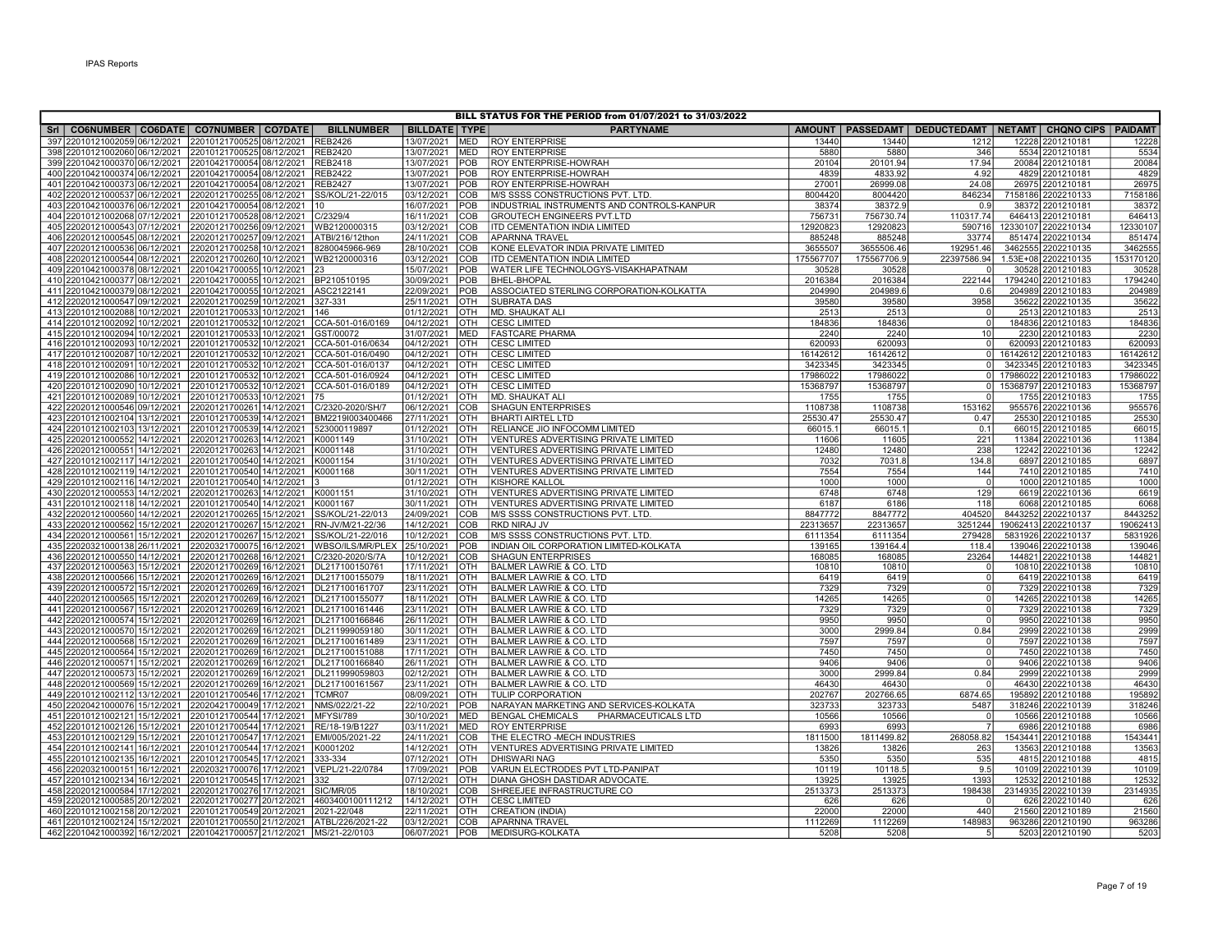|                                                                          |                                                                       |                                  |                          |            | BILL STATUS FOR THE PERIOD from 01/07/2021 to 31/03/2022                     |                  |                  |                                                                  |                                        |                  |
|--------------------------------------------------------------------------|-----------------------------------------------------------------------|----------------------------------|--------------------------|------------|------------------------------------------------------------------------------|------------------|------------------|------------------------------------------------------------------|----------------------------------------|------------------|
| Sri   CO6NUMBER   CO6DATE   CO7NUMBER   CO7DATE                          |                                                                       | <b>BILLNUMBER</b>                | <b>BILLDATE TYPE</b>     |            | <b>PARTYNAME</b>                                                             |                  |                  | AMOUNT   PASSEDAMT   DEDUCTEDAMT   NETAMT   CHQNO CIPS   PAIDAMT |                                        |                  |
| 397 22010121002059 06/12/2021                                            | 22010121700525 08/12/2021                                             | <b>REB2426</b>                   | 13/07/2021               | <b>MED</b> | <b>ROY ENTERPRISE</b>                                                        | 13440            | 13440            | 1212                                                             | 12228 2201210181                       | 12228            |
| 398 22010121002060 06/12/2021 22010121700525 08/12/2021 REB2420          |                                                                       |                                  | 13/07/2021               | <b>MED</b> | <b>ROY ENTERPRISE</b>                                                        | 5880             | 5880             | 346                                                              | 5534 2201210181                        | 5534             |
| 399 22010421000370 06/12/2021 22010421700054 08/12/2021 REB2418          |                                                                       |                                  | 13/07/2021               | POB        | <b>ROY ENTERPRISE-HOWRAH</b>                                                 | 20104            | 20101.94         | 17.94                                                            | 20084 2201210181                       | 20084            |
| 400 22010421000374 06/12/2021                                            | 22010421700054 08/12/2021                                             | <b>REB2422</b>                   | 13/07/2021               | POB        | ROY ENTERPRISE-HOWRAH                                                        | 4839             | 4833.92          | 4.92                                                             | 4829 2201210181                        | 4829             |
| 401 22010421000373 06/12/2021                                            | 22010421700054 08/12/2021                                             | <b>REB2427</b>                   | 13/07/2021               | POB        | ROY ENTERPRISE-HOWRAH                                                        | 27001            | 26999.08         | 24.08                                                            | 26975 2201210181                       | 26975            |
| 402 22020121000537 06/12/2021                                            | 22020121700255 08/12/2021                                             | SS/KOL/21-22/015                 | 03/12/2021               | COB        | M/S SSSS CONSTRUCTIONS PVT. LTD.                                             | 8004420          | 8004420          | 846234                                                           | 7158186 2202210133                     | 7158186          |
| 403 22010421000376 06/12/2021                                            | 22010421700054 08/12/2021                                             | 10                               | 16/07/2021               | POB        | INDUSTRIAL INSTRUMENTS AND CONTROLS-KANPUR                                   | 38374            | 38372.9          | 0.9                                                              | 38372 2201210181                       | 38372            |
| 404 22010121002068 07/12/2021                                            | 22010121700528 08/12/2021 C/2329/4                                    |                                  | 16/11/2021               | COB        | <b>GROUTECH ENGINEERS PVT.LTD</b>                                            | 756731           | 756730.74        | 110317.74                                                        | 646413 2201210181                      | 64641            |
| 405 22020121000543 07/12/2021                                            | 22020121700256 09/12/2021 WB2120000315                                |                                  | 03/12/2021               | COB        | <b>ITD CEMENTATION INDIA LIMITED</b>                                         | 12920823         | 12920823         | 590716                                                           | 12330107 2202210134                    | 12330107         |
| 406 22020121000545 08/12/2021                                            | 22020121700257 09/12/2021 ATBI/216/12thon                             |                                  | 24/11/2021               | COB        | <b>APARNNA TRAVEL</b>                                                        | 885248           | 885248           | 33774                                                            | 851474 2202210134                      | 851474           |
| 407 22020121000536 06/12/2021                                            | 22020121700258 10/12/2021 8280045966-969                              |                                  | 28/10/2021               | COB        | KONE ELEVATOR INDIA PRIVATE LIMITED                                          | 3655507          | 3655506.46       | 192951.46                                                        | 3462555 2202210135                     | 346255           |
| 408 22020121000544 08/12/2021                                            | 22020121700260 10/12/2021 WB2120000316                                |                                  | 03/12/2021               | COB        | ITD CEMENTATION INDIA LIMITED                                                | 175567707        | 175567706.9      | 22397586.94                                                      | 1.53E+08 2202210135                    | 15317012         |
| 409 22010421000378 08/12/2021<br>410 22010421000377 08/12/2021           | 22010421700055 10/12/2021 23<br>22010421700055 10/12/2021 BP210510195 |                                  | 15/07/2021<br>30/09/2021 | POB<br>POB | WATER LIFE TECHNOLOGYS-VISAKHAPATNAM<br><b>BHEL-BHOPAL</b>                   | 30528<br>2016384 | 30528<br>2016384 | 222144                                                           | 30528 2201210183<br>1794240 2201210183 | 30528<br>1794240 |
| 411 22010421000379 08/12/2021                                            | 22010421700055 10/12/2021 ASC2122141                                  |                                  | 22/09/2021               | POB        | ASSOCIATED STERLING CORPORATION-KOLKATTA                                     | 204990           | 204989.6         | 0.6                                                              | 204989 2201210183                      | 20498            |
| 412 22020121000547 09/12/2021                                            | 22020121700259 10/12/2021                                             | 327-331                          | 25/11/2021               | OTH        | <b>SUBRATA DAS</b>                                                           | 39580            | 39580            | 3958                                                             | 35622 2202210135                       | 35622            |
| 413 22010121002088 10/12/2021                                            | 22010121700533 10/12/2021 146                                         |                                  | 01/12/2021               | OTH        | MD. SHAUKAT AL                                                               | 2513             | 2513             |                                                                  | 2513 2201210183                        | 251              |
| 414 22010121002092 10/12/2021                                            | 22010121700532 10/12/2021                                             | CCA-501-016/0169                 | 04/12/2021               | OTH        | <b>CESC LIMITED</b>                                                          | 184836           | 184836           | $\Omega$                                                         | 184836 2201210183                      | 184836           |
| 415 22010121002094 10/12/2021                                            | 22010121700533 10/12/2021                                             | GST/00072                        | 31/07/2021               | <b>MED</b> | <b>FASTCARE PHARMA</b>                                                       | 2240             | 2240             | 10                                                               | 2230 2201210183                        | 2230             |
| 416 22010121002093 10/12/2021                                            | 22010121700532 10/12/2021                                             | CCA-501-016/0634                 | 04/12/2021               | OTH        | <b>CESC LIMITED</b>                                                          | 620093           | 620093           | $\Omega$                                                         | 620093 2201210183                      | 620093           |
| 417 22010121002087 10/12/2021                                            | 22010121700532 10/12/2021                                             | CCA-501-016/0490                 | 04/12/2021               | OTH        | <b>CESC LIMITED</b>                                                          | 16142612         | 16142612         | $\circ$                                                          | 16142612 2201210183                    | 1614261          |
| 418 22010121002091 10/12/2021                                            | 22010121700532 10/12/2021 CCA-501-016/0137                            |                                  | 04/12/2021               | OTH        | <b>CESC LIMITED</b>                                                          | 3423345          | 3423345          | $\Omega$                                                         | 3423345 2201210183                     | 342334           |
| 419 22010121002086 10/12/2021                                            | 22010121700532 10/12/2021                                             | CCA-501-016/0924                 | 04/12/2021               | OTH        | <b>CESC LIMITED</b>                                                          | 17986022         | 17986022         | $\Omega$                                                         | 17986022 2201210183                    | 1798602          |
| 420 22010121002090 10/12/2021                                            | 22010121700532 10/12/2021 CCA-501-016/0189                            |                                  | 04/12/2021               | OTH        | <b>CESC LIMITED</b>                                                          | 15368797         | 15368797         | $\Omega$                                                         | 15368797 2201210183                    | 15368797         |
| 421 22010121002089 10/12/2021                                            | 22010121700533 10/12/2021 75                                          |                                  | 01/12/2021               | OTH        | <b>MD. SHAUKAT ALI</b>                                                       | 1755             | 1755             | $\Omega$                                                         | 1755 2201210183                        | 175              |
| 422 22020121000546 09/12/2021                                            | 22020121700261 14/12/2021 C/2320-2020/SH/7                            |                                  | 06/12/2021               | COB        | SHAGUN ENTERPRISES                                                           | 1108738          | 1108738          | 153162                                                           | 955576 2202210136                      | 955576           |
| 423 22010121002104 13/12/2021                                            | 22010121700539 14/12/2021                                             | BM2219I003400466                 | 27/11/2021               | OTH        | <b>BHARTI AIRTEL LTD</b>                                                     | 25530.47         | 25530.47         | 0.47                                                             | 25530 2201210185                       | 25530            |
| 424 22010121002103 13/12/2021                                            | 22010121700539 14/12/2021 523000119897                                |                                  | 01/12/2021               | OTH        | RELIANCE JIO INFOCOMM LIMITED                                                | 66015.1          | 66015.1          | 0.1                                                              | 66015 2201210185                       | 6601             |
| 425 22020121000552 14/12/2021                                            | 22020121700263 14/12/2021                                             | K0001149                         | 31/10/2021               | OTH        | VENTURES ADVERTISING PRIVATE LIMITED                                         | 11606            | 11605            | 221                                                              | 11384 2202210136                       | 11384            |
| 426 22020121000551 14/12/2021                                            | 22020121700263 14/12/2021                                             | K0001148                         | 31/10/2021               | OTH        | VENTURES ADVERTISING PRIVATE LIMITED                                         | 12480            | 12480            | 238                                                              | 12242 2202210136                       | 12242            |
| 427 22010121002117 14/12/2021                                            | 22010121700540 14/12/2021                                             | K0001154                         | 31/10/2021               | OTH        | VENTURES ADVERTISING PRIVATE LIMITED                                         | 7032             | 7031.8           | 134.8                                                            | 6897 2201210185                        | 689              |
| 428 22010121002119 14/12/2021                                            | 22010121700540 14/12/2021 K0001168                                    |                                  | 30/11/2021               | OTH        | VENTURES ADVERTISING PRIVATE LIMITED                                         | 7554             | 7554             | 144                                                              | 7410 2201210185                        | 7410             |
| 429 22010121002116 14/12/2021                                            | 22010121700540 14/12/2021                                             |                                  | 01/12/2021               | OTH        | KISHORE KALLOL                                                               | 1000             | 1000<br>6748     | $\Omega$<br>129                                                  | 1000 2201210185                        | 1000             |
| 430 22020121000553 14/12/2021<br>431 22010121002118 14/12/2021           | 22020121700263 14/12/2021<br>22010121700540 14/12/2021 K0001167       | K0001151                         | 31/10/2021<br>30/11/2021 | OTH<br>OTH | VENTURES ADVERTISING PRIVATE LIMITED<br>VENTURES ADVERTISING PRIVATE LIMITED | 6748<br>6187     | 6186             | 118                                                              | 6619 2202210136<br>6068 2201210185     | 6619<br>6068     |
| 432 22020121000560 14/12/2021                                            | 22020121700265 15/12/2021 SS/KOL/21-22/013                            |                                  | 24/09/2021               | COB        | M/S SSSS CONSTRUCTIONS PVT. LTD.                                             | 8847772          | 8847772          | 404520                                                           | 8443252 2202210137                     | 8443252          |
| 433 22020121000562 15/12/2021                                            | 22020121700267 15/12/2021                                             | RN-JV/M/21-22/36                 | 14/12/2021               | COB        | RKD NIRAJ JV                                                                 | 22313657         | 22313657         | 3251244                                                          | 19062413 2202210137                    | 1906241          |
| 434 22020121000561 15/12/2021                                            | 22020121700267 15/12/2021                                             | SS/KOL/21-22/016                 | 10/12/2021               | COB        | M/S SSSS CONSTRUCTIONS PVT. LTD.                                             | 6111354          | 6111354          | 279428                                                           | 5831926 2202210137                     | 5831926          |
| 435 22020321000138 26/11/2021                                            | 22020321700075 16/12/2021 WBSO/ILS/MR/PLEX                            |                                  | 25/10/2021               | POB        | INDIAN OIL CORPORATION LIMITED-KOLKATA                                       | 139165           | 139164.4         | 118.4                                                            | 139046 2202210138                      | 139046           |
| 436 22020121000550 14/12/2021                                            | 22020121700268 16/12/2021                                             | C/2320-2020/S/7A                 | 10/12/2021               | COB        | SHAGUN ENTERPRISES                                                           | 168085           | 168085           | 23264                                                            | 144821 2202210138                      | 14482            |
| 437 22020121000563 15/12/2021                                            | 22020121700269 16/12/2021                                             | DL217100150761                   | 17/11/2021               | OTH        | BALMER LAWRIE & CO. LTD                                                      | 10810            | 10810            |                                                                  | 10810 2202210138                       | 1081             |
| 438 22020121000566 15/12/2021                                            | 22020121700269 16/12/2021                                             | DL217100155079                   | 18/11/2021               | OTH        | BALMER LAWRIE & CO. LTD                                                      | 6419             | 6419             | $\Omega$                                                         | 6419 2202210138                        | 6419             |
| 439 22020121000572 15/12/2021                                            | 22020121700269 16/12/2021 DL217100161707                              |                                  | 23/11/2021               | <b>OTH</b> | BALMER LAWRIE & CO. LTD                                                      | 7329             | 7329             | $\Omega$                                                         | 7329 2202210138                        | 7329             |
| 440 22020121000565 15/12/2021                                            | 22020121700269 16/12/2021 DL217100155077                              |                                  | 18/11/2021               | OTH        | BALMER LAWRIE & CO. LTD                                                      | 14265            | 14265            | $\Omega$                                                         | 14265 2202210138                       | 14265            |
| 441 22020121000567 15/12/2021                                            | 22020121700269 16/12/2021                                             | DL217100161446                   | 23/11/2021               | OTH        | BALMER LAWRIE & CO. LTD                                                      | 7329             | 7329             | $\Omega$                                                         | 7329 2202210138                        | 7329             |
| 442 22020121000574 15/12/2021                                            | 22020121700269 16/12/2021 DL217100166846                              |                                  | 26/11/2021               | OTH        | <b>BALMER LAWRIE &amp; CO. LTD</b>                                           | 9950             | 9950             | $\Omega$                                                         | 9950 2202210138                        | 9950             |
| 443 22020121000570 15/12/2021                                            | 22020121700269 16/12/2021 DL211999059180                              |                                  | 30/11/2021               | OTH        | <b>BALMER LAWRIE &amp; CO. LTD</b>                                           | 3000             | 2999.84          | 0.84                                                             | 2999 2202210138                        | 2999             |
| 444 22020121000568 15/12/2021                                            | 22020121700269 16/12/2021                                             | DL217100161489                   | 23/11/2021               | OTH        | BALMER LAWRIE & CO. LTD                                                      | 7597             | 7597             | - 0                                                              | 7597 2202210138                        | 7597             |
| 445 22020121000564 15/12/2021                                            | 22020121700269 16/12/2021 DL217100151088                              |                                  | 17/11/2021               | OTH        | BALMER LAWRIE & CO. LTD                                                      | 7450             | 7450             | $\Omega$                                                         | 7450 2202210138                        | 7450             |
| 446 22020121000571 15/12/2021                                            | 22020121700269 16/12/2021<br>22020121700269 16/12/2021                | DL217100166840                   | 26/11/2021<br>02/12/2021 | OTH<br>OTH | BALMER LAWRIE & CO. LTD<br>BALMER LAWRIE & CO. LTD                           | 9406<br>3000     | 9406<br>2999.84  | $\Omega$<br>0.84                                                 | 9406 2202210138<br>2999 2202210138     | 9406<br>2999     |
| 447 22020121000573 15/12/2021<br>448 22020121000569 15/12/2021           | 22020121700269 16/12/2021                                             | DL211999059803<br>DL217100161567 | 23/11/2021               | OTH        | <b>BALMER LAWRIE &amp; CO. LTD</b>                                           | 46430            | 46430            |                                                                  | 46430 2202210138                       | 46430            |
| 449 22010121002112 13/12/2021                                            | 22010121700546 17/12/2021                                             | TCMR07                           | 08/09/2021               | OTH        | <b>TULIP CORPORATION</b>                                                     | 202767           | 202766.65        | 6874.65                                                          | 195892 2201210188                      | 195892           |
| 450 22020421000076 15/12/2021                                            | 22020421700049 17/12/2021                                             | NMS/022/21-22                    | 22/10/2021               | POB        | NARAYAN MARKETING AND SERVICES-KOLKATA                                       | 323733           | 323733           | 5487                                                             | 318246 2202210139                      | 318246           |
| 451 22010121002121 15/12/2021                                            | 22010121700544 17/12/2021                                             | MFYSI/789                        | 30/10/2021               | <b>MED</b> | BENGAL CHEMICALS PHARMACEUTICALS LTD                                         | 10566            | 10566            |                                                                  | 10566 2201210188                       | 10566            |
| 452 22010121002126 15/12/2021                                            | 22010121700544 17/12/2021                                             | RE/18-19/B1227                   | 03/11/2021               | <b>MED</b> | <b>ROY ENTERPRISE</b>                                                        | 6993             | 6993             | $\overline{7}$                                                   | 6986 2201210188                        | 6986             |
| 453 22010121002129 15/12/2021                                            | 22010121700547 17/12/2021                                             | EMI/005/2021-22                  | 24/11/2021               | COB        | THE ELECTRO -MECH INDUSTRIES                                                 | 1811500          | 1811499.82       | 268058.82                                                        | 1543441 2201210188                     | 154344           |
| 454 22010121002141 16/12/2021                                            | 22010121700544 17/12/2021                                             | K0001202                         | 14/12/2021               | OTH        | VENTURES ADVERTISING PRIVATE LIMITED                                         | 13826            | 13826            | 263                                                              | 13563 2201210188                       | 13563            |
| 455 22010121002135 16/12/2021                                            | 22010121700545 17/12/2021                                             | 333-334                          | 07/12/2021               | OTH        | DHISWARI NAG                                                                 | 5350             | 5350             | 535                                                              | 4815 2201210188                        | 4815             |
| 456 22020321000151 16/12/2021                                            | 22020321700076 17/12/2021                                             | VEPL/21-22/0784                  | 17/09/2021               | POB        | VARUN ELECTRODES PVT LTD-PANIPAT                                             | 10119            | 10118.5          | 9.5                                                              | 10109 2202210139                       | 10109            |
| 457 22010121002134 16/12/2021                                            | 22010121700545 17/12/2021                                             | 332                              | 07/12/2021               | <b>OTH</b> | DIANA GHOSH DASTIDAR ADVOCATE.                                               | 13925            | 13925            | 1393                                                             | 12532 2201210188                       | 12532            |
| 458 22020121000584 17/12/2021                                            | 22020121700276 17/12/2021                                             | SIC/MR/05                        | 18/10/2021               | COB        | SHREEJEE INFRASTRUCTURE CO                                                   | 2513373          | 2513373          | 198438                                                           | 2314935 2202210139                     | 231493           |
| 459 22020121000585<br>20/12/2021                                         | 22020121700277 20/12/2021 4603400100111212                            |                                  | 14/12/2021               | OTH        | <b>CESC LIMITED</b>                                                          | 626              | 626              |                                                                  | 626 2202210140                         | 626              |
| 460 22010121002158 20/12/2021                                            | 22010121700549 20/12/2021 2021-22/048                                 |                                  | 22/11/2021               | OTH        | <b>CREATION (INDIA)</b>                                                      | 22000            | 22000            | 440                                                              | 21560 2201210189                       | 21560            |
| 461 22010121002124 15/12/2021 22010121700550 21/12/2021 ATBL/226/2021-22 |                                                                       |                                  | 03/12/2021               | COB        | <b>APARNNA TRAVEL</b>                                                        | 1112269          | 1112269          | 148983                                                           | 963286 2201210190                      | 963286           |
| 462 22010421000392 16/12/2021 22010421700057 21/12/2021 MS/21-22/0103    |                                                                       |                                  | 06/07/2021               | POB        | MEDISURG-KOLKATA                                                             | 5208             | 5208             |                                                                  | 5203 2201210190                        | 5203             |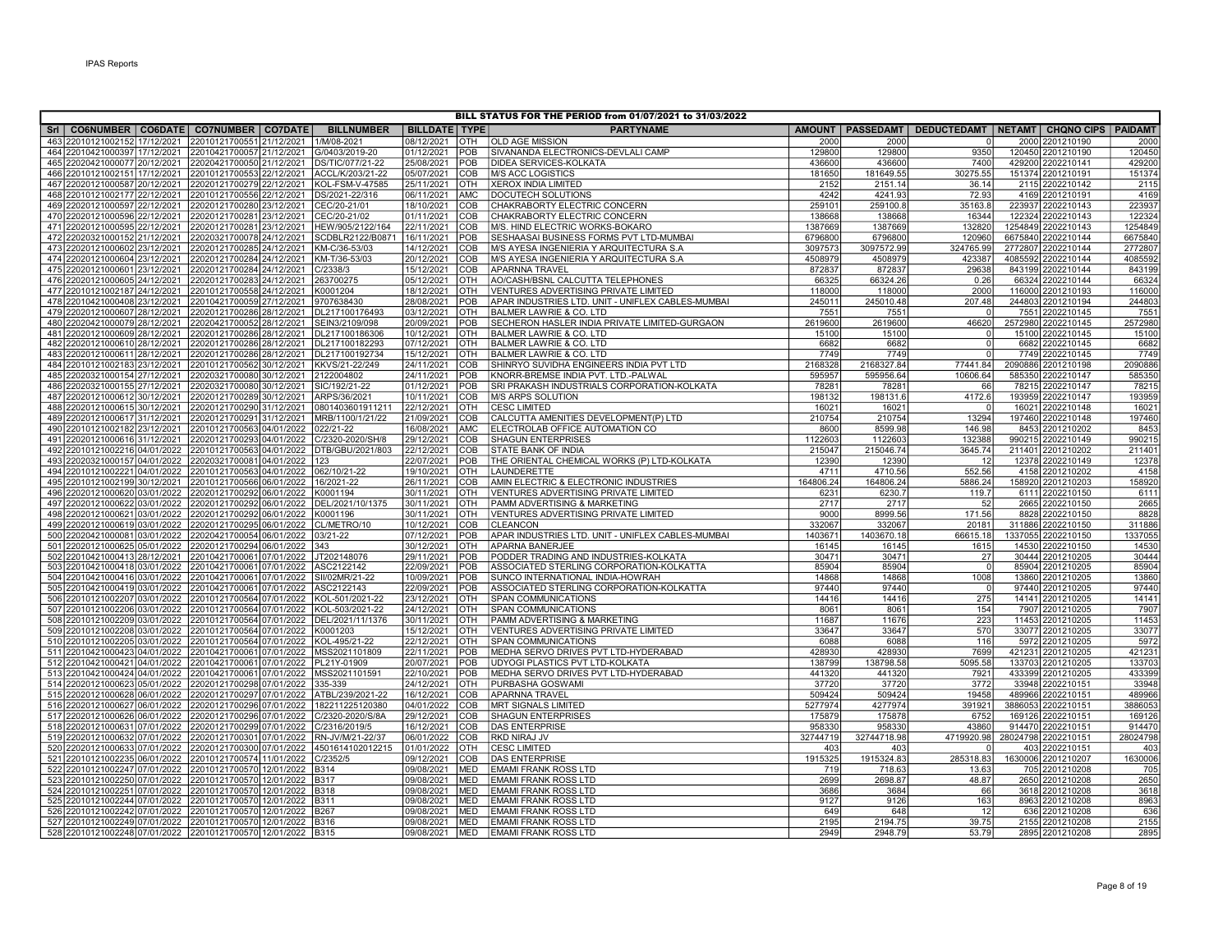| BILL STATUS FOR THE PERIOD from 01/07/2021 to 31/03/2022                 |  |                                          |                |                                            |                          |            |                                                   |           |             |                                                                  |  |                     |          |
|--------------------------------------------------------------------------|--|------------------------------------------|----------------|--------------------------------------------|--------------------------|------------|---------------------------------------------------|-----------|-------------|------------------------------------------------------------------|--|---------------------|----------|
| SrI   CO6NUMBER   CO6DATE   CO7NUMBER   CO7DATE                          |  |                                          |                | <b>BILLNUMBER</b>                          | <b>BILLDATE   TYPE  </b> |            | <b>PARTYNAME</b>                                  |           |             | AMOUNT   PASSEDAMT   DEDUCTEDAMT   NETAMT   CHQNO CIPS   PAIDAMT |  |                     |          |
| 463 22010121002152 17/12/2021                                            |  | 22010121700551                           | 21/12/2021     | 1/M/08-2021                                | 08/12/2021               | OTH        | <b>OLD AGE MISSION</b>                            | 2000      | 2000        |                                                                  |  | 2000 2201210190     | 2000     |
| 464 22010421000397 17/12/2021                                            |  | 22010421700057 21/12/2021 G/0403/2019-20 |                |                                            | 01/12/2021               | POB        | SIVANANDA ELECTRONICS-DEVLALI CAMP                | 129800    | 129800      | 9350                                                             |  | 120450 2201210190   | 12045    |
| 465 22020421000077 20/12/2021 22020421700050 21/12/2021 DS/TIC/077/21-22 |  |                                          |                |                                            | 25/08/2021               | POB        | <b>DIDEA SERVICES-KOLKATA</b>                     | 436600    | 436600      | 7400                                                             |  | 429200 2202210141   | 429200   |
| 466 22010121002151 17/12/2021                                            |  |                                          |                | 22010121700553 22/12/2021 ACCL/K/203/21-22 | 05/07/2021               | COB        | M/S ACC LOGISTICS                                 | 181650    | 181649.55   | 30275.55                                                         |  | 151374 2201210191   | 151374   |
| 467 22020121000587 20/12/2021                                            |  |                                          |                | 22020121700279 22/12/2021 KOL-FSM-V-47585  | 25/11/2021               | <b>OTH</b> | <b>XEROX INDIA LIMITED</b>                        | 2152      | 2151.14     | 36.14                                                            |  | 2115 2202210142     | 211      |
| 468 22010121002177 22/12/2021                                            |  | 22010121700556 22/12/2021                |                | DS/2021-22/316                             | 06/11/2021               | <b>AMC</b> | <b>IDOCUTECH SOLUTIONS</b>                        | 4242      | 4241.93     | 72.93                                                            |  | 4169 2201210191     | 4169     |
| 469 22020121000597 22/12/2021                                            |  | 22020121700280 23/12/2021                |                | CEC/20-21/01                               | 18/10/2021               | COB        | CHAKRABORTY ELECTRIC CONCERN                      | 259101    | 259100.8    | 35163.8                                                          |  | 223937 2202210143   | 223937   |
| 470 22020121000596 22/12/2021                                            |  | 22020121700281 23/12/2021 CEC/20-21/02   |                |                                            | 01/11/2021               | COB        | CHAKRABORTY ELECTRIC CONCERN                      | 138668    | 138668      | 16344                                                            |  | 122324 2202210143   | 122324   |
| 471 22020121000595 22/12/2021                                            |  |                                          |                | 22020121700281 23/12/2021 HEW/905/2122/164 | 22/11/2021               | <b>COB</b> | M/S. HIND ELECTRIC WORKS-BOKARO                   | 1387669   | 1387669     | 132820                                                           |  | 1254849 2202210143  | 1254849  |
| 472 22020321000152 21/12/2021                                            |  | 22020321700078 24/12/2021                |                | SCDBLR2122/B0871                           | 16/11/2021               | POB        | <b>SESHAASAI BUSINESS FORMS PVT LTD-MUMBAI</b>    | 6796800   | 6796800     | 120960                                                           |  | 6675840 2202210144  | 6675840  |
| 473 22020121000602 23/12/2021                                            |  | 22020121700285 24/12/2021 KM-C/36-53/03  |                |                                            | 14/12/2021               | <b>COB</b> | M/S AYESA INGENIERIA Y ARQUITECTURA S.A           | 3097573   | 3097572.99  | 324765.99                                                        |  | 2772807 2202210144  | 277280   |
| 474 22020121000604 23/12/2021                                            |  | 22020121700284 24/12/2021                |                | KM-T/36-53/03                              | 20/12/2021               | COB        | M/S AYESA INGENIERIA Y ARQUITECTURA S.A           | 4508979   | 4508979     | 423387                                                           |  | 4085592 2202210144  | 408559   |
| 475 22020121000601 23/12/2021                                            |  | 22020121700284 24/12/2021 C/2338/3       |                |                                            | 15/12/2021               | COB        | <b>APARNNA TRAVEL</b>                             | 872837    | 872837      | 29638                                                            |  | 843199 2202210144   | 843199   |
| 476 22020121000605 24/12/2021                                            |  | 22020121700283 24/12/2021 263700275      |                |                                            | 05/12/2021               | OTH        | AO/CASH/BSNL CALCUTTA TELEPHONES                  | 66325     | 66324.26    | 0.26                                                             |  | 66324 2202210144    | 66324    |
| 477 22010121002187 24/12/2021 22010121700558 24/12/2021                  |  |                                          |                | K0001204                                   | 18/12/2021               | <b>OTH</b> | VENTURES ADVERTISING PRIVATE LIMITED              | 118000    | 118000      | 2000                                                             |  | 116000 2201210193   | 11600    |
| 478 22010421000408 23/12/2021                                            |  | 22010421700059 27/12/2021                |                | 9707638430                                 | 28/08/2021               | POB        | APAR INDUSTRIES LTD. UNIT - UNIFLEX CABLES-MUMBAI | 245011    | 245010.48   | 207.48                                                           |  | 244803 2201210194   | 244803   |
| 479 22020121000607 28/12/2021                                            |  | 22020121700286                           | 28/12/2021     | DL217100176493                             | 03/12/2021               | <b>OTH</b> | <b>BALMER LAWRIE &amp; CO. LTD</b>                | 7551      | 7551        |                                                                  |  | 7551 2202210145     | 755      |
| 480 22020421000079 28/12/2021                                            |  | 22020421700052                           | 28/12/2021     | SEIN3/2109/098                             | 20/09/2021               | POB        | SECHERON HASLER INDIA PRIVATE LIMITED-GURGAON     | 2619600   | 2619600     | 46620                                                            |  | 2572980 2202210145  | 257298   |
| 481 22020121000609 28/12/2021                                            |  |                                          |                | 22020121700286 28/12/2021 DL217100186306   | 10/12/2021               | <b>OTH</b> | <b>BALMER LAWRIE &amp; CO. LTD</b>                | 15100     | 15100       | - 0                                                              |  | 15100 2202210145    | 15100    |
| 482 22020121000610 28/12/2021                                            |  | 22020121700286                           | 28/12/2021     | DL217100182293                             | 07/12/2021               | <b>OTH</b> | <b>BALMER LAWRIE &amp; CO. LTD</b>                | 6682      | 6682        | $\Omega$                                                         |  | 6682 2202210145     | 6682     |
| 483 22020121000611 28/12/2021                                            |  | 22020121700286 28/12/2021                |                | DL217100192734                             | 15/12/2021               | OTH        | <b>BALMER LAWRIE &amp; CO. LTD</b>                | 7749      | 7749        | $\Omega$                                                         |  | 7749 2202210145     | 7749     |
| 484 22010121002183 23/12/2021                                            |  | 22010121700562 30/12/2021                |                | KKVS/21-22/249                             | 24/11/2021               | COB        | SHINRYO SUVIDHA ENGINEERS INDIA PVT LTD           | 2168328   | 2168327.84  | 77441.84                                                         |  | 2090886 2201210198  | 2090886  |
| 485 22020321000154 27/12/2021                                            |  | 22020321700080                           | 30/12/2021     | 2122004802                                 | 24/11/2021               | POB        | KNORR-BREMSE INDIA PVT. LTD.-PALWAL               | 595957    | 595956.64   | 10606.64                                                         |  | 585350 2202210147   | 585350   |
| 486 22020321000155 27/12/2021                                            |  | 22020321700080 30/12/2021                |                | SIC/192/21-22                              | 01/12/2021               | POB        | SRI PRAKASH INDUSTRIALS CORPORATION-KOLKATA       | 78281     | 78281       | 66                                                               |  | 78215 2202210147    | 7821     |
| 487 22020121000612 30/12/2021                                            |  | 22020121700289 30/12/2021 ARPS/36/2021   |                |                                            | 10/11/2021               | COB        | M/S ARPS SOLUTION                                 | 198132    | 198131.6    | 4172.6                                                           |  | 193959 2202210147   | 193959   |
| 488 22020121000615 30/12/2021                                            |  | 22020121700290 31/12/2021                |                | 0801403601911211                           | 22/12/2021               | OTH        | <b>CESC LIMITED</b>                               | 16021     | 16021       |                                                                  |  | 16021 2202210148    | 1602     |
| 489 22020121000617 31/12/2021                                            |  | 22020121700291                           |                | 31/12/2021   MRB/1100/1/21/22              | 21/09/2021               | COB        | CALCUTTA AMENITIES DEVELOPMENT(P) LTD             | 210754    | 210754      | 13294                                                            |  | 197460 2202210148   | 19746    |
| 490 22010121002182 23/12/2021                                            |  | 22010121700563                           | 04/01/2022     | 022/21-22                                  | 16/08/2021               | <b>AMC</b> | ELECTROLAB OFFICE AUTOMATION CO                   | 8600      | 8599.98     | 146.98                                                           |  | 8453 2201210202     | 845      |
| 491 22020121000616 31/12/2021                                            |  | 22020121700293                           | 04/01/2022     | C/2320-2020/SH/8                           | 29/12/2021               | COB        | <b>SHAGUN ENTERPRISES</b>                         | 1122603   | 1122603     | 132388                                                           |  | 990215 2202210149   | 99021    |
| 492 22010121002216 04/01/2022 22010121700563                             |  |                                          |                | 04/01/2022 DTB/GBU/2021/803                | 22/12/2021               | <b>COB</b> | <b>STATE BANK OF INDIA</b>                        | 215047    | 215046.74   | 3645.74                                                          |  | 211401 2201210202   | 211401   |
| 493 22020321000157 04/01/2022 22020321700081                             |  |                                          | 04/01/2022 123 |                                            | 22/07/2021               | POB        | THE ORIENTAL CHEMICAL WORKS (P) LTD-KOLKATA       | 12390     | 12390       | 12                                                               |  | 12378 2202210149    | 12378    |
| 494 22010121002221 04/01/2022 22010121700563                             |  |                                          | 04/01/2022     | 062/10/21-22                               | 19/10/2021               | OTH        | LAUNDERETTE                                       | 4711      | 4710.56     | 552.56                                                           |  | 4158 2201210202     | 4158     |
| 495 22010121002199 30/12/2021 22010121700566                             |  |                                          | 06/01/2022     | 16/2021-22                                 | 26/11/2021               | COB        | AMIN ELECTRIC & ELECTRONIC INDUSTRIES             | 164806.24 | 164806.24   | 5886.24                                                          |  | 158920 2201210203   | 158920   |
| 496 22020121000620 03/01/2022                                            |  | 22020121700292                           | 06/01/2022     | K0001194                                   | 30/11/2021               | OTH        | VENTURES ADVERTISING PRIVATE LIMITED              | 6231      | 6230.7      | 119.7                                                            |  | 6111 2202210150     | 611'     |
| 497 22020121000622 03/01/2022 22020121700292 06/01/2022 DEL/2021/10/1375 |  |                                          |                |                                            | 30/11/2021               | OTH        | PAMM ADVERTISING & MARKETING                      | 2717      | 2717        | 52                                                               |  | 2665 2202210150     | 266      |
| 498 22020121000621 03/01/2022 22020121700292 06/01/2022                  |  |                                          |                | K0001196                                   | 30/11/2021               | OTH        | VENTURES ADVERTISING PRIVATE LIMITED              | 9000      | 8999.56     | 171.56                                                           |  | 8828 2202210150     | 8828     |
| 499 22020121000619 03/01/2022 22020121700295                             |  |                                          |                | 06/01/2022 CL/METRO/10                     | 10/12/2021               | COB        | <b>CLEANCON</b>                                   | 332067    | 332067      | 20181                                                            |  | 311886 2202210150   | 311886   |
| 500 22020421000081 03/01/2022 22020421700054 06/01/2022                  |  |                                          |                | 03/21-22                                   | 07/12/2021               | <b>POB</b> | APAR INDUSTRIES LTD. UNIT - UNIFLEX CABLES-MUMBAI | 1403671   | 1403670.18  | 66615.18                                                         |  | 1337055 2202210150  | 133705   |
| 501 22020121000625 05/01/2022 22020121700294 06/01/2022 343              |  |                                          |                |                                            | 30/12/2021               | <b>OTH</b> | <b>APARNA BANERJEE</b>                            | 16145     | 16145       | 1615                                                             |  | 14530 2202210150    | 14530    |
| 502 22010421000413 28/12/2021 22010421700061 07/01/2022                  |  |                                          |                | JT202148076                                | 29/11/2021               | POB        | PODDER TRADING AND INDUSTRIES-KOLKATA             | 30471     | 30471       | 27                                                               |  | 30444 2201210205    | 30444    |
| 503 22010421000418 03/01/2022 22010421700061 07/01/2022                  |  |                                          |                | ASC2122142                                 | 22/09/2021               | POB        | ASSOCIATED STERLING CORPORATION-KOLKATTA          | 85904     | 85904       | $\mathfrak{c}$                                                   |  | 85904 2201210205    | 8590     |
| 504 22010421000416 03/01/2022 22010421700061 07/01/2022                  |  |                                          |                | SII/02MR/21-22                             | 10/09/2021               | POB        | SUNCO INTERNATIONAL INDIA-HOWRAH                  | 14868     | 14868       | 1008                                                             |  | 13860 2201210205    | 13860    |
| 505 22010421000419 03/01/2022 22010421700061 07/01/2022                  |  |                                          |                | ASC2122143                                 | 22/09/2021               | POB        | ASSOCIATED STERLING CORPORATION-KOLKATTA          | 97440     | 97440       |                                                                  |  | 97440 2201210205    | 97440    |
| 506 22010121002207 03/01/2022 22010121700564 07/01/2022                  |  |                                          |                | KOL-501/2021-22                            | 23/12/2021               | <b>OTH</b> | <b>SPAN COMMUNICATIONS</b>                        | 14416     | 14416       | 275                                                              |  | 14141 2201210205    | 14141    |
| 507 22010121002206 03/01/2022 22010121700564 07/01/2022                  |  |                                          |                | KOL-503/2021-22                            | 24/12/2021               | OTH        | <b>SPAN COMMUNICATIONS</b>                        | 8061      | 8061        | 154                                                              |  | 7907 2201210205     | 790      |
| 508 22010121002209 03/01/2022 22010121700564 07/01/2022 DEL/2021/11/1376 |  |                                          |                |                                            | 30/11/2021               | OTH        | PAMM ADVERTISING & MARKETING                      | 11687     | 11676       | 223                                                              |  | 11453 2201210205    | 1145     |
| 509 22010121002208 03/01/2022 22010121700564 07/01/2022 K0001203         |  |                                          |                |                                            | 15/12/2021               | OTH        | VENTURES ADVERTISING PRIVATE LIMITED              | 33647     | 33647       | 570                                                              |  | 33077 2201210205    | 33077    |
| 510 22010121002205 03/01/2022 22010121700564 07/01/2022                  |  |                                          |                | KOL-495/21-22                              | 22/12/2021               | <b>OTH</b> | <b>SPAN COMMUNICATIONS</b>                        | 6088      | 6088        | 116                                                              |  | 5972 2201210205     | 5972     |
| 511 22010421000423 04/01/2022 22010421700061                             |  |                                          | 07/01/2022     | MSS2021101809                              | 22/11/2021               | POB        | MEDHA SERVO DRIVES PVT LTD-HYDERABAD              | 428930    | 428930      | 7699                                                             |  | 421231 2201210205   | 42123    |
| 512 22010421000421 04/01/2022 22010421700061                             |  |                                          | 07/01/2022     | PL21Y-01909                                | 20/07/2021               | POB        | UDYOGI PLASTICS PVT LTD-KOLKATA                   | 138799    | 138798.58   | 5095.58                                                          |  | 133703 2201210205   | 133703   |
| 513 22010421000424 04/01/2022 22010421700061 07/01/2022                  |  |                                          |                | MSS2021101591                              | 22/10/2021               | POB        | MEDHA SERVO DRIVES PVT LTD-HYDERABAD              | 441320    | 441320      | 7921                                                             |  | 433399 2201210205   | 433399   |
| 514 22020121000623 05/01/2022 22020121700298                             |  |                                          | 07/01/2022     | 335-339                                    | 24/12/2021               | <b>OTH</b> | <b>PURBASHA GOSWAMI</b>                           | 37720     | 37720       | 3772                                                             |  | 33948 2202210151    | 33948    |
| 515 22020121000628 06/01/2022 22020121700297 07/01/2022                  |  |                                          |                | ATBL/239/2021-22                           | 16/12/2021               | <b>COB</b> | <b>APARNNA TRAVEL</b>                             | 509424    | 509424      | 19458                                                            |  | 489966 2202210151   | 489966   |
| 516 22020121000627 06/01/2022 22020121700296 07/01/2022                  |  |                                          |                | 182211225120380                            | 04/01/2022               | COB        | <b>MRT SIGNALS LIMITED</b>                        | 5277974   | 4277974     | 391921                                                           |  | 3886053 2202210151  | 3886053  |
| 517 22020121000626 06/01/2022 22020121700296                             |  |                                          | 07/01/2022     | C/2320-2020/S/8A                           | 29/12/2021               | COB        | <b>SHAGUN ENTERPRISES</b>                         | 175879    | 175878      | 6752                                                             |  | 169126 2202210151   | 169126   |
| 518 22020121000631 07/01/2022 22020121700299 07/01/2022 C/2316/2019/5    |  |                                          |                |                                            | 16/12/2021               | COB        | <b>DAS ENTERPRISE</b>                             | 958330    | 958330      | 43860                                                            |  | 914470 2202210151   | 914470   |
| 519 22020121000632 07/01/2022 22020121700301 07/01/2022 RN-JV/M/21-22/37 |  |                                          |                |                                            | 06/01/2022               | <b>COB</b> | <b>RKD NIRAJ JV</b>                               | 32744719  | 32744718.98 | 4719920.98                                                       |  | 28024798 2202210151 | 28024798 |
| 520 22020121000633 07/01/2022 22020121700300 07/01/2022 4501614102012215 |  |                                          |                |                                            | 01/01/2022               | OTH        | <b>CESC LIMITED</b>                               | 403       | 403         |                                                                  |  | 403 2202210151      | 403      |
| 521 22010121002235 06/01/2022 22010121700574 11/01/2022 C/2352/5         |  |                                          |                |                                            | 09/12/2021               | COB        | <b>DAS ENTERPRISE</b>                             | 1915325   | 1915324.83  | 285318.83                                                        |  | 1630006 2201210207  | 1630006  |
| 522 22010121002247 07/01/2022 22010121700570 12/01/2022 B314             |  |                                          |                |                                            | 09/08/2021               | <b>MED</b> | <b>EMAMI FRANK ROSS LTD</b>                       | 719       | 718.63      | 13.63                                                            |  | 705 2201210208      | 705      |
| 523 22010121002250 07/01/2022 22010121700570 12/01/2022 B317             |  |                                          |                |                                            | 09/08/2021               | <b>MED</b> | <b>EMAMI FRANK ROSS LTD</b>                       | 2699      | 2698.87     | 48.87                                                            |  | 2650 2201210208     | 2650     |
| 524 22010121002251 07/01/2022 22010121700570 12/01/2022 B318             |  |                                          |                |                                            | 09/08/2021               | <b>MED</b> | <b>EMAMI FRANK ROSS LTD</b>                       | 3686      | 3684        | 66                                                               |  | 3618 2201210208     | 3618     |
| 525 22010121002244 07/01/2022 22010121700570 12/01/2022 B311             |  |                                          |                |                                            | 09/08/2021               | <b>MED</b> | <b>EMAMI FRANK ROSS LTD</b>                       | 9127      | 9126        | 163                                                              |  | 8963 2201210208     | 8963     |
| 526 22010121002242 07/01/2022 22010121700570 12/01/2022 B267             |  |                                          |                |                                            | 09/08/2021               | <b>MED</b> | <b>EMAMI FRANK ROSS LTD</b>                       | 649       | 648         | 12                                                               |  | 636 2201210208      | 636      |
| 527 22010121002249 07/01/2022 22010121700570 12/01/2022 B316             |  |                                          |                |                                            | 09/08/2021               | <b>MED</b> | <b>EMAMI FRANK ROSS LTD</b>                       | 2195      | 2194.75     | 39.75                                                            |  | 2155 2201210208     | 2155     |
| 528 22010121002248 07/01/2022 22010121700570 12/01/2022 B315             |  |                                          |                |                                            | 09/08/2021               | <b>MED</b> | <b>EMAMI FRANK ROSS LTD</b>                       | 2949      | 2948.79     | 53.79                                                            |  | 2895 2201210208     | 2895     |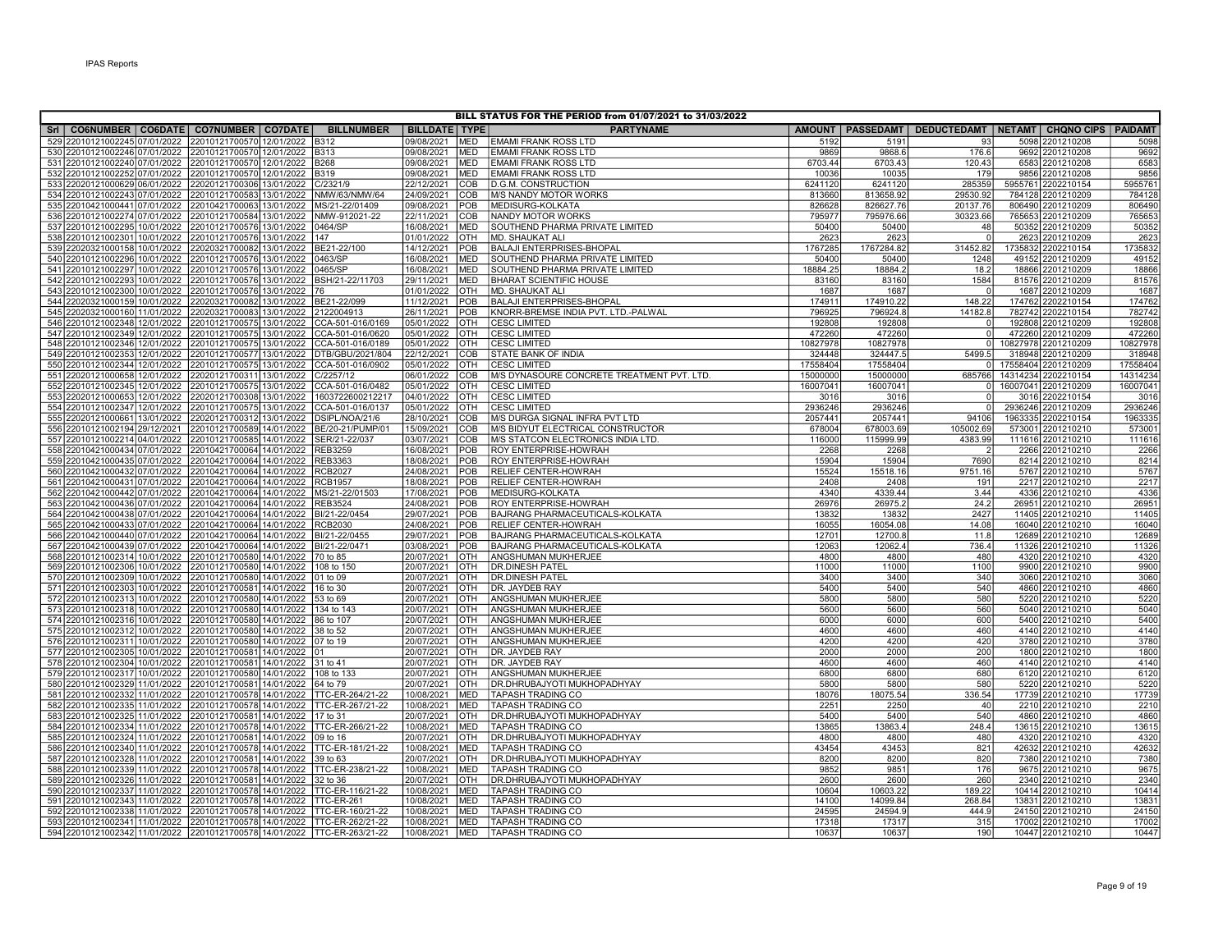|                                                                                                                    |                                                        |                              |                          |                          | BILL STATUS FOR THE PERIOD from 01/07/2021 to 31/03/2022           |                   |                    |                                                                  |                                      |                    |
|--------------------------------------------------------------------------------------------------------------------|--------------------------------------------------------|------------------------------|--------------------------|--------------------------|--------------------------------------------------------------------|-------------------|--------------------|------------------------------------------------------------------|--------------------------------------|--------------------|
| Sri   CO6NUMBER   CO6DATE   CO7NUMBER   CO7DATE                                                                    |                                                        | <b>BILLNUMBER</b>            | <b>BILLDATE TYPE</b>     |                          | <b>PARTYNAME</b>                                                   |                   |                    | AMOUNT   PASSEDAMT   DEDUCTEDAMT   NETAMT   CHQNO CIPS   PAIDAMT |                                      |                    |
| 529 22010121002245 07/01/2022                                                                                      | 22010121700570 12/01/2022                              | <b>B312</b>                  | 09/08/2021               | <b>MED</b>               | <b>EMAMI FRANK ROSS LTD</b>                                        | 5192              | 5191               | 93                                                               | 5098 2201210208                      | 5098               |
| 530 22010121002246 07/01/2022 22010121700570 12/01/2022 B313                                                       |                                                        |                              | 09/08/2021               | <b>MED</b>               | <b>EMAMI FRANK ROSS LTD</b>                                        | 9869              | 9868.6             | 176.6                                                            | 9692 2201210208                      | 9692               |
| 531 22010121002240 07/01/2022 22010121700570 12/01/2022 B268                                                       |                                                        |                              | 09/08/2021               | <b>MED</b>               | <b>EMAMI FRANK ROSS LTD</b>                                        | 6703.44           | 6703.43            | 120.43                                                           | 6583 2201210208                      | 6583               |
| 532 22010121002252 07/01/2022                                                                                      | 22010121700570 12/01/2022                              | <b>B319</b>                  | 09/08/2021               | <b>MED</b>               | <b>EMAMI FRANK ROSS LTD</b>                                        | 10036             | 10035              | 179                                                              | 9856 2201210208                      | 9856               |
| 533 22020121000629 06/01/2022                                                                                      | 22020121700306 13/01/2022                              | C/2321/9                     | 22/12/2021               | <b>COB</b>               | <b>ID.G.M. CONSTRUCTION</b>                                        | 6241120           | 6241120            | 285359                                                           | 5955761 2202210154                   | 595576             |
| 534 22010121002243 07/01/2022                                                                                      | 22010121700583 13/01/2022                              | NMW/63/NMW/64                | 24/09/2021               | COB                      | <b>M/S NANDY MOTOR WORKS</b>                                       | 813660            | 813658.92          | 29530.92                                                         | 784128 2201210209                    | 784128             |
| 535 22010421000441 07/01/2022                                                                                      | 22010421700063 13/01/2022                              | MS/21-22/01409               | 09/08/2021               | POB                      | MEDISURG-KOLKATA                                                   | 826628            | 826627.76          | 20137.76                                                         | 806490 2201210209                    | 806490             |
| 536 22010121002274 07/01/2022                                                                                      | 22010121700584 13/01/2022                              | NMW-912021-22                | 22/11/2021               | COB                      | NANDY MOTOR WORKS                                                  | 795977            | 795976.66          | 30323.66                                                         | 765653 2201210209                    | 765653             |
| 537 22010121002295 10/01/2022 22010121700576 13/01/2022                                                            |                                                        | 0464/SP                      | 16/08/2021               | <b>MED</b>               | SOUTHEND PHARMA PRIVATE LIMITED                                    | 50400             | 50400              | 48                                                               | 50352 2201210209                     | 50352              |
| 538 22010121002301 10/01/2022 22010121700576 13/01/2022                                                            |                                                        | 147                          | 01/01/2022               | <b>OTH</b>               | <b>IMD. SHAUKAT ALI</b>                                            | 2623              | 2623               | $\Omega$                                                         | 2623 2201210209                      | 2623               |
| 539 22020321000158 10/01/2022 22020321700082 13/01/2022                                                            |                                                        | BE21-22/100                  | 14/12/2021               | POB                      | <b>BALAJI ENTERPRISES-BHOPAL</b>                                   | 1767285           | 1767284.82         | 31452.82                                                         | 1735832 2202210154                   | 1735832            |
| 540 22010121002296 10/01/2022                                                                                      | 22010121700576 13/01/2022                              | 0463/SP                      | 16/08/2021               | <b>MED</b><br><b>MED</b> | SOUTHEND PHARMA PRIVATE LIMITED<br>SOUTHEND PHARMA PRIVATE LIMITED | 50400<br>18884.25 | 50400<br>18884.2   | 1248<br>18.2                                                     | 49152 2201210209                     | 49152              |
| 541 22010121002297 10/01/2022 22010121700576 13/01/2022<br>542 22010121002293 10/01/2022 22010121700576 13/01/2022 |                                                        | 0465/SP<br>BSH/21-22/11703   | 16/08/2021<br>29/11/2021 | <b>MED</b>               | <b>BHARAT SCIENTIFIC HOUSE</b>                                     | 83160             | 83160              | 1584                                                             | 18866 2201210209<br>81576 2201210209 | 18866<br>81576     |
| 543 22010121002300 10/01/2022                                                                                      | 22010121700576 13/01/2022                              | 176                          | 01/01/2022               | <b>OTH</b>               | MD. SHAUKAT ALI                                                    | 1687              | 1687               | $\Omega$                                                         | 1687 2201210209                      | 1687               |
| 544 22020321000159 10/01/2022                                                                                      | 22020321700082 13/01/2022                              | BE21-22/099                  | 11/12/2021               | POB                      | <b>BALAJI ENTERPRISES-BHOPAL</b>                                   | 174911            | 174910.22          | 148.22                                                           | 174762 2202210154                    | 174762             |
| 545 22020321000160 11/01/2022                                                                                      | 22020321700083 13/01/2022                              | 2122004913                   | 26/11/2021               | POB                      | KNORR-BREMSE INDIA PVT. LTD.-PALWAL                                | 796925            | 796924.8           | 14182.8                                                          | 782742 2202210154                    | 782742             |
| 546 22010121002348 12/01/2022                                                                                      | 22010121700575 13/01/2022                              | CCA-501-016/0169             | 05/01/2022               | OTH                      | <b>CESC LIMITED</b>                                                | 192808            | 192808             | $\Omega$                                                         | 192808 2201210209                    | 192808             |
| 547 22010121002349 12/01/2022                                                                                      | 22010121700575 13/01/2022                              | CCA-501-016/0620             | 05/01/2022               | IOTH                     | <b>CESC LIMITED</b>                                                | 472260            | 472260             | $\Omega$                                                         | 472260 2201210209                    | 472260             |
| 548 22010121002346 12/01/2022                                                                                      | 22010121700575 13/01/2022                              | CCA-501-016/0189             | 05/01/2022               | <b>OTH</b>               | <b>CESC LIMITED</b>                                                | 10827978          | 10827978           | $\overline{0}$                                                   | 10827978 2201210209                  | 10827978           |
| 549 22010121002353 12/01/2022 22010121700577 13/01/2022 DTB/GBU/2021/804                                           |                                                        |                              | 22/12/2021               | <b>COB</b>               | <b>STATE BANK OF INDIA</b>                                         | 324448            | 324447.5           | 5499.5                                                           | 318948 2201210209                    | 318948             |
| 550 22010121002344 12/01/2022 22010121700575 13/01/2022                                                            |                                                        | CCA-501-016/0902             | 05/01/2022               | Іотн                     | <b>CESC LIMITED</b>                                                | 17558404          | 17558404           |                                                                  | 0 17558404 2201210209                | 17558404           |
| 551 22020121000658 12/01/2022                                                                                      | 22020121700311 13/01/2022                              | C/2257/12                    | 06/01/2022               | COB                      | M/S DYNASOURE CONCRETE TREATMENT PVT. LTD.                         | 15000000          | 15000000           | 685766                                                           | 14314234 2202210154                  | 14314234           |
| 552 22010121002345 12/01/2022 22010121700575 13/01/2022                                                            |                                                        | CCA-501-016/0482             | 05/01/2022               | <b>OTH</b>               | <b>CESC LIMITED</b>                                                | 16007041          | 16007041           | $\overline{0}$                                                   | 16007041 2201210209                  | 1600704            |
| 553 22020121000653 12/01/2022 22020121700308 13/01/2022                                                            |                                                        | 1603722600212217             | 04/01/2022               | Іотн                     | <b>CESC LIMITED</b>                                                | 3016              | 3016               | $\Omega$                                                         | 3016 2202210154                      | 3016               |
| 554 22010121002347 12/01/2022                                                                                      | 22010121700575 13/01/2022                              | CCA-501-016/0137             | 05/01/2022               | Іотн                     | <b>CESC LIMITED</b>                                                | 2936246           | 2936246            | $\Omega$                                                         | 2936246 2201210209                   | 2936246            |
| 555 22020121000661 13/01/2022                                                                                      | 22020121700312 13/01/2022                              | DSIPL/NOA/21/6               | 28/10/2021               | COB                      | M/S DURGA SIGNAL INFRA PVT LTD                                     | 2057441           | 2057441            | 94106                                                            | 1963335 2202210154                   | 196333             |
| 556 22010121002194 29/12/2021 22010121700589 14/01/2022 BE/20-21/PUMP/01                                           |                                                        |                              | 15/09/2021               | ICOB                     | M/S BIDYUT ELECTRICAL CONSTRUCTOR                                  | 678004            | 678003.69          | 105002.69                                                        | 573001 2201210210                    | 57300 <sup>-</sup> |
| 557 22010121002214 04/01/2022                                                                                      | 22010121700585 14/01/2022                              | SER/21-22/037                | 03/07/2021               | COB                      | M/S STATCON ELECTRONICS INDIA LTD.                                 | 116000            | 115999.99          | 4383.99                                                          | 111616 2201210210                    | 111616             |
| 558 22010421000434 07/01/2022                                                                                      | 22010421700064 14/01/2022                              | <b>REB3259</b>               | 16/08/2021               | POB                      | <b>ROY ENTERPRISE-HOWRAH</b>                                       | 2268              | 2268               | $\overline{2}$                                                   | 2266 2201210210                      | 2266               |
| 559 22010421000435 07/01/2022 22010421700064 14/01/2022                                                            |                                                        | <b>REB3363</b>               | 18/08/2021               | POB                      | <b>ROY ENTERPRISE-HOWRAH</b>                                       | 15904             | 15904              | 7690                                                             | 8214 2201210210                      | 8214               |
| 560 22010421000432 07/01/2022 22010421700064 14/01/2022                                                            |                                                        | <b>RCB2027</b>               | 24/08/2021               | POB                      | <b>RELIEF CENTER-HOWRAH</b>                                        | 15524             | 15518.16           | 9751.16                                                          | 5767 2201210210                      | 5767               |
| 561 22010421000431 07/01/2022 22010421700064 14/01/2022                                                            |                                                        | <b>RCB1957</b>               | 18/08/2021               | <b>POB</b>               | RELIEF CENTER-HOWRAH                                               | 2408              | 2408               | 191                                                              | 2217 2201210210                      | 2217               |
| 562 22010421000442 07/01/2022<br>563 22010421000436 07/01/2022 22010421700064 14/01/2022 REB3524                   | 22010421700064 14/01/2022                              | MS/21-22/01503               | 17/08/2021<br>24/08/2021 | POB<br>POB               | MEDISURG-KOLKATA                                                   | 4340<br>26976     | 4339.44<br>26975.2 | 3.44<br>24.2                                                     | 4336 2201210210<br>26951 2201210210  | 4336<br>26951      |
| 564 22010421000438 07/01/2022 22010421700064 14/01/2022 BI/21-22/0454                                              |                                                        |                              | 29/07/2021               | POB                      | <b>ROY ENTERPRISE-HOWRAH</b><br>BAJRANG PHARMACEUTICALS-KOLKATA    | 13832             | 13832              | 2427                                                             | 11405 2201210210                     | 11405              |
| 565 22010421000433 07/01/2022 22010421700064 14/01/2022 RCB2030                                                    |                                                        |                              | 24/08/2021               | <b>POB</b>               | RELIEF CENTER-HOWRAH                                               | 16055             | 16054.08           | 14.08                                                            | 16040 2201210210                     | 16040              |
| 566 22010421000440 07/01/2022                                                                                      | 22010421700064 14/01/2022 BI/21-22/0455                |                              | 29/07/2021               | <b>POB</b>               | <b>BAJRANG PHARMACEUTICALS-KOLKATA</b>                             | 12701             | 12700.8            | 11.8                                                             | 12689 2201210210                     | 12689              |
| 567 22010421000439 07/01/2022 22010421700064 14/01/2022 BI/21-22/0471                                              |                                                        |                              | 03/08/2021               | POB                      | BAJRANG PHARMACEUTICALS-KOLKATA                                    | 12063             | 12062.4            | 736.4                                                            | 11326 2201210210                     | 11326              |
| 568 22010121002314 10/01/2022                                                                                      | 22010121700580 14/01/2022                              | 70 to 85                     | 20/07/2021               | OTH                      | <b>ANGSHUMAN MUKHERJEE</b>                                         | 4800              | 4800               | 480                                                              | 4320 2201210210                      | 4320               |
| 569 22010121002306 10/01/2022 22010121700580 14/01/2022                                                            |                                                        | 108 to 150                   | 20/07/2021               | <b>OTH</b>               | <b>DR.DINESH PATEL</b>                                             | 11000             | 11000              | 1100                                                             | 9900 2201210210                      | 9900               |
| 570 22010121002309 10/01/2022                                                                                      | 22010121700580 14/01/2022                              | 01 to 09                     | 20/07/2021               | <b>OTH</b>               | <b>DR.DINESH PATEL</b>                                             | 3400              | 3400               | 340                                                              | 3060 2201210210                      | 3060               |
| 571 22010121002303 10/01/2022 22010121700581 14/01/2022                                                            |                                                        | 16 to 30                     | 20/07/2021               | <b>OTH</b>               | DR. JAYDEB RAY                                                     | 5400              | 5400               | 540                                                              | 4860 2201210210                      | 4860               |
| 572 22010121002313 10/01/2022 22010121700580 14/01/2022                                                            |                                                        | 53 to 69                     | 20/07/2021               | OTH                      | ANGSHUMAN MUKHERJEE                                                | 5800              | 5800               | 580                                                              | 5220 2201210210                      | 5220               |
| 573 22010121002318 10/01/2022                                                                                      | 22010121700580 14/01/2022                              | 134 to 143                   | 20/07/2021               | OTH                      | <b>ANGSHUMAN MUKHERJEE</b>                                         | 5600              | 5600               | 560                                                              | 5040 2201210210                      | 5040               |
| 574 22010121002316 10/01/2022                                                                                      | 22010121700580 14/01/2022                              | 86 to 107                    | 20/07/2021               | <b>OTH</b>               | ANGSHUMAN MUKHERJEE                                                | 6000              | 6000               | 600                                                              | 5400 2201210210                      | 5400               |
| 575 22010121002312 10/01/2022 22010121700580 14/01/2022                                                            |                                                        | 38 to 52                     | 20/07/2021               | OTH                      | ANGSHUMAN MUKHERJEE                                                | 4600              | 4600               | 460                                                              | 4140 2201210210                      | 4140               |
| 576 22010121002311 10/01/2022 22010121700580 14/01/2022                                                            |                                                        | 07 to 19                     | 20/07/2021               | OTH                      | ANGSHUMAN MUKHERJEE                                                | 4200              | 4200               | 420                                                              | 3780 2201210210                      | 3780               |
| 577 22010121002305 10/01/2022                                                                                      | 22010121700581 14/01/2022                              | 01                           | 20/07/2021               | OTH                      | DR. JAYDEB RAY                                                     | 2000              | 2000               | 200                                                              | 1800 2201210210                      | 1800               |
| 578 22010121002304 10/01/2022                                                                                      | 22010121700581 14/01/2022 31 to 41                     |                              | 20/07/2021               | Іотн                     | DR. JAYDEB RAY                                                     | 4600              | 4600               | 460                                                              | 4140 2201210210                      | 4140               |
| 579 22010121002317 10/01/2022                                                                                      | 22010121700580 14/01/2022                              | 108 to 133                   | 20/07/2021<br>20/07/2021 | Іотн                     | ANGSHUMAN MUKHERJEE                                                | 6800<br>5800      | 6800<br>5800       | 680<br>580                                                       | 6120 2201210210                      | 6120<br>5220       |
| 580 22010121002329 11/01/2022<br>581 22010121002332 11/01/2022                                                     | 22010121700581 14/01/2022<br>22010121700578 14/01/2022 | 64 to 79<br>TTC-ER-264/21-22 | 10/08/2021               | OTH<br><b>MED</b>        | DR.DHRUBAJYOTI MUKHOPADHYAY<br><b>TAPASH TRADING CO</b>            | 18076             | 18075.54           | 336.54                                                           | 5220 2201210210<br>17739 2201210210  | 17739              |
| 582 22010121002335 11/01/2022                                                                                      | 22010121700578 14/01/2022                              | TTC-ER-267/21-22             | 10/08/2021               | <b>MED</b>               | <b>TAPASH TRADING CO</b>                                           | 2251              | 2250               | 40                                                               | 2210 2201210210                      | 2210               |
| 583 22010121002325 11/01/2022                                                                                      | 22010121700581 14/01/2022 17 to 31                     |                              | 20/07/2021               | OTH                      | DR.DHRUBAJYOTI MUKHOPADHYAY                                        | 5400              | 5400               | 540                                                              | 4860 2201210210                      | 4860               |
| 584 22010121002334 11/01/2022                                                                                      | 22010121700578 14/01/2022                              | TTC-ER-266/21-22             | 10/08/2021               | <b>MED</b>               | <b>TAPASH TRADING CO</b>                                           | 13865             | 13863.4            | 248.4                                                            | 13615 2201210210                     | 13615              |
| 585 22010121002324 11/01/2022 22010121700581 14/01/2022                                                            |                                                        | 09 to 16                     | 20/07/2021               | OTH                      | <b>DR.DHRUBAJYOTI MUKHOPADHYAY</b>                                 | 4800              | 4800               | 480                                                              | 4320 2201210210                      | 4320               |
| 586 22010121002340 11/01/2022 22010121700578 14/01/2022                                                            |                                                        | TTC-ER-181/21-22             | 10/08/2021               | <b>MED</b>               | <b>TAPASH TRADING CO</b>                                           | 43454             | 43453              | 821                                                              | 42632 2201210210                     | 42632              |
| 587 22010121002328 11/01/2022                                                                                      | 22010121700581 14/01/2022                              | 39 to 63                     | 20/07/2021               | Іотн                     | DR.DHRUBAJYOTI MUKHOPADHYAY                                        | 8200              | 8200               | 820                                                              | 7380 2201210210                      | 7380               |
| 588 22010121002339<br>11/01/2022                                                                                   | 22010121700578 14/01/2022                              | TTC-ER-238/21-22             | 10/08/2021               | <b>MED</b>               | <b>TAPASH TRADING CO</b>                                           | 9852              | 9851               | 176                                                              | 9675 2201210210                      | 9675               |
| 589 22010121002326 11/01/2022                                                                                      | 22010121700581 14/01/2022                              | 32 to 36                     | 20/07/2021               | OTH                      | DR.DHRUBAJYOTI MUKHOPADHYAY                                        | 2600              | 2600               | 260                                                              | 2340 2201210210                      | 2340               |
| 590 22010121002337 11/01/2022                                                                                      | 22010121700578 14/01/2022                              | TTC-ER-116/21-22             | 10/08/2021               | <b>MED</b>               | <b>TAPASH TRADING CO</b>                                           | 10604             | 10603.22           | 189.22                                                           | 10414 2201210210                     | 10414              |
| 591 22010121002343 11/01/2022                                                                                      | 22010121700578 14/01/2022                              | TTC-ER-261                   | 10/08/2021               | <b>MED</b>               | <b>TAPASH TRADING CO</b>                                           | 14100             | 14099.84           | 268.84                                                           | 13831 2201210210                     | 13831              |
| 592 22010121002338 11/01/2022 22010121700578 14/01/2022                                                            |                                                        | TTC-ER-160/21-22             | 10/08/2021               | <b>MED</b>               | <b>TAPASH TRADING CO</b>                                           | 24595             | 24594.9            | 444.9                                                            | 24150 2201210210                     | 24150              |
| 593 22010121002341 11/01/2022 22010121700578 14/01/2022 TTC-ER-262/21-22                                           |                                                        |                              | 10/08/2021               | MED                      | <b>TAPASH TRADING CO</b>                                           | 17318             | 17317              | 315                                                              | 17002 2201210210                     | 17002              |
| 594 22010121002342 11/01/2022 22010121700578 14/01/2022 TTC-ER-263/21-22                                           |                                                        |                              | 10/08/2021               | MED                      | <b>TAPASH TRADING CO</b>                                           | 10637             | 10637              | 190                                                              | 10447 2201210210                     | 10447              |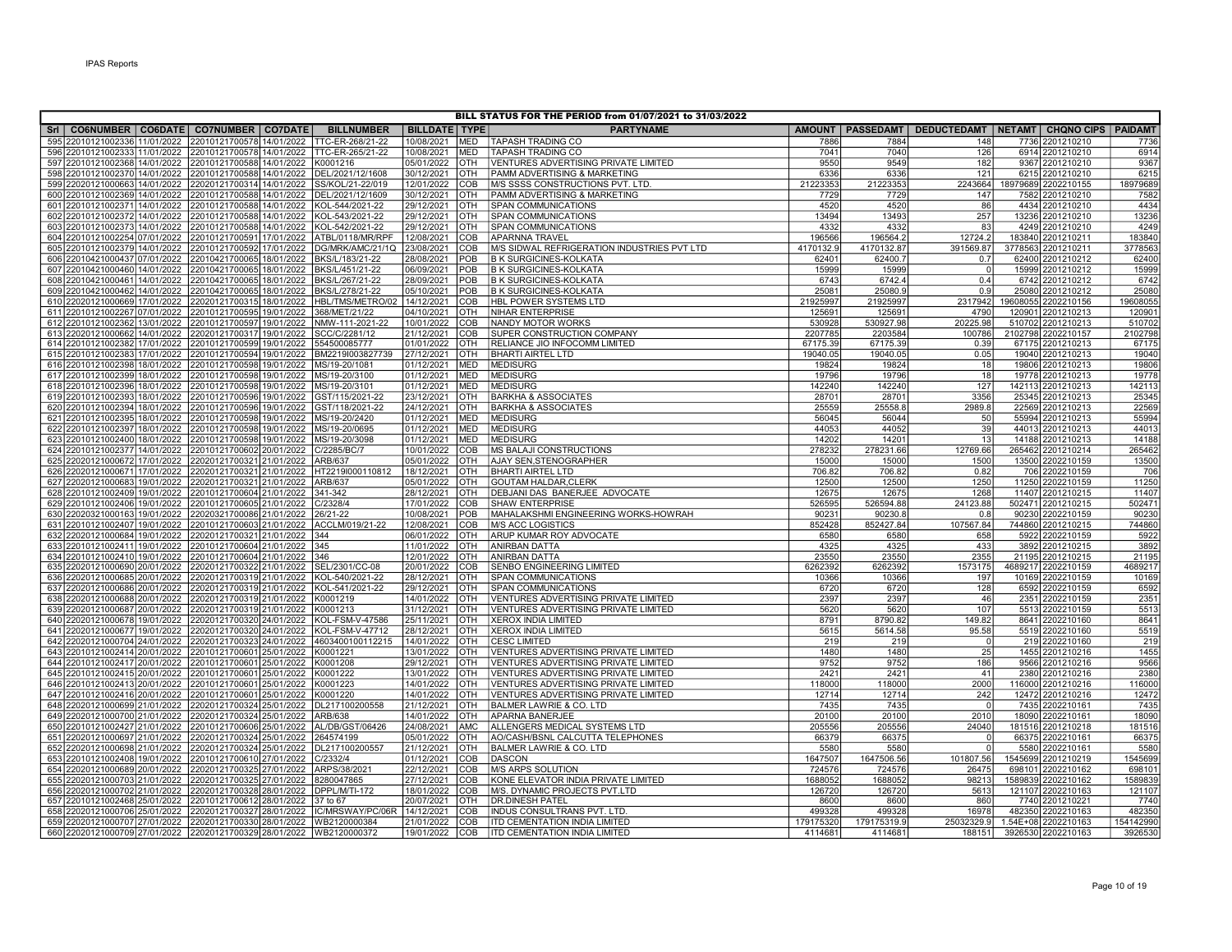| BILL STATUS FOR THE PERIOD from 01/07/2021 to 31/03/2022                                                           |  |                           |            |                            |                          |            |                                             |           |                 |                                                                  |  |                     |                    |
|--------------------------------------------------------------------------------------------------------------------|--|---------------------------|------------|----------------------------|--------------------------|------------|---------------------------------------------|-----------|-----------------|------------------------------------------------------------------|--|---------------------|--------------------|
| SrI   CO6NUMBER   CO6DATE   CO7NUMBER   CO7DATE                                                                    |  |                           |            | <b>BILLNUMBER</b>          | <b>BILLDATE   TYPE</b>   |            | <b>PARTYNAME</b>                            |           |                 | AMOUNT   PASSEDAMT   DEDUCTEDAMT   NETAMT   CHQNO CIPS   PAIDAMT |  |                     |                    |
| 595 22010121002336 11/01/2022 22010121700578 14/01/2022                                                            |  |                           |            | TTC-ER-268/21-22           | 10/08/2021               | <b>MED</b> | <b>TAPASH TRADING CO</b>                    | 7886      | 7884            | 148                                                              |  | 7736 2201210210     | 7736               |
| 596 22010121002333 11/01/2022 22010121700578 14/01/2022 TTC-ER-265/21-22                                           |  |                           |            |                            | 10/08/2021               | <b>MED</b> | <b>TAPASH TRADING CO</b>                    | 7041      | 7040            | 126                                                              |  | 6914 2201210210     | 6914               |
| 597 22010121002368 14/01/2022 22010121700588 14/01/2022 K0001216                                                   |  |                           |            |                            | 05/01/2022               | <b>OTH</b> | VENTURES ADVERTISING PRIVATE LIMITED        | 9550      | 9549            | 182                                                              |  | 9367 2201210210     | 9367               |
| 598 22010121002370 14/01/2022 22010121700588 14/01/2022 DEL/2021/12/1608                                           |  |                           |            |                            | 30/12/2021               | <b>OTH</b> | <b>PAMM ADVERTISING &amp; MARKETING</b>     | 6336      | 6336            | 121                                                              |  | 6215 2201210210     | 6215               |
| 599 22020121000663 14/01/2022 22020121700314 14/01/2022                                                            |  |                           |            | SS/KOL/21-22/019           | 12/01/2022               | COB        | IM/S SSSS CONSTRUCTIONS PVT. LTD.           | 21223353  | 21223353        | 2243664                                                          |  | 18979689 2202210155 | 18979689           |
| 600 22010121002369 14/01/2022 22010121700588 14/01/2022                                                            |  |                           |            | DEL/2021/12/1609           | 30/12/2021               | <b>OTH</b> | PAMM ADVERTISING & MARKETING                | 7729      | 7729            | 147                                                              |  | 7582 2201210210     | 7582               |
| 601 22010121002371 14/01/2022 22010121700588 14/01/2022                                                            |  |                           |            | KOL-544/2021-22            | 29/12/2021               | OTH        | <b>SPAN COMMUNICATIONS</b>                  | 4520      | 4520            | 86                                                               |  | 4434 2201210210     | 4434               |
| 602 22010121002372 14/01/2022 22010121700588                                                                       |  |                           |            | 14/01/2022 KOL-543/2021-22 | 29/12/2021               | OTH        | <b>SPAN COMMUNICATIONS</b>                  | 13494     | 13493           | 257                                                              |  | 13236 2201210210    | 13236              |
| 603 22010121002373 14/01/2022 22010121700588 14/01/2022 KOL-542/2021-22                                            |  |                           |            |                            | 29/12/2021               | <b>OTH</b> | <b>SPAN COMMUNICATIONS</b>                  | 4332      | 4332            | 83                                                               |  | 4249 2201210210     | 4249               |
| 604 22010121002254 07/01/2022 22010121700591 17/01/2022 ATBL/0118/MR/RPF                                           |  |                           |            |                            | 12/08/2021               | COB        | <b>APARNNA TRAVEL</b>                       | 196566    | 196564.2        | 12724.2                                                          |  | 183840 2201210211   | 183840             |
| 605 22010121002379 14/01/2022 22010121700592 17/01/2022 DG/MRK/AMC/21/1Q                                           |  |                           |            |                            | 23/08/2021               | COB        | M/S SIDWAL REFRIGERATION INDUSTRIES PVT LTD | 4170132.9 | 4170132.87      | 391569.87                                                        |  | 3778563 2201210211  | 3778563            |
| 606 22010421000437 07/01/2022 22010421700065 18/01/2022                                                            |  |                           |            | BKS/L/183/21-22            | 28/08/2021               | POB        | <b>B K SURGICINES-KOLKATA</b>               | 62401     | 62400.7         | 0.7                                                              |  | 62400 2201210212    | 62400              |
| 607 22010421000460 14/01/2022 22010421700065 18/01/2022 BKS/L/451/21-22                                            |  |                           |            |                            | 06/09/2021               | POB        | <b>B K SURGICINES-KOLKATA</b>               | 15999     | 15999           | $\overline{0}$                                                   |  | 15999 2201210212    | 15999              |
| 608 22010421000461 14/01/2022 22010421700065 18/01/2022 BKS/L/267/21-22                                            |  |                           |            |                            | 28/09/2021               | POB        | <b>B K SURGICINES-KOLKATA</b>               | 6743      | 6742.4          | 0.4                                                              |  | 6742 2201210212     | 6742               |
| 609 22010421000462 14/01/2022 22010421700065 18/01/2022 BKS/L/278/21-22                                            |  |                           |            |                            | 05/10/2021               | POB        | <b>B K SURGICINES-KOLKATA</b>               | 25081     | 25080.9         | 0.9                                                              |  | 25080 2201210212    | 25080              |
| 610 22020121000669 17/01/2022 22020121700315 18/01/2022 HBL/TMS/METRO/02                                           |  |                           |            |                            | 14/12/2021               | COB        | <b>HBL POWER SYSTEMS LTD</b>                | 21925997  | 21925997        | 2317942                                                          |  | 19608055 2202210156 | 19608055           |
| 611 22010121002267 07/01/2022 22010121700595 19/01/2022                                                            |  |                           |            | 368/MET/21/22              | 04/10/2021               | <b>OTH</b> | <b>NIHAR ENTERPRISE</b>                     | 125691    | 125691          | 4790                                                             |  | 120901 2201210213   | 12090              |
| 612 22010121002362 13/01/2022 22010121700597 19/01/2022                                                            |  |                           |            | NMW-111-2021-22            | 10/01/2022               | COB        | NANDY MOTOR WORKS                           | 530928    | 530927.98       | 20225.98                                                         |  | 510702 2201210213   | 510702             |
| 613 22020121000662 14/01/2022 22020121700317 19/01/2022                                                            |  |                           |            | SCC/C/2281/12              | 21/12/2021               | COB        | <b>SUPER CONSTRUCTION COMPANY</b>           | 2207785   | 2203584         | 100786                                                           |  | 2102798 2202210157  | 2102798            |
| 614 22010121002382 17/01/2022 22010121700599 19/01/2022                                                            |  |                           |            | 554500085777               | 01/01/2022               | OTH        | RELIANCE JIO INFOCOMM LIMITED               | 67175.39  | 67175.39        | 0.39                                                             |  | 67175 2201210213    | 67175              |
| 615 22010121002383 17/01/2022 22010121700594 19/01/2022                                                            |  |                           |            | BM2219I003827739           | 27/12/2021               | OTH        | <b>BHARTI AIRTEL LTD</b>                    | 19040.05  | 19040.05        | 0.05                                                             |  | 19040 2201210213    | 19040              |
| 616 22010121002398 18/01/2022 22010121700598 19/01/2022                                                            |  |                           |            | MS/19-20/1081              | 01/12/2021               | <b>MED</b> | <b>MEDISURG</b>                             | 19824     | 19824           | 18                                                               |  | 19806 2201210213    | 19806              |
| 617 22010121002399 18/01/2022 22010121700598 19/01/2022 MS/19-20/3100                                              |  |                           |            |                            | 01/12/2021               | <b>MED</b> | <b>MEDISURG</b>                             | 19796     | 19796           | 18                                                               |  | 19778 2201210213    | 19778              |
| 618 22010121002396 18/01/2022 22010121700598 19/01/2022 MS/19-20/3101                                              |  |                           |            |                            | 01/12/2021               | <b>MED</b> | <b>MEDISURG</b>                             | 142240    | 142240          | 127                                                              |  | 142113 2201210213   | 142113             |
| 619 22010121002393 18/01/2022 22010121700596 19/01/2022 GST/115/2021-22                                            |  |                           |            |                            | 23/12/2021               | OTH        | <b>BARKHA &amp; ASSOCIATES</b>              | 28701     | 28701           | 3356                                                             |  | 25345 2201210213    | 25345              |
| 620 22010121002394 18/01/2022 22010121700596 19/01/2022 GST/118/2021-22                                            |  |                           |            |                            | 24/12/2021               | <b>OTH</b> | <b>BARKHA &amp; ASSOCIATES</b>              | 25559     | 25558.8         | 2989.8                                                           |  | 22569 2201210213    | 22569              |
| 621 22010121002395 18/01/2022 22010121700598 19/01/2022 MS/19-20/2420                                              |  |                           |            |                            | 01/12/2021               | <b>MED</b> | <b>MEDISURG</b>                             | 56045     | 56044           | 50                                                               |  | 55994 2201210213    | 55994              |
| 622 22010121002397 18/01/2022 22010121700598 19/01/2022 MS/19-20/0695                                              |  |                           |            |                            | 01/12/2021               | <b>MED</b> | <b>MEDISURG</b>                             | 44053     | 44052           | 39                                                               |  | 44013 2201210213    | 44013              |
|                                                                                                                    |  |                           |            |                            |                          | <b>MED</b> | <b>MEDISURG</b>                             | 14202     | 14201           | 13                                                               |  | 14188 2201210213    | 14188              |
| 623 22010121002400 18/01/2022 22010121700598 19/01/2022 MS/19-20/3098                                              |  |                           |            |                            | 01/12/2021<br>10/01/2022 | <b>COB</b> | <b>IMS BALAJI CONSTRUCTIONS</b>             | 278232    | 278231.66       | 12769.66                                                         |  | 265462 2201210214   | 265462             |
| 624 22010121002377 14/01/2022 22010121700602 20/01/2022                                                            |  |                           |            | C/2285/BC/7<br>ARB/637     | 05/01/2022               | <b>OTH</b> | <b>AJAY SEN, STENOGRAPHER</b>               | 15000     | 15000           | 1500                                                             |  | 13500 2202210159    |                    |
| 625 22020121000672 17/01/2022 22020121700321 21/01/2022<br>626 22020121000671 17/01/2022 22020121700321 21/01/2022 |  |                           |            | HT2219l000110812           | 18/12/2021               | OTH        | <b>BHARTI AIRTEL LTD</b>                    | 706.82    |                 | 0.82                                                             |  |                     | 13500<br>706       |
|                                                                                                                    |  |                           |            | ARB/637                    |                          | OTH        | GOUTAM HALDAR.CLERK                         |           | 706.82<br>12500 | 1250                                                             |  | 706 2202210159      | 11250              |
| 627 22020121000683 19/01/2022 22020121700321 21/01/2022                                                            |  |                           |            |                            | 05/01/2022               |            |                                             | 12500     |                 |                                                                  |  | 11250 2202210159    |                    |
| 628 22010121002409 19/01/2022 22010121700604 21/01/2022                                                            |  |                           |            | 341-342                    | 28/12/2021               | OTH        | DEBJANI DAS BANERJEE ADVOCATE               | 12675     | 12675           | 1268                                                             |  | 11407 2201210215    | 11407              |
| 629 22010121002406 19/01/2022 22010121700605 21/01/2022 C/2328/4                                                   |  |                           |            |                            | 17/01/2022               | COB        | <b>ISHAW ENTERPRISE</b>                     | 526595    | 526594.88       | 24123.88                                                         |  | 502471 2201210215   | 50247              |
| 630 22020321000163 19/01/2022 22020321700086 21/01/2022                                                            |  |                           |            | 26/21-22                   | 10/08/2021               | <b>POB</b> | MAHALAKSHMI ENGINEERING WORKS-HOWRAH        | 90231     | 90230.8         | 0.8                                                              |  | 90230 2202210159    | 90230              |
| 631 22010121002407 19/01/2022 22010121700603 21/01/2022 ACCLM/019/21-22                                            |  |                           |            |                            | 12/08/2021               | COB        | <b>M/S ACC LOGISTICS</b>                    | 852428    | 852427.84       | 107567.84                                                        |  | 744860 2201210215   | 744860             |
| 632 22020121000684 19/01/2022 22020121700321 21/01/2022 344                                                        |  |                           |            |                            | 06/01/2022               | <b>OTH</b> | <b>ARUP KUMAR ROY ADVOCATE</b>              | 6580      | 6580            | 658                                                              |  | 5922 2202210159     | 5922               |
| 633 22010121002411 19/01/2022 22010121700604 21/01/2022                                                            |  |                           |            | 345                        | 11/01/2022               | <b>OTH</b> | <b>ANIRBAN DATTA</b>                        | 4325      | 4325            | 433                                                              |  | 3892 2201210215     | 3892               |
| 634 22010121002410 19/01/2022 22010121700604 21/01/2022                                                            |  |                           |            | 346                        | 12/01/2022               | <b>OTH</b> | <b>ANIRBAN DATTA</b>                        | 23550     | 23550           | 2355                                                             |  | 21195 2201210215    | 21195              |
| 635 22020121000690 20/01/2022 22020121700322 21/01/2022                                                            |  |                           |            | SEL/2301/CC-08             | 20/01/2022               | Iсов       | <b>SENBO ENGINEERING LIMITED</b>            | 6262392   | 6262392         | 1573175                                                          |  | 4689217 2202210159  | 4689217            |
| 636 22020121000685 20/01/2022 22020121700319 21/01/2022                                                            |  |                           |            | KOL-540/2021-22            | 28/12/2021               | OTH        | SPAN COMMUNICATIONS                         | 10366     | 10366           | 197                                                              |  | 10169 2202210159    | 10169              |
| 637 22020121000686 20/01/2022 22020121700319 21/01/2022                                                            |  |                           |            | KOL-541/2021-22            | 29/12/2021               | OTH        | <b>SPAN COMMUNICATIONS</b>                  | 6720      | 6720            | 128                                                              |  | 6592 2202210159     | 6592               |
| 638 22020121000688 20/01/2022 22020121700319 21/01/2022                                                            |  |                           |            | K0001219                   | 14/01/2022               | <b>OTH</b> | <b>VENTURES ADVERTISING PRIVATE LIMITED</b> | 2397      | 2397            | 46                                                               |  | 2351 2202210159     | 2351               |
| 639 22020121000687 20/01/2022 22020121700319 21/01/2022                                                            |  |                           |            | K0001213                   | 31/12/2021               | OTH        | VENTURES ADVERTISING PRIVATE LIMITED        | 5620      | 5620            | 107                                                              |  | 5513 2202210159     | 5513               |
| 640 22020121000678 19/01/2022 22020121700320 24/01/2022 KOL-FSM-V-47586                                            |  |                           |            |                            | 25/11/2021               | <b>OTH</b> | XEROX INDIA LIMITED                         | 8791      | 8790.82         | 149.82                                                           |  | 8641 2202210160     | 8641               |
| 641 22020121000677 19/01/2022 22020121700320 24/01/2022 KOL-FSM-V-47712                                            |  |                           |            |                            | 28/12/2021               | <b>OTH</b> | XEROX INDIA LIMITED                         | 5615      | 5614.58         | 95.58                                                            |  | 5519 2202210160     | 5519               |
| 642 22020121000704 24/01/2022 22020121700323 24/01/2022 4603400100112215                                           |  |                           |            |                            | 14/01/2022               | <b>OTH</b> | <b>CESC LIMITED</b>                         | 219       | 219             | $\overline{0}$                                                   |  | 219 2202210160      | 219                |
| 643 22010121002414 20/01/2022 22010121700601 25/01/2022                                                            |  |                           |            | K0001221                   | 13/01/2022               | <b>OTH</b> | VENTURES ADVERTISING PRIVATE LIMITED        | 1480      | 1480            | 25                                                               |  | 1455 2201210216     | 1455               |
| 644 22010121002417 20/01/2022                                                                                      |  | 22010121700601            | 25/01/2022 | K0001208                   | 29/12/2021               | OTH        | VENTURES ADVERTISING PRIVATE LIMITED        | 9752      | 9752            | 186                                                              |  | 9566 2201210216     | 9566               |
| 645 22010121002415 20/01/2022                                                                                      |  | 22010121700601 25/01/2022 |            | K0001222                   | 13/01/2022               | OTH        | VENTURES ADVERTISING PRIVATE LIMITED        | 2421      | 2421            | 41                                                               |  | 2380 2201210216     | 2380               |
| 646 22010121002413 20/01/2022 22010121700601 25/01/2022                                                            |  |                           |            | K0001223                   | 14/01/2022               | <b>OTH</b> | VENTURES ADVERTISING PRIVATE LIMITED        | 118000    | 118000          | 2000                                                             |  | 116000 2201210216   | 116000             |
| 647 22010121002416 20/01/2022 22010121700601 25/01/2022                                                            |  |                           |            | K0001220                   | 14/01/2022               | OTH        | VENTURES ADVERTISING PRIVATE LIMITED        | 12714     | 12714           | 242                                                              |  | 12472 2201210216    | 12472              |
| 648 22020121000699 21/01/2022 22020121700324 25/01/2022                                                            |  |                           |            | DL217100200558             | 21/12/2021               | <b>OTH</b> | <b>BALMER LAWRIE &amp; CO. LTD</b>          | 7435      | 7435            | $\overline{0}$                                                   |  | 7435 2202210161     | 7435               |
| 649 22020121000700 21/01/2022 22020121700324 25/01/2022                                                            |  |                           |            | ARB/638                    | 14/01/2022               | OTH        | <b>APARNA BANERJEE</b>                      | 20100     | 20100           | 2010                                                             |  | 18090 2202210161    | 18090              |
| 650 22010121002427 21/01/2022 22010121700606 25/01/2022 AL/DB/GST/06426                                            |  |                           |            |                            | 24/08/2021               | <b>AMC</b> | ALLENGERS MEDICAL SYSTEMS LTD               | 205556    | 205556          | 24040                                                            |  | 181516 2201210218   | 181516             |
| 651 22020121000697 21/01/2022 22020121700324 25/01/2022 264574199                                                  |  |                           |            |                            | 05/01/2022               | IOTH       | AO/CASH/BSNL CALCUTTA TELEPHONES            | 66379     | 66375           | $\Omega$                                                         |  | 66375 2202210161    | 66375              |
| 652 22020121000698 21/01/2022 22020121700324 25/01/2022                                                            |  |                           |            | DL217100200557             | 21/12/2021               | <b>OTH</b> | <b>BALMER LAWRIE &amp; CO. LTD</b>          | 5580      | 5580            | $\Omega$                                                         |  | 5580 2202210161     | 5580               |
| 653 22010121002408 19/01/2022 22010121700610 27/01/2022                                                            |  |                           |            | C/2332/4                   | 01/12/2021               | COB        | DASCON                                      | 1647507   | 1647506.56      | 101807.56                                                        |  | 1545699 2201210219  | 1545699            |
| 654 22020121000689 20/01/2022 22020121700325 27/01/2022                                                            |  |                           |            | ARPS/38/2021               | 22/12/2021               | COB        | <b>M/S ARPS SOLUTION</b>                    | 724576    | 724576          | 26475                                                            |  | 698101 2202210162   | 69810 <sup>-</sup> |
| 655 22020121000703 21/01/2022 22020121700325 27/01/2022                                                            |  |                           |            | 8280047865                 | 27/12/2021               | COB        | KONE ELEVATOR INDIA PRIVATE LIMITED         | 1688052   | 1688052         | 98213                                                            |  | 1589839 2202210162  | 1589839            |
| 656 22020121000702 21/01/2022                                                                                      |  | 22020121700328            | 28/01/2022 | DPPL/M/TI-172              | 18/01/2022               | COB        | M/S. DYNAMIC PROJECTS PVT.LTD               | 126720    | 126720          | 5613                                                             |  | 121107 2202210163   | 121107             |
| 657 22010121002468 25/01/2022 22010121700612 28/01/2022                                                            |  |                           |            | 37 to 67                   | 20/07/2021               | OTH        | <b>DR.DINESH PATEL</b>                      | 8600      | 8600            | 860                                                              |  | 7740 2201210221     | 7740               |
| 658 22020121000706 25/01/2022 22020121700327 28/01/2022                                                            |  |                           |            | IC/MRSWAY/PC/06R           | 14/12/2021               | COB        | INDUS CONSULTRANS PVT. LTD.                 | 499328    | 499328          | 16978                                                            |  | 482350 2202210163   | 482350             |
| 659 22020121000707 27/01/2022 22020121700330 28/01/2022 WB2120000384                                               |  |                           |            |                            | 21/01/2022               | <b>COB</b> | <b>ITD CEMENTATION INDIA LIMITED</b>        | 179175320 | 179175319.9     | 25032329.9                                                       |  | 1.54E+08 2202210163 | 154142990          |
| 660 22020121000709 27/01/2022 22020121700329 28/01/2022 WB2120000372                                               |  |                           |            |                            | 19/01/2022               | COB        | <b>ITD CEMENTATION INDIA LIMITED</b>        | 4114681   | 4114681         | 188151                                                           |  | 3926530 2202210163  | 3926530            |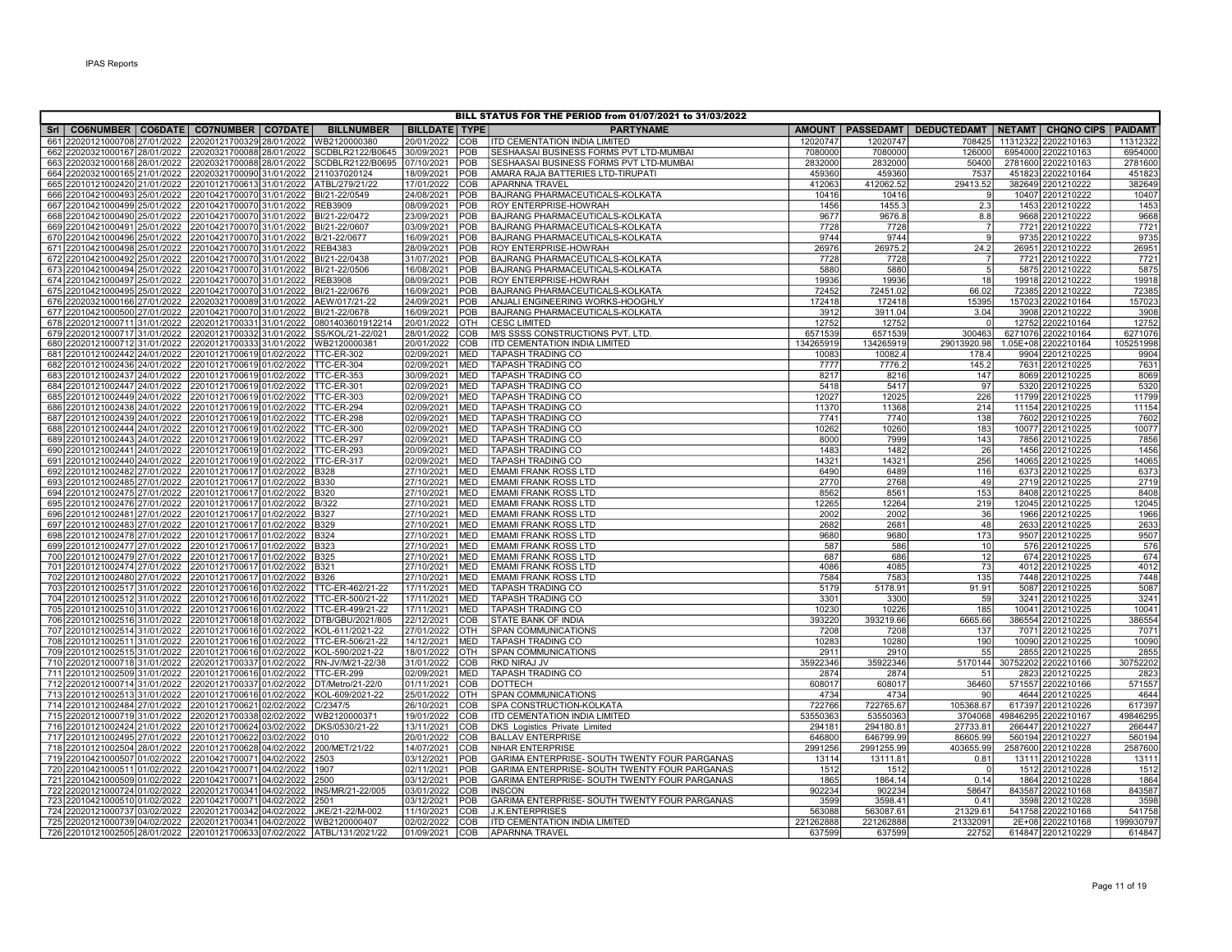|                                                                                          |                                                        |                                        |                          |                          | BILL STATUS FOR THE PERIOD from 01/07/2021 to 31/03/2022  |               |                   |                                                                  |          |                                    |                   |
|------------------------------------------------------------------------------------------|--------------------------------------------------------|----------------------------------------|--------------------------|--------------------------|-----------------------------------------------------------|---------------|-------------------|------------------------------------------------------------------|----------|------------------------------------|-------------------|
| Sri   CO6NUMBER   CO6DATE   CO7NUMBER   CO7DATE                                          |                                                        | <b>BILLNUMBER</b>                      | <b>BILLDATE TYPE</b>     |                          | <b>PARTYNAME</b>                                          |               |                   | AMOUNT   PASSEDAMT   DEDUCTEDAMT   NETAMT   CHQNO CIPS   PAIDAMT |          |                                    |                   |
| 661 22020121000708 27/01/2022                                                            | 22020121700329 28/01/2022                              | WB2120000380                           | 20/01/2022               | COB                      | <b>ITD CEMENTATION INDIA LIMITED</b>                      | 12020747      | 12020747          | 708425                                                           | 11312322 | 2202210163                         | 11312322          |
| 662 22020321000167 28/01/2022 22020321700088 28/01/2022 SCDBLR2122/B0645                 |                                                        |                                        | 30/09/2021               | <b>POB</b>               | SESHAASAI BUSINESS FORMS PVT LTD-MUMBAI                   | 7080000       | 7080000           | 126000                                                           |          | 6954000 2202210163                 | 6954000           |
| 663 22020321000168 28/01/2022                                                            | 22020321700088 28/01/2022                              | SCDBLR2122/B0695                       | 07/10/2021               | <b>POB</b>               | SESHAASAI BUSINESS FORMS PVT LTD-MUMBAI                   | 2832000       | 2832000           | 50400                                                            |          | 2781600 2202210163                 | 2781600           |
| 664 22020321000165 21/01/2022 22020321700090 31/01/2022 211037020124                     |                                                        |                                        | 18/09/2021               | POB                      | AMARA RAJA BATTERIES LTD-TIRUPATI                         | 459360        | 459360            | 7537                                                             |          | 451823 2202210164                  | 451823            |
| 665 22010121002420 21/01/2022                                                            | 22010121700613 31/01/2022 ATBL/279/21/22               |                                        | 17/01/2022               | Ісов                     | <b>APARNNA TRAVEL</b>                                     | 412063        | 412062.52         | 29413.52                                                         |          | 382649 2201210222                  | 382649            |
| 666 22010421000493<br>25/01/2022                                                         | 22010421700070 31/01/2022                              | BI/21-22/0549                          | 24/08/2021               | POB                      | <b>BAJRANG PHARMACEUTICALS-KOLKATA</b>                    | 10416         | 10416             | <b>q</b>                                                         |          | 10407 2201210222                   | 10407             |
| 667 22010421000499 25/01/2022                                                            | 22010421700070 31/01/2022                              | <b>REB3909</b>                         | 08/09/2021               | POB                      | <b>ROY ENTERPRISE-HOWRAH</b>                              | 1456          | 1455.3            | 2.3                                                              |          | 1453 2201210222                    | 1453              |
| 668 22010421000490 25/01/2022                                                            | 22010421700070 31/01/2022                              | BI/21-22/0472                          | 23/09/2021               | <b>POB</b>               | BAJRANG PHARMACEUTICALS-KOLKATA                           | 9677          | 9676.8            | 8.8                                                              |          | 9668 2201210222                    | 9668              |
| 669 22010421000491 25/01/2022                                                            | 22010421700070 31/01/2022                              | BI/21-22/0607                          | 03/09/2021               | POB                      | BAJRANG PHARMACEUTICALS-KOLKATA                           | 7728          | 7728              | $\overline{7}$                                                   |          | 7721 2201210222                    | 772'              |
| 670 22010421000496 25/01/2022                                                            | 22010421700070 31/01/2022 B/21-22/0677                 |                                        | 16/09/2021               | <b>POB</b>               | BAJRANG PHARMACEUTICALS-KOLKATA                           | 9744          | 9744              | 9                                                                |          | 9735 2201210222                    | 9735              |
| 671 22010421000498 25/01/2022 22010421700070 31/01/2022 REB4383                          |                                                        |                                        | 28/09/2021               | <b>POB</b>               | <b>ROY ENTERPRISE-HOWRAH</b>                              | 26976         | 26975.2           | 24.2                                                             |          | 26951 2201210222                   | 26951             |
| 672 22010421000492 25/01/2022 22010421700070 31/01/2022                                  |                                                        | BI/21-22/0438                          | 31/07/2021               | POB                      | <b>BAJRANG PHARMACEUTICALS-KOLKATA</b>                    | 7728          | 7728              | $\overline{7}$                                                   |          | 7721 2201210222                    | 7721              |
| 673 22010421000494 25/01/2022 22010421700070 31/01/2022 BI/21-22/0506                    |                                                        |                                        | 16/08/2021               | POB                      | BAJRANG PHARMACEUTICALS-KOLKATA                           | 5880          | 5880              | 5                                                                |          | 5875 2201210222                    | 5875              |
| 674 22010421000497 25/01/2022 22010421700070 31/01/2022 REB3908                          |                                                        |                                        | 08/09/2021               | <b>POB</b>               | <b>ROY ENTERPRISE-HOWRAH</b>                              | 19936         | 19936             | 18                                                               |          | 19918 2201210222                   | 19918             |
| 675 22010421000495 25/01/2022 22010421700070 31/01/2022 BI/21-22/0676                    |                                                        |                                        | 16/09/2021               | <b>POB</b>               | <b>BAJRANG PHARMACEUTICALS-KOLKATA</b>                    | 72452         | 72451.02          | 66.02                                                            |          | 72385 2201210222                   | 72385             |
| 676 22020321000166 27/01/2022 22020321700089 31/01/2022 AEW/017/21-22                    |                                                        |                                        | 24/09/2021               | <b>POB</b>               | ANJALI ENGINEERING WORKS-HOOGHLY                          | 172418        | 172418            | 15395                                                            |          | 157023 2202210164                  | 157023            |
| 677 22010421000500 27/01/2022                                                            | 22010421700070 31/01/2022                              | BI/21-22/0678                          | 16/09/2021               | POB                      | BAJRANG PHARMACEUTICALS-KOLKATA                           | 3912          | 3911.04           | 3.04                                                             |          | 3908 2201210222                    | 3908              |
| 678 22020121000711 31/01/2022                                                            | 22020121700331 31/01/2022                              | 0801403601912214                       | 20/01/2022               | OTH                      | <b>CESC LIMITED</b>                                       | 12752         | 12752             | $\Omega$                                                         |          | 12752 2202210164                   | 12752             |
| 679 22020121000717 31/01/2022                                                            | 22020121700332 31/01/2022                              | SS/KOL/21-22/021                       | 28/01/2022               | <b>COB</b>               | M/S SSSS CONSTRUCTIONS PVT. LTD.                          | 6571539       | 6571539           | 300463                                                           |          | 6271076 2202210164                 | 6271076           |
| 680 22020121000712 31/01/2022                                                            | 22020121700333 31/01/2022<br>22010121700619 01/02/2022 | WB2120000381<br><b>ITTC-ER-302</b>     | 20/01/2022<br>02/09/2021 | COB<br><b>MED</b>        | ITD CEMENTATION INDIA LIMITED<br><b>TAPASH TRADING CO</b> | 134265919     | 134265919         | 29013920.98                                                      |          | 1.05E+08 2202210164                | 105251998<br>9904 |
| 681 22010121002442 24/01/2022<br>682 22010121002436 24/01/2022 22010121700619 01/02/2022 |                                                        | TTC-ER-304                             | 02/09/2021               | <b>MED</b>               | <b>TAPASH TRADING CO</b>                                  | 10083<br>7777 | 10082.4<br>7776.2 | 178.4<br>145.2                                                   |          | 9904 2201210225<br>7631 2201210225 | 7631              |
| 683 22010121002437 24/01/2022                                                            | 22010121700619 01/02/2022                              | TTC-ER-353                             | 30/09/2021               | <b>MED</b>               | <b>TAPASH TRADING CO</b>                                  | 8217          | 8216              | 147                                                              |          | 8069 2201210225                    | 8069              |
| 684 22010121002447 24/01/2022 22010121700619 01/02/2022 TTC-ER-301                       |                                                        |                                        | 02/09/2021               | <b>MED</b>               | <b>TAPASH TRADING CO</b>                                  | 5418          | 5417              | 97                                                               |          | 5320 2201210225                    | 5320              |
| 685 22010121002449 24/01/2022                                                            | 22010121700619101/02/2022                              | TTC-ER-303                             | 02/09/2021               | <b>MED</b>               | <b>TAPASH TRADING CO</b>                                  | 12027         | 12025             | 226                                                              |          | 11799 2201210225                   | 11799             |
| 686 22010121002438 24/01/2022 22010121700619 01/02/2022                                  |                                                        | TTC-ER-294                             | 02/09/2021               | <b>MED</b>               | <b>TAPASH TRADING CO</b>                                  | 11370         | 11368             | 214                                                              |          | 11154 2201210225                   | 11154             |
| 687 22010121002439 24/01/2022                                                            | 22010121700619 01/02/2022                              | TTC-ER-298                             | 02/09/2021               | <b>MED</b>               | <b>TAPASH TRADING CO</b>                                  | 7741          | 7740              | 138                                                              |          | 7602 2201210225                    | 7602              |
| 688 22010121002444 24/01/2022                                                            | 22010121700619 01/02/2022                              | TTC-ER-300                             | 02/09/2021               | <b>MED</b>               | <b>TAPASH TRADING CO</b>                                  | 10262         | 10260             | 183                                                              |          | 10077 2201210225                   | 10077             |
| 689 22010121002443 24/01/2022                                                            | 22010121700619 01/02/2022                              | TTC-ER-297                             | 02/09/2021               | <b>MED</b>               | <b>TAPASH TRADING CO</b>                                  | 8000          | 7999              | 143                                                              |          | 7856 2201210225                    | 7856              |
| 690 22010121002441 24/01/2022                                                            | 22010121700619l01/02/2022                              | TTC-ER-293                             | 20/09/2021               | <b>MED</b>               | <b>TAPASH TRADING CO</b>                                  | 1483          | 1482              | 26                                                               |          | 1456 2201210225                    | 1456              |
| 691 22010121002440 24/01/2022                                                            | 22010121700619 01/02/2022                              | TTC-ER-317                             | 02/09/2021               | <b>MED</b>               | <b>TAPASH TRADING CO</b>                                  | 14321         | 14321             | 256                                                              |          | 14065 2201210225                   | 14065             |
| 692 22010121002482 27/01/2022                                                            | 22010121700617 01/02/2022                              | B328                                   | 27/10/2021               | <b>MED</b>               | <b>EMAMI FRANK ROSS LTD</b>                               | 6490          | 6489              | 116                                                              |          | 6373 2201210225                    | 6373              |
| 693 22010121002485 27/01/2022                                                            | 22010121700617 01/02/2022                              | <b>B</b> 330                           | 27/10/2021               | <b>MED</b>               | <b>EMAMI FRANK ROSS LTD</b>                               | 2770          | 2768              | 49                                                               |          | 2719 2201210225                    | 2719              |
| 694 22010121002475 27/01/2022                                                            | 22010121700617 01/02/2022                              | <b>B320</b>                            | 27/10/2021               | <b>MED</b>               | <b>EMAMI FRANK ROSS LTD</b>                               | 8562          | 8561              | 153                                                              |          | 8408 2201210225                    | 8408              |
| 695 22010121002476 27/01/2022 22010121700617 01/02/2022                                  |                                                        | <b>B</b> /322                          | 27/10/2021               | <b>MED</b>               | <b>EMAMI FRANK ROSS LTD</b>                               | 12265         | 12264             | 219                                                              |          | 12045 2201210225                   | 12045             |
| 696 22010121002481 27/01/2022 22010121700617 01/02/2022 B327                             |                                                        |                                        | 27/10/2021               | <b>MED</b>               | <b>EMAMI FRANK ROSS LTD</b>                               | 2002          | 2002              | 36                                                               |          | 1966 2201210225                    | 1966              |
| 697 22010121002483 27/01/2022 22010121700617 01/02/2022 B329                             |                                                        |                                        | 27/10/2021               | <b>MED</b>               | <b>EMAMI FRANK ROSS LTD</b>                               | 2682          | 2681              | 48                                                               |          | 2633 2201210225                    | 2633              |
| 698 22010121002478 27/01/2022                                                            | 22010121700617 01/02/2022 B324                         |                                        | 27/10/2021               | <b>MED</b>               | <b>EMAMI FRANK ROSS LTD</b>                               | 9680          | 9680              | 173                                                              |          | 9507 2201210225                    | 9507              |
| 699 22010121002477 27/01/2022                                                            | 22010121700617 01/02/2022                              | <b>B323</b>                            | 27/10/2021               | <b>MED</b>               | <b>EMAMI FRANK ROSS LTD</b>                               | 587           | 586               | 10                                                               |          | 576 2201210225                     | 576               |
| 700 22010121002479 27/01/2022                                                            | 22010121700617 01/02/2022                              | <b>B325</b>                            | 27/10/2021               | <b>MED</b>               | <b>EMAMI FRANK ROSS LTD</b>                               | 687           | 686               | 12                                                               |          | 674 2201210225                     | 674               |
| 701 22010121002474 27/01/2022                                                            | 22010121700617101/02/2022                              | <b>B321</b>                            | 27/10/2021               | <b>MED</b><br><b>MED</b> | <b>LEMAMI FRANK ROSS LTD</b>                              | 4086<br>7584  | 4085              | 73                                                               |          | 4012 2201210225                    | 4012              |
| 702 22010121002480 27/01/2022<br>703 22010121002517 31/01/2022                           | 22010121700617 01/02/2022<br>22010121700616 01/02/2022 | <b>B326</b><br>TTC-ER-462/21-22        | 27/10/2021<br>17/11/2021 | <b>MED</b>               | <b>EMAMI FRANK ROSS LTD</b><br><b>TAPASH TRADING CO</b>   | 5179          | 7583<br>5178.91   | 135<br>91.91                                                     |          | 7448 2201210225<br>5087 2201210225 | 7448<br>5087      |
| 704 22010121002512 31/01/2022                                                            | 22010121700616 01/02/2022                              | TTC-ER-500/21-22                       | 17/11/2021               | <b>MED</b>               | <b>TAPASH TRADING CO</b>                                  | 3301          | 3300              | 59                                                               |          | 3241 2201210225                    | 324 <sup>1</sup>  |
| 705 22010121002510 31/01/2022                                                            | 22010121700616 01/02/2022                              | TTC-ER-499/21-22                       | 17/11/2021               | <b>MED</b>               | <b>TAPASH TRADING CO</b>                                  | 10230         | 10226             | 185                                                              |          | 10041 2201210225                   | 1004              |
| 706 22010121002516 31/01/2022                                                            | 22010121700618 01/02/2022                              | DTB/GBU/2021/805                       | 22/12/2021               | COB                      | STATE BANK OF INDIA                                       | 393220        | 393219.66         | 6665.66                                                          |          | 386554 2201210225                  | 386554            |
| 707 22010121002514 31/01/2022 22010121700616 01/02/2022                                  |                                                        | KOL-611/2021-22                        | 27/01/2022               | Іотн                     | SPAN COMMUNICATIONS                                       | 7208          | 7208              | 137                                                              |          | 7071 2201210225                    | 7071              |
| 708 22010121002511 31/01/2022 22010121700616 01/02/2022                                  |                                                        | TTC-ER-506/21-22                       | 14/12/2021               | <b>MED</b>               | <b>TAPASH TRADING CO</b>                                  | 10283         | 10280             | 190                                                              |          | 10090 2201210225                   | 10090             |
| 709 22010121002515 31/01/2022                                                            | 22010121700616 01/02/2022                              | KOL-590/2021-22                        | 18/01/2022               | OTH                      | SPAN COMMUNICATIONS                                       | 2911          | 2910              | 55                                                               |          | 2855 2201210225                    | 2855              |
| 710 22020121000718 31/01/2022                                                            | 22020121700337 01/02/2022                              | RN-JV/M/21-22/38                       | 31/01/2022               | COB                      | <b>RKD NIRAJ JV</b>                                       | 35922346      | 35922346          | 5170144                                                          |          | 30752202 2202210166                | 30752202          |
| 711 22010121002509 31/01/2022                                                            | 22010121700616 01/02/2022                              | TTC-ER-299                             | 02/09/2021               | <b>MED</b>               | <b>TAPASH TRADING CO</b>                                  | 2874          | 2874              | 51                                                               |          | 2823 2201210225                    | 2823              |
| 712 22020121000714 31/01/2022                                                            | 22020121700337 01/02/2022                              | DT/Metro/21-22/0                       | 01/11/2021               | <b>COB</b>               | <b>DOTTECH</b>                                            | 608017        | 608017            | 36460                                                            |          | 571557 2202210166                  | 571557            |
| 713 22010121002513 31/01/2022                                                            | 22010121700616 01/02/2022                              | KOL-609/2021-22                        | 25/01/2022               | OTH                      | SPAN COMMUNICATIONS                                       | 4734          | 4734              | 90                                                               |          | 4644 2201210225                    | 4644              |
| 714 22010121002484 27/01/2022                                                            | 22010121700621 02/02/2022                              | C/2347/5                               | 26/10/2021               | COB                      | SPA CONSTRUCTION-KOLKATA                                  | 722766        | 722765.67         | 105368.67                                                        |          | 617397 2201210226                  | 617397            |
| 715 22020121000719 31/01/2022                                                            |                                                        | 22020121700338102/02/2022 WB2120000371 | 19/01/2022               | <b>COB</b>               | <b>ITD CEMENTATION INDIA LIMITED</b>                      | 53550363      | 53550363          | 3704068                                                          |          | 49846295 2202210167                | 49846295          |
| 716 22010121002424 21/01/2022                                                            | 22010121700624 03/02/2022                              | DKS/0530/21-22                         | 13/11/2021               | <b>COB</b>               | <b>DKS</b> Logistics Private Limited                      | 294181        | 294180.81         | 27733.81                                                         |          | 266447 2201210227                  | 266447            |
| 717 22010121002495 27/01/2022 22010121700622 03/02/2022                                  |                                                        | 010                                    | 20/01/2022               | COB                      | <b>BALLAV ENTERPRISE</b>                                  | 646800        | 646799.99         | 86605.99                                                         |          | 560194 2201210227                  | 560194            |
| 718 22010121002504 28/01/2022 22010121700628 04/02/2022                                  |                                                        | 200/MET/21/22                          | 14/07/2021               | Iсов                     | NIHAR ENTERPRISE                                          | 2991256       | 2991255.99        | 403655.99                                                        |          | 2587600 2201210228                 | 2587600           |
| 719 22010421000507 01/02/2022                                                            | 22010421700071 04/02/2022                              | 2503                                   | 03/12/2021               | <b>POB</b>               | GARIMA ENTERPRISE- SOUTH TWENTY FOUR PARGANAS             | 13114         | 13111.81          | 0.81                                                             |          | 13111 2201210228                   | 1311'             |
| 720 22010421000511 01/02/2022                                                            | 22010421700071 04/02/2022   1907                       |                                        | 02/11/2021               | <b>POB</b>               | GARIMA ENTERPRISE- SOUTH TWENTY FOUR PARGANAS             | 1512          | 1512              | - 0                                                              |          | 1512 2201210228                    | 1512              |
| 721 22010421000509<br>01/02/2022                                                         | 22010421700071 04/02/2022                              | 2500                                   | 03/12/2021               | <b>POB</b>               | GARIMA ENTERPRISE- SOUTH TWENTY FOUR PARGANAS             | 1865          | 1864.14           | 0.14                                                             |          | 1864 2201210228                    | 1864              |
| 722 22020121000724 01/02/2022                                                            | 22020121700341 04/02/2022                              | INS/MR/21-22/005                       | 03/01/2022               | COB                      | <b>INSCON</b>                                             | 902234        | 902234            | 58647                                                            |          | 843587 2202210168                  | 843587            |
| 723 22010421000510 01/02/2022                                                            | 22010421700071 04/02/2022                              | 2501                                   | 03/12/2021               | POB                      | GARIMA ENTERPRISE- SOUTH TWENTY FOUR PARGANAS             | 3599          | 3598.41           | 0.41                                                             |          | 3598 2201210228                    | 3598              |
| 724 22020121000737 03/02/2022 22020121700342 04/02/2022                                  |                                                        | JKE/21-22/M-002                        | 11/10/2021               | COB                      | <b>J.K.ENTERPRISES</b>                                    | 563088        | 563087.61         | 21329.61                                                         |          | 541758 2202210168                  | 541758            |
| 725 22020121000739 04/02/2022 22020121700341 04/02/2022 WB2120000407                     |                                                        |                                        | 02/02/2022               | <b>COB</b>               | ITD CEMENTATION INDIA LIMITED                             | 221262888     | 221262888         | 21332091                                                         |          | 2E+08 2202210168                   | 199930797         |
| 726 22010121002505 28/01/2022 22010121700633 07/02/2022 ATBL/131/2021/22                 |                                                        |                                        | 01/09/2021               | <b>COB</b>               | <b>APARNNA TRAVEL</b>                                     | 637599        | 637599            | 22752                                                            |          | 614847 2201210229                  | 614847            |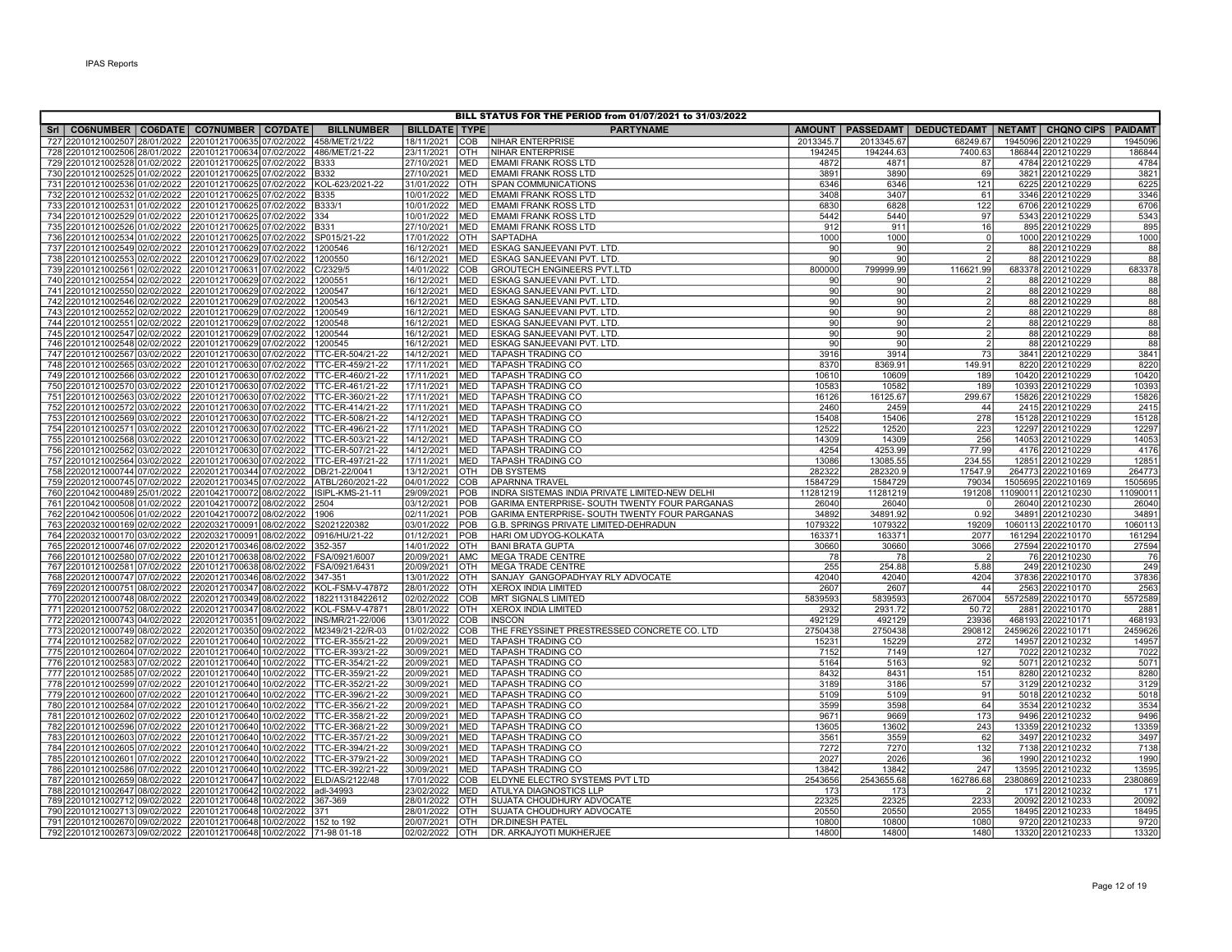| BILL STATUS FOR THE PERIOD from 01/07/2021 to 31/03/2022 |                                                                |            |                                                                                                                                     |                                      |                          |                          |                                                         |                 |                  |                                  |                                                                  |                 |
|----------------------------------------------------------|----------------------------------------------------------------|------------|-------------------------------------------------------------------------------------------------------------------------------------|--------------------------------------|--------------------------|--------------------------|---------------------------------------------------------|-----------------|------------------|----------------------------------|------------------------------------------------------------------|-----------------|
|                                                          |                                                                |            | Sri   CO6NUMBER   CO6DATE   CO7NUMBER   CO7DATE                                                                                     | <b>BILLNUMBER</b>                    | <b>BILLDATE TYPE</b>     |                          | <b>PARTYNAME</b>                                        |                 |                  |                                  | AMOUNT   PASSEDAMT   DEDUCTEDAMT   NETAMT   CHQNO CIPS   PAIDAMT |                 |
|                                                          | 727 22010121002507 28/01/2022                                  |            | 22010121700635 07/02/2022                                                                                                           | 458/MET/21/22                        | 18/11/2021               | COB                      | <b>NIHAR ENTERPRISE</b>                                 | 2013345.7       | 2013345.67       | 68249.67                         | 1945096 2201210229                                               | 1945096         |
|                                                          |                                                                |            | 728 22010121002506 28/01/2022 22010121700634 07/02/2022 486/MET/21-22                                                               |                                      | 23/11/2021               | OTH                      | <b>NIHAR ENTERPRISE</b>                                 | 194245          | 194244.63        | 7400.63                          | 186844 2201210229                                                | 186844          |
|                                                          |                                                                |            | 729 22010121002528 01/02/2022 22010121700625 07/02/2022 B333                                                                        |                                      | 27/10/2021               | <b>MED</b>               | <b>EMAMI FRANK ROSS LTD</b>                             | 4872            | 4871             | 87                               | 4784 2201210229                                                  | 4784            |
|                                                          |                                                                |            | 730 22010121002525 01/02/2022 22010121700625 07/02/2022 B332                                                                        |                                      | 27/10/2021               | <b>MED</b>               | <b>EMAMI FRANK ROSS LTD</b>                             | 3891            | 3890             | 69                               | 3821 2201210229                                                  | 3821            |
|                                                          |                                                                |            | 731 22010121002536 01/02/2022 22010121700625 07/02/2022                                                                             | KOL-623/2021-22                      | 31/01/2022               | <b>OTH</b>               | <b>SPAN COMMUNICATIONS</b>                              | 6346            | 6346             | 121                              | 6225 2201210229                                                  | 6225            |
|                                                          |                                                                |            | 732 22010121002532 01/02/2022 22010121700625 07/02/2022                                                                             | B335                                 | 10/01/2022               | <b>MED</b>               | <b>EMAMI FRANK ROSS LTD</b>                             | 3408            | 3407             | 61                               | 3346 2201210229                                                  | 3346            |
|                                                          |                                                                |            | 733 22010121002531 01/02/2022 22010121700625 07/02/2022                                                                             | B333/1                               | 10/01/2022               | <b>MED</b>               | <b>EMAMI FRANK ROSS LTD</b>                             | 6830            | 6828             | 122                              | 6706 2201210229                                                  | 6706            |
|                                                          |                                                                |            | 734 22010121002529 01/02/2022 22010121700625 07/02/2022                                                                             | 334                                  | 10/01/2022               | <b>MED</b>               | <b>EMAMI FRANK ROSS LTD</b>                             | 5442            | 5440             | 97                               | 5343 2201210229                                                  | 5343            |
|                                                          |                                                                |            | 735 22010121002526 01/02/2022 22010121700625 07/02/2022                                                                             | B331                                 | 27/10/2021               | <b>MED</b>               | EMAMI FRANK ROSS LTD                                    | 912             | 911              | 16                               | 895 2201210229                                                   | 895             |
|                                                          |                                                                |            | 736 22010121002534 01/02/2022 22010121700625 07/02/2022                                                                             | SP015/21-22                          | 17/01/2022               | <b>OTH</b>               | SAPTADHA                                                | 1000            | 1000             | $\overline{0}$<br>$\overline{2}$ | 1000 2201210229                                                  | 1000            |
|                                                          |                                                                |            | 737 22010121002549 02/02/2022 22010121700629 07/02/2022<br>738 22010121002553 02/02/2022 22010121700629 07/02/2022                  | 1200546<br>1200550                   | 16/12/2021<br>16/12/2021 | <b>MED</b><br><b>MED</b> | ESKAG SANJEEVANI PVT. LTD.<br>ESKAG SANJEEVANI PVT. LTD | 90<br>90        | 90<br>90         | $\mathcal{P}$                    | 88 2201210229<br>88 2201210229                                   | 88<br>88        |
|                                                          |                                                                |            | 739 22010121002561 02/02/2022 22010121700631 07/02/2022                                                                             | C/2329/5                             | 14/01/2022               | COB                      | <b>GROUTECH ENGINEERS PVT.LTD</b>                       | 800000          | 799999.99        | 116621.99                        | 683378 2201210229                                                | 683378          |
|                                                          |                                                                |            | 740 22010121002554 02/02/2022 22010121700629 07/02/2022                                                                             | 1200551                              | 16/12/2021               | <b>MED</b>               | ESKAG SANJEEVANI PVT. LTD.                              | 90 <sub>1</sub> | 90               |                                  | 88 2201210229                                                    | 88              |
|                                                          |                                                                |            | 741 22010121002550 02/02/2022 22010121700629 07/02/2022                                                                             | 1200547                              | 16/12/2021               | <b>MED</b>               | ESKAG SANJEEVANI PVT. LTD                               | 90              | 90               | $\overline{2}$                   | 88 2201210229                                                    | 88              |
|                                                          |                                                                |            | 742 22010121002546 02/02/2022 22010121700629 07/02/2022                                                                             | 1200543                              | 16/12/2021               | <b>MED</b>               | ESKAG SANJEEVANI PVT. LTD                               | 90              | 90               | $\overline{2}$                   | 88 2201210229                                                    | 88              |
|                                                          | 743 22010121002552                                             | 02/02/2022 | 22010121700629 07/02/2022                                                                                                           | 1200549                              | 16/12/2021               | <b>MED</b>               | ESKAG SANJEEVANI PVT. LTD                               | 90              | 90 <sup>1</sup>  | $\mathcal{P}$                    | 88 2201210229                                                    | 88              |
|                                                          |                                                                |            | 744 22010121002551 02/02/2022 22010121700629 07/02/2022                                                                             | 1200548                              | 16/12/2021               | <b>MED</b>               | ESKAG SANJEEVANI PVT. LTD.                              | 90              | 90               | $\mathfrak{p}$                   | 88 2201210229                                                    | 88              |
|                                                          |                                                                |            | 745 22010121002547 02/02/2022 22010121700629 07/02/2022                                                                             | 1200544                              | 16/12/2021               | <b>MED</b>               | ESKAG SANJEEVANI PVT. LTD.                              | 90              | 90               | $\overline{2}$                   | 88 2201210229                                                    | 88              |
|                                                          |                                                                |            | 746 22010121002548 02/02/2022 22010121700629 07/02/2022                                                                             | 1200545                              | 16/12/2021               | <b>MED</b>               | ESKAG SANJEEVANI PVT. LTD.                              | 90              | 90               | $\overline{2}$                   | 88 2201210229                                                    | 88              |
|                                                          |                                                                |            | 747 22010121002567 03/02/2022 22010121700630 07/02/2022                                                                             | TTC-ER-504/21-22                     | 14/12/2021               | MED                      | <b>TAPASH TRADING CO</b>                                | 3916            | 3914             | 73                               | 3841 2201210229                                                  | 3841            |
|                                                          |                                                                |            | 748 22010121002565 03/02/2022 22010121700630 07/02/2022                                                                             | TTC-ER-459/21-22                     | 17/11/2021               | <b>MED</b>               | <b>TAPASH TRADING CO</b>                                | 8370            | 8369.91          | 149.91                           | 8220 2201210229                                                  | 8220            |
|                                                          |                                                                |            | 749 22010121002566 03/02/2022 22010121700630 07/02/2022 TTC-ER-460/21-22                                                            |                                      | 17/11/2021               | MED                      | <b>TAPASH TRADING CO</b>                                | 10610           | 10609            | 189                              | 10420 2201210229                                                 | 10420           |
|                                                          |                                                                |            | 750 22010121002570 03/02/2022 22010121700630 07/02/2022 TTC-ER-461/21-22                                                            |                                      | 17/11/2021               | <b>MED</b>               | <b>TAPASH TRADING CO</b>                                | 10583           | 10582            | 189                              | 10393 2201210229                                                 | 10393           |
|                                                          |                                                                |            | 751 22010121002563 03/02/2022 22010121700630 07/02/2022 TTC-ER-360/21-22<br>752 22010121002572 03/02/2022 22010121700630 07/02/2022 | TTC-ER-414/21-22                     | 17/11/2021<br>17/11/2021 | MED<br><b>MED</b>        | <b>TAPASH TRADING CO</b><br><b>TAPASH TRADING CO</b>    | 16126<br>2460   | 16125.67<br>2459 | 299.67<br>44                     | 15826 2201210229<br>2415 2201210229                              | 15826<br>2415   |
|                                                          |                                                                |            | 753 22010121002569 03/02/2022 22010121700630 07/02/2022                                                                             | TTC-ER-508/21-22                     | 14/12/2021               | <b>MED</b>               | <b>TAPASH TRADING CO</b>                                | 15408           | 15406            | 278                              | 15128 2201210229                                                 | 15128           |
|                                                          | 754 22010121002571 03/02/2022                                  |            | 22010121700630 07/02/2022                                                                                                           | TTC-ER-496/21-22                     | 17/11/2021               | <b>MED</b>               | <b>TAPASH TRADING CO</b>                                | 12522           | 12520            | 223                              | 12297 2201210229                                                 | 12297           |
|                                                          | 755 22010121002568 03/02/2022                                  |            | 22010121700630 07/02/2022                                                                                                           | TTC-ER-503/21-22                     | 14/12/2021               | MED                      | <b>TAPASH TRADING CO</b>                                | 14309           | 14309            | 256                              | 14053 2201210229                                                 | 14053           |
|                                                          |                                                                |            | 756 22010121002562 03/02/2022 22010121700630 07/02/2022 TTC-ER-507/21-22                                                            |                                      | 14/12/2021               | <b>MED</b>               | <b>TAPASH TRADING CO</b>                                | 4254            | 4253.99          | 77.99                            | 4176 2201210229                                                  | 4176            |
|                                                          | 757 22010121002564 03/02/2022                                  |            | 22010121700630 07/02/2022                                                                                                           | TTC-ER-497/21-22                     | 17/11/2021               | MED                      | <b>TAPASH TRADING CO</b>                                | 13086           | 13085.55         | 234.55                           | 12851 2201210229                                                 | 1285            |
|                                                          |                                                                |            | 758 22020121000744 07/02/2022 22020121700344 07/02/2022                                                                             | DB/21-22/0041                        | 13/12/2021               | OTH                      | DB SYSTEMS                                              | 282322          | 282320.9         | 17547.9                          | 264773 2202210169                                                | 264773          |
|                                                          |                                                                |            | 759 22020121000745 07/02/2022 22020121700345 07/02/2022                                                                             | ATBL/260/2021-22                     | 04/01/2022               | COB                      | <b>APARNNA TRAVEL</b>                                   | 1584729         | 1584729          | 79034                            | 1505695 2202210169                                               | 1505695         |
|                                                          |                                                                |            | 760 22010421000489 25/01/2022 22010421700072 08/02/2022                                                                             | ISIPL-KMS-21-11                      | 29/09/2021               | POB                      | INDRA SISTEMAS INDIA PRIVATE LIMITED-NEW DELHI          | 11281219        | 11281219         | 191208                           | 11090011 2201210230                                              | 11090011        |
|                                                          |                                                                |            | 761 22010421000508 01/02/2022 22010421700072 08/02/2022                                                                             | 2504                                 | 03/12/2021               | POB                      | GARIMA ENTERPRISE- SOUTH TWENTY FOUR PARGANAS           | 26040           | 26040            | $\Omega$                         | 26040 2201210230                                                 | 26040           |
|                                                          |                                                                |            | 762 22010421000506 01/02/2022 22010421700072 08/02/2022 1906                                                                        |                                      | 02/11/2021               | POB                      | GARIMA ENTERPRISE- SOUTH TWENTY FOUR PARGANAS           | 34892           | 34891.92         | 0.92                             | 34891 2201210230                                                 | 34891           |
|                                                          |                                                                |            | 763 22020321000169 02/02/2022 22020321700091 08/02/2022                                                                             | S2021220382                          | 03/01/2022               | POB                      | G.B. SPRINGS PRIVATE LIMITED-DEHRADUN                   | 1079322         | 1079322          | 19209                            | 1060113 2202210170                                               | 1060113         |
|                                                          |                                                                |            | 764 22020321000170 03/02/2022 22020321700091 08/02/2022<br>22020121700346 08/02/2022                                                | 0916/HU/21-22<br>352-357             | 01/12/2021<br>14/01/2022 | POB<br><b>OTH</b>        | HARI OM UDYOG-KOLKATA<br><b>BANI BRATA GUPTA</b>        | 163371<br>30660 | 163371<br>30660  | 2077<br>3066                     | 161294 2202210170                                                | 161294<br>27594 |
|                                                          | 765 22020121000746 07/02/2022<br>766 22010121002580 07/02/2022 |            | 22010121700638 08/02/2022                                                                                                           | FSA/0921/6007                        | 20/09/2021               | <b>AMC</b>               | <b>MEGA TRADE CENTRE</b>                                | 78              | 78               | -2                               | 27594 2202210170<br>76 2201210230                                | 76              |
|                                                          | 767 22010121002581 07/02/2022                                  |            | 22010121700638 08/02/2022                                                                                                           | FSA/0921/6431                        | 20/09/2021               | OTH                      | <b>MEGA TRADE CENTRE</b>                                | 255             | 254.88           | 5.88                             | 249 2201210230                                                   | 249             |
|                                                          | 768 22020121000747 07/02/2022                                  |            | 22020121700346 08/02/2022                                                                                                           | 347-351                              | 13/01/2022               | OTH                      | SANJAY GANGOPADHYAY RLY ADVOCATE                        | 42040           | 42040            | 4204                             | 37836 2202210170                                                 | 37836           |
|                                                          |                                                                |            | 769 22020121000751 08/02/2022 22020121700347 08/02/2022                                                                             | KOL-FSM-V-47872                      | 28/01/2022               | <b>OTH</b>               | XEROX INDIA LIMITED                                     | 2607            | 2607             | 44                               | 2563 2202210170                                                  | 2563            |
|                                                          |                                                                |            | 770 22020121000748 08/02/2022 22020121700349 08/02/2022                                                                             | 182211318422612                      | 02/02/2022               | <b>COB</b>               | <b>MRT SIGNALS LIMITED</b>                              | 5839593         | 5839593          | 267004                           | 5572589 2202210170                                               | 5572589         |
|                                                          |                                                                |            | 771 22020121000752 08/02/2022 22020121700347 08/02/2022                                                                             | KOL-FSM-V-47871                      | 28/01/2022               | OTH                      | <b>XEROX INDIA LIMITED</b>                              | 2932            | 2931.72          | 50.72                            | 2881 2202210170                                                  | 288'            |
|                                                          |                                                                |            | 772 22020121000743 04/02/2022 22020121700351 09/02/2022                                                                             | INS/MR/21-22/006                     | 13/01/2022               | COB                      | <b>INSCON</b>                                           | 492129          | 492129           | 23936                            | 468193 2202210171                                                | 468193          |
|                                                          |                                                                |            | 773 22020121000749 08/02/2022 22020121700350 09/02/2022                                                                             | M2349/21-22/R-03                     | 01/02/2022               | COB                      | THE FREYSSINET PRESTRESSED CONCRETE CO. LTD             | 2750438         | 2750438          | 290812                           | 2459626 2202210171                                               | 2459626         |
|                                                          |                                                                |            | 774 22010121002582 07/02/2022 22010121700640 10/02/2022 TTC-ER-355/21-22                                                            |                                      | 20/09/2021               | <b>MED</b>               | <b>TAPASH TRADING CO</b>                                | 15231           | 15229            | 272                              | 14957 2201210232                                                 | 14957           |
|                                                          |                                                                |            | 775 22010121002604 07/02/2022 22010121700640 10/02/2022                                                                             | TTC-ER-393/21-22                     | 30/09/2021               | <b>MED</b>               | <b>TAPASH TRADING CO</b>                                | 7152            | 7149             | 127                              | 7022 2201210232                                                  | 7022            |
|                                                          | 776 22010121002583                                             | 07/02/2022 | 22010121700640 10/02/2022                                                                                                           | TTC-ER-354/21-22                     | 20/09/2021               | <b>MED</b>               | <b>TAPASH TRADING CO</b>                                | 5164            | 5163             | 92                               | 5071 2201210232                                                  | 5071            |
|                                                          | 777 22010121002585 07/02/2022                                  |            | 22010121700640 10/02/2022 TTC-ER-359/21-22                                                                                          |                                      | 20/09/2021               | <b>MED</b>               | <b>TAPASH TRADING CO</b>                                | 8432            | 8431             | 151                              | 8280 2201210232                                                  | 8280            |
|                                                          | 778 22010121002599 07/02/2022<br>779 22010121002600 07/02/2022 |            | 22010121700640 10/02/2022<br>22010121700640 10/02/2022                                                                              | TTC-ER-352/21-22<br>TTC-ER-396/21-22 | 30/09/2021<br>30/09/2021 | <b>MED</b><br>MED        | <b>TAPASH TRADING CO</b><br>TAPASH TRADING CO           | 3189<br>5109    | 3186<br>5109     | 57<br>91                         | 3129 2201210232<br>5018 2201210232                               | 3129<br>5018    |
|                                                          | 780 22010121002584 07/02/2022                                  |            | 22010121700640 10/02/2022                                                                                                           | TTC-ER-356/21-22                     | 20/09/2021               | <b>MED</b>               | <b>TAPASH TRADING CO</b>                                | 3599            | 3598             | 64                               | 3534 2201210232                                                  | 3534            |
|                                                          |                                                                |            | 781 22010121002602 07/02/2022 22010121700640 10/02/2022                                                                             | TTC-ER-358/21-22                     | 20/09/2021               | MED                      | <b>TAPASH TRADING CO</b>                                | 9671            | 9669             | 173                              | 9496 2201210232                                                  | 9496            |
|                                                          | 782 22010121002596 07/02/2022                                  |            | 22010121700640 10/02/2022                                                                                                           | TTC-ER-368/21-22                     | 30/09/2021               | <b>MED</b>               | TAPASH TRADING CO                                       | 13605           | 13602            | 243                              | 13359 2201210232                                                 | 13359           |
|                                                          |                                                                |            | 783 22010121002603 07/02/2022 22010121700640 10/02/2022 TTC-ER-357/21-22                                                            |                                      | 30/09/2021               | MED                      | <b>TAPASH TRADING CO</b>                                | 3561            | 3559             | 62                               | 3497 2201210232                                                  | 3497            |
|                                                          | 784 22010121002605 07/02/2022                                  |            | 22010121700640 10/02/2022                                                                                                           | TTC-ER-394/21-22                     | 30/09/2021               | <b>MED</b>               | TAPASH TRADING CO                                       | 7272            | 7270             | 132                              | 7138 2201210232                                                  | 7138            |
|                                                          |                                                                |            | 785 22010121002601 07/02/2022 22010121700640 10/02/2022                                                                             | TTC-ER-379/21-22                     | 30/09/2021               | MED                      | <b>TAPASH TRADING CO</b>                                | 2027            | 2026             | 36                               | 1990 2201210232                                                  | 1990            |
|                                                          |                                                                |            | 786 22010121002586 07/02/2022 22010121700640 10/02/2022                                                                             | TTC-ER-392/21-22                     | 30/09/2021               | MED                      | <b>TAPASH TRADING CO</b>                                | 13842           | 13842            | 247                              | 13595 2201210232                                                 | 13595           |
|                                                          | 787 22010121002659 08/02/2022                                  |            | 22010121700647 10/02/2022                                                                                                           | ELD/AS/2122/48                       | 17/01/2022               | COB                      | ELDYNE ELECTRO SYSTEMS PVT LTD                          | 2543656         | 2543655.68       | 162786.68                        | 2380869 2201210233                                               | 2380869         |
|                                                          | 788 22010121002647 08/02/2022                                  |            | 22010121700642 10/02/2022                                                                                                           | adl-34993                            | 23/02/2022               | <b>MED</b>               | <b>ATULYA DIAGNOSTICS LLP</b>                           | 173             | 173              |                                  | 171 2201210232                                                   | 171             |
|                                                          | 789 22010121002712 09/02/2022                                  |            | 22010121700648 10/02/2022                                                                                                           | 367-369                              | 28/01/2022               | OTH                      | SUJATA CHOUDHURY ADVOCATE                               | 22325           | 22325            | 2233                             | 20092 2201210233                                                 | 20092           |
|                                                          |                                                                |            | 790 22010121002713 09/02/2022 22010121700648 10/02/2022                                                                             | 371                                  | 28/01/2022               | <b>OTH</b>               | SUJATA CHOUDHURY ADVOCATE                               | 20550           | 20550            | 2055                             | 18495 2201210233                                                 | 18495           |
|                                                          |                                                                |            | 791 22010121002670 09/02/2022 22010121700648 10/02/2022 152 to 192                                                                  |                                      | 20/07/2021               | <b>OTH</b>               | <b>DR.DINESH PATEL</b>                                  | 10800           | 10800            | 1080                             | 9720 2201210233                                                  | 9720            |
|                                                          |                                                                |            | 792 22010121002673 09/02/2022 22010121700648 10/02/2022 71-98 01-18                                                                 |                                      | 02/02/2022               | <b>OTH</b>               | DR. ARKAJYOTI MUKHERJEE                                 | 14800           | 14800            | 1480                             | 13320 2201210233                                                 | 13320           |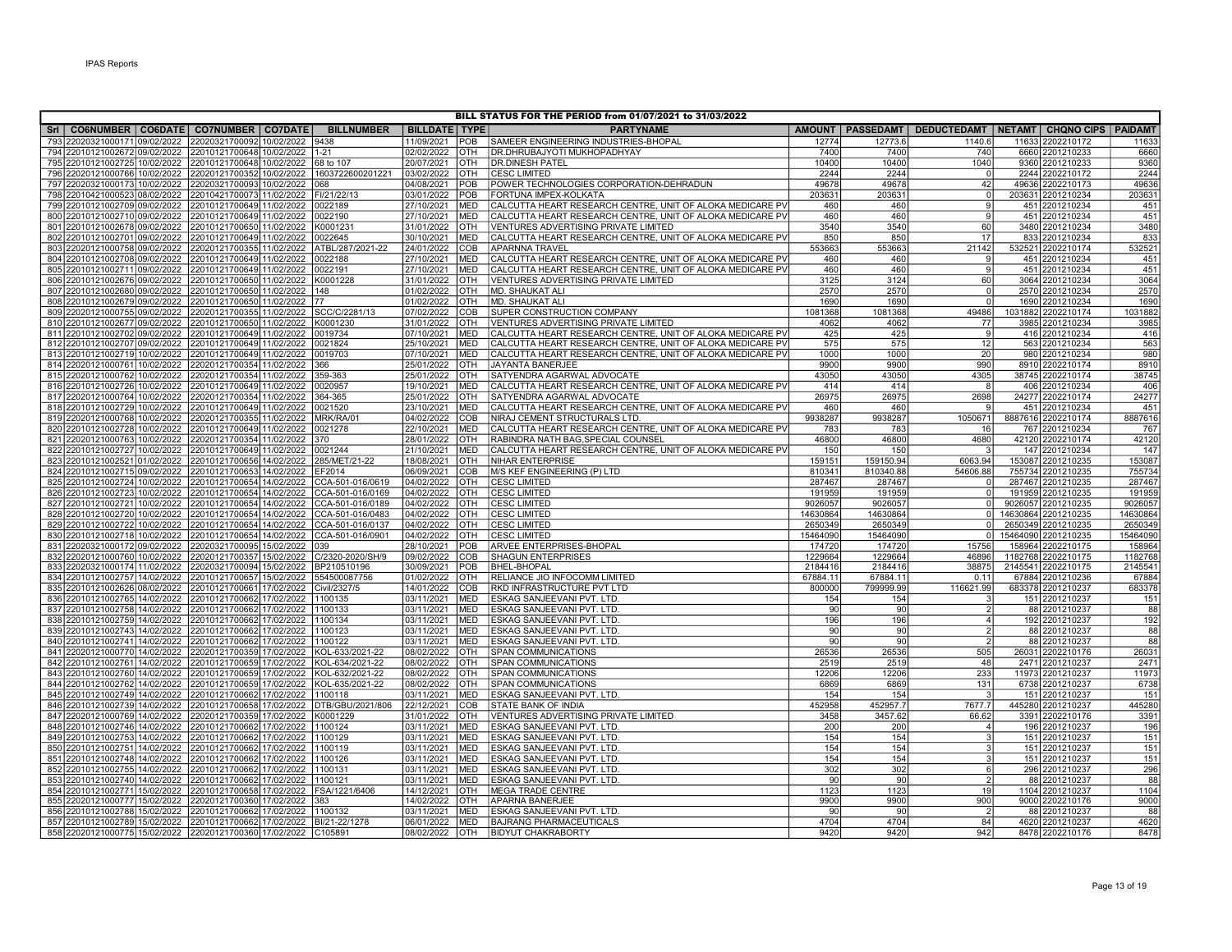| BILL STATUS FOR THE PERIOD from 01/07/2021 to 31/03/2022                                                                        |                                                                                    |                   |                          |                   |                                                             |                    |                       |                                                                  |  |                                       |                 |  |
|---------------------------------------------------------------------------------------------------------------------------------|------------------------------------------------------------------------------------|-------------------|--------------------------|-------------------|-------------------------------------------------------------|--------------------|-----------------------|------------------------------------------------------------------|--|---------------------------------------|-----------------|--|
| Sri   CO6NUMBER   CO6DATE   CO7NUMBER   CO7DATE                                                                                 |                                                                                    | <b>BILLNUMBER</b> | <b>BILLDATE TYPE</b>     |                   | <b>PARTYNAME</b>                                            |                    |                       | AMOUNT   PASSEDAMT   DEDUCTEDAMT   NETAMT   CHQNO CIPS   PAIDAMT |  |                                       |                 |  |
| 793 22020321000171 09/02/2022                                                                                                   | 22020321700092 10/02/2022                                                          | 9438              | 11/09/2021               | POB               | SAMEER ENGINEERING INDUSTRIES-BHOPAL                        | 12774              | 12773.6               | 1140.6                                                           |  | 11633 2202210172                      | 1163            |  |
| 794 22010121002672 09/02/2022 22010121700648 10/02/2022 1-21                                                                    |                                                                                    |                   | 02/02/2022               | OTH               | <b>DR.DHRUBAJYOTI MUKHOPADHYAY</b>                          | 7400               | 7400                  | 740                                                              |  | 6660 2201210233                       | 6660            |  |
| 795 22010121002725 10/02/2022 22010121700648 10/02/2022 68 to 107                                                               |                                                                                    |                   | 20/07/2021               | <b>OTH</b>        | <b>DR.DINESH PATEL</b>                                      | 10400              | 10400                 | 1040                                                             |  | 9360 2201210233                       | 9360            |  |
| 796 22020121000766 10/02/2022 22020121700352 10/02/2022 1603722600201221                                                        |                                                                                    |                   | 03/02/2022               | <b>OTH</b>        | <b>CESC LIMITED</b>                                         | 2244               | 2244                  | - 0                                                              |  | 2244 2202210172                       | 2244            |  |
| 797 22020321000173 10/02/2022 22020321700093 10/02/2022 068                                                                     |                                                                                    |                   | 04/08/2021               | POB               | POWER TECHNOLOGIES CORPORATION-DEHRADUN                     | 49678              | 49678                 | 42                                                               |  | 49636 2202210173                      | 49636           |  |
| 798 22010421000523<br>08/02/2022                                                                                                | 22010421700073 11/02/2022 FI/21/22/13                                              |                   | 03/01/2022               | POB               | FORTUNA IMPEX-KOLKATA                                       | 203631             | 203631                | $\Omega$                                                         |  | 203631 2201210234                     | 20363           |  |
| 799 22010121002709 09/02/2022                                                                                                   | 22010121700649 11/02/2022                                                          | 0022189           | 27/10/2021               | <b>MED</b>        | CALCUTTA HEART RESEARCH CENTRE, UNIT OF ALOKA MEDICARE PV   | 460                | 460                   | 9                                                                |  | 451 2201210234                        | 451             |  |
| 800 22010121002710 09/02/2022                                                                                                   | 22010121700649 11/02/2022                                                          | 0022190           | 27/10/2021               | MED               | CALCUTTA HEART RESEARCH CENTRE, UNIT OF ALOKA MEDICARE PV   | 460                | 460                   | $\mathbf{q}$                                                     |  | 451 2201210234                        | 451             |  |
| 801 22010121002678 09/02/2022 22010121700650 11/02/2022                                                                         |                                                                                    | K0001231          | 31/01/2022               | OTH               | VENTURES ADVERTISING PRIVATE LIMITED                        | 3540               | 3540                  | 60                                                               |  | 3480 2201210234                       | 3480            |  |
| 802 22010121002701 09/02/2022 22010121700649 11/02/2022                                                                         |                                                                                    | 0022645           | 30/10/2021               | MED               | CALCUTTA HEART RESEARCH CENTRE, UNIT OF ALOKA MEDICARE PV   | 850                | 850                   | 17                                                               |  | 833 2201210234                        | 833             |  |
| 803 22020121000758                                                                                                              | 09/02/2022 22020121700355 11/02/2022 ATBL/287/2021-22                              |                   | 24/01/2022               | <b>COB</b>        | <b>APARNNA TRAVEL</b>                                       | 553663             | 553663                | 21142                                                            |  | 532521 2202210174                     | 532521          |  |
| 804 22010121002708 09/02/2022                                                                                                   | 22010121700649 11/02/2022 0022188                                                  |                   | 27/10/2021               | MED               | CALCUTTA HEART RESEARCH CENTRE, UNIT OF ALOKA MEDICARE PV   | 460                | 460                   | $\mathbf{Q}$                                                     |  | 451 2201210234                        | 451             |  |
| 805 22010121002711 09/02/2022                                                                                                   | 22010121700649 11/02/2022 0022191                                                  |                   | 27/10/2021               | MED               | CALCUTTA HEART RESEARCH CENTRE, UNIT OF ALOKA MEDICARE PV   | 460                | 460                   | 9                                                                |  | 451 2201210234                        | 451             |  |
| 806 22010121002676 09/02/2022 22010121700650 11/02/2022                                                                         |                                                                                    | K0001228          | 31/01/2022               | OTH               | VENTURES ADVERTISING PRIVATE LIMITED                        | 3125               | 3124                  | 60<br>$\Omega$                                                   |  | 3064 2201210234                       | 3064            |  |
| 807 22010121002680 09/02/2022 22010121700650 11/02/2022 148                                                                     |                                                                                    |                   | 01/02/2022<br>01/02/2022 | <b>OTH</b>        | MD. SHAUKAT ALI                                             | 2570               | 2570                  | $\Omega$                                                         |  | 2570 2201210234                       | 2570            |  |
| 808 22010121002679<br>809 22020121000755 09/02/2022                                                                             | 09/02/2022 22010121700650 11/02/2022 77<br>22020121700355 11/02/2022 SCC/C/2281/13 |                   | 07/02/2022               | <b>OTH</b><br>COB | MD. SHAUKAT ALI<br>SUPER CONSTRUCTION COMPANY               | 1690<br>1081368    | 1690<br>1081368       | 49486                                                            |  | 1690 2201210234<br>1031882 2202210174 | 1690<br>1031882 |  |
| 810 22010121002677 09/02/2022                                                                                                   | 22010121700650 11/02/2022 K0001230                                                 |                   | 31/01/2022               | <b>OTH</b>        | VENTURES ADVERTISING PRIVATE LIMITED                        | 4062               | 4062                  | 77                                                               |  | 3985 2201210234                       | 3985            |  |
| 811 22010121002702 09/02/2022                                                                                                   | 22010121700649 11/02/2022                                                          | 0019734           | 07/10/2021               | <b>MED</b>        | CALCUTTA HEART RESEARCH CENTRE, UNIT OF ALOKA MEDICARE PV   | 425                | 425                   | $\mathbf{q}$                                                     |  | 416 2201210234                        | 416             |  |
| 812 22010121002707 09/02/2022 22010121700649 11/02/2022                                                                         |                                                                                    | 0021824           | 25/10/2021               | <b>MED</b>        | CALCUTTA HEART RESEARCH CENTRE, UNIT OF ALOKA MEDICARE PV   | 575                | 575                   | 12                                                               |  | 563 2201210234                        | 563             |  |
| 813 22010121002719 10/02/2022 22010121700649 11/02/2022                                                                         |                                                                                    | 0019703           | 07/10/2021               | <b>MED</b>        | CALCUTTA HEART RESEARCH CENTRE, UNIT OF ALOKA MEDICARE PV   | 1000               | 1000                  | 20                                                               |  | 980 2201210234                        | 980             |  |
| 814 22020121000761 10/02/2022                                                                                                   | 22020121700354 11/02/2022                                                          | 366               | 25/01/2022               | <b>OTH</b>        | JAYANTA BANERJEE                                            | 9900               | 9900                  | 990                                                              |  | 8910 2202210174                       | 8910            |  |
| 815 22020121000762 10/02/2022                                                                                                   | 22020121700354 11/02/2022                                                          | 359-363           | 25/01/2022               | OTH               | SATYENDRA AGARWAL ADVOCATE                                  | 43050              | 43050                 | 4305                                                             |  | 38745 2202210174                      | 38745           |  |
| 816 22010121002726 10/02/2022 22010121700649 11/02/2022                                                                         |                                                                                    | 0020957           | 19/10/2021               | <b>MED</b>        | CALCUTTA HEART RESEARCH CENTRE, UNIT OF ALOKA MEDICARE PV   | 414                | 414                   | 8                                                                |  | 406 2201210234                        | 406             |  |
| 817 22020121000764 10/02/2022 22020121700354 11/02/2022                                                                         |                                                                                    | 364-365           | 25/01/2022               | OTH               | SATYENDRA AGARWAL ADVOCATE                                  | 26975              | 26975                 | 2698                                                             |  | 24277 2202210174                      | 24277           |  |
| 818 22010121002729 10/02/2022                                                                                                   | 22010121700649 11/02/2022                                                          | 0021520           | 23/10/2021               | <b>MED</b>        | CALCUTTA HEART RESEARCH CENTRE, UNIT OF ALOKA MEDICARE PV   | 460                | 460                   |                                                                  |  | 451 2201210234                        | 451             |  |
| 819 22020121000768                                                                                                              | 10/02/2022 22020121700355 11/02/2022                                               | MRK/RA/0          | 04/02/2022               | <b>COB</b>        | NIRAJ CEMENT STRUCTURALS LTD.                               | 9938287            | 9938287               | 1050671                                                          |  | 8887616 2202210174                    | 8887616         |  |
| 820 22010121002728 10/02/2022 22010121700649 11/02/2022                                                                         |                                                                                    | 0021278           | 22/10/2021               | MED               | CALCUTTA HEART RESEARCH CENTRE, UNIT OF ALOKA MEDICARE PV   | 783                | 783                   | 16                                                               |  | 767 2201210234                        | 767             |  |
| 821 22020121000763 10/02/2022                                                                                                   | 22020121700354 11/02/2022                                                          | 370               | 28/01/2022               | Іотн              | RABINDRA NATH BAG, SPECIAL COUNSEL                          | 46800              | 46800                 | 4680                                                             |  | 42120 2202210174                      | 42120           |  |
| 822 22010121002727 10/02/2022                                                                                                   | 22010121700649 11/02/2022                                                          | 0021244           | 21/10/2021               | MED               | CALCUTTA HEART RESEARCH CENTRE, UNIT OF ALOKA MEDICARE PV   | 150                | 150                   |                                                                  |  | 147 2201210234                        | 147             |  |
| 823 22010121002521 01/02/2022 22010121700656 14/02/2022                                                                         |                                                                                    | 285/MET/21-22     | 18/08/2021               | OTH               | <b>NIHAR ENTERPRISE</b>                                     | 159151             | 159150.94             | 6063.94                                                          |  | 153087 2201210235                     | 153087          |  |
| 824 22010121002715 09/02/2022 22010121700653 14/02/2022                                                                         |                                                                                    | EF2014            | 06/09/2021               | <b>COB</b>        | M/S KEF ENGINEERING (P) LTD                                 | 810341             | 810340.88             | 54606.88                                                         |  | 755734 2201210235                     | 755734          |  |
| 825 22010121002724 10/02/2022                                                                                                   | 22010121700654 14/02/2022                                                          | CCA-501-016/0619  | 04/02/2022               | OTH               | <b>CESC LIMITED</b>                                         | 287467             | 287467                |                                                                  |  | 287467 2201210235                     | 287467          |  |
| 826 22010121002723 10/02/2022                                                                                                   | 22010121700654 14/02/2022                                                          | CCA-501-016/0169  | 04/02/2022               | <b>OTH</b>        | <b>CESC LIMITED</b>                                         | 191959             | 191959                | $\Omega$                                                         |  | 191959 2201210235                     | 191959          |  |
| 827 22010121002721 10/02/2022                                                                                                   | 22010121700654 14/02/2022 CCA-501-016/0189                                         |                   | 04/02/2022               | <b>OTH</b>        | <b>CESC LIMITED</b>                                         | 9026057            | 9026057               |                                                                  |  | 9026057 2201210235                    | 902605          |  |
| 828 22010121002720 10/02/2022 22010121700654 14/02/2022 CCA-501-016/0483                                                        |                                                                                    |                   | 04/02/2022               | <b>OTH</b>        | <b>CESC LIMITED</b>                                         | 14630864           | 14630864              | $\Omega$                                                         |  | 14630864 2201210235                   | 14630864        |  |
| 829 22010121002722                                                                                                              | 10/02/2022 22010121700654 14/02/2022 CCA-501-016/0137                              |                   | 04/02/2022               | Іотн              | <b>CESC LIMITED</b>                                         | 2650349            | 2650349               | $\Omega$                                                         |  | 2650349 2201210235                    | 2650349         |  |
| 830 22010121002718 10/02/2022                                                                                                   | 22010121700654 14/02/2022                                                          | CCA-501-016/0901  | 04/02/2022               | <b>OTH</b>        | <b>CESC LIMITED</b>                                         | 15464090           | 15464090              |                                                                  |  | 15464090 2201210235                   | 15464090        |  |
| 831 22020321000172 09/02/2022                                                                                                   | 22020321700095 15/02/2022                                                          | 039               | 28/10/2021               | POB               | ARVEE ENTERPRISES-BHOPAL                                    | 174720             | 174720                | 15756                                                            |  | 158964 2202210175                     | 158964          |  |
| 832 22020121000760 10/02/2022                                                                                                   | 22020121700357 15/02/2022 C/2320-2020/SH/9                                         |                   | 09/02/2022               | COB               | <b>SHAGUN ENTERPRISES</b>                                   | 1229664            | 1229664               | 46896                                                            |  | 1182768 2202210175                    | 1182768         |  |
| 833 22020321000174 11/02/2022                                                                                                   | 22020321700094 15/02/2022                                                          | BP210510196       | 30/09/2021               | POB               | <b>BHEL-BHOPAL</b>                                          | 2184416            | 2184416               | 38875                                                            |  | 2145541 2202210175                    | 214554          |  |
| 834 22010121002757 14/02/2022 22010121700657 15/02/2022<br>835 22010121002626 08/02/2022 22010121700661 17/02/2022 Civil/2327/5 |                                                                                    | 554500087756      | 01/02/2022<br>14/01/2022 | OTH<br><b>COB</b> | RELIANCE JIO INFOCOMM LIMITED<br>RKD INFRASTRUCTURE PVT LTD | 67884.11<br>800000 | 67884.11<br>799999.99 | 0.11<br>116621.99                                                |  | 67884 2201210236<br>683378 2201210237 | 67884<br>683378 |  |
| 836 22010121002765 14/02/2022 22010121700662 17/02/2022 1100135                                                                 |                                                                                    |                   | 03/11/2021               | <b>MED</b>        | ESKAG SANJEEVANI PVT. LTD                                   | 154                | 154                   |                                                                  |  | 151 2201210237                        | 151             |  |
| 837 22010121002758 14/02/2022 22010121700662 17/02/2022 1100133                                                                 |                                                                                    |                   | 03/11/2021               | <b>MED</b>        | ESKAG SANJEEVANI PVT. LTD.                                  | 90                 | 90                    |                                                                  |  | 88 2201210237                         | 88              |  |
| 838 22010121002759 14/02/2022 22010121700662 17/02/2022 1100134                                                                 |                                                                                    |                   | 03/11/2021               | <b>MED</b>        | ESKAG SANJEEVANI PVT. LTD                                   | 196                | 196                   | $\overline{4}$                                                   |  | 192 2201210237                        | 192             |  |
| 839 22010121002743 14/02/2022 22010121700662 17/02/2022                                                                         |                                                                                    | 1100123           | 03/11/2021               | <b>MED</b>        | ESKAG SANJEEVANI PVT. LTD.                                  | 90                 | 90                    |                                                                  |  | 88 2201210237                         | 88              |  |
| 840 22010121002741 14/02/2022 22010121700662 17/02/2022                                                                         |                                                                                    | 1100122           | 03/11/2021               | <b>MED</b>        | ESKAG SANJEEVANI PVT. LTD.                                  | 90                 | 90                    | $\overline{2}$                                                   |  | 88 2201210237                         | 88              |  |
| 841 22020121000770 14/02/2022                                                                                                   | 22020121700359 17/02/2022                                                          | KOL-633/2021-22   | 08/02/2022               | OTH               | SPAN COMMUNICATIONS                                         | 26536              | 26536                 | 505                                                              |  | 26031 2202210176                      | 26031           |  |
| 842 22010121002761 14/02/2022                                                                                                   | 22010121700659 17/02/2022                                                          | KOL-634/2021-22   | 08/02/2022               | OTH               | SPAN COMMUNICATIONS                                         | 2519               | 2519                  | 48                                                               |  | 2471 2201210237                       | 2471            |  |
| 843 22010121002760 14/02/2022                                                                                                   | 22010121700659 17/02/2022                                                          | KOL-632/2021-22   | 08/02/2022               | OTH               | <b>SPAN COMMUNICATIONS</b>                                  | 12206              | 12206                 | 233                                                              |  | 11973 2201210237                      | 11973           |  |
| 844 22010121002762 14/02/2022 22010121700659 17/02/2022                                                                         |                                                                                    | KOL-635/2021-22   | 08/02/2022               | OTH               | SPAN COMMUNICATIONS                                         | 6869               | 6869                  | 131                                                              |  | 6738 2201210237                       | 6738            |  |
| 845 22010121002749 14/02/2022 22010121700662 17/02/2022 1100118                                                                 |                                                                                    |                   | 03/11/2021               | <b>MED</b>        | ESKAG SANJEEVANI PVT. LTD.                                  | 154                | 154                   | 3                                                                |  | 151 2201210237                        | 151             |  |
| 846 22010121002739 14/02/2022                                                                                                   | 22010121700658 17/02/2022                                                          | DTB/GBU/2021/806  | 22/12/2021               | COB               | STATE BANK OF INDIA                                         | 452958             | 452957.7              | 7677.7                                                           |  | 445280 2201210237                     | 445280          |  |
| 847 22020121000769 14/02/2022                                                                                                   | 22020121700359 17/02/2022                                                          | K0001229          | 31/01/2022               | <b>OTH</b>        | VENTURES ADVERTISING PRIVATE LIMITED                        | 3458               | 3457.62               | 66.62                                                            |  | 3391 2202210176                       | 3391            |  |
| 848 22010121002746 14/02/2022 22010121700662 17/02/2022 1100124                                                                 |                                                                                    |                   | 03/11/2021               | MED               | ESKAG SANJEEVANI PVT. LTD.                                  | 200                | 200                   | $\overline{4}$                                                   |  | 196 2201210237                        | 196             |  |
| 849 22010121002753 14/02/2022                                                                                                   | 22010121700662 17/02/2022 1100129                                                  |                   | 03/11/2021               | <b>MED</b>        | ESKAG SANJEEVANI PVT. LTD                                   | 154                | 154                   |                                                                  |  | 151 2201210237                        | 151             |  |
| 850 22010121002751 14/02/2022 22010121700662 17/02/2022                                                                         |                                                                                    | 1100119           | 03/11/2021               | <b>MED</b>        | ESKAG SANJEEVANI PVT. LTD                                   | 154                | 154                   |                                                                  |  | 151 2201210237                        | 151             |  |
| 851 22010121002748 14/02/2022                                                                                                   | 22010121700662 17/02/2022                                                          | 1100126           | 03/11/2021               | <b>MED</b>        | ESKAG SANJEEVANI PVT. LTD                                   | 154                | 154                   |                                                                  |  | 151 2201210237                        | 151             |  |
| 852 22010121002755 14/02/2022                                                                                                   | 22010121700662 17/02/2022                                                          | 1100131           | 03/11/2021               | <b>MED</b>        | ESKAG SANJEEVANI PVT. LTD                                   | 302                | 302                   | 6                                                                |  | 296 2201210237                        | 296             |  |
| 853 22010121002740 14/02/2022                                                                                                   | 22010121700662 17/02/2022 1100121                                                  |                   | 03/11/2021               | <b>MED</b>        | ESKAG SANJEEVANI PVT. LTD.                                  | 90                 | 90                    |                                                                  |  | 88 2201210237                         | 88              |  |
| 854 22010121002771 15/02/2022                                                                                                   | 22010121700658 17/02/2022                                                          | FSA/1221/6406     | 14/12/2021               | Іотн              | <b>MEGA TRADE CENTRE</b>                                    | 1123               | 1123                  | 19                                                               |  | 1104 2201210237                       | 1104            |  |
| 855 22020121000777 15/02/2022 22020121700360 17/02/2022                                                                         |                                                                                    | 383               | 14/02/2022               | <b>OTH</b>        | <b>APARNA BANERJEE</b>                                      | 9900               | 9900                  | 900                                                              |  | 9000 2202210176                       | 9000            |  |
| 856 22010121002788 15/02/2022 22010121700662 17/02/2022 1100132                                                                 |                                                                                    |                   | 03/11/2021               | MED               | ESKAG SANJEEVANI PVT. LTD.                                  | 90                 | 90                    | $\overline{2}$                                                   |  | 88 2201210237                         | 88              |  |
| 857 22010121002789 15/02/2022 22010121700662 17/02/2022 BI/21-22/1278                                                           |                                                                                    |                   | 06/01/2022               | MED               | <b>BAJRANG PHARMACEUTICALS</b>                              | 4704               | 4704                  | 84                                                               |  | 4620 2201210237                       | 4620            |  |
| 858 22020121000775 15/02/2022 22020121700360 17/02/2022 C105891                                                                 |                                                                                    |                   | 08/02/2022               | <b>OTH</b>        | <b>BIDYUT CHAKRABORTY</b>                                   | 9420               | 9420                  | 942                                                              |  | 8478 2202210176                       | 8478            |  |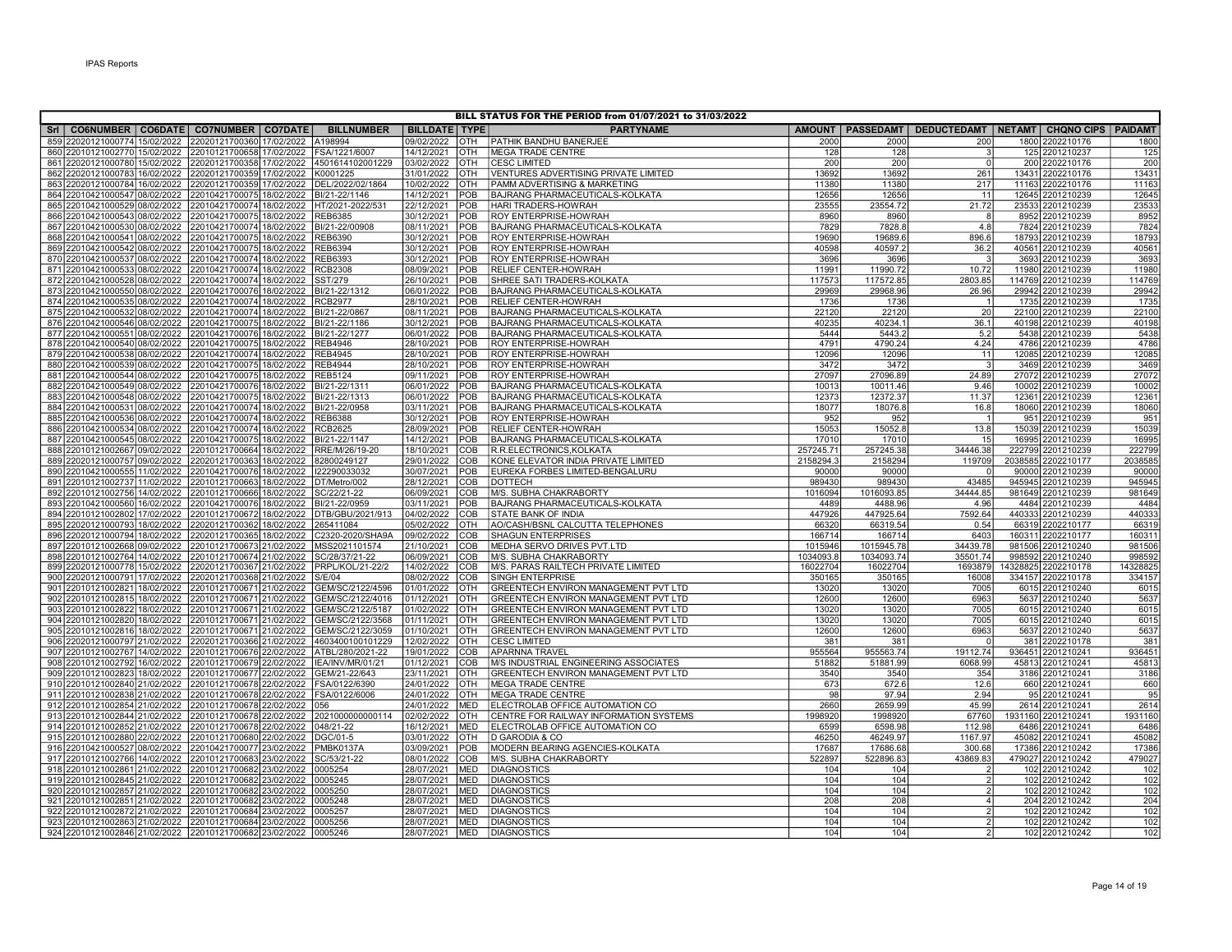| BILL STATUS FOR THE PERIOD from 01/07/2021 to 31/03/2022                                         |                                                           |                       |                          |                          |                                                                           |                 |                    |                                                                  |  |                                       |                 |  |
|--------------------------------------------------------------------------------------------------|-----------------------------------------------------------|-----------------------|--------------------------|--------------------------|---------------------------------------------------------------------------|-----------------|--------------------|------------------------------------------------------------------|--|---------------------------------------|-----------------|--|
| Sri   CO6NUMBER   CO6DATE   CO7NUMBER   CO7DATE                                                  |                                                           | <b>BILLNUMBER</b>     | <b>BILLDATE   TYPE  </b> |                          | <b>PARTYNAME</b>                                                          |                 |                    | AMOUNT   PASSEDAMT   DEDUCTEDAMT   NETAMT   CHQNO CIPS   PAIDAMT |  |                                       |                 |  |
| 859 22020121000774 15/02/2022                                                                    | 22020121700360 17/02/2022                                 | A198994               | 09/02/2022               | Іотн                     | PATHIK BANDHU BANERJEE                                                    | 2000            | 2000               | 200                                                              |  | 1800 2202210176                       | 1800            |  |
| 860 22010121002770 15/02/2022 22010121700658 17/02/2022 FSA/1221/6007                            |                                                           |                       | 14/12/2021               | OTH                      | <b>MEGA TRADE CENTRE</b>                                                  | 128             | 128                | $\overline{3}$                                                   |  | 125 2201210237                        | 125             |  |
| 861 22020121000780 15/02/2022 22020121700358 17/02/2022 4501614102001229                         |                                                           |                       | 03/02/2022               | <b>OTH</b>               | <b>CESC LIMITED</b>                                                       | 200             | 200                | $\overline{0}$                                                   |  | 200 2202210176                        | 200             |  |
| 862 22020121000783 16/02/2022 22020121700359 17/02/2022                                          |                                                           | K0001225              | 31/01/2022               | OTH                      | VENTURES ADVERTISING PRIVATE LIMITED                                      | 13692           | 13692              | 261                                                              |  | 13431 2202210176                      | 13431           |  |
| 863 22020121000784 16/02/2022                                                                    | 22020121700359 17/02/2022                                 | DEL/2022/02/1864      | 10/02/2022               | <b>OTH</b>               | PAMM ADVERTISING & MARKETING                                              | 11380           | 11380              | 217                                                              |  | 11163 2202210176                      | 11163           |  |
| 864 22010421000547 08/02/2022 22010421700075 18/02/2022 BI/21-22/1146                            |                                                           |                       | 14/12/2021               | POB                      | BAJRANG PHARMACEUTICALS-KOLKATA                                           | 12656           | 12656              | 11                                                               |  | 12645 2201210239                      | 12645           |  |
| 865 22010421000529 08/02/2022                                                                    | 22010421700074 18/02/2022 HT/2021-2022/531                |                       | 22/12/2021               | POB                      | HARI TRADERS-HOWRAH                                                       | 23555           | 23554.72           | 21.72                                                            |  | 23533 2201210239                      | 23533           |  |
| 866 22010421000543 08/02/2022                                                                    | 22010421700075 18/02/2022 REB6385                         |                       | 30/12/2021               | POB                      | <b>ROY ENTERPRISE-HOWRAH</b>                                              | 8960            | 8960               | 8                                                                |  | 8952 2201210239                       | 8952            |  |
| 867 22010421000530 08/02/2022                                                                    | 22010421700074 18/02/2022                                 | BI/21-22/00908        | 08/11/2021               | POB                      | <b>BAJRANG PHARMACEUTICALS-KOLKATA</b>                                    | 7829            | 7828.8             | 4.8                                                              |  | 7824 2201210239                       | 7824            |  |
| 868 22010421000541 08/02/2022 22010421700075 18/02/2022                                          |                                                           | <b>REB6390</b>        | 30/12/2021               | POB                      | <b>ROY ENTERPRISE-HOWRAH</b>                                              | 19690           | 19689.6            | 896.6                                                            |  | 18793 2201210239                      | 18793           |  |
| 869 22010421000542 08/02/2022 22010421700075 18/02/2022                                          |                                                           | <b>REB6394</b>        | 30/12/2021               | POB                      | <b>ROY ENTERPRISE-HOWRAH</b>                                              | 40598           | 40597.2            | 36.2                                                             |  | 40561 2201210239                      | 40561           |  |
| 870 22010421000537 08/02/2022                                                                    | 22010421700074 18/02/2022                                 | REB6393               | 30/12/2021               | POB                      | <b>ROY ENTERPRISE-HOWRAH</b>                                              | 3696            | 3696               | $\overline{3}$                                                   |  | 3693 2201210239                       | 3693            |  |
| 871 22010421000533 08/02/2022                                                                    | 22010421700074 18/02/2022 RCB2308                         |                       | 08/09/2021               | POB                      | <b>RELIEF CENTER-HOWRAH</b>                                               | 11991           | 11990.72           | 10.72                                                            |  | 11980 2201210239                      | 11980           |  |
| 872 22010421000528 08/02/2022                                                                    | 22010421700074 18/02/2022 SST/279                         |                       | 26/10/2021               | POB                      | SHREE SATI TRADERS-KOLKATA                                                | 117573          | 117572.85          | 2803.85                                                          |  | 114769 2201210239                     | 114769          |  |
| 873 22010421000550 08/02/2022                                                                    | 22010421700076 18/02/2022                                 | BI/21-22/1312         | 06/01/2022               | POB                      | BAJRANG PHARMACEUTICALS-KOLKATA                                           | 29969           | 29968.96           | 26.96                                                            |  | 29942 2201210239                      | 29942           |  |
| 874 22010421000535 08/02/2022 22010421700074 18/02/2022                                          |                                                           | <b>RCB2977</b>        | 28/10/2021               | POB                      | <b>RELIEF CENTER-HOWRAH</b>                                               | 1736            | 1736               |                                                                  |  | 1735 2201210239                       | 1735            |  |
| 875 22010421000532 08/02/2022                                                                    | 22010421700074 18/02/2022                                 | BI/21-22/0867         | 08/11/2021               | POB                      | <b>BAJRANG PHARMACEUTICALS-KOLKATA</b>                                    | 22120           | 22120              | 20                                                               |  | 22100 2201210239                      | 22100           |  |
| 876 22010421000546 08/02/2022                                                                    | 22010421700075 18/02/2022 BI/21-22/1186                   |                       | 30/12/2021               | POB                      | BAJRANG PHARMACEUTICALS-KOLKATA                                           | 40235           | 40234.1            | 36.1                                                             |  | 40198 2201210239                      | 40198           |  |
| 877 22010421000551 08/02/2022                                                                    | 22010421700076 18/02/2022 BI/21-22/1277                   |                       | 06/01/2022               | POB                      | BAJRANG PHARMACEUTICALS-KOLKATA                                           | 5444            | 5443.2             | 5.2                                                              |  | 5438 2201210239                       | 5438            |  |
| 878 22010421000540 08/02/2022                                                                    | 22010421700075 18/02/2022                                 | <b>REB4946</b>        | 28/10/2021               | POB                      | <b>ROY ENTERPRISE-HOWRAH</b>                                              | 4791            | 4790.24            | 4.24                                                             |  | 4786 2201210239                       | 4786            |  |
| 879 22010421000538 08/02/2022 22010421700074 18/02/2022                                          |                                                           | <b>REB4945</b>        | 28/10/2021               | POB                      | <b>ROY ENTERPRISE-HOWRAH</b>                                              | 12096           | 12096              | 11                                                               |  | 12085 2201210239                      | 12085           |  |
| 880 22010421000539 08/02/2022 22010421700075 18/02/2022                                          |                                                           | <b>REB4944</b>        | 28/10/2021               | POB                      | <b>ROY ENTERPRISE-HOWRAH</b>                                              | 3472            | 3472               | $\overline{3}$                                                   |  | 3469 2201210239                       | 3469            |  |
| 881 22010421000544 08/02/2022                                                                    | 22010421700075 18/02/2022                                 | <b>REB5124</b>        | 09/11/2021               | POB                      | <b>ROY ENTERPRISE-HOWRAH</b>                                              | 27097           | 27096.89           | 24.89                                                            |  | 27072 2201210239                      | 27072           |  |
| 882 22010421000549 08/02/2022                                                                    | 22010421700076 18/02/2022 BI/21-22/1311                   |                       | 06/01/2022               | POB                      | BAJRANG PHARMACEUTICALS-KOLKATA                                           | 10013           | 10011.46           | 9.46                                                             |  | 10002 2201210239                      | 10002           |  |
| 883 22010421000548 08/02/2022 22010421700075 18/02/2022 BI/21-22/1313                            |                                                           |                       | 06/01/2022               | <b>POB</b>               | BAJRANG PHARMACEUTICALS-KOLKATA                                           | 12373           | 12372.37           | 11.37                                                            |  | 12361 2201210239                      | 12361           |  |
| 884 22010421000531 08/02/2022                                                                    | 22010421700074 18/02/2022                                 | BI/21-22/0958         | 03/11/2021               | POB                      | BAJRANG PHARMACEUTICALS-KOLKATA                                           | 18077           | 18076.8            | 16.8                                                             |  | 18060 2201210239                      | 18060           |  |
| 885 22010421000536 08/02/2022 22010421700074 18/02/2022                                          |                                                           | <b>REB6388</b>        | 30/12/2021               | POB                      | <b>ROY ENTERPRISE-HOWRAH</b>                                              | 952             | 952                | $\overline{1}$                                                   |  | 951 2201210239                        | 95 <sup>′</sup> |  |
| 886 22010421000534 08/02/2022 22010421700074 18/02/2022 RCB2625                                  |                                                           |                       | 28/09/2021               | POB                      | <b>RELIEF CENTER-HOWRAH</b>                                               | 15053           | 15052.8            | 13.8                                                             |  | 15039 2201210239                      | 15039           |  |
| 887 22010421000545 08/02/2022                                                                    | 22010421700075 18/02/2022                                 | BI/21-22/1147         | 14/12/2021               | POB                      | BAJRANG PHARMACEUTICALS-KOLKATA                                           | 17010           | 17010              | 15                                                               |  | 16995 2201210239                      | 16995           |  |
| 888 22010121002667 09/02/2022                                                                    | 22010121700664 18/02/2022 RRE/M/26/19-20                  |                       | 18/10/2021               | <b>COB</b>               | R.R.ELECTRONICS, KOLKATA                                                  | 257245.71       | 257245.38          | 34446.38                                                         |  | 222799 2201210239                     | 222799          |  |
| 889 22020121000757 09/02/2022                                                                    | 22020121700363 18/02/2022                                 | 82800249127           | 29/01/2022               | <b>COB</b>               | KONE ELEVATOR INDIA PRIVATE LIMITED                                       | 2158294.3       | 2158294            | 119709                                                           |  | 2038585 2202210177                    | 2038585         |  |
| 890 22010421000555 11/02/2022 22010421700076 18/02/2022                                          |                                                           | 122290033032          | 30/07/2021               | POB                      | EUREKA FORBES LIMITED-BENGALURU                                           | 90000           | 90000              | $\Omega$                                                         |  | 90000 2201210239                      | 90000           |  |
| 891 22010121002737 11/02/2022 22010121700663 18/02/2022                                          |                                                           | DT/Metro/002          | 28/12/2021               | COB                      | <b>DOTTECH</b>                                                            | 989430          | 989430             | 43485                                                            |  | 945945 2201210239                     | 945945          |  |
| 892 22010121002756 14/02/2022                                                                    | 22010121700666 18/02/2022                                 | SC/22/21-22           | 06/09/2021               | COB                      | M/S. SUBHA CHAKRABORTY                                                    | 1016094         | 1016093.85         | 34444.85                                                         |  | 981649 2201210239                     | 981649          |  |
| 893 22010421000560 16/02/2022                                                                    | 22010421700076 18/02/2022                                 | BI/21-22/0959         | 03/11/2021               | POB                      | <b>BAJRANG PHARMACEUTICALS-KOLKATA</b>                                    | 4489            | 4488.96            | 4.96                                                             |  | 4484 2201210239                       | 4484            |  |
| 894 22010121002802 17/02/2022                                                                    | 22010121700672 18/02/2022 DTB/GBU/2021/913                |                       | 04/02/2022               | <b>COB</b>               | STATE BANK OF INDIA                                                       | 447926          | 447925.64          | 7592.64                                                          |  | 440333 2201210239                     | 440333          |  |
| 895 22020121000793 18/02/2022                                                                    | 22020121700362 18/02/2022                                 | 265411084             | 05/02/2022               | OTH                      | AO/CASH/BSNL CALCUTTA TELEPHONES                                          | 66320           | 66319.54           | 0.54                                                             |  | 66319 2202210177                      | 66319           |  |
| 896 22020121000794 18/02/2022 22020121700365 18/02/2022 C2320-2020/SHA9A                         |                                                           |                       | 09/02/2022               | COB                      | <b>SHAGUN ENTERPRISES</b>                                                 | 166714          | 166714             | 6403                                                             |  | 160311 2202210177                     | 16031           |  |
| 897 22010121002668 09/02/2022 22010121700673 21/02/2022 MSS2021101574                            |                                                           |                       | 21/10/2021               | <b>COB</b>               | MEDHA SERVO DRIVES PVT.LTD                                                | 1015946         | 1015945.78         | 34439.78                                                         |  | 981506 2201210240                     | 981506          |  |
| 898 22010121002764 14/02/2022                                                                    | 22010121700674 21/02/2022                                 | SC/28/37/21-22        | 06/09/2021               | COB                      | M/S. SUBHA CHAKRABORTY                                                    | 1034093.8       | 1034093.74         | 35501.74                                                         |  | 998592 2201210240                     | 998592          |  |
| 899 22020121000778 15/02/2022                                                                    | 22020121700367 21/02/2022 PRPL/KOL/21-22/2                |                       | 14/02/2022               | <b>COB</b>               | M/S. PARAS RAILTECH PRIVATE LIMITED                                       | 16022704        | 16022704           | 1693879                                                          |  | 14328825 2202210178                   | 1432882         |  |
| 900 22020121000791 17/02/2022                                                                    | 22020121700368 21/02/2022                                 | S/E/04                | 08/02/2022               | <b>COB</b>               | SINGH ENTERPRISE                                                          | 350165          | 350165             | 16008                                                            |  | 334157 2202210178                     | 334157          |  |
| 901 22010121002821 18/02/2022 22010121700671 21/02/2022                                          |                                                           | GEM/SC/2122/4596      | 01/01/2022               | <b>OTH</b>               | GREENTECH ENVIRON MANAGEMENT PVT LTD                                      | 13020           | 13020              | 7005                                                             |  | 6015 2201210240                       | 601             |  |
| 902 22010121002815 18/02/2022 22010121700671 21/02/2022                                          |                                                           | GEM/SC/2122/4016      | 01/12/2021               | <b>OTH</b>               | GREENTECH ENVIRON MANAGEMENT PVT LTD                                      | 12600           | 12600              | 6963                                                             |  | 5637 2201210240                       | 5637            |  |
| 903 22010121002822 18/02/2022                                                                    | 22010121700671 21/02/2022                                 | GEM/SC/2122/5187      | 01/02/2022               | OTH                      | <b>GREENTECH ENVIRON MANAGEMENT PVT LTD</b>                               | 13020           | 13020              | 7005                                                             |  | 6015 2201210240                       | 6015            |  |
| 904 22010121002820 18/02/2022                                                                    | 22010121700671 21/02/2022                                 | GEM/SC/2122/3568      | 01/11/2021               | <b>OTH</b>               | GREENTECH ENVIRON MANAGEMENT PVT LTD                                      | 13020           | 13020              | 7005                                                             |  | 6015 2201210240                       | 6015            |  |
| 905 22010121002816 18/02/2022                                                                    | 22010121700671 21/02/2022 GEM/SC/2122/3059                |                       | 01/10/2021               | <b>OTH</b>               | <b>GREENTECH ENVIRON MANAGEMENT PVT LTD</b>                               | 12600           | 12600              | 6963                                                             |  | 5637 2201210240                       | 5637            |  |
| 906 22020121000797 21/02/2022                                                                    | 22020121700366 21/02/2022 4603400100101229                |                       | 12/02/2022               | <b>OTH</b>               | <b>CESC LIMITED</b>                                                       | 381             | 381                | $\overline{0}$                                                   |  | 381 2202210178                        | 381             |  |
| 907 22010121002767 14/02/2022 22010121700676 22/02/2022 ATBL/280/2021-22                         |                                                           |                       | 19/01/2022               | COB                      | <b>APARNNA TRAVEL</b>                                                     | 955564          | 955563.74          | 19112.74                                                         |  | 936451 2201210241                     | 93645           |  |
| 908 22010121002792 16/02/2022 22010121700679 22/02/2022                                          |                                                           | IEA/INV/MR/01/21      | 01/12/2021               | <b>COB</b>               | M/S INDUSTRIAL ENGINEERING ASSOCIATES                                     | 51882           | 51881.99           | 6068.99                                                          |  | 45813 2201210241                      | 45813           |  |
| 909 22010121002823<br>18/02/2022                                                                 | 22010121700677 22/02/2022                                 | GEM/21-22/643         | 23/11/2021               | OTH                      | GREENTECH ENVIRON MANAGEMENT PVT LTD                                      | 3540<br>673     | 3540               | 354<br>12.6                                                      |  | 3186 2201210241                       | 3186            |  |
| 910 22010121002840 21/02/2022                                                                    | 22010121700678 22/02/2022 FSA/0122/6390                   |                       | 24/01/2022               | OTH                      | <b>MEGA TRADE CENTRE</b>                                                  |                 | 672.6<br>97.94     | 2.94                                                             |  | 660 2201210241                        | 660<br>95       |  |
| 911 22010121002838 21/02/2022                                                                    | 22010121700678 22/02/2022                                 | FSA/0122/6006         | 24/01/2022               | <b>OTH</b>               | <b>MEGA TRADE CENTRE</b>                                                  | 98              |                    |                                                                  |  | 95 2201210241                         |                 |  |
| 912 22010121002854 21/02/2022                                                                    | 22010121700678 22/02/2022                                 | 056                   | 24/01/2022               | <b>MED</b>               | ELECTROLAB OFFICE AUTOMATION CO                                           | 2660            | 2659.99            | 45.99                                                            |  | 2614 2201210241                       | 2614<br>1931160 |  |
| 913 22010121002844 21/02/2022 22010121700678 22/02/2022                                          |                                                           | 2021000000000114      | 02/02/2022<br>16/12/2021 | <b>OTH</b><br><b>MED</b> | CENTRE FOR RAILWAY INFORMATION SYSTEMS<br>ELECTROLAB OFFICE AUTOMATION CO | 1998920<br>6599 | 1998920<br>6598.98 | 67760<br>112.98                                                  |  | 1931160 2201210241<br>6486 2201210241 |                 |  |
| 914 22010121002852 21/02/2022 22010121700678 22/02/2022<br>915 22010121002880 22/02/2022         | 22010121700680 22/02/2022                                 | 048/21-22<br>DGC/01-5 | 03/01/2022               | OTH                      | D GARODIA & CO                                                            | 46250           | 46249.97           | 1167.97                                                          |  | 45082 2201210241                      | 6486<br>45082   |  |
|                                                                                                  |                                                           |                       |                          |                          |                                                                           |                 |                    |                                                                  |  |                                       |                 |  |
| 916 22010421000527 08/02/2022                                                                    | 22010421700077 23/02/2022 PMBK0137A                       |                       | 03/09/2021<br>08/01/2022 | POB<br>COB               | MODERN BEARING AGENCIES-KOLKATA                                           | 17687           | 17686.68           | 300.68<br>43869.83                                               |  | 17386 2201210242<br>479027 2201210242 | 17386           |  |
| 917 22010121002766 14/02/2022<br>918 22010121002861 21/02/2022 22010121700682 23/02/2022 0005254 | 22010121700683 23/02/2022                                 | SC/53/21-22           | 28/07/2021               | MED                      | M/S. SUBHA CHAKRABORTY<br><b>DIAGNOSTICS</b>                              | 522897<br>104   | 522896.83<br>104   | $\overline{2}$                                                   |  | 102 2201210242                        | 479027<br>102   |  |
| 919 22010121002845 21/02/2022                                                                    | 22010121700682 23/02/2022                                 | 0005245               | 28/07/2021               | <b>MED</b>               | DIAGNOSTICS                                                               | 104             | 104                | $\overline{2}$                                                   |  | 102 2201210242                        | 102             |  |
|                                                                                                  |                                                           |                       |                          | <b>MED</b>               |                                                                           | 104             | 104                | 2                                                                |  |                                       | 102             |  |
| 920 22010121002857<br>21/02/2022<br>21/02/2022<br>921 22010121002851                             | 22010121700682<br>23/02/2022<br>22010121700682 23/02/2022 | 0005250<br>0005248    | 28/07/2021<br>28/07/2021 | MED                      | <b>DIAGNOSTICS</b>                                                        | 208             | 208                | 4 <sup>1</sup>                                                   |  | 102 2201210242<br>204 2201210242      | 204             |  |
| 922 22010121002872 21/02/2022                                                                    | 22010121700684 23/02/2022                                 | 0005257               | 28/07/2021               | MED                      | <b>DIAGNOSTICS</b><br><b>DIAGNOSTICS</b>                                  | 104             | 104                | 2 <sup>1</sup>                                                   |  | 102 2201210242                        | 102             |  |
| 923 22010121002863 21/02/2022 22010121700684 23/02/2022                                          |                                                           | 0005256               | 28/07/2021               | <b>MED</b>               | <b>DIAGNOSTICS</b>                                                        | 104             | 104                | $\overline{2}$                                                   |  | 102 2201210242                        | 102             |  |
| 924 22010121002846 21/02/2022 22010121700682 23/02/2022 0005246                                  |                                                           |                       |                          | MED                      |                                                                           | 104             | 104                | 2 <sup>1</sup>                                                   |  |                                       | 102             |  |
|                                                                                                  |                                                           |                       | 28/07/2021               |                          | <b>DIAGNOSTICS</b>                                                        |                 |                    |                                                                  |  | 102 2201210242                        |                 |  |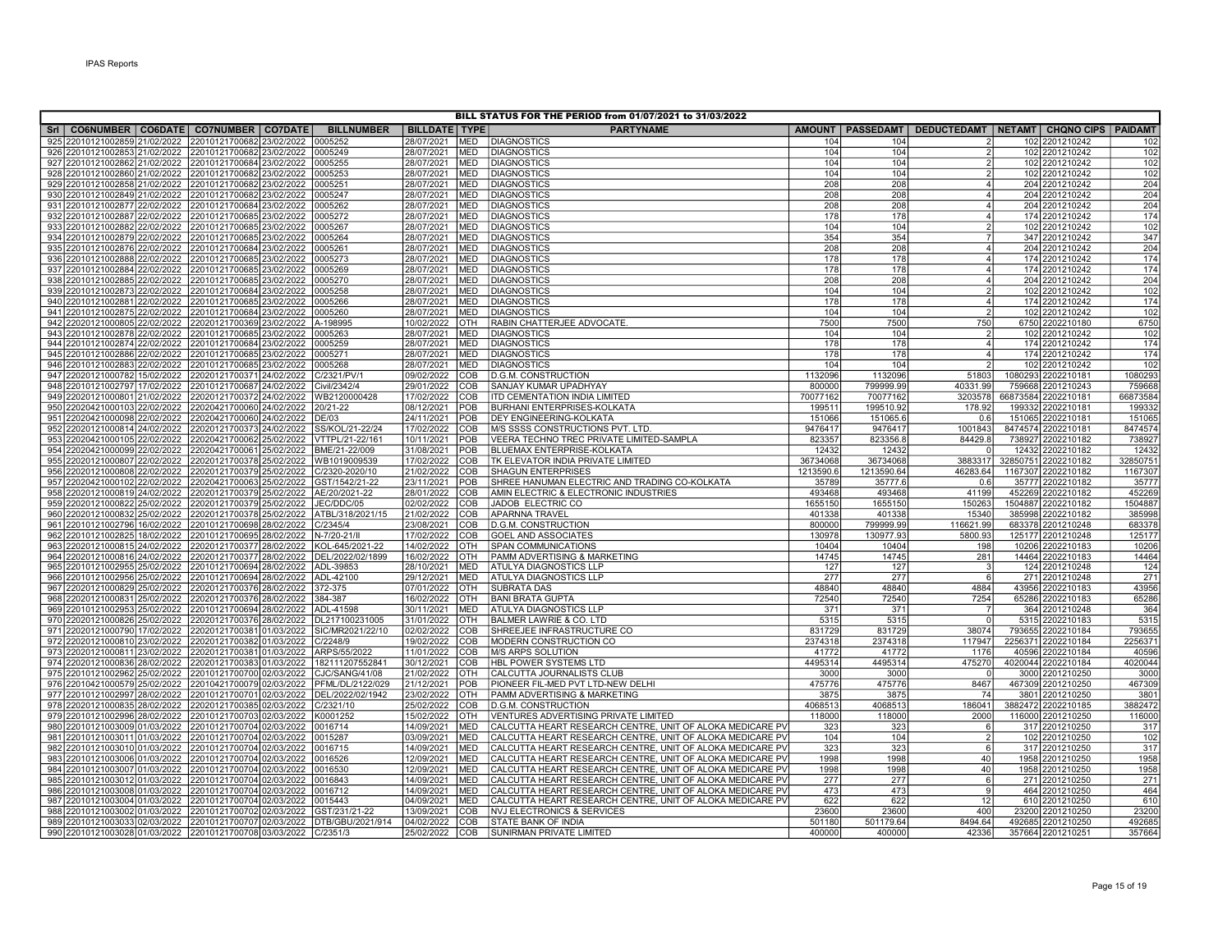| BILL STATUS FOR THE PERIOD from 01/07/2021 to 31/03/2022                 |                                                        |  |                               |                          |                          |                                                                                                                        |                |                |                                                                  |  |                                      |                      |
|--------------------------------------------------------------------------|--------------------------------------------------------|--|-------------------------------|--------------------------|--------------------------|------------------------------------------------------------------------------------------------------------------------|----------------|----------------|------------------------------------------------------------------|--|--------------------------------------|----------------------|
| Sri   CO6NUMBER   CO6DATE   CO7NUMBER   CO7DATE                          |                                                        |  | <b>BILLNUMBER</b>             | <b>BILLDATE TYPE</b>     |                          | <b>PARTYNAME</b>                                                                                                       |                |                | AMOUNT   PASSEDAMT   DEDUCTEDAMT   NETAMT   CHQNO CIPS   PAIDAMT |  |                                      |                      |
| 925 22010121002859 21/02/2022                                            | 22010121700682 23/02/2022                              |  | 0005252                       | 28/07/2021               | <b>MED</b>               | <b>DIAGNOSTICS</b>                                                                                                     | 104            | 104            |                                                                  |  | 102 2201210242                       | 102                  |
| 926 22010121002853 21/02/2022 22010121700682 23/02/2022                  |                                                        |  | 0005249                       | 28/07/2021               | <b>MED</b>               | <b>DIAGNOSTICS</b>                                                                                                     | 104            | 104            | $\overline{2}$                                                   |  | 102 2201210242                       | 102                  |
| 927 22010121002862 21/02/2022 22010121700684 23/02/2022                  |                                                        |  | 0005255                       | 28/07/2021               | <b>MED</b>               | <b>DIAGNOSTICS</b>                                                                                                     | 104            | 104            | $\overline{2}$                                                   |  | 102 2201210242                       | 102                  |
| 928 22010121002860 21/02/2022                                            | 22010121700682 23/02/2022                              |  | 0005253                       | 28/07/2021               | <b>MED</b>               | <b>DIAGNOSTICS</b>                                                                                                     | 104            | 104            | $\overline{2}$                                                   |  | 102 2201210242                       | 102                  |
| 929 22010121002858<br>21/02/2022                                         | 22010121700682 23/02/2022                              |  | 0005251                       | 28/07/2021               | <b>MED</b>               | DIAGNOSTICS                                                                                                            | 208            | 208            | $4 \overline{ }$                                                 |  | 204 2201210242                       | 204                  |
| 930 22010121002849<br>21/02/2022                                         | 22010121700682 23/02/2022                              |  | 0005247                       | 28/07/2021               | <b>MED</b>               | <b>DIAGNOSTICS</b>                                                                                                     | 208            | 208            | 4 <sup>1</sup>                                                   |  | 204 2201210242                       | 204                  |
| 931 22010121002877 22/02/2022                                            | 22010121700684 23/02/2022                              |  | 0005262                       | 28/07/2021               | <b>MED</b>               | <b>DIAGNOSTICS</b>                                                                                                     | 208            | 208            | $\overline{4}$                                                   |  | 204 2201210242                       | 204                  |
| 932 22010121002887<br>22/02/2022                                         | 22010121700685 23/02/2022                              |  | 0005272                       | 28/07/2021               | <b>MED</b>               | <b>DIAGNOSTICS</b>                                                                                                     | 178            | 178            | 4 <sup>1</sup>                                                   |  | 174 2201210242                       | 174                  |
| 933 22010121002882 22/02/2022                                            | 22010121700685 23/02/2022                              |  | 0005267                       | 28/07/2021               | <b>MED</b>               | <b>DIAGNOSTICS</b>                                                                                                     | 104            | 104            | $\overline{2}$                                                   |  | 102 2201210242                       | 102                  |
| 934 22010121002879 22/02/2022                                            | 22010121700685 23/02/2022                              |  | 0005264                       | 28/07/2021               | <b>MED</b>               | <b>DIAGNOSTICS</b>                                                                                                     | 354            | 354            | $\overline{7}$                                                   |  | 347 2201210242                       | 347                  |
| 935 22010121002876 22/02/2022                                            | 22010121700684 23/02/2022                              |  | 0005261                       | 28/07/2021               | <b>MED</b>               | <b>DIAGNOSTICS</b>                                                                                                     | 208            | 208            | 4 <sup>1</sup>                                                   |  | 204 2201210242                       | 204                  |
| 936 22010121002888 22/02/2022                                            | 22010121700685 23/02/2022                              |  | 0005273                       | 28/07/2021               | <b>MED</b>               | <b>DIAGNOSTICS</b>                                                                                                     | 178            | 178            | 4 <sup>1</sup>                                                   |  | 174 2201210242                       | 174                  |
| 937 22010121002884 22/02/2022                                            | 22010121700685 23/02/2022                              |  | 0005269                       | 28/07/2021               | <b>MED</b>               | <b>DIAGNOSTICS</b>                                                                                                     | 178            | 178            | 4 <sup>1</sup>                                                   |  | 174 2201210242                       | 174                  |
| 938 22010121002885 22/02/2022                                            | 22010121700685 23/02/2022                              |  | 0005270                       | 28/07/2021               | <b>MED</b><br><b>MED</b> | <b>DIAGNOSTICS</b>                                                                                                     | 208<br>104     | 208<br>104     | 4 <sup>1</sup><br>$\overline{2}$                                 |  | 204 2201210242<br>102 2201210242     | 204                  |
| 939 22010121002873 22/02/2022<br>22/02/2022                              | 22010121700684 23/02/2022                              |  | 0005258<br>0005266            | 28/07/2021<br>28/07/2021 | <b>MED</b>               | <b>DIAGNOSTICS</b>                                                                                                     | 178            | 178            | $4 \overline{ }$                                                 |  | 174 2201210242                       | 102<br>174           |
| 940 22010121002881<br>941 22010121002875<br>22/02/2022                   | 22010121700685 23/02/2022<br>22010121700684 23/02/2022 |  | 0005260                       | 28/07/2021               | <b>MED</b>               | <b>DIAGNOSTICS</b><br><b>DIAGNOSTICS</b>                                                                               | 104            | 104            | $\overline{2}$                                                   |  | 102 2201210242                       | 102                  |
| 942 22020121000805 22/02/2022                                            | 22020121700369 23/02/2022                              |  | A-198995                      | 10/02/2022               | OTH                      | RABIN CHATTERJEE ADVOCATE.                                                                                             | 7500           | 7500           | 750                                                              |  | 6750 2202210180                      | 6750                 |
| 943 22010121002878 22/02/2022                                            | 22010121700685 23/02/2022                              |  | 0005263                       | 28/07/2021               | <b>MED</b>               | <b>DIAGNOSTICS</b>                                                                                                     | 104            | 104            | $\overline{2}$                                                   |  | 102 2201210242                       | 102                  |
| 944 22010121002874 22/02/2022                                            | 22010121700684 23/02/2022                              |  | 0005259                       | 28/07/2021               | <b>MED</b>               | <b>DIAGNOSTICS</b>                                                                                                     | 178            | 178            | $\overline{4}$                                                   |  | 174 2201210242                       | 174                  |
| 945 22010121002886 22/02/2022                                            | 22010121700685 23/02/2022                              |  | 0005271                       | 28/07/2021               | <b>MED</b>               | <b>DIAGNOSTICS</b>                                                                                                     | 178            | 178            | $\overline{4}$                                                   |  | 174 2201210242                       | 174                  |
| 946 22010121002883 22/02/2022                                            | 22010121700685 23/02/2022                              |  | 0005268                       | 28/07/2021               | <b>MED</b>               | <b>DIAGNOSTICS</b>                                                                                                     | 104            | 104            | $\mathcal{D}$                                                    |  | 102 2201210242                       | 102                  |
| 947 22020121000782 15/02/2022                                            | 22020121700371 24/02/2022                              |  | C/2321/PV/1                   | 09/02/2022               | COB                      | <b>D.G.M. CONSTRUCTION</b>                                                                                             | 1132096        | 1132096        | 51803                                                            |  | 1080293 2202210181                   | 1080293              |
| 948 22010121002797 17/02/2022                                            | 22010121700687 24/02/2022                              |  | Civil/2342/4                  | 29/01/2022               | COB                      | SANJAY KUMAR UPADHYAY                                                                                                  | 800000         | 799999.99      | 40331.99                                                         |  | 759668 2201210243                    | 759668               |
| 949 22020121000801 21/02/2022                                            | 22020121700372 24/02/2022                              |  | WB2120000428                  | 17/02/2022               | COB                      | <b>ITD CEMENTATION INDIA LIMITED</b>                                                                                   | 70077162       | 70077162       | 3203578                                                          |  | 66873584 2202210181                  | 66873584             |
| 950 22020421000103<br>22/02/2022                                         | 22020421700060 24/02/2022                              |  | 20/21-22                      | 08/12/2021               | <b>POB</b>               | BURHANI ENTERPRISES-KOLKATA                                                                                            | 199511         | 199510.92      | 178.92                                                           |  | 199332 2202210181                    | 199332               |
| 951 22020421000098<br>22/02/2022                                         | 22020421700060 24/02/2022                              |  | DE/03                         | 24/11/2021               | <b>POB</b>               | <b>DEY ENGINEERING-KOLKATA</b>                                                                                         | 151066         | 151065.6       | 0.6                                                              |  | 151065 220221018                     | 15106                |
| 952 22020121000814 24/02/2022                                            | 22020121700373 24/02/2022                              |  | SS/KOL/21-22/24               | 17/02/2022               | COB                      | M/S SSSS CONSTRUCTIONS PVT. LTD.                                                                                       | 9476417        | 9476417        | 1001843                                                          |  | 8474574 2202210181                   | 8474574              |
| 953 22020421000105 22/02/2022                                            | 22020421700062 25/02/2022                              |  | VTTPL/21-22/161               | 10/11/2021               | POB                      | VEERA TECHNO TREC PRIVATE LIMITED-SAMPLA                                                                               | 823357         | 823356.8       | 84429.8                                                          |  | 738927 2202210182                    | 738927               |
| 954 22020421000099 22/02/2022                                            | 22020421700061 25/02/2022                              |  | BME/21-22/009                 | 31/08/2021               | <b>POB</b>               | <b>BLUEMAX ENTERPRISE-KOLKATA</b>                                                                                      | 12432          | 12432          |                                                                  |  | 12432 2202210182                     | 12432                |
| 955 22020121000807 22/02/2022                                            | 22020121700378 25/02/2022                              |  | WB1019009539                  | 17/02/2022               | <b>COB</b>               | TK ELEVATOR INDIA PRIVATE LIMITED                                                                                      | 36734068       | 36734068       | 3883317                                                          |  | 32850751 2202210182                  | 3285075 <sup>-</sup> |
| 956 22020121000808 22/02/2022                                            | 22020121700379 25/02/2022                              |  | C/2320-2020/10                | 21/02/2022               | COB                      | <b>SHAGUN ENTERPRISES</b>                                                                                              | 1213590.6      | 1213590.64     | 46283.64                                                         |  | 1167307 2202210182                   | 1167307              |
| 957 22020421000102 22/02/2022                                            | 22020421700063 25/02/2022                              |  | GST/1542/21-22                | 23/11/2021               | POB                      | SHREE HANUMAN ELECTRIC AND TRADING CO-KOLKATA                                                                          | 35789          | 35777.6        | 0.6                                                              |  | 35777 2202210182                     | 35777                |
| 958 22020121000819 24/02/2022                                            | 22020121700379 25/02/2022 AE/20/2021-22                |  |                               | 28/01/2022               | COB                      | AMIN ELECTRIC & ELECTRONIC INDUSTRIES                                                                                  | 493468         | 493468         | 41199                                                            |  | 452269 2202210182                    | 452269               |
| 959 22020121000822 25/02/2022                                            | 22020121700379 25/02/2022                              |  | JEC/DDC/05                    | 02/02/2022               | COB                      | JADOB ELECTRIC CO                                                                                                      | 1655150        | 1655150        | 150263                                                           |  | 1504887 2202210182                   | 1504887              |
| 960 22020121000832 25/02/2022 22020121700378 25/02/2022 ATBL/318/2021/15 |                                                        |  |                               | 21/02/2022               | ICOB                     | <b>APARNNA TRAVEL</b>                                                                                                  | 401338         | 401338         | 15340                                                            |  | 385998 2202210182                    | 385998               |
| 961 22010121002796 16/02/2022 22010121700698 28/02/2022                  |                                                        |  | C/2345/4                      | 23/08/2021               | COB                      | <b>D.G.M. CONSTRUCTION</b>                                                                                             | 800000         | 799999.99      | 116621.99                                                        |  | 683378 2201210248                    | 683378               |
| 18/02/2022<br>962 22010121002825                                         | 22010121700695 28/02/2022 N-7/20-21/II                 |  |                               | 17/02/2022               | COB                      | <b>GOEL AND ASSOCIATES</b>                                                                                             | 130978         | 130977.93      | 5800.93                                                          |  | 125177 2201210248                    | 125177               |
| 963 22020121000815 24/02/2022<br>964 22020121000816 24/02/2022           | 22020121700377 28/02/2022                              |  | KOL-645/2021-22               | 14/02/2022<br>16/02/2022 | OTH<br>OTH               | SPAN COMMUNICATIONS                                                                                                    | 10404<br>14745 | 10404<br>14745 | 198<br>281                                                       |  | 10206 2202210183<br>14464 2202210183 | 10206<br>14464       |
| 25/02/2022<br>965 22010121002955                                         | 22020121700377 28/02/2022<br>22010121700694 28/02/2022 |  | DEL/2022/02/1899<br>ADL-39853 | 28/10/2021               | <b>MED</b>               | PAMM ADVERTISING & MARKETING<br><b>ATULYA DIAGNOSTICS LLP</b>                                                          | 127            | 127            | $\overline{3}$                                                   |  | 124 2201210248                       | 124                  |
| 966 22010121002956<br>25/02/2022                                         | 22010121700694 28/02/2022                              |  | ADL-42100                     | 29/12/2021               | <b>MED</b>               | <b>ATULYA DIAGNOSTICS LLP</b>                                                                                          | 277            | 277            | 6                                                                |  | 271 2201210248                       | 271                  |
| 967 22020121000829<br>25/02/2022                                         | 22020121700376 28/02/2022                              |  | 372-375                       | 07/01/2022               | <b>OTH</b>               | <b>SUBRATA DAS</b>                                                                                                     | 48840          | 48840          | 4884                                                             |  | 43956 2202210183                     | 43956                |
| 968 22020121000831 25/02/2022                                            | 22020121700376 28/02/2022                              |  | 384-387                       | 16/02/2022               | <b>OTH</b>               | <b>BANI BRATA GUPTA</b>                                                                                                | 72540          | 72540          | 7254                                                             |  | 65286 2202210183                     | 65286                |
| 969 22010121002953 25/02/2022                                            | 22010121700694 28/02/2022                              |  | ADL-41598                     | 30/11/2021               | <b>MED</b>               | <b>ATULYA DIAGNOSTICS LLP</b>                                                                                          | 371            | 371            | $\overline{7}$                                                   |  | 364 2201210248                       | 364                  |
| 970 22020121000826 25/02/2022                                            | 22020121700376 28/02/2022                              |  | DL217100231005                | 31/01/2022               | <b>OTH</b>               | <b>BALMER LAWRIE &amp; CO. LTD</b>                                                                                     | 5315           | 5315           | $\Omega$                                                         |  | 5315 2202210183                      | 5315                 |
| 971 22020121000790 17/02/2022                                            | 22020121700381 01/03/2022                              |  | SIC/MR2021/22/10              | 02/02/2022               | <b>COB</b>               | SHREEJEE INFRASTRUCTURE CO                                                                                             | 831729         | 831729         | 38074                                                            |  | 793655 2202210184                    | 79365                |
| 972 22020121000810 23/02/2022                                            | 22020121700382 01/03/2022                              |  | C/2248/9                      | 19/02/2022               | <b>COB</b>               | MODERN CONSTRUCTION CO                                                                                                 | 2374318        | 2374318        | 117947                                                           |  | 2256371 2202210184                   | 225637               |
| 973 22020121000811 23/02/2022                                            | 22020121700381 01/03/2022                              |  | ARPS/55/2022                  | 11/01/2022               | <b>COB</b>               | <b>IM/S ARPS SOLUTION</b>                                                                                              | 41772          | 41772          | 1176                                                             |  | 40596 2202210184                     | 40596                |
| 974 22020121000836<br>28/02/2022                                         | 22020121700383 01/03/2022                              |  | 18211120755284                | 30/12/2021               | COB                      | HBL POWER SYSTEMS LTD                                                                                                  | 4495314        | 4495314        | 475270                                                           |  | 4020044 2202210184                   | 4020044              |
| 975 22010121002962 25/02/2022                                            | 22010121700700 02/03/2022                              |  | CJC/SANG/41/08                | 21/02/2022               | OTH                      | CALCUTTA JOURNALISTS CLUB                                                                                              | 3000           | 3000           |                                                                  |  | 3000 2201210250                      | 3000                 |
| 976 22010421000579 25/02/2022                                            | 22010421700079102/03/2022                              |  | PFML/DL/2122/029              | 21/12/2021               | POB                      | PIONEER FIL-MED PVT LTD-NEW DELHI                                                                                      | 475776         | 475776         | 8467                                                             |  | 467309 2201210250                    | 467309               |
| 977 22010121002997 28/02/2022                                            | 22010121700701 02/03/2022                              |  | DEL/2022/02/1942              | 23/02/2022               | OTH                      | PAMM ADVERTISING & MARKETING                                                                                           | 3875           | 3875           | 74                                                               |  | 3801 2201210250                      | 380 <sup>4</sup>     |
| 978 22020121000835 28/02/2022                                            | 22020121700385 02/03/2022                              |  | C/2321/10                     | 25/02/2022               | COB                      | <b>D.G.M. CONSTRUCTION</b>                                                                                             | 4068513        | 4068513        | 186041                                                           |  | 3882472 2202210185                   | 3882472              |
| 979 22010121002996 28/02/2022                                            | 22010121700703 02/03/2022                              |  | K0001252                      | 15/02/2022               | Іотн                     | VENTURES ADVERTISING PRIVATE LIMITED                                                                                   | 118000         | 118000         | 2000                                                             |  | 116000 2201210250                    | 116000               |
| 980 22010121003009 01/03/2022                                            | 22010121700704 02/03/2022                              |  | 0016714                       | 14/09/2021               | <b>MED</b>               | CALCUTTA HEART RESEARCH CENTRE, UNIT OF ALOKA MEDICARE PV                                                              | 323            | 323            | $\,$ 6                                                           |  | 317 2201210250                       | 317                  |
| 981 22010121003011 01/03/2022                                            | 22010121700704 02/03/2022                              |  | 0015287                       | 03/09/2021               | <b>MED</b>               | CALCUTTA HEART RESEARCH CENTRE, UNIT OF ALOKA MEDICARE PV                                                              | 104            | 104            | $\overline{2}$                                                   |  | 102 2201210250                       | 102                  |
| 982 22010121003010<br>01/03/2022                                         | 22010121700704 02/03/2022                              |  | 0016715                       | 14/09/2021               | <b>MED</b>               | CALCUTTA HEART RESEARCH CENTRE, UNIT OF ALOKA MEDICARE PV                                                              | 323            | 323            | $6 \overline{6}$                                                 |  | 317 2201210250                       | 317                  |
| 983 22010121003006<br>01/03/2022                                         | 22010121700704 02/03/2022                              |  | 0016526                       | 12/09/2021               | <b>MED</b>               | CALCUTTA HEART RESEARCH CENTRE, UNIT OF ALOKA MEDICARE PV                                                              | 1998           | 1998           | 40                                                               |  | 1958 2201210250                      | 1958                 |
| 984 22010121003007 01/03/2022                                            | 22010121700704 02/03/2022                              |  | 0016530                       | 12/09/2021               | <b>MED</b>               | CALCUTTA HEART RESEARCH CENTRE, UNIT OF ALOKA MEDICARE PV                                                              | 1998           | 1998           | 40                                                               |  | 1958 2201210250                      | 1958                 |
| 985 22010121003012<br>01/03/2022                                         | 22010121700704 02/03/2022                              |  | 0016843                       | 14/09/2021               | <b>MED</b>               | CALCUTTA HEART RESEARCH CENTRE, UNIT OF ALOKA MEDICARE PV                                                              | 277            | 277            | -61                                                              |  | 271 2201210250                       | 271                  |
| 986 22010121003008 01/03/2022                                            | 22010121700704 02/03/2022                              |  | 0016712<br>0015443            | 14/09/2021<br>04/09/2021 | <b>MED</b><br><b>MED</b> | CALCUTTA HEART RESEARCH CENTRE, UNIT OF ALOKA MEDICARE PV<br>CALCUTTA HEART RESEARCH CENTRE, UNIT OF ALOKA MEDICARE PV | 473<br>622     | 473<br>622     | 9<br>12                                                          |  | 464 2201210250                       | 464<br>610           |
| 987 22010121003004 01/03/2022<br>988 22010121003002 01/03/2022           | 22010121700704 02/03/2022<br>22010121700702 02/03/2022 |  | GST/231/21-22                 | 13/09/2021               | COB                      | NVJ ELECTRONICS & SERVICES                                                                                             | 23600          | 23600          | 400                                                              |  | 610 2201210250<br>23200 2201210250   | 23200                |
| 989 22010121003033 02/03/2022 22010121700707 02/03/2022 DTB/GBU/2021/914 |                                                        |  |                               | 04/02/2022               | <b>COB</b>               | <b>STATE BANK OF INDIA</b>                                                                                             | 501180         | 501179.64      | 8494.64                                                          |  | 492685 2201210250                    | 492685               |
| 990 22010121003028 01/03/2022 22010121700708 03/03/2022 C/2351/3         |                                                        |  |                               | 25/02/2022               | COB                      | SUNIRMAN PRIVATE LIMITED                                                                                               | 400000         | 400000         | 42336                                                            |  | 357664 2201210251                    | 357664               |
|                                                                          |                                                        |  |                               |                          |                          |                                                                                                                        |                |                |                                                                  |  |                                      |                      |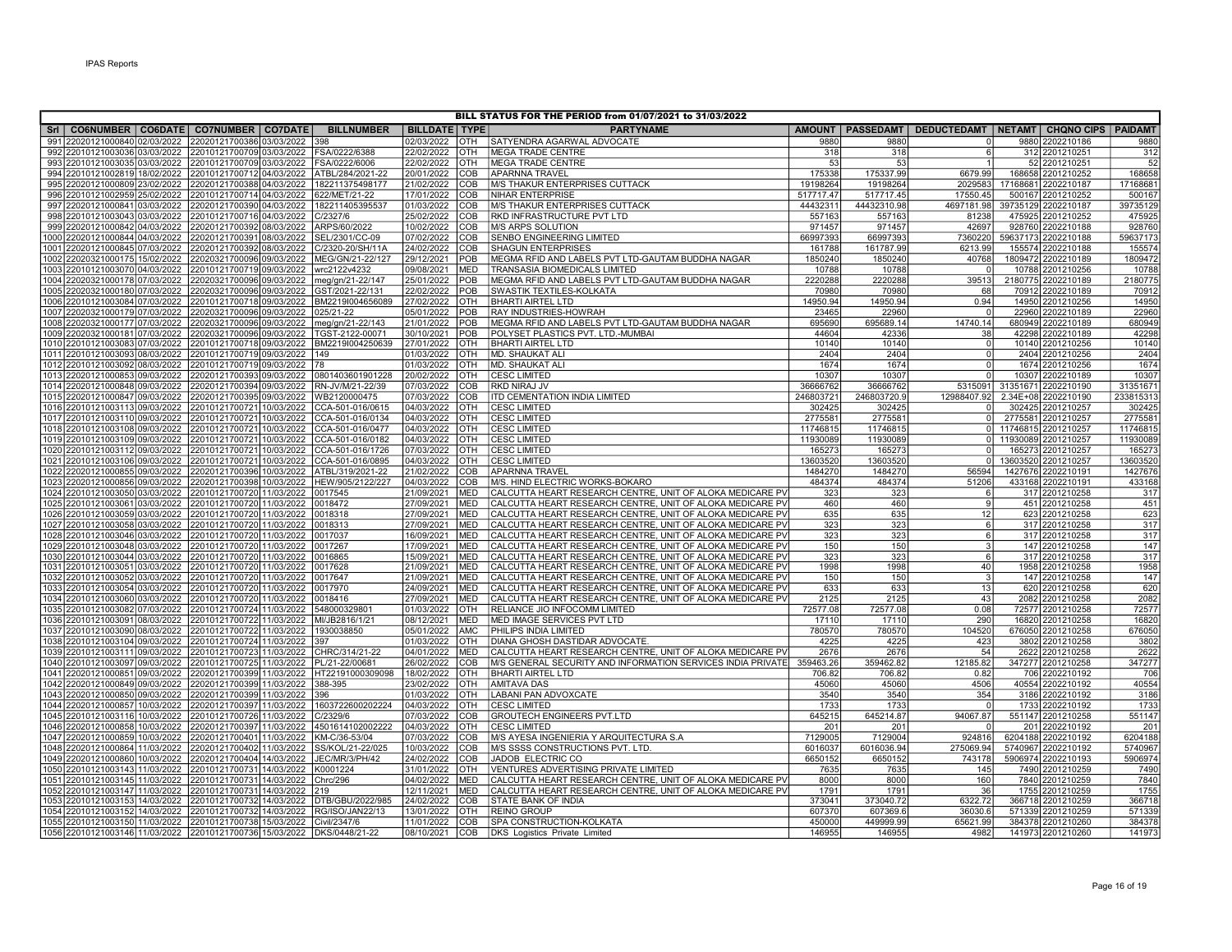|                                                                                                       |                                          |                                            |                          |                   | BILL STATUS FOR THE PERIOD from 01/07/2021 to 31/03/2022              |                |                |                 |                                                                  |              |
|-------------------------------------------------------------------------------------------------------|------------------------------------------|--------------------------------------------|--------------------------|-------------------|-----------------------------------------------------------------------|----------------|----------------|-----------------|------------------------------------------------------------------|--------------|
| SrI   CO6NUMBER   CO6DATE   CO7NUMBER   CO7DATE                                                       |                                          | <b>BILLNUMBER</b>                          | <b>BILLDATE TYPE</b>     |                   | <b>PARTYNAME</b>                                                      |                |                |                 | AMOUNT   PASSEDAMT   DEDUCTEDAMT   NETAMT   CHQNO CIPS   PAIDAMT |              |
| 991 22020121000840 02/03/2022                                                                         | 22020121700386 03/03/2022                | 398                                        | 02/03/2022               | <b>OTH</b>        | SATYENDRA AGARWAL ADVOCATE                                            | 9880           | 9880           |                 | 9880 2202210186                                                  | 9880         |
| 992 22010121003036 03/03/2022 22010121700709 03/03/2022 FSA/0222/6388                                 |                                          |                                            | 22/02/2022               | OTH               | <b>MEGA TRADE CENTRE</b>                                              | 318            | 318            | 6               | 312 2201210251                                                   | 312          |
| 993 22010121003035 03/03/2022 22010121700709 03/03/2022 FSA/0222/6006                                 |                                          |                                            | 22/02/2022               | OTH               | MEGA TRADE CENTRE                                                     | 53             | 53             |                 | 52 2201210251                                                    | 52           |
| 994 22010121002819 18/02/2022 22010121700712 04/03/2022                                               |                                          | ATBL/284/2021-22                           | 20/01/2022               | COB               | <b>APARNNA TRAVEL</b>                                                 | 175338         | 175337.99      | 6679.99         | 168658 2201210252                                                | 168658       |
| 995 22020121000809 23/02/2022                                                                         | 22020121700388 04/03/2022                | 182211375498177                            | 21/02/2022               | COB               | M/S THAKUR ENTERPRISES CUTTACK                                        | 19198264       | 19198264       | 2029583         | 17168681 2202210187                                              | 1716868      |
| 996 22010121002959 25/02/2022                                                                         | 22010121700714 04/03/2022                | 622/MET/21-22                              | 17/01/2022               | COB               | NIHAR ENTERPRISE                                                      | 517717.47      | 517717.45      | 17550.45        | 500167 2201210252                                                | 500167       |
| 997 22020121000841 03/03/2022 22020121700390 04/03/2022                                               |                                          | 182211405395537                            | 01/03/2022               | COB               | <b>M/S THAKUR ENTERPRISES CUTTACK</b>                                 | 44432311       | 44432310.98    | 4697181.98      | 39735129 2202210187                                              | 39735129     |
| 998 22010121003043 03/03/2022                                                                         | 22010121700716 04/03/2022                | C/2327/6                                   | 25/02/2022               | COB               | RKD INFRASTRUCTURE PVT LTD                                            | 557163         | 557163         | 81238           | 475925 2201210252                                                | 475925       |
| 999 22020121000842 04/03/2022                                                                         | 22020121700392 08/03/2022                | ARPS/60/2022                               | 10/02/2022               | COB               | M/S ARPS SOLUTION                                                     | 971457         | 971457         | 42697           | 928760 2202210188                                                | 928760       |
| 1000 22020121000844 04/03/2022 22020121700391 08/03/2022                                              |                                          | SEL/2301/CC-09                             | 07/02/2022               | COB               | <b>SENBO ENGINEERING LIMITED</b>                                      | 66997393       | 66997393       | 7360220         | 59637173 2202210188                                              | 59637173     |
| 1001 22020121000845 07/03/2022                                                                        | 22020121700392 08/03/2022                | C/2320-20/SH/11A                           | 24/02/2022               | COB               | <b>SHAGUN ENTERPRISES</b>                                             | 161788         | 161787.99      | 6213.99         | 155574 2202210188                                                | 15557        |
| 1002 22020321000175 15/02/2022                                                                        | 22020321700096 09/03/2022                | MEG/GN/21-22/127                           | 29/12/2021               | POB               | MEGMA RFID AND LABELS PVT LTD-GAUTAM BUDDHA NAGAR                     | 1850240        | 1850240        | 40768           | 1809472 2202210189                                               | 1809472      |
| 1003 22010121003070 04/03/2022                                                                        | 22010121700719 09/03/2022                | wrc2122v4232                               | 09/08/2021               | <b>MED</b>        | TRANSASIA BIOMEDICALS LIMITED                                         | 10788          | 10788          |                 | 10788 2201210256                                                 | 10788        |
| 1004 22020321000178 07/03/2022                                                                        |                                          | 22020321700096 09/03/2022 meg/gn/21-22/147 | 25/01/2022               | POB               | MEGMA RFID AND LABELS PVT LTD-GAUTAM BUDDHA NAGAR                     | 2220288        | 2220288        | 39513           | 2180775 2202210189                                               | 2180775      |
| 1005 22020321000180 07/03/2022                                                                        | 22020321700096 09/03/2022                | GST/2021-22/131                            | 22/02/2022               | POB               | SWASTIK TEXTILES-KOLKATA                                              | 70980          | 70980          | 68              | 70912 2202210189                                                 | 70912        |
| 1006 22010121003084 07/03/2022                                                                        | 22010121700718 09/03/2022                | BM2219I004656089                           | 27/02/2022               | OTH               | <b>BHARTI AIRTEL LTD</b>                                              | 14950.94       | 14950.94       | 0.94            | 14950 2201210256                                                 | 14950        |
| 1007 22020321000179 07/03/2022                                                                        | 22020321700096109/03/2022                | 025/21-22                                  | 05/01/2022               | POB               | RAY INDUSTRIES-HOWRAH                                                 | 23465          | 22960          |                 | 22960 2202210189                                                 | 22960        |
| 1008 22020321000177 07/03/2022                                                                        | 22020321700096 09/03/2022                | meg/gn/21-22/143                           | 21/01/2022               | POB               | MEGMA RFID AND LABELS PVT LTD-GAUTAM BUDDHA NAGAR                     | 695690         | 695689.14      | 14740.14        | 680949 2202210189                                                | 680949       |
| 1009 22020321000181 07/03/2022                                                                        |                                          | 22020321700096 09/03/2022 TGST-2122-00071  | 30/10/2021               | POB               | POLYSET PLASTICS PVT. LTD.-MUMBAI                                     | 44604          | 42336          | 38              | 42298 2202210189                                                 | 42298        |
| 1010 22010121003083 07/03/2022                                                                        | 22010121700718 09/03/2022                | BM2219I004250639                           | 27/01/2022               | <b>OTH</b>        | <b>BHARTI AIRTEL LTD</b>                                              | 10140          | 10140          | $\mathbf 0$     | 10140 2201210256                                                 | 10140        |
| 1011 22010121003093 08/03/2022  22010121700719 09/03/2022                                             |                                          | 149                                        | 01/03/2022               | OTH               | MD. SHAUKAT ALI                                                       | 2404           | 2404           | $\overline{0}$  | 2404 2201210256                                                  | 2404         |
| 1012 22010121003092 08/03/2022  22010121700719 09/03/2022                                             |                                          | 178                                        | 01/03/2022               | <b>OTH</b>        | MD. SHAUKAT ALI                                                       | 1674           | 1674           | $\Omega$        | 1674 2201210256                                                  | 1674         |
| 1013 22020121000853 09/03/2022 22020121700393 09/03/2022                                              |                                          | 0801403601901228                           | 20/02/2022               | <b>OTH</b>        | <b>CESC LIMITED</b>                                                   | 10307          | 10307          | $\Omega$        | 10307 2202210189                                                 | 10307        |
| 1014 22020121000848 09/03/2022 22020121700394 09/03/2022                                              |                                          | RN-JV/M/21-22/39                           | 07/03/2022               | <b>COB</b>        | <b>RKD NIRAJ JV</b>                                                   | 36666762       | 36666762       |                 | 5315091 31351671 2202210190                                      | 3135167      |
| 1015 22020121000847 09/03/2022                                                                        | 22020121700395 09/03/2022 WB2120000475   |                                            | 07/03/2022               | COB               | <b>ITD CEMENTATION INDIA LIMITED</b>                                  | 246803721      | 246803720.9    | 12988407.92     | 2.34E+08 2202210190                                              | 23381531     |
| 1016 22010121003113 09/03/2022                                                                        | 22010121700721 10/03/2022                | CCA-501-016/0615                           | 04/03/2022               | <b>OTH</b>        | <b>CESC LIMITED</b>                                                   | 302425         | 302425         | $\circ$         | 302425 2201210257                                                | 302425       |
| 1017 22010121003110 09/03/2022 22010121700721 10/03/2022                                              |                                          | CCA-501-016/0134                           | 04/03/2022               | OTH               | <b>CESC LIMITED</b>                                                   | 2775581        | 2775581        | $\overline{0}$  | 2775581 2201210257                                               | 277558       |
| 1018 22010121003108 09/03/2022                                                                        | 22010121700721 10/03/2022                | CCA-501-016/0477                           | 04/03/2022               | <b>OTH</b>        | <b>CESC LIMITED</b>                                                   | 11746815       | 11746815       |                 | 0 11746815 2201210257                                            | 1174681      |
| 1019 22010121003109 09/03/2022                                                                        | 22010121700721 10/03/2022                | CCA-501-016/0182                           | 04/03/2022               | OTH               | <b>CESC LIMITED</b>                                                   | 11930089       | 11930089       | 0               | 11930089 2201210257                                              | 1193008      |
| 1020 22010121003112 09/03/2022                                                                        | 22010121700721 10/03/2022                | CCA-501-016/1726                           | 07/03/2022               | OTH               | <b>CESC LIMITED</b>                                                   | 165273         | 165273         | $\Omega$        | 165273 2201210257                                                | 16527        |
| 1021 22010121003106 09/03/2022                                                                        | 22010121700721 10/03/2022                | CCA-501-016/0895                           | 04/03/2022               | OTH               | <b>CESC LIMITED</b>                                                   | 13603520       | 13603520       | $\overline{0}$  | 13603520 2201210257                                              | 13603520     |
| 1022 22020121000855 09/03/2022                                                                        | 22020121700396 10/03/2022                | ATBL/319/2021-22                           | 21/02/2022               | COB               | <b>APARNNA TRAVEL</b>                                                 | 1484270        | 1484270        | 56594           | 1427676 2202210191                                               | 1427676      |
| 1023 22020121000856 09/03/2022                                                                        | 22020121700398 10/03/2022                | HEW/905/2122/227                           | 04/03/2022               | COB               | M/S. HIND ELECTRIC WORKS-BOKARO                                       | 484374         | 484374         | 51206           | 433168 2202210191                                                | 433168       |
| 1024 22010121003050 03/03/2022                                                                        | 22010121700720 11/03/2022                | 0017545                                    | 21/09/2021               | <b>MED</b>        | İCALCUTTA HEART RESEARCH CENTRE. UNIT OF ALOKA MEDICARE PVİ           | 323            | 323            | 6               | 317 2201210258                                                   | 317          |
| 1025 22010121003061 03/03/2022 22010121700720 11/03/2022                                              |                                          | 0018472                                    | 27/09/2021               | <b>MED</b>        | CALCUTTA HEART RESEARCH CENTRE, UNIT OF ALOKA MEDICARE PV             | 460            | 460            | 9               | 451 2201210258                                                   | 451          |
| 1026 22010121003059 03/03/2022                                                                        | 22010121700720 11/03/2022 0018318        |                                            | 27/09/2021               | <b>MED</b>        | CALCUTTA HEART RESEARCH CENTRE, UNIT OF ALOKA MEDICARE PV             | 635            | 635            | 12              | 623 2201210258                                                   | 623          |
| 1027 22010121003058 03/03/2022                                                                        | 22010121700720 11/03/2022                | 0018313                                    | 27/09/2021               | <b>MED</b>        | CALCUTTA HEART RESEARCH CENTRE, UNIT OF ALOKA MEDICARE PV             | 323            | 323            | $6\overline{6}$ | 317 2201210258                                                   | 317          |
| 1028 22010121003046 03/03/2022 22010121700720 11/03/2022                                              |                                          | 0017037                                    | 16/09/2021               | <b>MED</b>        | CALCUTTA HEART RESEARCH CENTRE, UNIT OF ALOKA MEDICARE PV             | 323            | 323            | 6               | 317 2201210258                                                   | 317          |
| 1029 22010121003048 03/03/2022 22010121700720 11/03/2022                                              |                                          | 0017267                                    | 17/09/2021               | <b>MED</b>        | CALCUTTA HEART RESEARCH CENTRE, UNIT OF ALOKA MEDICARE PV             | 150            | 150            | $\mathbf{3}$    | 147 2201210258                                                   | 147          |
| 1030 22010121003044 03/03/2022                                                                        | 22010121700720 11/03/2022                | 0016865                                    | 15/09/2021               | <b>MED</b>        | CALCUTTA HEART RESEARCH CENTRE, UNIT OF ALOKA MEDICARE PV             | 323            | 323            | $6 \mid$        | 317 2201210258                                                   | 317          |
| 1031 22010121003051 03/03/2022                                                                        | 22010121700720 11/03/2022                | 0017628                                    | 21/09/2021               | <b>MED</b>        | CALCUTTA HEART RESEARCH CENTRE, UNIT OF ALOKA MEDICARE PV             | 1998           | 1998           | 40              | 1958 2201210258                                                  | 1958         |
| 1032 22010121003052 03/03/2022 22010121700720 11/03/2022                                              |                                          | 0017647                                    | 21/09/2021               | <b>MED</b>        | CALCUTTA HEART RESEARCH CENTRE, UNIT OF ALOKA MEDICARE PV             | 150            | 150            | $\overline{3}$  | 147 2201210258                                                   | 147          |
| 1033 22010121003054 03/03/2022  22010121700720 11/03/2022                                             |                                          | 0017970                                    | 24/09/2021               | <b>MED</b>        | CALCUTTA HEART RESEARCH CENTRE, UNIT OF ALOKA MEDICARE PV             | 633            | 633            | 13              | 620 2201210258                                                   | 620          |
| 1034 22010121003060 03/03/2022 22010121700720 11/03/2022                                              |                                          | 0018416                                    | 27/09/2021               | <b>MED</b>        | CALCUTTA HEART RESEARCH CENTRE, UNIT OF ALOKA MEDICARE PV             | 2125           | 2125           | 43              | 2082 2201210258                                                  | 2082         |
| 1035 22010121003082 07/03/2022  22010121700724 11/03/2022                                             |                                          | 548000329801                               | 01/03/2022               | OTH               | RELIANCE JIO INFOCOMM LIMITED                                         | 72577.08       | 72577.08       | 0.08            | 72577 2201210258                                                 | 72577        |
| 1036 22010121003091 08/03/2022 22010121700722 11/03/2022 MI/JB2816/1/21                               |                                          |                                            | 08/12/2021               | <b>MED</b>        | MED IMAGE SERVICES PVT LTD                                            | 17110          | 17110          | 290             | 16820 2201210258                                                 | 16820        |
| 1037 22010121003090 08/03/2022 22010121700722 11/03/2022 1930038850<br>1038 22010121003104 09/03/2022 |                                          |                                            | 05/01/2022<br>01/03/2022 | AMC<br><b>OTH</b> | PHILIPS INDIA LIMITED<br>DIANA GHOSH DASTIDAR ADVOCATE.               | 780570<br>4225 | 780570<br>4225 | 104520<br>423   | 676050 2201210258<br>3802 2201210258                             | 676050       |
| 1039 22010121003111 09/03/2022  22010121700723 11/03/2022                                             | 22010121700724 11/03/2022                | 1397<br>CHRC/314/21-22                     | 04/01/2022               | <b>MED</b>        | CALCUTTA HEART RESEARCH CENTRE, UNIT OF ALOKA MEDICARE PV             | 2676           | 2676           | 54              | 2622 2201210258                                                  | 3802<br>2622 |
| 1040 22010121003097 09/03/2022                                                                        | 22010121700725 11/03/2022                |                                            | 26/02/2022               | <b>COB</b>        | M/S GENERAL SECURITY AND INFORMATION SERVICES INDIA PRIVATE 359463.26 |                | 359462.82      | 12185.82        | 347277 2201210258                                                | 347277       |
| 1041 22020121000851 09/03/2022                                                                        | 22020121700399 11/03/2022                | PL/21-22/00681<br>HT22191000309098         | 18/02/2022               | OTH               | <b>BHARTI AIRTEL LTD</b>                                              | 706.82         | 706.82         | 0.82            | 706 2202210192                                                   | 706          |
| 1042 22020121000849 09/03/2022                                                                        | 22020121700399 11/03/2022                | 388-395                                    | 23/02/2022               | OTH               | <b>AMITAVA DAS</b>                                                    | 45060          | 45060          | 4506            | 40554 2202210192                                                 | 40554        |
| 1043 22020121000850 09/03/2022                                                                        | 22020121700399 11/03/2022                | 396                                        | 01/03/2022               | OTH               | LABANI PAN ADVOXCATE                                                  | 3540           | 3540           | 354             | 3186 2202210192                                                  | 3186         |
| 1044 22020121000857 10/03/2022                                                                        | 22020121700397 11/03/2022                | 1603722600202224                           | 04/03/2022               | <b>OTH</b>        | <b>CESC LIMITED</b>                                                   | 1733           | 1733           | $\Omega$        | 1733 2202210192                                                  | 1733         |
| 1045 22010121003116 10/03/2022 22010121700726 11/03/2022                                              |                                          | C/2329/6                                   | 07/03/2022               | COB               | <b>GROUTECH ENGINEERS PVT.LTD</b>                                     | 645215         | 645214.87      | 94067.87        | 551147 2201210258                                                | 551147       |
| 1046 22020121000858 10/03/2022                                                                        | 22020121700397 11/03/2022                | 4501614102002222                           | 04/03/2022               | <b>OTH</b>        | <b>CESC LIMITED</b>                                                   | 201            | 201            |                 | 201 2202210192                                                   | 201          |
| 1047 22020121000859 10/03/2022                                                                        | 22020121700401 11/03/2022                | KM-C/36-53/04                              | 07/03/2022               | COB               | M/S AYESA INGENIERIA Y ARQUITECTURA S.A                               | 7129005        | 7129004        | 924816          | 6204188 2202210192                                               | 6204188      |
| 1048 22020121000864 11/03/2022                                                                        | 22020121700402 11/03/2022                | SS/KOL/21-22/025                           | 10/03/2022               | COB               | M/S SSSS CONSTRUCTIONS PVT. LTD                                       | 6016037        | 6016036.94     | 275069.94       | 5740967 2202210192                                               | 5740967      |
| 1049 22020121000860 10/03/2022                                                                        | 22020121700404 14/03/2022 JEC/MR/3/PH/42 |                                            | 24/02/2022               | <b>COB</b>        | <b>JADOB ELECTRIC CO</b>                                              | 6650152        | 6650152        | 743178          | 5906974 2202210193                                               | 5906974      |
| 1050 22010121003143 11/03/2022 22010121700731 14/03/2022                                              |                                          | K0001224                                   | 31/01/2022               | OTH               | VENTURES ADVERTISING PRIVATE LIMITED                                  | 7635           | 7635           | 145             | 7490 2201210259                                                  | 7490         |
| 1051 22010121003145 11/03/2022  22010121700731 14/03/2022                                             |                                          | Chrc/296                                   | 04/02/2022               | <b>MED</b>        | CALCUTTA HEART RESEARCH CENTRE, UNIT OF ALOKA MEDICARE PV             | 8000           | 8000           | 160             | 7840 2201210259                                                  | 7840         |
| 1052 22010121003147 11/03/2022                                                                        | 2201012170073114/03/2022                 | 219                                        | 12/11/2021               | <b>MED</b>        | CALCUTTA HEART RESEARCH CENTRE, UNIT OF ALOKA MEDICARE PV             | 1791           | 1791           | 36              | 1755 2201210259                                                  | 1755         |
| 1053 22010121003153 14/03/2022                                                                        | 22010121700732 14/03/2022                | DTB/GBU/2022/985                           | 24/02/2022               | COB               | <b>STATE BANK OF INDIA</b>                                            | 373041         | 373040.72      | 6322.72         | 366718 2201210259                                                | 366718       |
| 1054   22010121003152   14/03/2022                                                                    |                                          | 22010121700732 14/03/2022 RG/ISO/JAN22/13  | 13/01/2022               | <b>OTH</b>        | <b>REINO GROUP</b>                                                    | 607370         | 607369.6       | 36030.6         | 571339 2201210259                                                | 571339       |
| 1055 22010121003150 11/03/2022 22010121700738 15/03/2022 Civil/2347/6                                 |                                          |                                            | 11/01/2022               | COB               | SPA CONSTRUCTION-KOLKATA                                              | 450000         | 449999.99      | 65621.99        | 384378 2201210260                                                | 384378       |
| 1056 22010121003146 11/03/2022 22010121700736 15/03/2022 DKS/0448/21-22                               |                                          |                                            | 08/10/2021               | <b>COB</b>        | DKS Logistics Private Limited                                         | 146955         | 146955         | 4982            | 141973 2201210260                                                | 141973       |
|                                                                                                       |                                          |                                            |                          |                   |                                                                       |                |                |                 |                                                                  |              |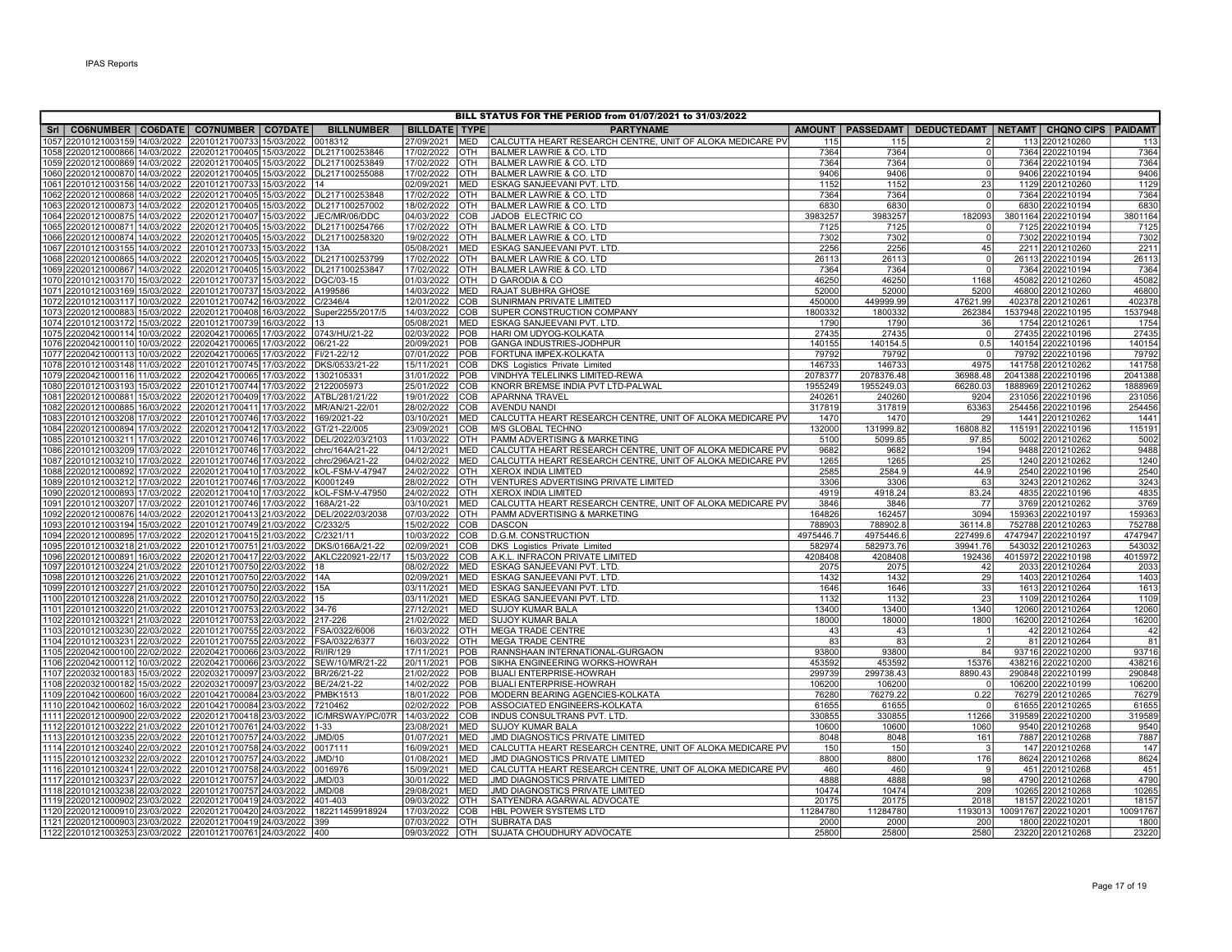|                                                                             |                                                        |                                          | BILL STATUS FOR THE PERIOD from 01/07/2021 to 31/03/2022<br>AMOUNT   PASSEDAMT   DEDUCTEDAMT   NETAMT   CHQNO CIPS   PAIDAMT<br>SrI   CO6NUMBER   CO6DATE   CO7NUMBER   CO7DATE |                          |                                                                                           |                |                   |                |                                      |                |  |  |  |  |  |  |
|-----------------------------------------------------------------------------|--------------------------------------------------------|------------------------------------------|---------------------------------------------------------------------------------------------------------------------------------------------------------------------------------|--------------------------|-------------------------------------------------------------------------------------------|----------------|-------------------|----------------|--------------------------------------|----------------|--|--|--|--|--|--|
|                                                                             |                                                        | <b>BILLNUMBER</b>                        | <b>BILLDATE TYPE</b>                                                                                                                                                            |                          | <b>PARTYNAME</b>                                                                          |                |                   |                |                                      |                |  |  |  |  |  |  |
| 1057 22010121003159 14/03/2022                                              | 22010121700733 15/03/2022                              | 018312                                   | 27/09/2021                                                                                                                                                                      | <b>MED</b>               | CALCUTTA HEART RESEARCH CENTRE, UNIT OF ALOKA MEDICARE PV                                 | 115            | 115               |                | 113 2201210260                       | 113            |  |  |  |  |  |  |
| 1058 22020121000866 14/03/2022  22020121700405 15/03/2022  DL217100253846   |                                                        |                                          | 17/02/2022                                                                                                                                                                      | OTH                      | <b>BALMER LAWRIE &amp; CO. LTD</b>                                                        | 7364           | 7364              | $\overline{0}$ | 7364 2202210194                      | 7364           |  |  |  |  |  |  |
| 1059 22020121000869 14/03/2022  22020121700405 15/03/2022  DL217100253849   |                                                        |                                          | 17/02/2022                                                                                                                                                                      | OTH                      | <b>BALMER LAWRIE &amp; CO. LTD</b>                                                        | 7364           | 7364              | $\overline{0}$ | 7364 2202210194                      | 7364           |  |  |  |  |  |  |
| 1060 22020121000870 14/03/2022  22020121700405 15/03/2022  DL217100255088   |                                                        |                                          | 17/02/2022                                                                                                                                                                      | <b>OTH</b>               | <b>BALMER LAWRIE &amp; CO. LTD</b>                                                        | 9406           | 9406              | $\mathbf{0}$   | 9406 2202210194                      | 9406           |  |  |  |  |  |  |
| 1061   22010121003156   14/03/2022                                          | 22010121700733 15/03/2022  14                          |                                          | 02/09/2021                                                                                                                                                                      | <b>MED</b>               | ESKAG SANJEEVANI PVT. LTD                                                                 | 1152           | 1152              | 23             | 1129 2201210260                      | 1129           |  |  |  |  |  |  |
| 1062 22020121000868 14/03/2022 22020121700405 15/03/2022 DL217100253848     |                                                        |                                          | 17/02/2022                                                                                                                                                                      | OTH                      | <b>BALMER LAWRIE &amp; CO. LTD</b>                                                        | 7364           | 7364              | $\mathbf{0}$   | 7364 2202210194                      | 7364           |  |  |  |  |  |  |
| 1063 22020121000873 14/03/2022 22020121700405 15/03/2022 DL217100257002     |                                                        |                                          | 18/02/2022                                                                                                                                                                      | OTH                      | BALMER LAWRIE & CO. LTD                                                                   | 6830           | 6830              | $\Omega$       | 6830 2202210194                      | 6830           |  |  |  |  |  |  |
| 1064 22020121000875 14/03/2022 22020121700407 15/03/2022 JEC/MR/06/DDC      |                                                        |                                          | 04/03/2022                                                                                                                                                                      | <b>COB</b>               | JADOB ELECTRIC CO                                                                         | 3983257        | 3983257           | 182093         | 3801164 2202210194                   | 3801164        |  |  |  |  |  |  |
| 1065 22020121000871 14/03/2022  22020121700405 15/03/2022  DL217100254766   |                                                        |                                          | 17/02/2022                                                                                                                                                                      | <b>OTH</b>               | <b>BALMER LAWRIE &amp; CO. LTD</b>                                                        | 7125           | 7125              | $\Omega$       | 7125 2202210194                      | 7125           |  |  |  |  |  |  |
| 1066 22020121000874 14/03/2022  22020121700405 15/03/2022  DL217100258320   |                                                        |                                          | 19/02/2022                                                                                                                                                                      | OTH                      | <b>BALMER LAWRIE &amp; CO. LTD</b>                                                        | 7302           | 7302              | $\overline{0}$ | 7302 2202210194                      | 7302           |  |  |  |  |  |  |
| 1067 22010121003155 14/03/2022 22010121700733 15/03/2022 13A                |                                                        |                                          | 05/08/2021                                                                                                                                                                      | <b>MED</b>               | <b>ESKAG SANJEEVANI PVT. LTD</b>                                                          | 2256           | 2256              | 45             | 2211 2201210260                      | 2211           |  |  |  |  |  |  |
| 1068 22020121000865 14/03/2022                                              |                                                        | 22020121700405 15/03/2022 DL217100253799 | 17/02/2022                                                                                                                                                                      | OTH                      | BALMER LAWRIE & CO. LTD                                                                   | 26113          | 26113             | $\Omega$       | 26113 2202210194                     | 26113          |  |  |  |  |  |  |
| 1069 22020121000867 14/03/2022                                              |                                                        | 22020121700405 15/03/2022 DL217100253847 | 17/02/2022                                                                                                                                                                      | <b>OTH</b>               | <b>BALMER LAWRIE &amp; CO. LTD</b>                                                        | 7364           | 7364              | $\overline{0}$ | 7364 2202210194                      | 7364           |  |  |  |  |  |  |
| 1070 22010121003170 15/03/2022                                              | 22010121700737 15/03/2022 DGC/03-15                    |                                          | 01/03/2022                                                                                                                                                                      | OTH                      | I D GARODIA & CO                                                                          | 46250          | 46250             | 1168           | 45082 2201210260                     | 45082          |  |  |  |  |  |  |
| 1071 22010121003169 15/03/2022 22010121700737 15/03/2022 A199586            |                                                        |                                          | 14/03/2022                                                                                                                                                                      | <b>MED</b>               | <b>RAJAT SUBHRA GHOSE</b>                                                                 | 52000          | 52000             | 5200           | 46800 2201210260                     | 46800          |  |  |  |  |  |  |
| 1072 22010121003117 10/03/2022 22010121700742 16/03/2022                    |                                                        | C/2346/4                                 | 12/01/2022                                                                                                                                                                      | <b>COB</b>               | <b>SUNIRMAN PRIVATE LIMITED</b>                                                           | 450000         | 449999.99         | 47621.99       | 402378 2201210261                    | 402378         |  |  |  |  |  |  |
| 1073 22020121000883 15/03/2022                                              | 22020121700408 16/03/2022                              | Super2255/2017/5                         | 14/03/2022                                                                                                                                                                      | COB                      | SUPER CONSTRUCTION COMPANY                                                                | 1800332        | 1800332           | 262384         | 1537948 2202210195                   | 1537948        |  |  |  |  |  |  |
| 1074 22010121003172 15/03/2022                                              | 22010121700739 16/03/2022 13                           |                                          | 05/08/2021                                                                                                                                                                      | <b>MED</b>               | <b>ESKAG SANJEEVANI PVT. LTD</b>                                                          | 1790           | 1790              | 36             | 1754 2201210261                      | 1754           |  |  |  |  |  |  |
| 1075 22020421000114 10/03/2022                                              | 22020421700065 17/03/2022 0743/HU/21-22                |                                          | 02/03/2022                                                                                                                                                                      | POB                      | HARI OM UDYOG-KOLKATA                                                                     | 27435          | 27435             | $\overline{0}$ | 27435 2202210196                     | 27435          |  |  |  |  |  |  |
| 1076 22020421000110 10/03/2022                                              | 22020421700065 17/03/2022                              | 06/21-22                                 | 20/09/2021                                                                                                                                                                      | POB                      | GANGA INDUSTRIES-JODHPUR                                                                  | 140155         | 140154.5          | 0.5            | 140154 2202210196                    | 140154         |  |  |  |  |  |  |
| 1077 22020421000113 10/03/2022                                              | 22020421700065 17/03/2022 FI/21-22/12                  |                                          | 07/01/2022                                                                                                                                                                      | POB                      | FORTUNA IMPEX-KOLKATA                                                                     | 79792          | 79792             | $\Omega$       | 79792 2202210196                     | 79792          |  |  |  |  |  |  |
| 1078 22010121003148 11/03/2022  22010121700745 17/03/2022  DKS/0533/21-22   |                                                        |                                          | 15/11/2021                                                                                                                                                                      | <b>COB</b>               | DKS Logistics Private Limited                                                             | 146733         | 146733            | 4975           | 141758 2201210262                    | 141758         |  |  |  |  |  |  |
| 1079 22020421000116 11/03/2022  22020421700065 17/03/2022  1302105331       |                                                        |                                          | 31/01/2022                                                                                                                                                                      | POB                      | VINDHYA TELELINKS LIMITED-REWA                                                            | 2078377        | 2078376.48        | 36988.48       | 2041388 2202210196                   | 2041388        |  |  |  |  |  |  |
| 1080 22010121003193 15/03/2022                                              | 22010121700744 17/03/2022 2122005973                   |                                          | 25/01/2022                                                                                                                                                                      | COB                      | KNORR BREMSE INDIA PVT LTD-PALWAL                                                         | 1955249        | 1955249.03        | 66280.03       | 1888969 2201210262                   | 1888969        |  |  |  |  |  |  |
| 1081 22020121000881 15/03/2022                                              | 22020121700409 17/03/2022 ATBL/281/21/22               |                                          | 19/01/2022                                                                                                                                                                      | COB<br>COB               | <b>APARNNA TRAVEL</b>                                                                     | 240261         | 240260            | 9204           | 231056 2202210196                    | 231056         |  |  |  |  |  |  |
| 1082 22020121000885 16/03/2022  22020121700411 17/03/2022  MR/AN/21-22/01   |                                                        |                                          | 28/02/2022                                                                                                                                                                      | <b>MED</b>               | <b>AVENDU NANDI</b>                                                                       | 317819         | 317819            | 63363          | 254456 2202210196                    | 254456<br>1441 |  |  |  |  |  |  |
| 1083 22010121003208 17/03/2022 22010121700746 17/03/2022                    |                                                        | 169/2021-22<br>GT/21-22/005              | 03/10/2021<br>23/09/2021                                                                                                                                                        | COB                      | CALCUTTA HEART RESEARCH CENTRE, UNIT OF ALOKA MEDICARE PV<br>M/S GLOBAL TECHNO            | 1470<br>132000 | 1470<br>131999.82 | 29<br>16808.82 | 1441 2201210262                      | 115191         |  |  |  |  |  |  |
| 1084 22020121000894 17/03/2022<br>1085 22010121003211 17/03/2022            | 22020121700412 17/03/2022<br>22010121700746 17/03/2022 | DEL/2022/03/2103                         | 11/03/2022                                                                                                                                                                      | OTH                      |                                                                                           | 5100           | 5099.85           | 97.85          | 115191 2202210196<br>5002 2201210262 | 5002           |  |  |  |  |  |  |
| 1086 22010121003209 17/03/2022                                              | 22010121700746117/03/2022 1chrc/164A/21-22             |                                          | 04/12/2021                                                                                                                                                                      | <b>MED</b>               | PAMM ADVERTISING & MARKETING<br>CALCUTTA HEART RESEARCH CENTRE. UNIT OF ALOKA MEDICARE PV | 9682           | 9682              | 194            | 9488 2201210262                      | 9488           |  |  |  |  |  |  |
| 1087 22010121003210 17/03/2022 22010121700746 17/03/2022                    |                                                        | chrc/296A/21-22                          | 04/02/2022                                                                                                                                                                      | <b>MED</b>               | CALCUTTA HEART RESEARCH CENTRE, UNIT OF ALOKA MEDICARE PV                                 | 1265           | 1265              | 25             | 1240 2201210262                      | 1240           |  |  |  |  |  |  |
| 1088 22020121000892 17/03/2022 22020121700410 17/03/2022                    |                                                        | kOL-FSM-V-47947                          | 24/02/2022                                                                                                                                                                      | OTH                      | <b>XEROX INDIA LIMITED</b>                                                                | 2585           | 2584.9            | 44.9           | 2540 2202210196                      | 2540           |  |  |  |  |  |  |
| 1089 22010121003212 17/03/2022 22010121700746 17/03/2022                    |                                                        | K0001249                                 | 28/02/2022                                                                                                                                                                      | OTH                      | VENTURES ADVERTISING PRIVATE LIMITED                                                      | 3306           | 3306              | 63             | 3243 2201210262                      | 3243           |  |  |  |  |  |  |
| 1090 22020121000893 17/03/2022 22020121700410 17/03/2022                    |                                                        | kOL-FSM-V-47950                          | 24/02/2022                                                                                                                                                                      | OTH                      | <b>XEROX INDIA LIMITED</b>                                                                | 4919           | 4918.24           | 83.24          | 4835 2202210196                      | 4835           |  |  |  |  |  |  |
| 1091 22010121003207 17/03/2022                                              | 22010121700746 17/03/2022 168A/21-22                   |                                          | 03/10/2021                                                                                                                                                                      | <b>MED</b>               | CALCUTTA HEART RESEARCH CENTRE, UNIT OF ALOKA MEDICARE PV                                 | 3846           | 3846              | 77             | 3769 2201210262                      | 3769           |  |  |  |  |  |  |
| 1092 22020121000876 14/03/2022  22020121700413 21/03/2022  DEL/2022/03/2038 |                                                        |                                          | 07/03/2022                                                                                                                                                                      | OTH                      | PAMM ADVERTISING & MARKETING                                                              | 164826         | 162457            | 3094           | 159363 2202210197                    | 159363         |  |  |  |  |  |  |
| 1093 22010121003194 15/03/2022 22010121700749 21/03/2022                    |                                                        | C/2332/5                                 | 15/02/2022                                                                                                                                                                      | COB                      | <b>DASCON</b>                                                                             | 788903         | 788902.8          | 36114.8        | 752788 2201210263                    | 752788         |  |  |  |  |  |  |
| 1094 22020121000895 17/03/2022 22020121700415 21/03/2022                    |                                                        | C/2321/11                                | 10/03/2022                                                                                                                                                                      | <b>COB</b>               | <b>D.G.M. CONSTRUCTION</b>                                                                | 4975446.7      | 4975446.6         | 227499.6       | 4747947 2202210197                   | 4747947        |  |  |  |  |  |  |
| 1095 22010121003218 21/03/2022  22010121700751 21/03/2022                   |                                                        | DKS/0166A/21-22                          | 02/09/2021                                                                                                                                                                      | COB                      | <b>DKS</b> Logistics Private Limited                                                      | 582974         | 582973.76         | 39941.76       | 543032 2201210263                    | 543032         |  |  |  |  |  |  |
| 1096 22020121000891 16/03/2022                                              | 22020121700417 22/03/2022                              | AKLC220921-22/17                         | 15/03/2022                                                                                                                                                                      | COB                      | A.K.L. INFRACON PRIVATE LIMITED                                                           | 4208408        | 4208408           | 192436         | 4015972 2202210198                   | 4015972        |  |  |  |  |  |  |
| 1097 22010121003224 21/03/2022 22010121700750 22/03/2022 18                 |                                                        |                                          | 08/02/2022                                                                                                                                                                      | <b>MED</b>               | <b>ESKAG SANJEEVANI PVT. LTD</b>                                                          | 2075           | 2075              | 42             | 2033 2201210264                      | 2033           |  |  |  |  |  |  |
| 1098 22010121003226 21/03/2022 22010121700750 22/03/2022 14A                |                                                        |                                          | 02/09/2021                                                                                                                                                                      | <b>MED</b>               | ESKAG SANJEEVANI PVT. LTD                                                                 | 1432           | 1432              | 29             | 1403 2201210264                      | 1403           |  |  |  |  |  |  |
| 1099 22010121003227 21/03/2022  22010121700750 22/03/2022                   |                                                        | 15A                                      | 03/11/2021                                                                                                                                                                      | <b>MED</b>               | <b>ESKAG SANJEEVANI PVT. LTD</b>                                                          | 1646           | 1646              | 33             | 1613 2201210264                      | 1613           |  |  |  |  |  |  |
| 1100 22010121003228 21/03/2022 22010121700750 22/03/2022 15                 |                                                        |                                          | 03/11/2021                                                                                                                                                                      | <b>MED</b>               | <b>ESKAG SANJEEVANI PVT. LTD</b>                                                          | 1132           | 1132              | 23             | 1109 2201210264                      | 1109           |  |  |  |  |  |  |
| 1101 22010121003220 21/03/2022 22010121700753 22/03/2022                    |                                                        | 34-76                                    | 27/12/2021                                                                                                                                                                      | <b>MED</b>               | <b>SUJOY KUMAR BALA</b>                                                                   | 13400          | 13400             | 1340           | 12060 2201210264                     | 12060          |  |  |  |  |  |  |
| 1102 22010121003221 21/03/2022                                              | 22010121700753 22/03/2022 217-226                      |                                          | 21/02/2022                                                                                                                                                                      | <b>MED</b>               | <b>SUJOY KUMAR BALA</b>                                                                   | 18000          | 18000             | 1800           | 16200 2201210264                     | 16200          |  |  |  |  |  |  |
| 1103 22010121003230 22/03/2022  22010121700755 22/03/2022  FSA/0322/6006    |                                                        |                                          | 16/03/2022                                                                                                                                                                      | <b>OTH</b>               | MEGA TRADE CENTRE                                                                         | 43             | 43                | $\mathbf{1}$   | 42 2201210264                        | 42             |  |  |  |  |  |  |
| 1104 22010121003231 22/03/2022  22010121700755 22/03/2022  FSA/0322/6377    |                                                        |                                          | 16/03/2022                                                                                                                                                                      | <b>OTH</b>               | MEGA TRADE CENTRE                                                                         | 83             | 83                | $\overline{2}$ | 81 2201210264                        | 81             |  |  |  |  |  |  |
| 1105 22020421000100 22/02/2022                                              | 22020421700066 23/03/2022                              | RI/IR/129                                | 17/11/2021                                                                                                                                                                      | POB                      | RANNSHAAN INTERNATIONAL-GURGAON                                                           | 93800          | 93800             | 84             | 93716 2202210200                     | 93716          |  |  |  |  |  |  |
| 1106 22020421000112 10/03/2022                                              | 22020421700066 23/03/2022                              | SEW/10/MR/21-22                          | 20/11/2021                                                                                                                                                                      | POB                      | SIKHA ENGINEERING WORKS-HOWRAH                                                            | 453592         | 453592            | 15376          | 438216 2202210200                    | 438216         |  |  |  |  |  |  |
| 1107 22020321000183 15/03/2022                                              | 22020321700097 23/03/2022                              | BR/26/21-22                              | 21/02/2022                                                                                                                                                                      | POB                      | <b>BIJALI ENTERPRISE-HOWRAH</b>                                                           | 299739         | 299738.43         | 8890.43        | 290848 2202210199                    | 290848         |  |  |  |  |  |  |
| 1108 22020321000182 15/03/2022                                              | 22020321700097 23/03/2022 BE/24/21-22                  |                                          | 14/02/2022                                                                                                                                                                      | <b>POB</b>               | BIJALI ENTERPRISE-HOWRAH                                                                  | 106200         | 106200            |                | 106200 2202210199                    | 106200         |  |  |  |  |  |  |
| 1109 22010421000600 16/03/2022 22010421700084 23/03/2022                    |                                                        | <b>PMBK1513</b>                          | 18/01/2022                                                                                                                                                                      | POB                      | MODERN BEARING AGENCIES-KOLKATA                                                           | 76280          | 76279.22          | 0.22           | 76279 2201210265                     | 76279          |  |  |  |  |  |  |
| 1110 22010421000602 16/03/2022 22010421700084 23/03/2022                    |                                                        | 7210462                                  | 02/02/2022                                                                                                                                                                      | POB                      | ASSOCIATED ENGINEERS-KOLKATA                                                              | 61655          | 61655             |                | 61655 2201210265                     | 61655          |  |  |  |  |  |  |
| 1111 22020121000900 22/03/2022 22020121700418 23/03/2022                    |                                                        | IC/MRSWAY/PC/07R 14/03/2022              |                                                                                                                                                                                 | COB                      | INDUS CONSULTRANS PVT. LTD                                                                | 330855         | 330855            | 11266          | 319589 2202210200                    | 319589         |  |  |  |  |  |  |
| 1112 22010121003222 21/03/2022 22010121700761 24/03/2022                    |                                                        | $1 - 33$                                 | 23/08/2021                                                                                                                                                                      | <b>MED</b>               | SUJOY KUMAR BALA                                                                          | 10600          | 10600             | 1060           | 9540 2201210268                      | 9540           |  |  |  |  |  |  |
| 1113 22010121003235 22/03/2022                                              | 22010121700757 24/03/2022 JMD/05                       |                                          | 01/07/2021                                                                                                                                                                      | <b>MED</b>               | JMD DIAGNOSTICS PRIVATE LIMITED                                                           | 8048           | 8048              | 161            | 7887 2201210268                      | 7887           |  |  |  |  |  |  |
| 1114 22010121003240 22/03/2022 22010121700758 24/03/2022                    |                                                        | 0017111                                  | 16/09/2021                                                                                                                                                                      | <b>MED</b>               | CALCUTTA HEART RESEARCH CENTRE, UNIT OF ALOKA MEDICARE PV                                 | 150            | 150               | 3              | 147 2201210268                       | 147            |  |  |  |  |  |  |
| 1115 22010121003232 22/03/2022 22010121700757 24/03/2022                    |                                                        | JMD/10                                   | 01/08/2021                                                                                                                                                                      | <b>MED</b>               | JMD DIAGNOSTICS PRIVATE LIMITED                                                           | 8800           | 8800              | 176            | 8624 2201210268                      | 8624           |  |  |  |  |  |  |
| 1116 22010121003241 22/03/2022 22010121700758 24/03/2022                    |                                                        | 0016976                                  | 15/09/2021                                                                                                                                                                      | <b>MED</b><br><b>MED</b> | CALCUTTA HEART RESEARCH CENTRE, UNIT OF ALOKA MEDICARE PV                                 | 460            | 460<br>4888       | 9<br>98        | 451 2201210268                       | 451            |  |  |  |  |  |  |
| 1117 22010121003237 22/03/2022                                              | 22010121700757 24/03/2022                              | JMD/03                                   | 30/01/2022                                                                                                                                                                      | <b>MED</b>               | JMD DIAGNOSTICS PRIVATE LIMITED                                                           | 4888<br>10474  | 10474             | 209            | 4790 2201210268<br>10265 2201210268  | 4790<br>10265  |  |  |  |  |  |  |
| 1118 22010121003238 22/03/2022<br>1119 22020121000902 23/03/2022            | 22010121700757 24/03/2022<br>22020121700419 24/03/2022 | JMD/08<br>401-403                        | 29/08/2021<br>09/03/2022                                                                                                                                                        | <b>OTH</b>               | JMD DIAGNOSTICS PRIVATE LIMITED<br>SATYENDRA AGARWAL ADVOCATE                             | 20175          | 20175             | 2018           | 18157 2202210201                     | 18157          |  |  |  |  |  |  |
| 1120 22020121000910 23/03/2022  22020121700420 24/03/2022  182211459918924  |                                                        |                                          | 17/03/2022                                                                                                                                                                      | COB                      | HBL POWER SYSTEMS LTD                                                                     | 11284780       | 11284780          | 1193013        | 10091767 2202210201                  | 10091767       |  |  |  |  |  |  |
| 1121 22020121000903 23/03/2022 22020121700419 24/03/2022 399                |                                                        |                                          | 07/03/2022                                                                                                                                                                      | <b>OTH</b>               | ISUBRATA DAS                                                                              | 2000           | 2000              | 200            | 1800 2202210201                      | 1800           |  |  |  |  |  |  |
| 1122 22010121003253 23/03/2022 22010121700761 24/03/2022 400                |                                                        |                                          | 09/03/2022                                                                                                                                                                      | <b>OTH</b>               | SUJATA CHOUDHURY ADVOCATE                                                                 | 25800          | 25800             | 2580           | 23220 2201210268                     | 23220          |  |  |  |  |  |  |
|                                                                             |                                                        |                                          |                                                                                                                                                                                 |                          |                                                                                           |                |                   |                |                                      |                |  |  |  |  |  |  |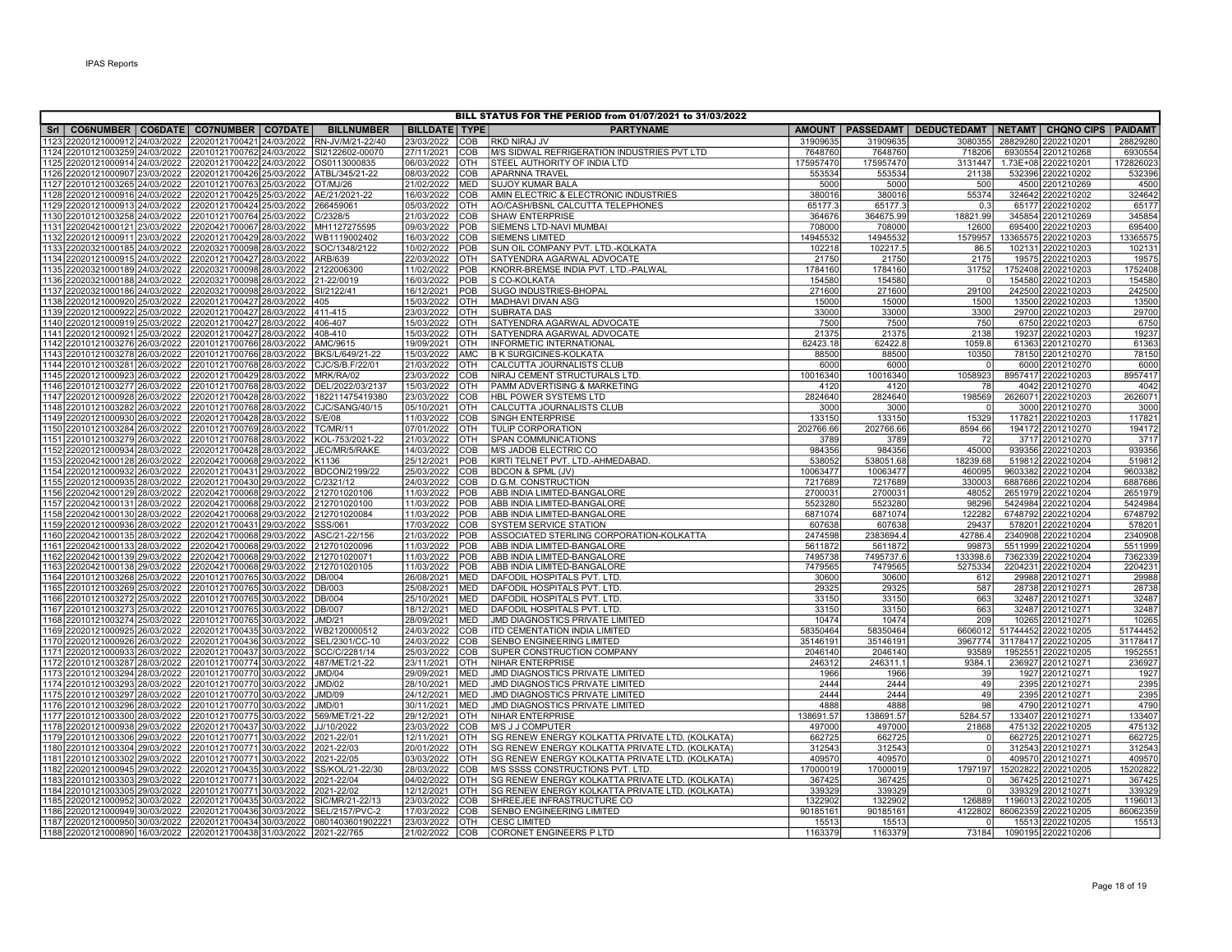| BILL STATUS FOR THE PERIOD from 01/07/2021 to 31/03/2022 |                                |  |                                                                           |                   |                      |            |                                                 |           |           |                                                                  |        |                             |                    |
|----------------------------------------------------------|--------------------------------|--|---------------------------------------------------------------------------|-------------------|----------------------|------------|-------------------------------------------------|-----------|-----------|------------------------------------------------------------------|--------|-----------------------------|--------------------|
|                                                          |                                |  | Sri   CO6NUMBER   CO6DATE   CO7NUMBER   CO7DATE                           | <b>BILLNUMBER</b> | <b>BILLDATE TYPE</b> |            | <b>PARTYNAME</b>                                |           |           | AMOUNT   PASSEDAMT   DEDUCTEDAMT   NETAMT   CHQNO CIPS   PAIDAMT |        |                             |                    |
|                                                          | 1123 22020121000912 24/03/2022 |  | 22020121700421 24/03/2022                                                 | RN-JV/M/21-22/40  | 23/03/2022           | COB        | RKD NIRAJ JV                                    | 31909635  | 31909635  | 3080355                                                          |        | 28829280 2202210201         | 28829280           |
|                                                          |                                |  | 1124 22010121003259 24/03/2022 22010121700762 24/03/2022                  | SI2122602-00070   | 27/11/2021           | COB        | M/S SIDWAL REFRIGERATION INDUSTRIES PVT LTD     | 7648760   | 7648760   | 718206                                                           |        | 6930554 2201210268          | 6930554            |
|                                                          |                                |  | 1125 22020121000914 24/03/2022 22020121700422 24/03/2022                  | OS0113000835      | 06/03/2022           | <b>OTH</b> | STEEL AUTHORITY OF INDIA LTD                    | 175957470 | 175957470 | 3131447                                                          |        | 1.73E+08 2202210201         | 172826023          |
|                                                          |                                |  | 1126 22020121000907 23/03/2022 22020121700426 25/03/2022                  | ATBL/345/21-22    | 08/03/2022           | COB        | <b>APARNNA TRAVEL</b>                           | 553534    | 553534    | 21138                                                            |        | 532396 2202210202           | 532396             |
|                                                          | 1127 22010121003265 24/03/2022 |  | 22010121700763 25/03/2022                                                 | OT/MJ/26          | 21/02/2022           | <b>MED</b> | <b>SUJOY KUMAR BALA</b>                         | 5000      | 5000      | 500                                                              |        | 4500 2201210269             | 4500               |
|                                                          | 1128 22020121000916 24/03/2022 |  | 22020121700425 25/03/2022                                                 | AE/21/2021-22     | 16/03/2022           | COB        | AMIN ELECTRIC & ELECTRONIC INDUSTRIES           | 380016    | 380016    | 55374                                                            |        | 324642 2202210202           | 324642             |
|                                                          |                                |  | 1129 22020121000913 24/03/2022 22020121700424 25/03/2022                  | 266459061         | 05/03/2022           | OTH        | AO/CASH/BSNL CALCUTTA TELEPHONES                | 65177.3   | 65177.3   | 0.3                                                              |        | 65177 2202210202            | 65177              |
|                                                          |                                |  | 1130 22010121003258 24/03/2022 22010121700764 25/03/2022                  | C/2328/5          | 21/03/2022           | COB        | SHAW ENTERPRISE                                 | 364676    | 364675.99 | 18821.99                                                         |        | 345854 2201210269           | 345854             |
|                                                          | 1131 22020421000121 23/03/2022 |  | 22020421700067 28/03/2022                                                 | MH1127275595      | 09/03/2022           | <b>POB</b> | SIEMENS LTD-NAVI MUMBAI                         | 708000    | 708000    | 12600                                                            |        | 695400 2202210203           | 695400             |
|                                                          |                                |  | 1132 22020121000911 23/03/2022 22020121700429 28/03/2022                  | WB1119002402      | 16/03/2022           | COB        | <b>SIEMENS LIMITED</b>                          | 14945532  | 14945532  | 1579957                                                          |        | 13365575 2202210203         | 1336557            |
|                                                          |                                |  | 1133 22020321000185 24/03/2022 22020321700098 28/03/2022                  | SOC/1348/2122     | 10/02/2022           | POB        | SUN OIL COMPANY PVT. LTD.-KOLKATA               | 102218    | 102217.5  | 86.5                                                             |        | 102131 2202210203           | 10213              |
|                                                          | 1134 22020121000915 24/03/2022 |  | 22020121700427 28/03/2022                                                 | ARB/639           | 22/03/2022           | <b>OTH</b> | SATYENDRA AGARWAL ADVOCATE                      | 21750     | 21750     | 2175                                                             |        | 19575 2202210203            | 1957               |
|                                                          |                                |  | 1135 22020321000189 24/03/2022 22020321700098 28/03/2022                  | 2122006300        | 11/02/2022           | POB        | KNORR-BREMSE INDIA PVT. LTD.-PALWAL             | 1784160   | 1784160   | 31752                                                            |        | 1752408 2202210203          | 1752408            |
|                                                          | 1136 22020321000188 24/03/2022 |  | 22020321700098 28/03/2022                                                 | 21-22/0019        | 16/03/2022           | <b>POB</b> | S CO-KOLKATA                                    | 154580    | 154580    | $\Omega$                                                         |        | 154580 2202210203           | 154580             |
|                                                          | 1137 22020321000186 24/03/2022 |  | 22020321700098 28/03/2022                                                 | SI/2122/41        | 16/12/2021           | <b>POB</b> | SUGO INDUSTRIES-BHOPAL                          | 271600    | 271600    | 29100                                                            |        | 242500 2202210203           | 242500             |
|                                                          | 1138 22020121000920 25/03/2022 |  | 22020121700427 28/03/2022                                                 | 405               | 15/03/2022           | OTH        | MADHAVI DIVAN ASG                               | 15000     | 15000     | 1500                                                             |        | 13500 2202210203            | 13500              |
|                                                          | 1139 22020121000922 25/03/2022 |  | 22020121700427 28/03/2022                                                 | 411-415           | 23/03/2022           | <b>OTH</b> | <b>SUBRATA DAS</b>                              | 33000     | 33000     | 3300                                                             |        | 29700 2202210203            | 29700              |
|                                                          | 1140 22020121000919 25/03/2022 |  | 22020121700427 28/03/2022                                                 | 406-407           | 15/03/2022           | <b>OTH</b> | SATYENDRA AGARWAL ADVOCATE                      | 7500      | 7500      | 750                                                              |        | 6750 2202210203             | 6750               |
|                                                          | 1141 22020121000921 25/03/2022 |  | 22020121700427 28/03/2022                                                 | 408-410           | 15/03/2022           | <b>OTH</b> | SATYENDRA AGARWAL ADVOCATE                      | 21375     | 21375     | 2138                                                             |        | 19237 2202210203            | 19237              |
|                                                          | 1142 22010121003276 26/03/2022 |  | 22010121700766 28/03/2022                                                 | AMC/9615          | 19/09/2021           | <b>OTH</b> | <b>INFORMETIC INTERNATIONAL</b>                 | 62423.18  | 62422.8   | 1059.8                                                           |        | 61363 2201210270            | 61363              |
|                                                          |                                |  | 1143 22010121003278 26/03/2022 22010121700766 28/03/2022                  | BKS/L/649/21-22   | 15/03/2022           | AMC        | <b>B K SURGICINES-KOLKATA</b>                   | 88500     | 88500     | 10350                                                            |        | 78150 2201210270            | 78150              |
|                                                          |                                |  | 1144 22010121003281 26/03/2022 22010121700768 28/03/2022                  | CJC/S/B.F/22/01   | 21/03/2022           | Іотн       | CALCUTTA JOURNALISTS CLUB                       | 6000      | 6000      | $\circ$                                                          |        | 6000 2201210270             | 6000               |
|                                                          |                                |  | 1145 22020121000923 26/03/2022 22020121700429 28/03/2022                  | MRK/RA/02         | 23/03/2022           | <b>COB</b> | NIRAJ CEMENT STRUCTURALS LTD                    | 10016340  | 10016340  | 1058923                                                          |        | 8957417 2202210203          | 8957417            |
|                                                          |                                |  | 1146 22010121003277 26/03/2022 22010121700768 28/03/2022                  | DEL/2022/03/2137  | 15/03/2022           | OTH        | PAMM ADVERTISING & MARKETING                    | 4120      | 4120      | 78                                                               |        | 4042 2201210270             | 4042               |
|                                                          |                                |  | 1147 22020121000928 26/03/2022 22020121700428 28/03/2022                  | 182211475419380   | 23/03/2022           | Ісов       | HBL POWER SYSTEMS LTD                           | 2824640   | 2824640   | 198569                                                           |        | 2626071 2202210203          | 262607             |
|                                                          |                                |  | 1148 22010121003282 26/03/2022 22010121700768 28/03/2022                  | CJC/SANG/40/15    | 05/10/2021           | Іотн       | CALCUTTA JOURNALISTS CLUB                       | 3000      | 3000      | $\Omega$                                                         |        | 3000 2201210270             | 3000               |
|                                                          | 1149 22020121000930 26/03/2022 |  | 22020121700428 28/03/2022                                                 | S/E/08            | 11/03/2022           | COB        | SINGH ENTERPRISE                                | 133150    | 133150    | 15329                                                            |        | 117821 2202210203           | 11782              |
|                                                          |                                |  | 1150 22010121003284 26/03/2022 22010121700769 28/03/2022                  | <b>TC/MR/11</b>   | 07/01/2022           | <b>OTH</b> | <b>TULIP CORPORATION</b>                        | 202766.66 | 202766.66 | 8594.66                                                          |        | 194172 2201210270           | 194172             |
|                                                          | 1151 22010121003279 26/03/2022 |  | 22010121700768 28/03/2022                                                 | KOL-753/2021-22   | 21/03/2022           | OTH        | SPAN COMMUNICATIONS                             | 3789      | 3789      | 72                                                               |        | 3717 2201210270             | 3717               |
|                                                          | 1152 22020121000934 28/03/2022 |  | 22020121700428 28/03/2022                                                 | JEC/MR/5/RAKE     | 14/03/2022           | <b>COB</b> | M/S JADOB ELECTRIC CO                           | 984356    | 984356    | 45000                                                            | 939356 | 2202210203                  | 939356             |
|                                                          | 1153 22020421000128 26/03/2022 |  | 22020421700068 29/03/2022                                                 | K1136             | 25/12/2021           | POB        | KIRTI TELNET PVT. LTD.-AHMEDABAD.               | 538052    | 538051.68 | 18239.68                                                         |        | 519812 2202210204           | 519812             |
|                                                          |                                |  | 1154 22020121000932 26/03/2022 22020121700431 29/03/2022                  | BDCON/2199/22     | 25/03/2022           | COB        | BDCON & SPML (JV)                               | 10063477  | 10063477  | 460095                                                           |        | 9603382 2202210204          | 9603382            |
|                                                          |                                |  | 1155 22020121000935 28/03/2022 22020121700430 29/03/2022                  | C/2321/12         | 24/03/2022           | Iсов       | D.G.M. CONSTRUCTION                             | 7217689   | 7217689   | 330003                                                           |        | 6887686 2202210204          | 6887686            |
|                                                          |                                |  | 1156 22020421000129 28/03/2022 22020421700068 29/03/2022                  | 212701020106      | 11/03/2022           | POB        | ABB INDIA LIMITED-BANGALORE                     | 2700031   | 2700031   | 48052                                                            |        | 2651979 2202210204          | 2651979            |
|                                                          |                                |  | 1157 22020421000131 28/03/2022 22020421700068 29/03/2022                  | 212701020100      | 11/03/2022           | POB        | ABB INDIA LIMITED-BANGALORE                     | 5523280   | 5523280   | 98296                                                            |        | 5424984 2202210204          | 5424984            |
|                                                          |                                |  | 1158 22020421000130 28/03/2022 22020421700068 29/03/2022                  | 212701020084      | 11/03/2022           | POB        | ABB INDIA LIMITED-BANGALORE                     | 6871074   | 6871074   | 122282                                                           |        | 6748792 2202210204          | 6748792            |
|                                                          |                                |  | 1159 22020121000936 28/03/2022 22020121700431 29/03/2022                  | SSS/061           | 17/03/2022           | Iсов       | SYSTEM SERVICE STATION                          | 607638    | 607638    | 29437                                                            |        | 578201 2202210204           | 57820 <sup>-</sup> |
|                                                          | 1160 22020421000135 28/03/2022 |  | 22020421700068 29/03/2022                                                 | ASC/21-22/156     | 21/03/2022           | <b>POB</b> | ASSOCIATED STERLING CORPORATION-KOLKATTA        | 2474598   | 2383694.4 | 42786.4                                                          |        | 2340908 2202210204          | 2340908            |
|                                                          | 1161 22020421000133 28/03/2022 |  | 22020421700068 29/03/2022                                                 | 212701020096      | 11/03/2022           | POB        | ABB INDIA LIMITED-BANGALORE                     | 5611872   | 5611872   | 99873                                                            |        | 5511999 2202210204          | 5511999            |
|                                                          | 1162 22020421000139 29/03/2022 |  | 22020421700068 29/03/2022                                                 | 212701020071      | 11/03/2022           | POB        | ABB INDIA LIMITED-BANGALORE                     | 7495738   | 7495737.6 | 133398.6                                                         |        | 7362339 2202210204          | 7362339            |
|                                                          |                                |  | 1163 22020421000138 29/03/2022 22020421700068 29/03/2022                  | 212701020105      | 11/03/2022           | POB        | ABB INDIA LIMITED-BANGALORE                     | 7479565   | 7479565   | 5275334                                                          |        | 2204231 2202210204          | 220423             |
|                                                          |                                |  | 1164 22010121003268 25/03/2022 22010121700765 30/03/2022                  | DB/004            | 26/08/2021           | MED        | DAFODIL HOSPITALS PVT. LTD.                     | 30600     | 30600     | 612                                                              |        | 29988 2201210271            | 29988              |
|                                                          |                                |  | 1165 22010121003269 25/03/2022 22010121700765 30/03/2022                  | DB/003            | 25/08/2021           | MED        | DAFODIL HOSPITALS PVT. LTD.                     | 29325     | 29325     | 587                                                              |        | 28738 2201210271            | 28738              |
|                                                          |                                |  | 1166 22010121003272 25/03/2022 22010121700765 30/03/2022                  | <b>DB/004</b>     | 25/10/2021           | <b>MED</b> | DAFODIL HOSPITALS PVT. LTD.                     | 33150     | 33150     | 663                                                              |        | 32487 2201210271            | 32487              |
|                                                          | 1167 22010121003273 25/03/2022 |  | 22010121700765 30/03/2022                                                 | DB/007            | 18/12/2021           | <b>MED</b> | DAFODIL HOSPITALS PVT. LTD.                     | 33150     | 33150     | 663                                                              |        | 32487 2201210271            | 32487              |
|                                                          |                                |  | 1168 22010121003274 25/03/2022 22010121700765 30/03/2022                  | JMD/21            | 28/09/2021           | <b>MED</b> | JMD DIAGNOSTICS PRIVATE LIMITED                 | 10474     | 10474     | 209                                                              |        | 10265 2201210271            | 10265              |
|                                                          |                                |  | 1169 22020121000925 26/03/2022 22020121700435 30/03/2022                  | WB2120000512      | 24/03/2022           | <b>COB</b> | ITD CEMENTATION INDIA LIMITED                   | 58350464  | 58350464  |                                                                  |        | 6606012 51744452 2202210205 | 5174445            |
|                                                          | 1170 22020121000926 26/03/2022 |  | 22020121700436 30/03/2022                                                 | SEL/2301/CC-10    | 24/03/2022           | <b>COB</b> | SENBO ENGINEERING LIMITED                       | 35146191  | 35146191  |                                                                  |        | 3967774 31178417 2202210205 | 31178417           |
|                                                          |                                |  | 1171 22020121000933 26/03/2022 22020121700437 30/03/2022                  | SCC/C/2281/14     | 25/03/2022           | COB        | SUPER CONSTRUCTION COMPANY                      | 2046140   | 2046140   | 93589                                                            |        | 1952551 2202210205          | 195255             |
|                                                          | 1172 22010121003287 28/03/2022 |  | 22010121700774 30/03/2022                                                 | 487/MET/21-22     | 23/11/2021           | <b>OTH</b> | <b>NIHAR ENTERPRISE</b>                         | 246312    | 246311.1  | 9384.1                                                           |        | 236927 2201210271           | 236927             |
|                                                          | 1173 22010121003294 28/03/2022 |  | 22010121700770 30/03/2022                                                 | <b>JMD/04</b>     | 29/09/2021           | <b>MED</b> | JMD DIAGNOSTICS PRIVATE LIMITED                 | 1966      | 1966      | 39                                                               |        | 1927 2201210271             | 1927               |
|                                                          | 1174 22010121003293 28/03/2022 |  | 22010121700770 30/03/2022                                                 | <b>JMD/02</b>     | 28/10/2021           | MED        | JMD DIAGNOSTICS PRIVATE LIMITED                 | 2444      | 2444      | 49                                                               |        | 2395 2201210271             | 2395               |
|                                                          | 1175 22010121003297 28/03/2022 |  | 22010121700770 30/03/2022                                                 | <b>JMD/09</b>     | 24/12/2021           | <b>MED</b> | JMD DIAGNOSTICS PRIVATE LIMITED                 | 2444      | 2444      | 49                                                               |        | 2395 2201210271             | 2395               |
|                                                          |                                |  | 1176 22010121003296 28/03/2022 22010121700770 30/03/2022                  | <b>JMD/01</b>     | 30/11/2021           | MED        | JMD DIAGNOSTICS PRIVATE LIMITED                 | 4888      | 4888      | 98                                                               |        | 4790 2201210271             | 4790               |
|                                                          |                                |  | 1177 22010121003300 28/03/2022 22010121700775 30/03/2022                  | 569/MET/21-22     | 29/12/2021           | <b>OTH</b> | <b>NIHAR ENTERPRISE</b>                         | 138691.57 | 138691.57 | 5284.57                                                          |        | 133407 2201210271           | 133407             |
|                                                          |                                |  | 1178 22020121000938 29/03/2022 22020121700437 30/03/2022                  | JJ/10/2022        | 23/03/2022           | COB        | M/S J J COMPUTER                                | 497000    | 497000    | 21868                                                            |        | 475132 2202210205           | 475132             |
|                                                          |                                |  | 1179 22010121003306 29/03/2022 22010121700771 30/03/2022                  | 2021-22/01        | 12/11/2021           | OTH        | SG RENEW ENERGY KOLKATTA PRIVATE LTD. (KOLKATA) | 662725    | 662725    | $\overline{0}$                                                   |        | 662725 2201210271           | 66272              |
|                                                          |                                |  | 1180 22010121003304 29/03/2022 22010121700771 30/03/2022                  | 2021-22/03        | 20/01/2022           | Іотн       | SG RENEW ENERGY KOLKATTA PRIVATE LTD. (KOLKATA) | 312543    | 312543    | $\overline{0}$                                                   |        | 312543 2201210271           | 312543             |
|                                                          |                                |  | 1181 22010121003302 29/03/2022 22010121700771 30/03/2022                  | 2021-22/05        | 03/03/2022           | <b>OTH</b> | SG RENEW ENERGY KOLKATTA PRIVATE LTD. (KOLKATA) | 409570    | 409570    | $\Omega$                                                         |        | 409570 2201210271           | 40957              |
|                                                          | 1182 22020121000945 29/03/2022 |  | 22020121700435 30/03/2022                                                 | SS/KOL/21-22/30   | 28/03/2022           | COB        | M/S SSSS CONSTRUCTIONS PVT. LTD                 | 17000019  | 17000019  | 1797197                                                          |        | 15202822 2202210205         | 15202822           |
|                                                          |                                |  | 1183 22010121003303 29/03/2022 22010121700771 30/03/2022                  | 2021-22/04        | 04/02/2022           | <b>OTH</b> | SG RENEW ENERGY KOLKATTA PRIVATE LTD. (KOLKATA) | 367425    | 367425    | $\Omega$                                                         |        | 367425 2201210271           | 367425             |
|                                                          | 1184 22010121003305 29/03/2022 |  | 22010121700771 30/03/2022                                                 | 2021-22/02        | 12/12/2021           | OTH        | SG RENEW ENERGY KOLKATTA PRIVATE LTD. (KOLKATA) | 339329    | 339329    | $\Omega$                                                         |        | 339329 2201210271           | 339329             |
|                                                          | 1185 22020121000952 30/03/2022 |  | 22020121700435 30/03/2022                                                 | SIC/MR/21-22/13   | 23/03/2022           | COB        | SHREEJEE INFRASTRUCTURE CO                      | 1322902   | 1322902   | 126889                                                           |        | 1196013 2202210205          | 119601             |
|                                                          | 1186 22020121000949 30/03/2022 |  | 22020121700436 30/03/2022                                                 | SEL/2157/PVC-2    | 17/03/2022           | COB        | SENBO ENGINEERING LIMITED                       | 90185161  | 90185161  | 4122802                                                          |        | 86062359 2202210205         | 86062359           |
|                                                          |                                |  | 1187 22020121000950 30/03/2022 22020121700434 30/03/2022 0801403601902221 |                   | 23/03/2022           | <b>OTH</b> | <b>CESC LIMITED</b>                             | 15513     | 15513     | $\Omega$                                                         |        | 15513 2202210205            | 15513              |
|                                                          |                                |  | 1188 22020121000890 16/03/2022 22020121700438 31/03/2022 2021-22/765      |                   | 21/02/2022 COB       |            | CORONET ENGINEERS P LTD                         | 1163379   | 1163379   | 73184                                                            |        | 1090195 2202210206          |                    |